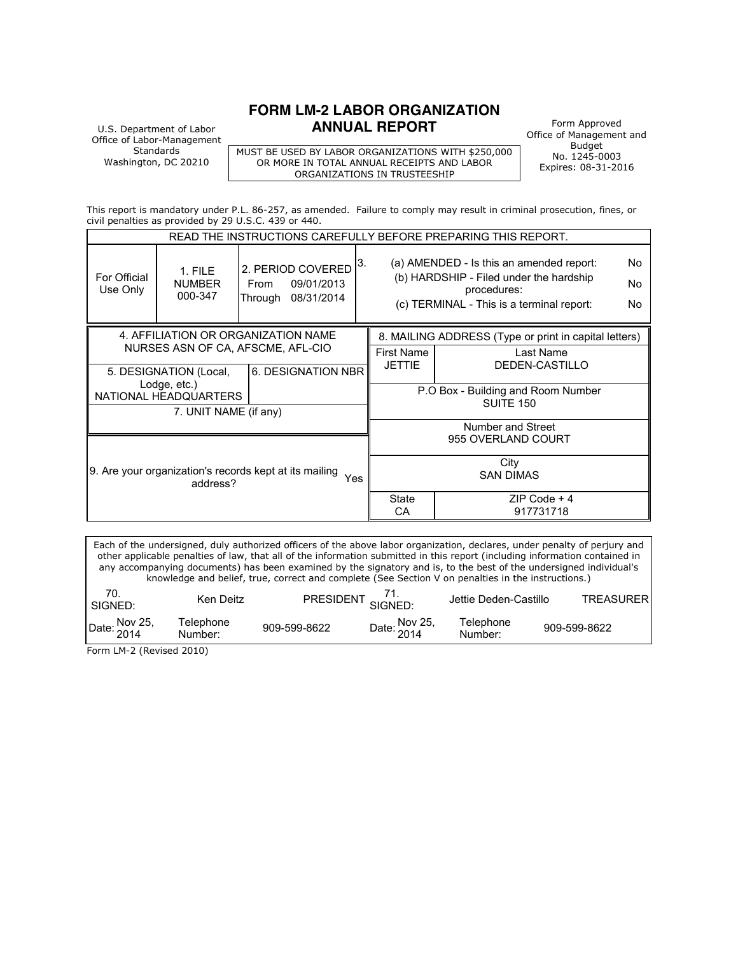### **FORM LM-2 LABOR ORGANIZATION ANNUAL REPORT** Form Approved

U.S. Department of Labor Office of Labor-Management **Standards** Washington, DC 20210

MUST BE USED BY LABOR ORGANIZATIONS WITH \$250,000 OR MORE IN TOTAL ANNUAL RECEIPTS AND LABOR ORGANIZATIONS IN TRUSTEESHIP

Office of Management and Budget No. 1245-0003 Expires: 08-31-2016

This report is mandatory under P.L. 86-257, as amended. Failure to comply may result in criminal prosecution, fines, or civil penalties as provided by 29 U.S.C. 439 or 440.

| READ THE INSTRUCTIONS CAREFULLY BEFORE PREPARING THIS REPORT.             |                                       |      |                                                       |                          |                                                                                                                                                 |                                                       |  |
|---------------------------------------------------------------------------|---------------------------------------|------|-------------------------------------------------------|--------------------------|-------------------------------------------------------------------------------------------------------------------------------------------------|-------------------------------------------------------|--|
| For Official<br>Use Only                                                  | 1. FILE<br><b>NUMBER</b><br>000-347   | From | 2. PERIOD COVERED<br>09/01/2013<br>Through 08/31/2014 | 3.                       | (a) AMENDED - Is this an amended report:<br>(b) HARDSHIP - Filed under the hardship<br>procedures:<br>(c) TERMINAL - This is a terminal report: |                                                       |  |
|                                                                           | 4. AFFILIATION OR ORGANIZATION NAME   |      |                                                       |                          |                                                                                                                                                 | 8. MAILING ADDRESS (Type or print in capital letters) |  |
|                                                                           | NURSES ASN OF CA, AFSCME, AFL-CIO     |      |                                                       |                          | <b>First Name</b>                                                                                                                               | Last Name                                             |  |
|                                                                           | 5. DESIGNATION (Local,                |      | 6. DESIGNATION NBR                                    |                          | <b>JETTIE</b>                                                                                                                                   | DEDEN-CASTILLO                                        |  |
|                                                                           | Lodge, etc.)<br>NATIONAL HEADQUARTERS |      |                                                       |                          | P.O Box - Building and Room Number                                                                                                              |                                                       |  |
|                                                                           | 7. UNIT NAME (if any)                 |      |                                                       |                          |                                                                                                                                                 | <b>SUITE 150</b>                                      |  |
|                                                                           |                                       |      |                                                       |                          |                                                                                                                                                 | Number and Street                                     |  |
|                                                                           |                                       |      |                                                       |                          |                                                                                                                                                 | 955 OVERLAND COURT                                    |  |
| 9. Are your organization's records kept at its mailing<br>Yes<br>address? |                                       |      |                                                       | City<br><b>SAN DIMAS</b> |                                                                                                                                                 |                                                       |  |
|                                                                           |                                       |      |                                                       |                          | <b>State</b><br>CA                                                                                                                              | ZIP Code + 4<br>917731718                             |  |

Each of the undersigned, duly authorized officers of the above labor organization, declares, under penalty of perjury and other applicable penalties of law, that all of the information submitted in this report (including information contained in any accompanying documents) has been examined by the signatory and is, to the best of the undersigned individual's knowledge and belief, true, correct and complete (See Section V on penalties in the instructions.)

| 70.<br>SIGNED: | Ken Deitz            | <b>PRESIDENT</b> | $\overline{S}$ SIGNED: | Jettie Deden-Castillo | TRFASURFRI   |
|----------------|----------------------|------------------|------------------------|-----------------------|--------------|
| Date: Nov 25,  | Telephone<br>Number: | 909-599-8622     | Date: Nov 25,          | Telephone<br>Number:  | 909-599-8622 |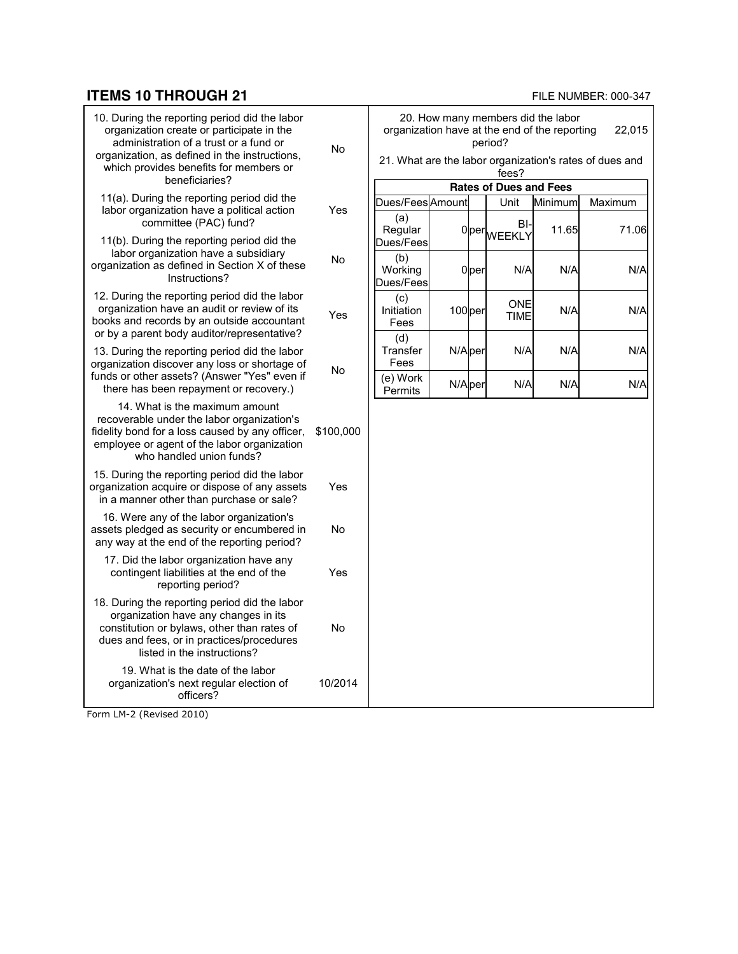### **ITEMS 10 THROUGH 21 FILE NUMBER: 000-347**

| 10. During the reporting period did the labor<br>organization create or participate in the<br>administration of a trust or a fund or<br>organization, as defined in the instructions,<br>which provides benefits for members or | No        | 20. How many members did the labor<br>organization have at the end of the reporting<br>period?<br>21. What are the labor organization's rates of dues and<br>fees? |                    |                  |                               |         | 22.015  |
|---------------------------------------------------------------------------------------------------------------------------------------------------------------------------------------------------------------------------------|-----------|--------------------------------------------------------------------------------------------------------------------------------------------------------------------|--------------------|------------------|-------------------------------|---------|---------|
| beneficiaries?                                                                                                                                                                                                                  |           |                                                                                                                                                                    |                    |                  | <b>Rates of Dues and Fees</b> |         |         |
| 11(a). During the reporting period did the                                                                                                                                                                                      |           | Dues/Fees Amount                                                                                                                                                   |                    |                  | Unit                          | Minimum | Maximum |
| labor organization have a political action<br>committee (PAC) fund?                                                                                                                                                             | Yes       | (a)<br>Regular                                                                                                                                                     |                    |                  | BI-<br>0per <sub>WEEKLY</sub> | 11.65   | 71.06   |
| 11(b). During the reporting period did the<br>labor organization have a subsidiary                                                                                                                                              |           | Dues/Fees                                                                                                                                                          |                    |                  |                               |         |         |
| organization as defined in Section X of these<br>Instructions?                                                                                                                                                                  | No        | (b)<br>Working<br>Dues/Fees                                                                                                                                        |                    | 0 <sub>per</sub> | N/A                           | N/A     | N/A     |
| 12. During the reporting period did the labor<br>organization have an audit or review of its<br>books and records by an outside accountant<br>or by a parent body auditor/representative?                                       | Yes       | (c)<br>Initiation<br>Fees                                                                                                                                          | 100 <sub>per</sub> |                  | <b>ONE</b><br><b>TIME</b>     | N/A     | N/A     |
| 13. During the reporting period did the labor<br>organization discover any loss or shortage of                                                                                                                                  |           | (d)<br>Transfer<br>Fees                                                                                                                                            | N/Aper             |                  | N/A                           | N/A     | N/A     |
| funds or other assets? (Answer "Yes" even if<br>there has been repayment or recovery.)                                                                                                                                          | No        | (e) Work<br>Permits                                                                                                                                                | N/Aper             |                  | N/A                           | N/A     | N/A     |
| 14. What is the maximum amount<br>recoverable under the labor organization's<br>fidelity bond for a loss caused by any officer,<br>employee or agent of the labor organization<br>who handled union funds?                      | \$100,000 |                                                                                                                                                                    |                    |                  |                               |         |         |
| 15. During the reporting period did the labor<br>organization acquire or dispose of any assets<br>in a manner other than purchase or sale?                                                                                      | Yes       |                                                                                                                                                                    |                    |                  |                               |         |         |
| 16. Were any of the labor organization's<br>assets pledged as security or encumbered in<br>any way at the end of the reporting period?                                                                                          | No        |                                                                                                                                                                    |                    |                  |                               |         |         |
| 17. Did the labor organization have any<br>contingent liabilities at the end of the<br>reporting period?                                                                                                                        | Yes       |                                                                                                                                                                    |                    |                  |                               |         |         |
| 18. During the reporting period did the labor<br>organization have any changes in its<br>constitution or bylaws, other than rates of<br>dues and fees, or in practices/procedures<br>listed in the instructions?                | <b>No</b> |                                                                                                                                                                    |                    |                  |                               |         |         |
| 19. What is the date of the labor<br>organization's next regular election of<br>officers?                                                                                                                                       | 10/2014   |                                                                                                                                                                    |                    |                  |                               |         |         |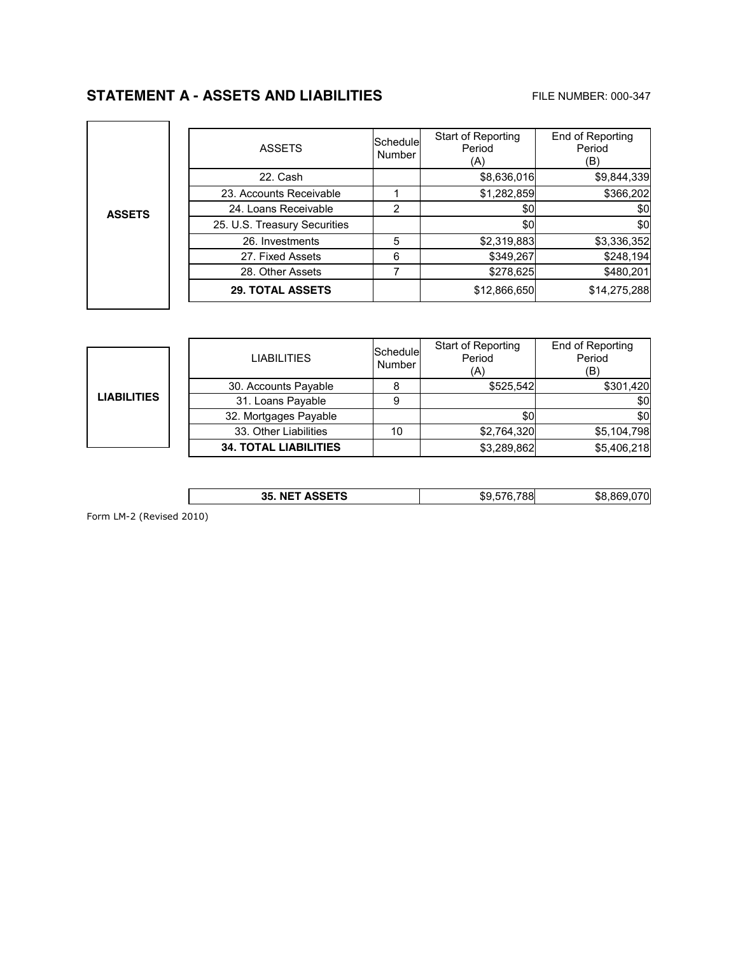# **STATEMENT A - ASSETS AND LIABILITIES** FILE NUMBER: 000-347

|               | <b>ASSETS</b>                | lSchedulel<br>Number | Start of Reporting<br>Period<br>(A) | End of Reporting<br>Period<br>(B) |
|---------------|------------------------------|----------------------|-------------------------------------|-----------------------------------|
|               | 22. Cash                     |                      | \$8,636,016                         | \$9,844,339                       |
|               | 23. Accounts Receivable      |                      | \$1,282,859                         | \$366,202                         |
| <b>ASSETS</b> | 24. Loans Receivable         | 2                    | \$0                                 | \$0                               |
|               | 25. U.S. Treasury Securities |                      | \$0                                 | \$0                               |
|               | 26. Investments              | 5                    | \$2,319,883                         | \$3,336,352                       |
|               | 27. Fixed Assets             | 6                    | \$349,267                           | \$248,194                         |
|               | 28. Other Assets             |                      | \$278,625                           | \$480,201                         |
|               | <b>29. TOTAL ASSETS</b>      |                      | \$12,866,650                        | \$14,275,288                      |

|                    | <b>LIABILITIES</b>           | Schedule<br>Number | Start of Reporting<br>Period<br>(A) | End of Reporting<br>Period<br>(B) |
|--------------------|------------------------------|--------------------|-------------------------------------|-----------------------------------|
|                    | 30. Accounts Payable         |                    | \$525.542                           | \$301,420                         |
| <b>LIABILITIES</b> | 31. Loans Payable            |                    |                                     | \$0                               |
|                    | 32. Mortgages Payable        |                    | \$0                                 | \$0                               |
|                    | 33. Other Liabilities        | 10                 | \$2,764,320                         | \$5,104,798                       |
|                    | <b>34. TOTAL LIABILITIES</b> |                    | \$3,289,862                         | \$5,406,218                       |

| 000T<br>88<br>35.<br>N⊩<br>ີ<br>, NEI ASSEIS<br>.ne |
|-----------------------------------------------------|
|-----------------------------------------------------|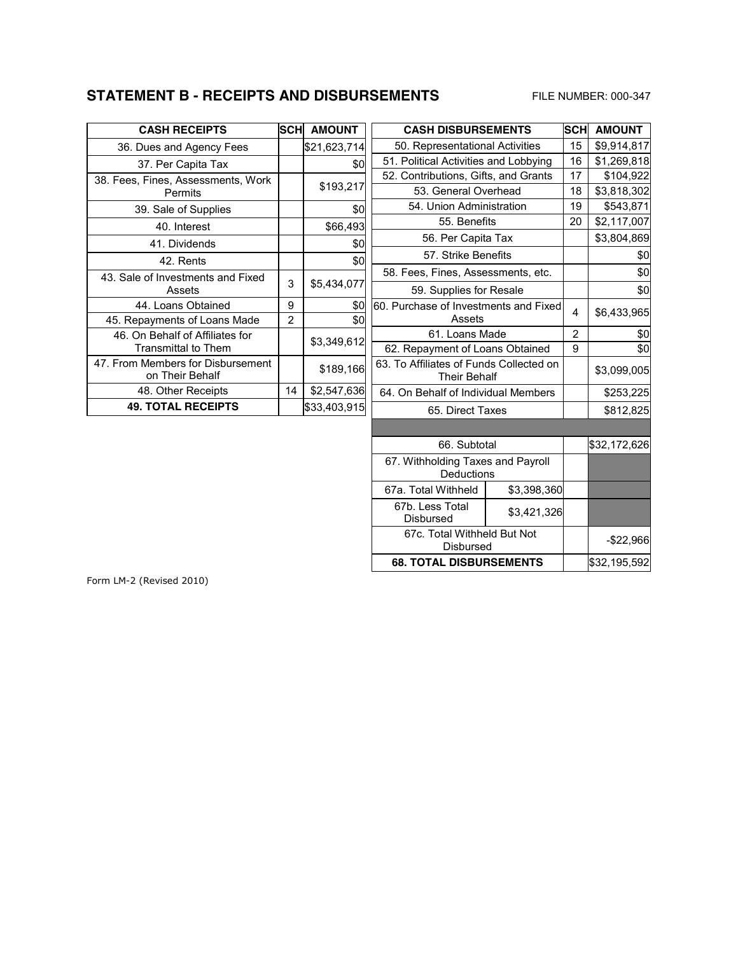## **STATEMENT B - RECEIPTS AND DISBURSEMENTS** FILE NUMBER: 000-347

| <b>CASH RECEIPTS</b>                                          | SCH | <b>AMOUNT</b> |
|---------------------------------------------------------------|-----|---------------|
| 36. Dues and Agency Fees                                      |     | \$21,623,714  |
| 37. Per Capita Tax                                            |     | \$0           |
| 38. Fees, Fines, Assessments, Work<br>Permits                 |     | \$193,217     |
| 39. Sale of Supplies                                          |     | \$0           |
| 40. Interest                                                  |     | \$66,493      |
| 41. Dividends                                                 |     | \$0           |
| 42. Rents                                                     |     | \$0           |
| 43. Sale of Investments and Fixed<br>Assets                   | 3   | \$5,434,077   |
| 44. Loans Obtained                                            | 9   | \$0           |
| 45. Repayments of Loans Made                                  | 2   | \$0           |
| 46. On Behalf of Affiliates for<br><b>Transmittal to Them</b> |     | \$3,349,612   |
| 47. From Members for Disbursement<br>on Their Behalf          |     | \$189,166     |
| 48. Other Receipts                                            | 14  | \$2,547,636   |
| <b>49. TOTAL RECEIPTS</b>                                     |     | \$33,403,915  |

| <b>CASH DISBURSEMENTS</b>                                      |                                       | <b>SCH</b> | <b>AMOUNT</b> |  |
|----------------------------------------------------------------|---------------------------------------|------------|---------------|--|
| 50. Representational Activities                                |                                       | 15         | \$9,914,817   |  |
|                                                                | 51. Political Activities and Lobbying |            |               |  |
| 52. Contributions, Gifts, and Grants                           | 17                                    | \$104,922  |               |  |
|                                                                | 53. General Overhead                  |            |               |  |
|                                                                | 54. Union Administration              |            |               |  |
| 55. Benefits                                                   |                                       | 20         | \$2,117,007   |  |
| 56. Per Capita Tax                                             |                                       |            | \$3,804,869   |  |
| 57. Strike Benefits                                            |                                       |            | \$0           |  |
| 58. Fees, Fines, Assessments, etc.                             |                                       | \$0        |               |  |
| 59. Supplies for Resale                                        |                                       | \$0        |               |  |
| 60. Purchase of Investments and Fixed<br>Assets                |                                       |            | \$6,433,965   |  |
| 61. Loans Made                                                 | $\overline{2}$                        | \$0        |               |  |
| 62. Repayment of Loans Obtained                                |                                       |            | \$0           |  |
| 63. To Affiliates of Funds Collected on<br><b>Their Behalf</b> |                                       |            | \$3,099,005   |  |
| 64. On Behalf of Individual Members                            |                                       |            | \$253,225     |  |
| 65. Direct Taxes                                               |                                       |            | \$812,825     |  |
|                                                                |                                       |            |               |  |
| 66. Subtotal                                                   |                                       |            | \$32,172,626  |  |
| 67. Withholding Taxes and Payroll<br>Deductions                |                                       |            |               |  |
| 67a. Total Withheld                                            | \$3,398,360                           |            |               |  |
| 67b. Less Total<br>Disbursed                                   | \$3,421,326                           |            |               |  |
| 67c. Total Withheld But Not<br>Disbursed                       |                                       |            | $-$ \$22,966  |  |
| <b>68. TOTAL DISBURSEMENTS</b>                                 |                                       |            | \$32,195,592  |  |
|                                                                |                                       |            |               |  |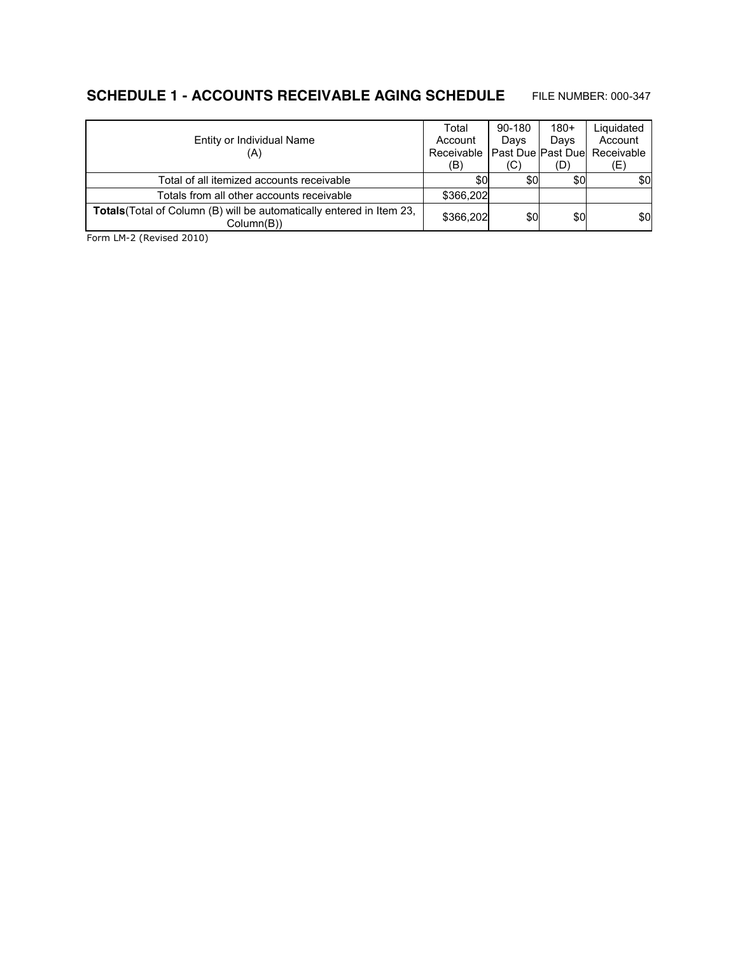# **SCHEDULE 1 - ACCOUNTS RECEIVABLE AGING SCHEDULE** FILE NUMBER: 000-347

|                                                                                     | Total     | 90-180 | $180+$ | Liquidated                                   |
|-------------------------------------------------------------------------------------|-----------|--------|--------|----------------------------------------------|
| Entity or Individual Name                                                           | Account   | Days   | Days   | Account                                      |
| (A)                                                                                 |           |        |        | Receivable   Past Due   Past Due  Receivable |
|                                                                                     | (B)       | (C)    | (D)    | (E)                                          |
| Total of all itemized accounts receivable                                           | \$0       | \$0    | \$0    | \$0                                          |
| Totals from all other accounts receivable                                           | \$366,202 |        |        |                                              |
| Totals (Total of Column (B) will be automatically entered in Item 23,<br>Column(B)) | \$366,202 | \$0    | \$0    | \$0                                          |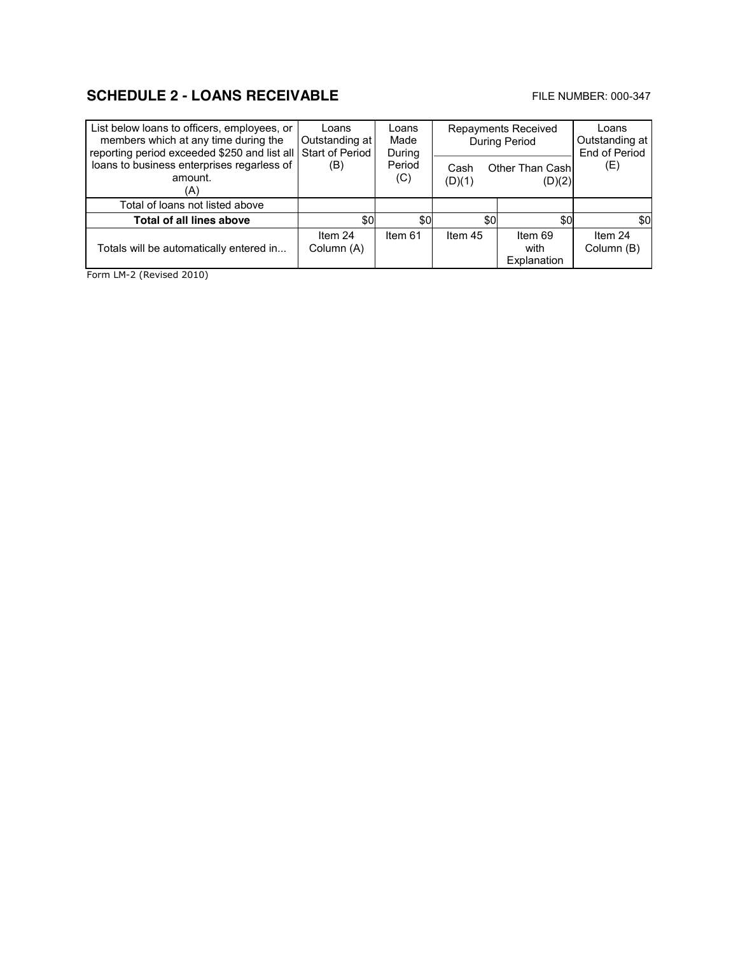# **SCHEDULE 2 - LOANS RECEIVABLE EXAMPLE 2 - LOANS RECEIVABLE**

| List below loans to officers, employees, or<br>members which at any time during the<br>reporting period exceeded \$250 and list all | Loans<br>Outstanding at<br>Start of Period | Loans<br>Made<br>During | <b>Repayments Received</b><br><b>During Period</b> |                                   | Loans<br>Outstanding at<br>End of Period |
|-------------------------------------------------------------------------------------------------------------------------------------|--------------------------------------------|-------------------------|----------------------------------------------------|-----------------------------------|------------------------------------------|
| loans to business enterprises regarless of<br>amount.<br>(A)                                                                        | (B)                                        | Period<br>(C)           | Cash<br>(D)(1)                                     | <b>Other Than Cashl</b><br>(D)(2) | (E)                                      |
| Total of loans not listed above                                                                                                     |                                            |                         |                                                    |                                   |                                          |
| <b>Total of all lines above</b>                                                                                                     | \$0                                        | \$0                     | \$0                                                | \$0                               | \$0                                      |
| Totals will be automatically entered in                                                                                             | Item 24<br>Column (A)                      | Item 61                 | Item 45                                            | Item 69<br>with<br>Explanation    | Item 24<br>Column (B)                    |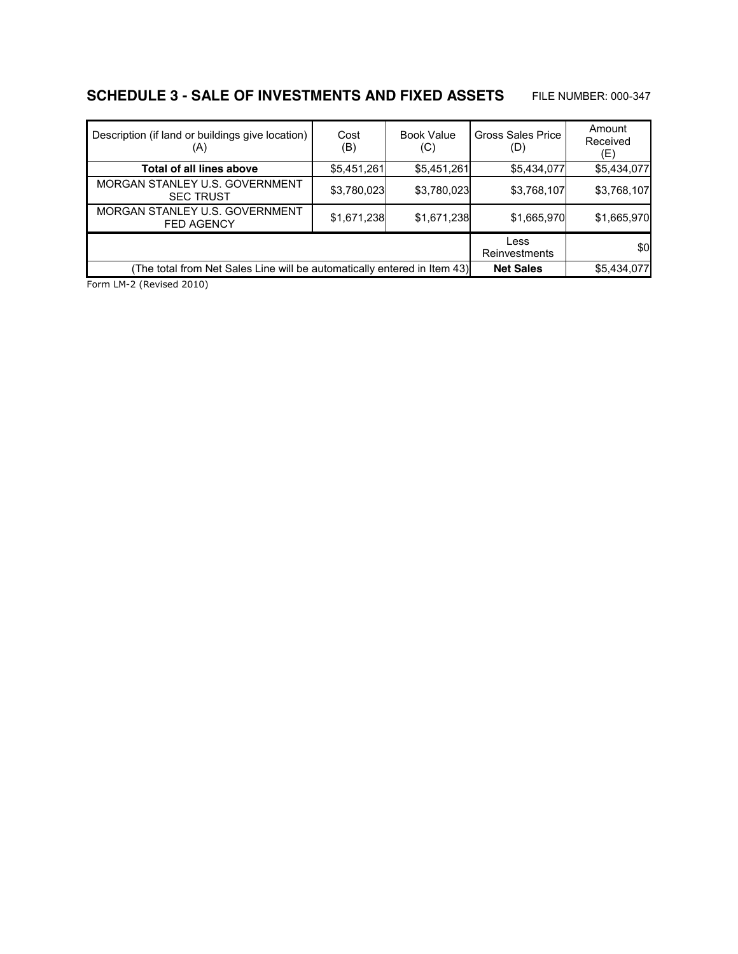# **SCHEDULE 3 - SALE OF INVESTMENTS AND FIXED ASSETS** FILE NUMBER: 000-347

| Description (if land or buildings give location)<br>(A)                 | Cost<br>(B) | <b>Book Value</b><br>(C) | <b>Gross Sales Price</b><br>(D) | Amount<br>Received<br>(E) |
|-------------------------------------------------------------------------|-------------|--------------------------|---------------------------------|---------------------------|
| Total of all lines above                                                | \$5,451,261 | \$5,451,261              | \$5,434,077                     | \$5,434,077               |
| MORGAN STANLEY U.S. GOVERNMENT<br><b>SEC TRUST</b>                      | \$3,780,023 | \$3,780,023              | \$3,768,107                     | \$3,768,107               |
| MORGAN STANLEY U.S. GOVERNMENT<br><b>FED AGENCY</b>                     | \$1,671,238 | \$1,671,238              | \$1,665,970                     | \$1,665,970               |
|                                                                         |             |                          | Less<br>Reinvestments           | \$0                       |
| The total from Net Sales Line will be automatically entered in Item 43) |             |                          | <b>Net Sales</b>                | \$5,434,077               |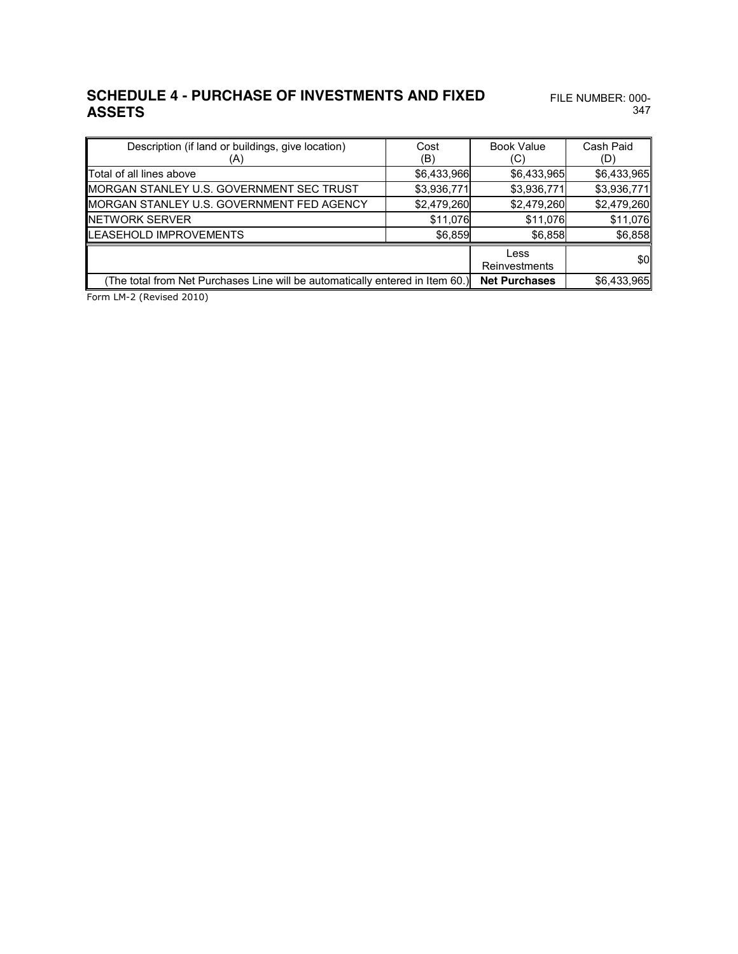### **SCHEDULE 4 - PURCHASE OF INVESTMENTS AND FIXED**  FILE NUMBER: 000- **ASSETS**

347

| Description (if land or buildings, give location)                             | Cost        | <b>Book Value</b>    | Cash Paid   |
|-------------------------------------------------------------------------------|-------------|----------------------|-------------|
| (A)                                                                           | (B)         | (C)                  | (D)         |
| <b>Total of all lines above</b>                                               | \$6,433,966 | \$6,433,965          | \$6,433,965 |
| <b>IMORGAN STANLEY U.S. GOVERNMENT SEC TRUST</b>                              | \$3,936,771 | \$3,936,771          | \$3,936,771 |
| MORGAN STANLEY U.S. GOVERNMENT FED AGENCY                                     | \$2,479,260 | \$2,479,260          | \$2,479,260 |
| <b>INETWORK SERVER</b>                                                        | \$11,076    | \$11,076             | \$11,076    |
| <b>ILEASEHOLD IMPROVEMENTS</b>                                                | \$6,859     | \$6,858              | \$6,858     |
|                                                                               |             | Less                 | \$0         |
|                                                                               |             | Reinvestments        |             |
| (The total from Net Purchases Line will be automatically entered in Item 60.) |             | <b>Net Purchases</b> | \$6,433,965 |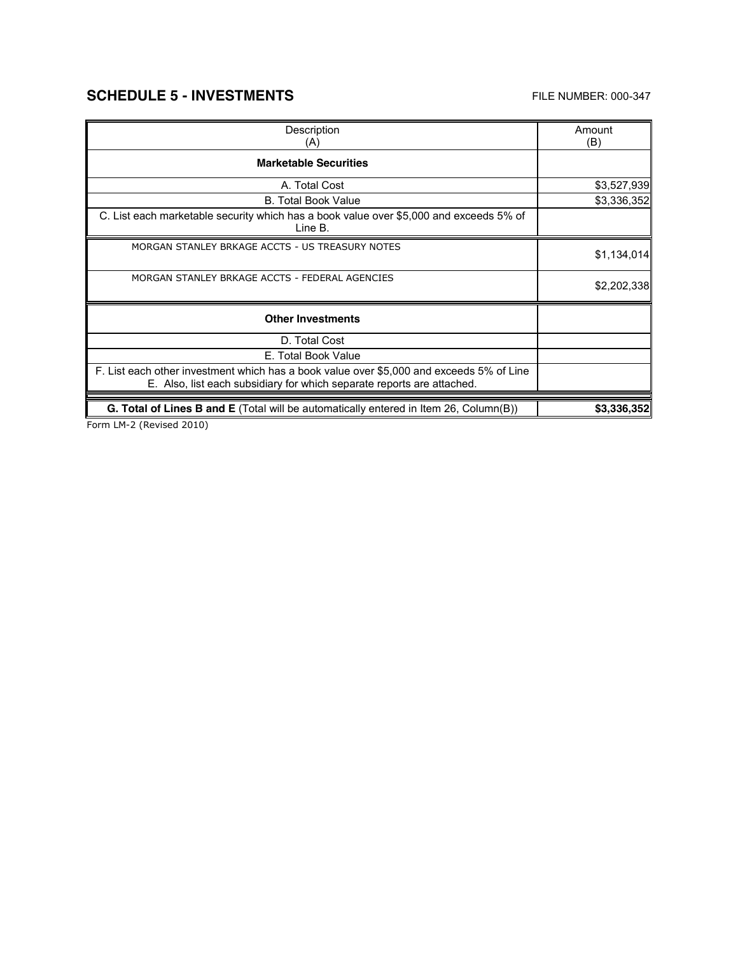# **SCHEDULE 5 - INVESTMENTS** FILE NUMBER: 000-347

 $\mathbf{r}$ 

| Description                                                                                                                                                        | Amount      |
|--------------------------------------------------------------------------------------------------------------------------------------------------------------------|-------------|
| (A)                                                                                                                                                                | (B)         |
| <b>Marketable Securities</b>                                                                                                                                       |             |
| A. Total Cost                                                                                                                                                      | \$3,527,939 |
| <b>B. Total Book Value</b>                                                                                                                                         | \$3,336,352 |
| C. List each marketable security which has a book value over \$5,000 and exceeds 5% of<br>Line B.                                                                  |             |
| MORGAN STANLEY BRKAGE ACCTS - US TREASURY NOTES                                                                                                                    | \$1,134,014 |
| MORGAN STANLEY BRKAGE ACCTS - FEDERAL AGENCIES                                                                                                                     | \$2,202,338 |
| <b>Other Investments</b>                                                                                                                                           |             |
| D. Total Cost                                                                                                                                                      |             |
| E. Total Book Value                                                                                                                                                |             |
| F. List each other investment which has a book value over \$5,000 and exceeds 5% of Line<br>E. Also, list each subsidiary for which separate reports are attached. |             |
| <b>G. Total of Lines B and E</b> (Total will be automatically entered in Item 26, Column(B))                                                                       | \$3,336,352 |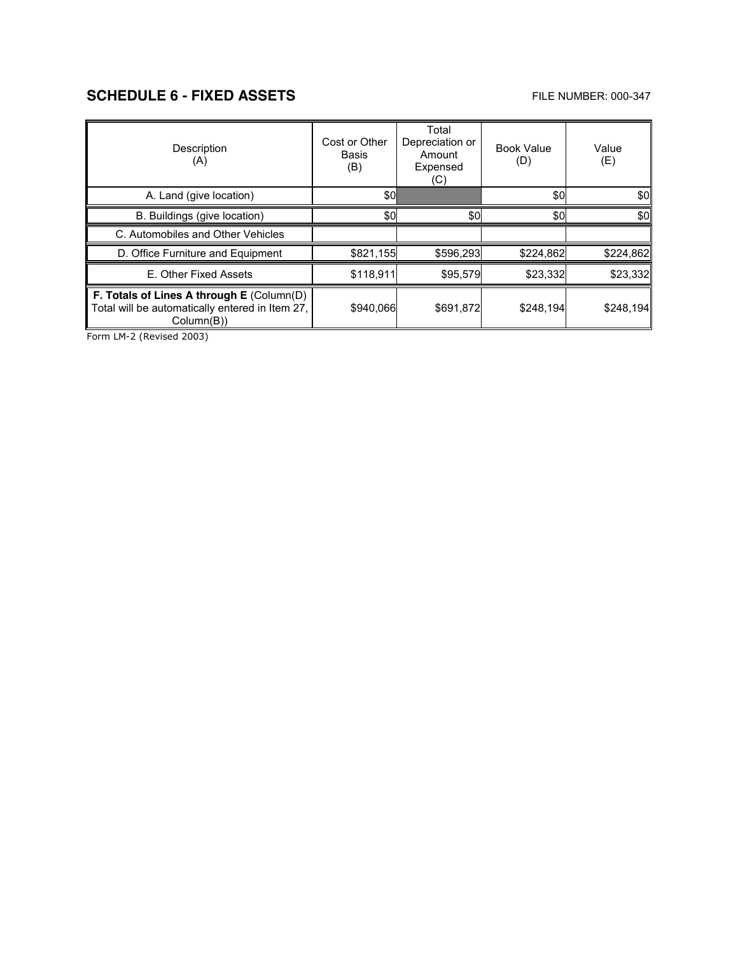# **SCHEDULE 6 - FIXED ASSETS** FILE NUMBER: 000-347

| Description<br>(A)                                                                                                   | Cost or Other<br>Basis<br>(B) | Total<br>Depreciation or<br>Amount<br>Expensed<br>(C) | <b>Book Value</b><br>(D) | Value<br>(E) |
|----------------------------------------------------------------------------------------------------------------------|-------------------------------|-------------------------------------------------------|--------------------------|--------------|
| A. Land (give location)                                                                                              | \$OI                          |                                                       | \$0                      | \$0          |
| B. Buildings (give location)                                                                                         | \$0                           | \$0                                                   | \$0                      | \$0          |
| C. Automobiles and Other Vehicles                                                                                    |                               |                                                       |                          |              |
| D. Office Furniture and Equipment                                                                                    | \$821,155                     | \$596,293                                             | \$224,862                | \$224,862    |
| E. Other Fixed Assets                                                                                                | \$118,911                     | \$95,579                                              | \$23,332                 | \$23,332     |
| <b>F. Totals of Lines A through E (Column(D)</b><br>Total will be automatically entered in Item 27,<br>$Column(B)$ ) | \$940,066                     | \$691,872                                             | \$248,194                | \$248,194    |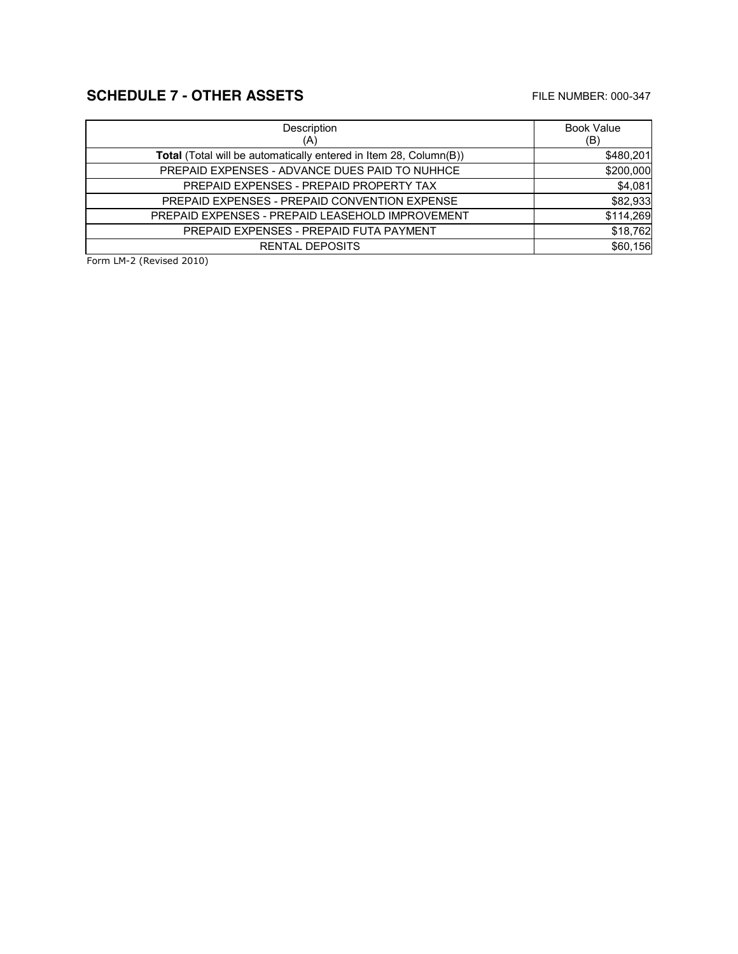# **SCHEDULE 7 - OTHER ASSETS** FILE NUMBER: 000-347

| Description                                                       | <b>Book Value</b> |
|-------------------------------------------------------------------|-------------------|
| (A)                                                               | (B)               |
| Total (Total will be automatically entered in Item 28, Column(B)) | \$480,201         |
| PREPAID EXPENSES - ADVANCE DUES PAID TO NUHHCE                    | \$200,000         |
| PREPAID EXPENSES - PREPAID PROPERTY TAX                           | \$4,081           |
| PREPAID EXPENSES - PREPAID CONVENTION EXPENSE                     | \$82,933          |
| PREPAID EXPENSES - PREPAID LEASEHOLD IMPROVEMENT                  | \$114,269         |
| PREPAID EXPENSES - PREPAID FUTA PAYMENT                           | \$18,762          |
| <b>RENTAL DEPOSITS</b>                                            | \$60,156          |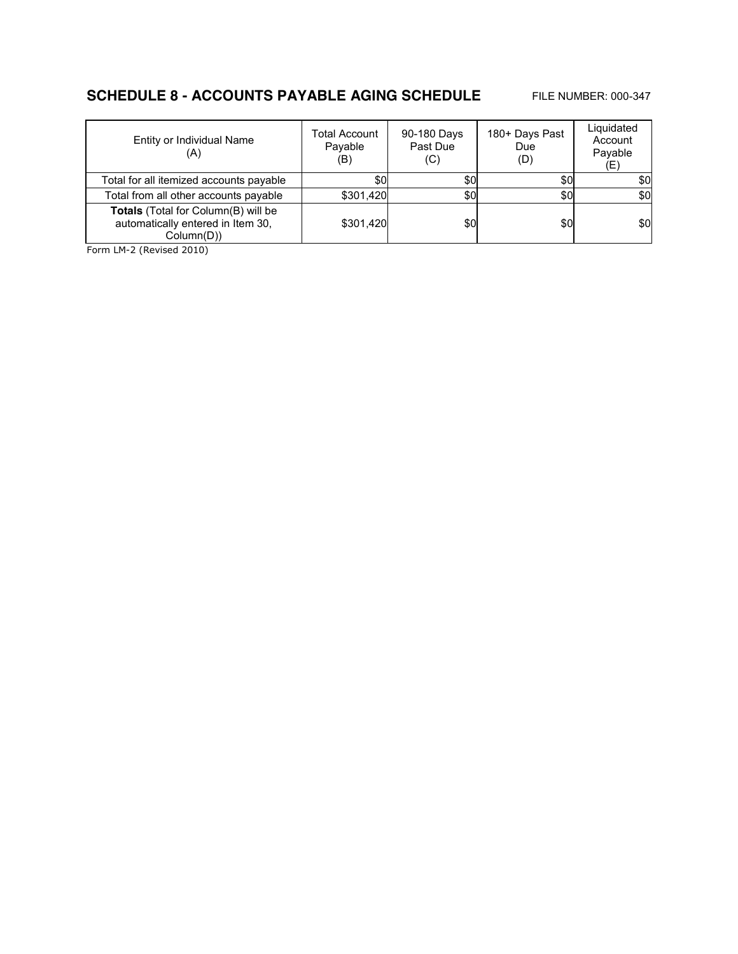## **SCHEDULE 8 - ACCOUNTS PAYABLE AGING SCHEDULE** FILE NUMBER: 000-347

| Entity or Individual Name<br>(A)                                                          | <b>Total Account</b><br>Payable<br>(B) | 90-180 Days<br>Past Due<br>(C) | 180+ Days Past<br>Due<br>(D) | Liquidated<br>Account<br>Payable<br>(E) |
|-------------------------------------------------------------------------------------------|----------------------------------------|--------------------------------|------------------------------|-----------------------------------------|
| Total for all itemized accounts payable                                                   | \$0                                    | \$0                            | \$0                          | \$0                                     |
| Total from all other accounts payable                                                     | \$301,420                              | \$0                            | \$0                          | \$0                                     |
| Totals (Total for Column(B) will be<br>automatically entered in Item 30,<br>$Column(D)$ ) | \$301,420                              | \$0                            | \$0                          | \$0                                     |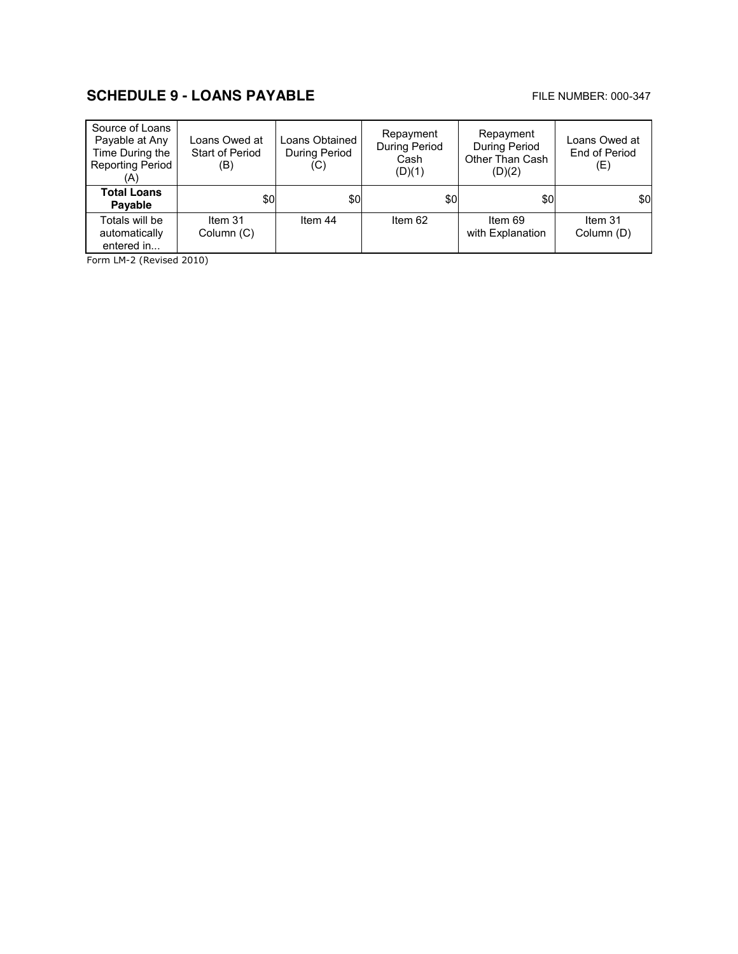# **SCHEDULE 9 - LOANS PAYABLE EXAMPLE AND READ FILE NUMBER: 000-347**

| Source of Loans<br>Payable at Any<br>Time During the<br><b>Reporting Period</b><br>(A) | Loans Owed at<br>Start of Period<br>(B) | Loans Obtained<br>During Period<br>(C) | Repayment<br>During Period<br>Cash<br>(D)(1) | Repayment<br><b>During Period</b><br>Other Than Cash<br>(D)(2) | Loans Owed at<br>End of Period<br>(E) |
|----------------------------------------------------------------------------------------|-----------------------------------------|----------------------------------------|----------------------------------------------|----------------------------------------------------------------|---------------------------------------|
| <b>Total Loans</b><br>Payable                                                          | \$0                                     | \$0                                    | \$0                                          | \$0                                                            | \$0                                   |
| Totals will be<br>automatically<br>entered in                                          | Item 31<br>Column (C)                   | Item 44                                | Item 62                                      | Item 69<br>with Explanation                                    | Item 31<br>Column (D)                 |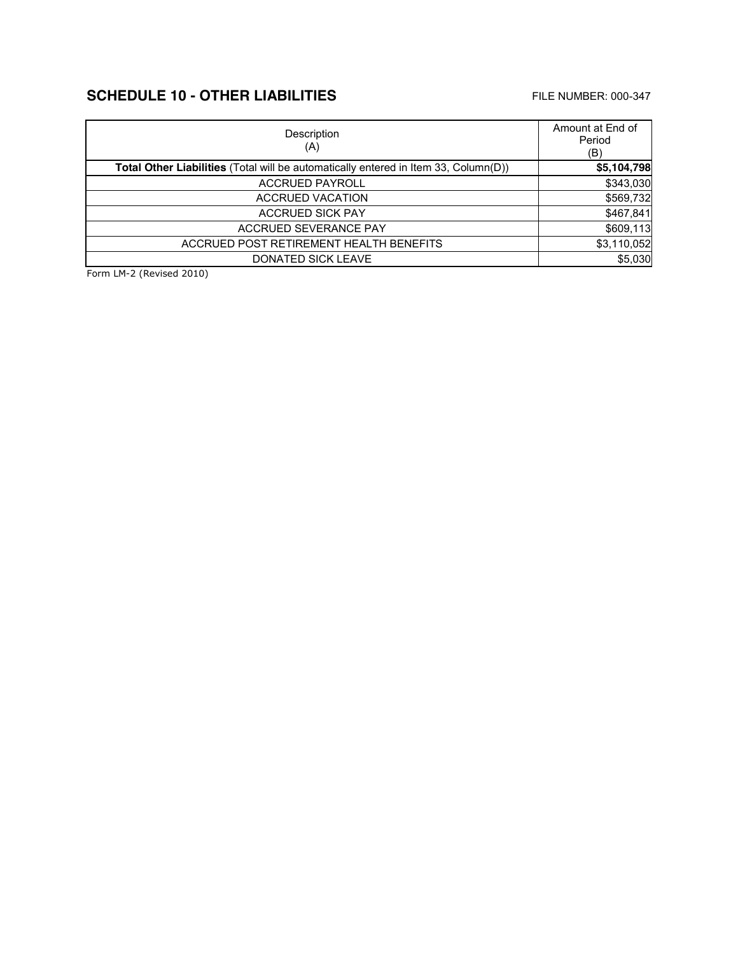# **SCHEDULE 10 - OTHER LIABILITIES** FILE NUMBER: 000-347

| Description<br>(A)                                                                  | Amount at End of<br>Period<br>(B) |
|-------------------------------------------------------------------------------------|-----------------------------------|
| Total Other Liabilities (Total will be automatically entered in Item 33, Column(D)) | \$5,104,798                       |
| <b>ACCRUED PAYROLL</b>                                                              | \$343,030                         |
| <b>ACCRUED VACATION</b>                                                             | \$569,732                         |
| <b>ACCRUED SICK PAY</b>                                                             | \$467,841                         |
| <b>ACCRUED SEVERANCE PAY</b>                                                        | \$609,113                         |
| ACCRUED POST RETIREMENT HEALTH BENEFITS                                             | \$3,110,052                       |
| <b>DONATED SICK LEAVE</b>                                                           | \$5,030                           |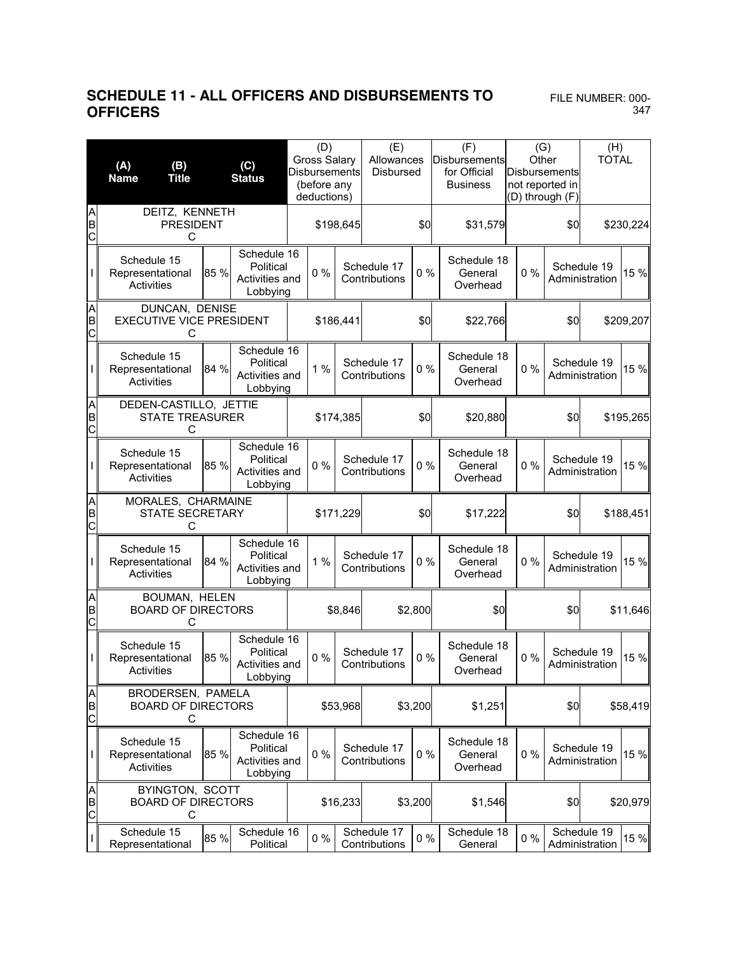### **SCHEDULE 11 - ALL OFFICERS AND DISBURSEMENTS TO**  FILE NUMBER: 000- **OFFICERS**

|                                 | (B)<br>(A)<br><b>Title</b><br><b>Name</b>              |      | (C)<br><b>Status</b>                                   | (D)<br><b>Gross Salary</b><br><b>Disbursements</b><br>(before any<br>deductions) |           |           | (E)<br>Allowances<br><b>Disbursed</b> |                 | (F)<br>Disbursements<br>Other<br>for Official<br><b>Business</b> |       |     |                               | (G)<br>Disbursements<br>not reported in<br>(D) through (F) |  | (H)<br><b>TOTAL</b> |
|---------------------------------|--------------------------------------------------------|------|--------------------------------------------------------|----------------------------------------------------------------------------------|-----------|-----------|---------------------------------------|-----------------|------------------------------------------------------------------|-------|-----|-------------------------------|------------------------------------------------------------|--|---------------------|
| A<br>B<br>$\overline{C}$        | DEITZ, KENNETH<br><b>PRESIDENT</b><br>С                |      |                                                        |                                                                                  |           | \$198,645 |                                       | \$0             | \$31,579                                                         |       | \$0 |                               | \$230,224                                                  |  |                     |
|                                 | Schedule 15<br>Representational<br>Activities          | 85 % | Schedule 16<br>Political<br>Activities and<br>Lobbying |                                                                                  | 0%        |           | Schedule 17<br>Contributions          | $0\%$           | Schedule 18<br>General<br>Overhead                               | 0%    |     | Schedule 19<br>Administration | 15 %                                                       |  |                     |
| A<br>B<br>C                     | DUNCAN, DENISE<br><b>EXECUTIVE VICE PRESIDENT</b><br>С |      |                                                        | \$186,441                                                                        |           |           |                                       | \$0             | \$22,766                                                         |       | \$0 |                               | \$209,207                                                  |  |                     |
|                                 | Schedule 15<br>Representational<br>Activities          | 84 % | Schedule 16<br>Political<br>Activities and<br>Lobbying |                                                                                  | 1%        |           | Schedule 17<br>Contributions          | $0\%$           | Schedule 18<br>General<br>Overhead                               | 0%    |     | Schedule 19<br>Administration | 15 %                                                       |  |                     |
| A<br>B<br>C                     | DEDEN-CASTILLO, JETTIE<br><b>STATE TREASURER</b><br>С  |      |                                                        |                                                                                  | \$174,385 |           |                                       | \$0<br>\$20,880 |                                                                  |       | \$0 |                               | \$195,265                                                  |  |                     |
|                                 | Schedule 15<br>Representational<br>Activities          | 85 % | Schedule 16<br>Political<br>Activities and<br>Lobbying |                                                                                  | $0\%$     |           | Schedule 17<br>Contributions          |                 | Schedule 18<br>$0\%$<br>General<br>Overhead                      | $0\%$ |     | Schedule 19<br>Administration | 15 %                                                       |  |                     |
| A<br>B<br>$\overline{C}$        | MORALES, CHARMAINE<br><b>STATE SECRETARY</b><br>С      |      |                                                        | \$171,229                                                                        |           |           | \$0                                   | \$17,222        |                                                                  | \$0   |     | \$188,451                     |                                                            |  |                     |
|                                 | Schedule 15<br>Representational<br>Activities          | 84 % | Schedule 16<br>Political<br>Activities and<br>Lobbying |                                                                                  | 1%        |           | Schedule 17<br>Contributions          | $0\%$           | Schedule 18<br>General<br>Overhead                               | 0%    |     | Schedule 19<br>Administration | 15 %                                                       |  |                     |
| A<br>B<br>$\overline{\text{c}}$ | BOUMAN, HELEN<br><b>BOARD OF DIRECTORS</b><br>С        |      |                                                        |                                                                                  |           | \$8,846   |                                       | \$2,800         | \$0                                                              |       | \$0 |                               | \$11,646                                                   |  |                     |
|                                 | Schedule 15<br>Representational<br>Activities          | 85 % | Schedule 16<br>Political<br>Activities and<br>Lobbying |                                                                                  | $0\%$     |           | Schedule 17<br>Contributions          | $0\%$           | Schedule 18<br>General<br>Overhead                               | $0\%$ |     | Schedule 19<br>Administration | 15 %                                                       |  |                     |
| A<br>B<br>C                     | BRODERSEN, PAMELA<br><b>BOARD OF DIRECTORS</b><br>С    |      |                                                        |                                                                                  | \$53,968  |           |                                       | \$3,200         | \$1,251                                                          |       | \$0 |                               | \$58,419                                                   |  |                     |
|                                 | Schedule 15<br>Representational<br>Activities          | 85 % | Schedule 16<br>Political<br>Activities and<br>Lobbying |                                                                                  | 0%        |           | Schedule 17<br>Contributions          | $0\%$           | Schedule 18<br>General<br>Overhead                               | 0%    |     | Schedule 19<br>Administration | 15 %                                                       |  |                     |
| A<br>B<br>C                     | BYINGTON, SCOTT<br><b>BOARD OF DIRECTORS</b><br>С      |      |                                                        | \$16,233                                                                         |           |           |                                       | \$3,200         | \$1,546                                                          |       | \$0 |                               | \$20,979                                                   |  |                     |
| $\mathsf I$                     | Schedule 15<br>Representational                        | 85 % | Schedule 16<br>Political                               |                                                                                  | $0\%$     |           | Schedule 17<br>Contributions          | $0\%$           | Schedule 18<br>General                                           | $0\%$ |     | Schedule 19<br>Administration | 15 %                                                       |  |                     |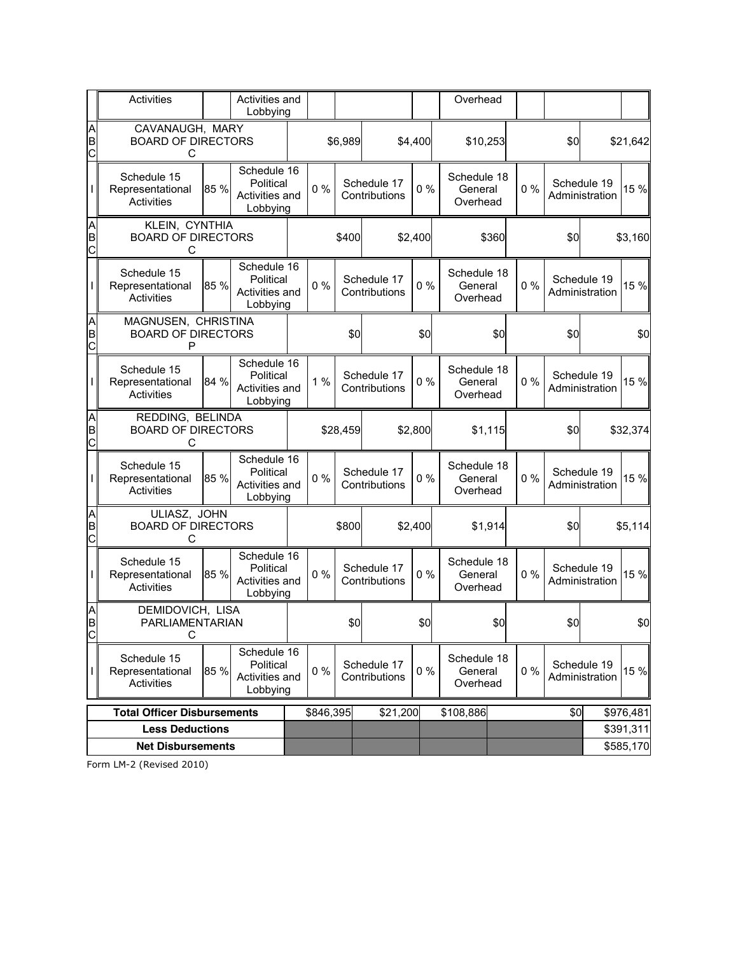|             | Activities                                            |      | Activities and<br>Lobbying                             |  |           |         |                              |         | Overhead                           |       |       |     |                               |                        |
|-------------|-------------------------------------------------------|------|--------------------------------------------------------|--|-----------|---------|------------------------------|---------|------------------------------------|-------|-------|-----|-------------------------------|------------------------|
| A<br>B<br>Ċ | CAVANAUGH, MARY<br><b>BOARD OF DIRECTORS</b><br>С     |      |                                                        |  |           | \$6,989 |                              | \$4,400 | \$10,253                           |       |       | \$0 |                               | \$21,642               |
|             | Schedule 15<br>Representational<br>Activities         | 85 % | Schedule 16<br>Political<br>Activities and<br>Lobbying |  | $0\%$     |         | Schedule 17<br>Contributions | $0\%$   | Schedule 18<br>General<br>Overhead |       | 0%    |     | Schedule 19<br>Administration | 15 %                   |
| A<br>B<br>Ċ | KLEIN, CYNTHIA<br><b>BOARD OF DIRECTORS</b><br>C      |      |                                                        |  |           | \$400   | \$2,400                      |         |                                    | \$360 |       | \$0 |                               | \$3,160                |
|             | Schedule 15<br>Representational<br>Activities         | 85 % | Schedule 16<br>Political<br>Activities and<br>Lobbying |  | $0\%$     |         | Schedule 17<br>Contributions | $0\%$   | Schedule 18<br>General<br>Overhead |       | 0%    |     | Schedule 19<br>Administration | 15 %                   |
| A<br>B<br>C | MAGNUSEN, CHRISTINA<br><b>BOARD OF DIRECTORS</b><br>P |      |                                                        |  |           | \$0     |                              | \$0     |                                    | \$0   |       | \$0 |                               | \$0                    |
|             | Schedule 15<br>Representational<br><b>Activities</b>  | 84 % | Schedule 16<br>Political<br>Activities and<br>Lobbying |  | 1%        |         | Schedule 17<br>Contributions | $0\%$   | Schedule 18<br>General<br>Overhead |       | 0%    |     | Schedule 19<br>Administration | 15 %                   |
| A<br>B<br>Ċ | REDDING, BELINDA<br><b>BOARD OF DIRECTORS</b><br>С    |      |                                                        |  | \$28,459  |         | \$2,800                      |         | \$1,115                            |       |       | \$0 |                               | \$32,374               |
|             | Schedule 15<br>Representational<br>Activities         | 85 % | Schedule 16<br>Political<br>Activities and<br>Lobbying |  | $0\%$     |         | Schedule 17<br>Contributions | 0%      | Schedule 18<br>General<br>Overhead |       | 0%    |     | Schedule 19<br>Administration | 15 %                   |
| A<br>B<br>Ċ | ULIASZ, JOHN<br><b>BOARD OF DIRECTORS</b><br>C        |      |                                                        |  |           | \$800   |                              | \$2,400 | \$1,914                            |       |       | \$0 |                               | \$5,114                |
|             | Schedule 15<br>Representational<br>Activities         | 85 % | Schedule 16<br>Political<br>Activities and<br>Lobbying |  | $0\%$     |         | Schedule 17<br>Contributions | 0%      | Schedule 18<br>General<br>Overhead |       | 0%    |     | Schedule 19<br>Administration | 15 %                   |
| A<br>B<br>C | DEMIDOVICH, LISA<br>PARLIAMENTARIAN<br>C              |      |                                                        |  |           | \$0     |                              | \$0     |                                    | \$0   |       | \$0 |                               | \$0                    |
|             | Schedule 15<br>Representational<br>Activities         | 85 % | Schedule 16<br>Political<br>Activities and<br>Lobbying |  | $0\%$     |         | Schedule 17<br>Contributions | $0\%$   | Schedule 18<br>General<br>Overhead |       | $0\%$ |     | Schedule 19<br>Administration | 15 %                   |
|             | <b>Total Officer Disbursements</b>                    |      |                                                        |  | \$846,395 |         | \$21,200                     |         | \$108,886                          |       |       | \$0 |                               | \$976,481              |
|             | <b>Less Deductions</b>                                |      |                                                        |  |           |         |                              |         |                                    |       |       |     |                               | \$391,311<br>\$585,170 |
|             | <b>Net Disbursements</b>                              |      |                                                        |  |           |         |                              |         |                                    |       |       |     |                               |                        |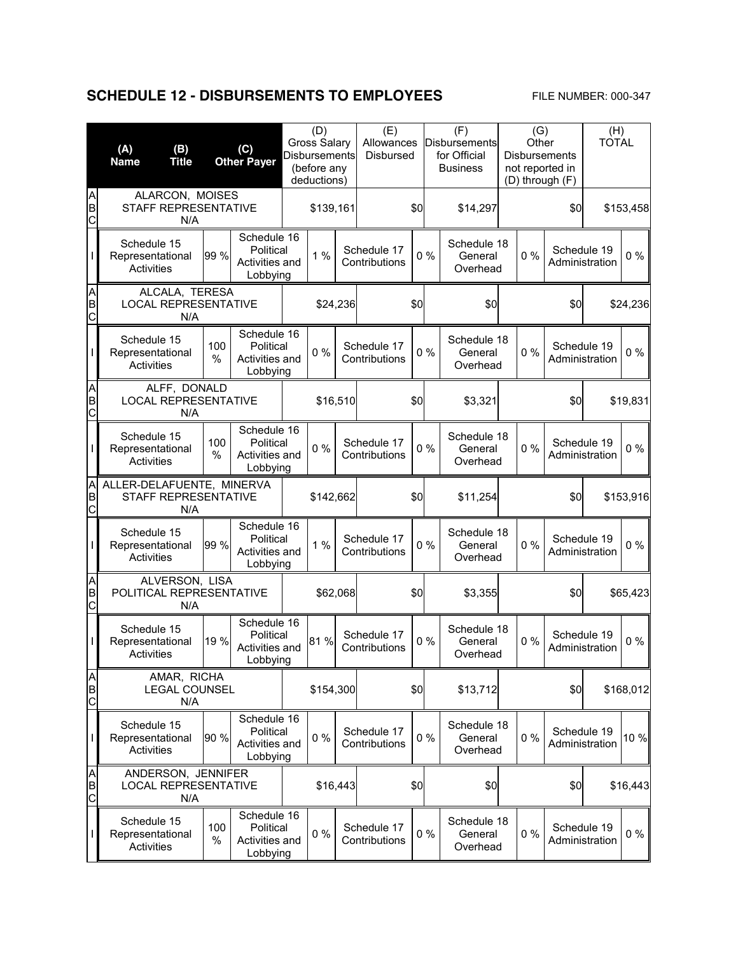# **SCHEDULE 12 - DISBURSEMENTS TO EMPLOYEES** FILE NUMBER: 000-347

|             | (A)<br>(B)<br><b>Name</b><br><b>Title</b>                |             | (C)<br><b>Other Payer</b>                              | (D)<br><b>Gross Salary</b><br><b>Disbursements</b><br>(before any<br>deductions) |          | (E)<br>Allowances<br>Disbursed |     | (F)<br><b>Disbursements</b><br>for Official<br><b>Business</b> |                                    | <b>Disbursements</b><br>not reported in<br>(D) through (F) | (G)<br>Other |                               | (H)<br><b>TOTAL</b> |           |
|-------------|----------------------------------------------------------|-------------|--------------------------------------------------------|----------------------------------------------------------------------------------|----------|--------------------------------|-----|----------------------------------------------------------------|------------------------------------|------------------------------------------------------------|--------------|-------------------------------|---------------------|-----------|
| A<br>B<br>C | ALARCON, MOISES<br>STAFF REPRESENTATIVE<br>N/A           |             |                                                        | \$139,161                                                                        |          | \$0                            |     |                                                                | \$14,297                           |                                                            |              | \$0                           |                     | \$153,458 |
|             | Schedule 15<br>Representational<br>Activities            | 99 %        | Schedule 16<br>Political<br>Activities and<br>Lobbying | 1%                                                                               |          | Schedule 17<br>Contributions   |     | 0%                                                             | Schedule 18<br>General<br>Overhead | $0\%$                                                      |              | Schedule 19<br>Administration |                     | $0\%$     |
| A<br>B<br>C | ALCALA, TERESA<br><b>LOCAL REPRESENTATIVE</b><br>N/A     |             |                                                        |                                                                                  | \$24,236 |                                | \$0 |                                                                | \$0                                |                                                            |              | \$0                           |                     | \$24,236  |
|             | Schedule 15<br>Representational<br>Activities            | 100<br>%    | Schedule 16<br>Political<br>Activities and<br>Lobbying | 0%                                                                               |          | Schedule 17<br>Contributions   |     | 0%                                                             | Schedule 18<br>General<br>Overhead | $0\%$                                                      |              | Schedule 19<br>Administration |                     | $0\%$     |
| A<br>B<br>Ċ | ALFF, DONALD<br><b>LOCAL REPRESENTATIVE</b><br>N/A       |             |                                                        | \$16,510                                                                         |          |                                | \$0 |                                                                | \$3,321                            |                                                            |              | \$0                           |                     | \$19,831  |
|             | Schedule 15<br>Representational<br>Activities            | 100<br>%    | Schedule 16<br>Political<br>Activities and<br>Lobbying | $0\%$                                                                            |          | Schedule 17<br>Contributions   |     | $0\%$                                                          | Schedule 18<br>General<br>Overhead | 0%                                                         |              | Schedule 19<br>Administration |                     | $0\%$     |
| Α<br>B<br>C | ALLER-DELAFUENTE, MINERVA<br>STAFF REPRESENTATIVE<br>N/A |             |                                                        | \$142,662                                                                        |          | \$0                            |     |                                                                | \$11,254                           |                                                            |              | \$0                           |                     | \$153,916 |
|             | Schedule 15<br>Representational<br>Activities            | 99 %        | Schedule 16<br>Political<br>Activities and<br>Lobbying | 1%                                                                               |          | Schedule 17<br>Contributions   |     | 0%                                                             | Schedule 18<br>General<br>Overhead | $0\%$                                                      |              | Schedule 19<br>Administration |                     | $0\%$     |
| A<br>B<br>C | ALVERSON, LISA<br>POLITICAL REPRESENTATIVE<br>N/A        |             |                                                        |                                                                                  | \$62,068 |                                | \$0 |                                                                | \$3,355                            |                                                            |              | \$0                           |                     | \$65,423  |
|             | Schedule 15<br>Representational<br>Activities            | 19 %        | Schedule 16<br>Political<br>Activities and<br>Lobbying | 81%                                                                              |          | Schedule 17<br>Contributions   |     | 0%                                                             | Schedule 18<br>General<br>Overhead | $0\%$                                                      |              | Schedule 19<br>Administration |                     | $0\%$     |
| A<br>B<br>C | AMAR, RICHA<br><b>LEGAL COUNSEL</b><br>N/A               |             |                                                        | \$154,300                                                                        |          |                                | \$0 |                                                                | \$13,712                           |                                                            |              | \$0                           |                     | \$168,012 |
|             | Schedule 15<br>Representational<br><b>Activities</b>     | 90 %        | Schedule 16<br>Political<br>Activities and<br>Lobbying | $0\%$                                                                            |          | Schedule 17<br>Contributions   |     | $0\%$                                                          | Schedule 18<br>General<br>Overhead | 0%                                                         |              | Schedule 19<br>Administration |                     | 10 %      |
| A<br>B<br>C | ANDERSON, JENNIFER<br><b>LOCAL REPRESENTATIVE</b><br>N/A |             |                                                        | \$16,443                                                                         |          |                                | \$0 |                                                                | \$0                                |                                                            |              | \$0                           |                     | \$16,443  |
|             | Schedule 15<br>Representational<br>Activities            | 100<br>$\%$ | Schedule 16<br>Political<br>Activities and<br>Lobbying | $0\%$                                                                            |          | Schedule 17<br>Contributions   |     | $0\%$                                                          | Schedule 18<br>General<br>Overhead | 0%                                                         |              | Schedule 19<br>Administration |                     | $0\%$     |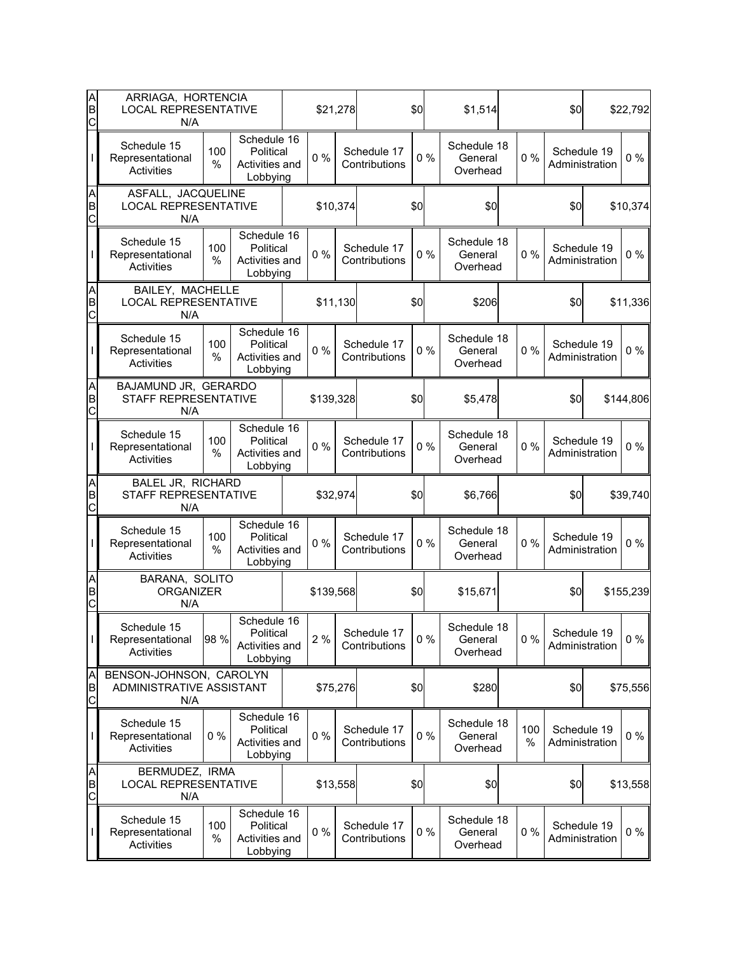| A<br>B<br>C                     | ARRIAGA, HORTENCIA<br><b>LOCAL REPRESENTATIVE</b><br>N/A   |          |                                                        |          |           | \$21,278 |                              | \$0 |       | \$1,514                            |  |          | \$0                           | \$22,792  |     |          |
|---------------------------------|------------------------------------------------------------|----------|--------------------------------------------------------|----------|-----------|----------|------------------------------|-----|-------|------------------------------------|--|----------|-------------------------------|-----------|-----|----------|
|                                 | Schedule 15<br>Representational<br><b>Activities</b>       | 100<br>% | Schedule 16<br>Political<br>Activities and<br>Lobbying |          | $0\%$     |          | Schedule 17<br>Contributions |     | 0%    | Schedule 18<br>General<br>Overhead |  | $0\%$    | Schedule 19<br>Administration | $0\%$     |     |          |
| A<br>B<br>$\overline{C}$        | ASFALL, JACQUELINE<br><b>LOCAL REPRESENTATIVE</b><br>N/A   |          |                                                        |          |           | \$10,374 |                              | \$0 |       | \$0                                |  |          | \$0                           | \$10,374  |     |          |
|                                 | Schedule 15<br>Representational<br>Activities              | 100<br>% | Schedule 16<br>Political<br>Activities and<br>Lobbying |          | $0\%$     |          | Schedule 17<br>Contributions |     | 0%    | Schedule 18<br>General<br>Overhead |  | 0%       | Schedule 19<br>Administration | $0\%$     |     |          |
| A<br>B<br>C                     | BAILEY, MACHELLE<br><b>LOCAL REPRESENTATIVE</b><br>N/A     |          |                                                        | \$11,130 |           |          |                              | \$0 |       |                                    |  | \$206    |                               |           | \$0 | \$11,336 |
|                                 | Schedule 15<br>Representational<br>Activities              | 100<br>% | Schedule 16<br>Political<br>Activities and<br>Lobbying |          | 0%        |          | Schedule 17<br>Contributions | 0%  |       | Schedule 18<br>General<br>Overhead |  | 0%       | Schedule 19<br>Administration | $0\%$     |     |          |
| A<br>B<br>С                     | BAJAMUND JR, GERARDO<br>STAFF REPRESENTATIVE<br>N/A        |          |                                                        |          | \$139,328 |          | \$0                          |     |       | \$5,478                            |  |          | \$0                           | \$144,806 |     |          |
|                                 | Schedule 15<br>Representational<br>Activities              | 100<br>% | Schedule 16<br>Political<br>Activities and<br>Lobbying |          | $0\%$     |          | Schedule 17<br>Contributions | 0%  |       | Schedule 18<br>General<br>Overhead |  | 0%       | Schedule 19<br>Administration | $0\%$     |     |          |
| A<br>B<br>$\overline{C}$        | BALEL JR, RICHARD<br>STAFF REPRESENTATIVE<br>N/A           |          |                                                        | \$32,974 |           |          |                              | \$0 |       | \$6,766                            |  |          | \$0                           | \$39,740  |     |          |
|                                 | Schedule 15<br>Representational<br>Activities              | 100<br>% | Schedule 16<br>Political<br>Activities and<br>Lobbying |          | $0\%$     |          | Schedule 17<br>Contributions |     | 0%    | Schedule 18<br>General<br>Overhead |  | $0\%$    | Schedule 19<br>Administration | $0\%$     |     |          |
| A<br>B<br>C                     | BARANA, SOLITO<br><b>ORGANIZER</b><br>N/A                  |          |                                                        |          | \$139,568 |          |                              | \$0 |       | \$15,671                           |  |          | \$0                           | \$155,239 |     |          |
| I                               | Schedule 15<br>Representational<br><b>Activities</b>       | 98 %     | Schedule 16<br>Political<br>Activities and<br>Lobbying |          | 2%        |          | Schedule 17<br>Contributions |     | $0\%$ | Schedule 18<br>General<br>Overhead |  | 0%       | Schedule 19<br>Administration | $0\%$     |     |          |
| A<br>B<br>$\mathsf{C}$          | BENSON-JOHNSON, CAROLYN<br>ADMINISTRATIVE ASSISTANT<br>N/A |          |                                                        |          |           | \$75,276 |                              | \$0 |       | \$280                              |  |          | \$0                           | \$75,556  |     |          |
|                                 | Schedule 15<br>Representational<br>Activities              | $0\%$    | Schedule 16<br>Political<br>Activities and<br>Lobbying |          | 0%        |          | Schedule 17<br>Contributions | 0%  |       | Schedule 18<br>General<br>Overhead |  | 100<br>% | Schedule 19<br>Administration | $0\%$     |     |          |
| A<br>B<br>$\overline{\text{c}}$ | BERMUDEZ, IRMA<br><b>LOCAL REPRESENTATIVE</b><br>N/A       |          |                                                        |          |           | \$13,558 |                              | \$0 |       | \$0                                |  |          | \$0                           | \$13,558  |     |          |
|                                 | Schedule 15<br>Representational<br>Activities              | 100<br>% | Schedule 16<br>Political<br>Activities and<br>Lobbying |          | $0\%$     |          | Schedule 17<br>Contributions |     | $0\%$ | Schedule 18<br>General<br>Overhead |  | 0%       | Schedule 19<br>Administration | 0 %       |     |          |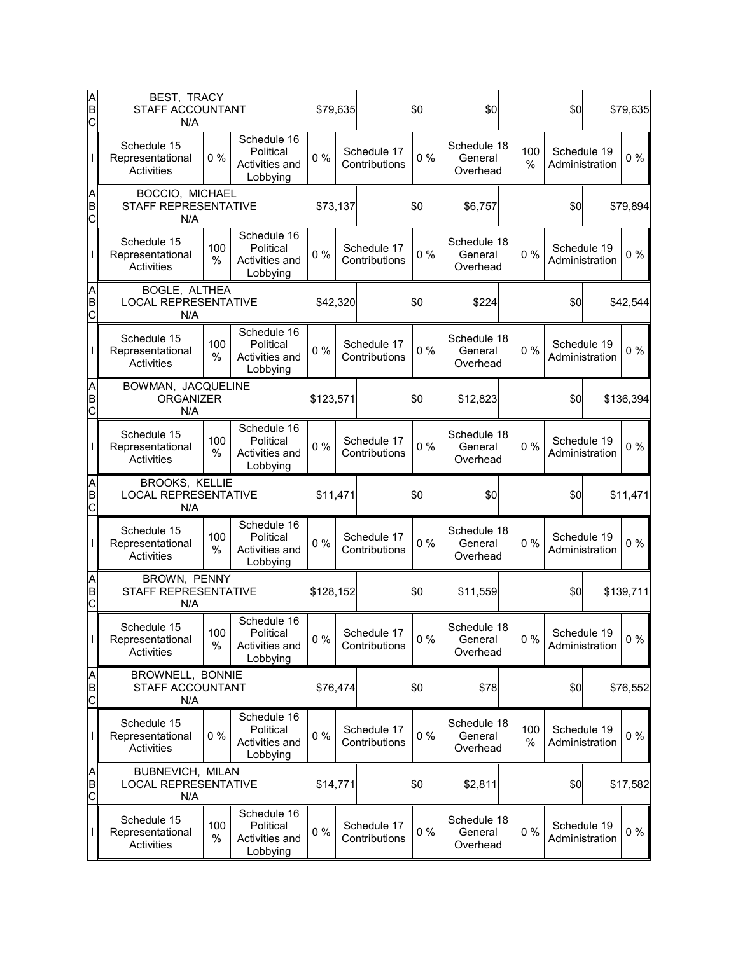| A<br>B<br>C            | BEST, TRACY<br>STAFF ACCOUNTANT<br>N/A                        |             |                                                        |          |           | \$79,635 |                              | \$0   |  | \$0                                |                   | \$0                           |                | \$79,635  |
|------------------------|---------------------------------------------------------------|-------------|--------------------------------------------------------|----------|-----------|----------|------------------------------|-------|--|------------------------------------|-------------------|-------------------------------|----------------|-----------|
|                        | Schedule 15<br>Representational<br>Activities                 | 0%          | Schedule 16<br>Political<br>Activities and<br>Lobbying |          | $0\%$     |          | Schedule 17<br>Contributions | 0%    |  | Schedule 18<br>General<br>Overhead | 100<br>%          | Schedule 19<br>Administration |                | 0%        |
| A<br>B<br>Ċ            | BOCCIO, MICHAEL<br>STAFF REPRESENTATIVE<br>N/A                |             |                                                        |          | \$73,137  |          | \$0                          |       |  | \$6,757                            |                   | \$0                           |                | \$79,894  |
|                        | Schedule 15<br>Representational<br>Activities                 | 100<br>%    | Schedule 16<br>Political<br>Activities and<br>Lobbying |          | $0\%$     |          | Schedule 17<br>Contributions | 0%    |  | Schedule 18<br>General<br>Overhead | Schedule 19<br>0% |                               | Administration | $0\%$     |
| AB<br>C                | BOGLE, ALTHEA<br><b>LOCAL REPRESENTATIVE</b><br>N/A           |             |                                                        |          | \$42,320  |          |                              |       |  | \$224                              |                   | \$0                           |                | \$42,544  |
|                        | Schedule 15<br>Representational<br>Activities                 | 100<br>%    | Schedule 16<br>Political<br>Activities and<br>Lobbying |          | 0%        |          | Schedule 17<br>Contributions | $0\%$ |  | Schedule 18<br>General<br>Overhead | 0%                | Schedule 19<br>Administration |                | $0\%$     |
| A<br>B<br>C            | BOWMAN, JACQUELINE<br><b>ORGANIZER</b><br>N/A                 |             |                                                        |          | \$123,571 |          | \$0                          |       |  | \$12,823                           |                   | \$0                           |                | \$136,394 |
|                        | Schedule 15<br>Representational<br>Activities                 | 100<br>%    | Schedule 16<br>Political<br>Activities and<br>Lobbying |          | 0%        |          | Schedule 17<br>Contributions | 0%    |  | Schedule 18<br>General<br>Overhead | 0%                | Schedule 19<br>Administration |                | $0\%$     |
| A<br>B<br>$\mathsf{C}$ | <b>BROOKS, KELLIE</b><br><b>LOCAL REPRESENTATIVE</b><br>N/A   |             |                                                        | \$11,471 |           |          |                              | \$0   |  | \$0                                |                   | \$0                           |                | \$11,471  |
|                        | Schedule 15<br>Representational<br>Activities                 | 100<br>%    | Schedule 16<br>Political<br>Activities and<br>Lobbying |          | $0\%$     |          | Schedule 17<br>Contributions | 0%    |  | Schedule 18<br>General<br>Overhead | $0\%$             | Schedule 19<br>Administration |                | $0\%$     |
| AB<br>C                | BROWN, PENNY<br>STAFF REPRESENTATIVE<br>N/A                   |             |                                                        |          | \$128,152 |          |                              | \$0   |  | \$11,559                           |                   | \$0                           |                | \$139,711 |
| L                      | Schedule 15<br>Representational<br><b>Activities</b>          | 100<br>$\%$ | Schedule 16<br>Political<br>Activities and<br>Lobbying |          | 0%        |          | Schedule 17<br>Contributions | $0\%$ |  | Schedule 18<br>General<br>Overhead | 0%                | Schedule 19<br>Administration |                | $0\%$     |
| A<br>B<br>C            | BROWNELL, BONNIE<br><b>STAFF ACCOUNTANT</b><br>N/A            |             |                                                        |          | \$76,474  |          |                              | \$0   |  | \$78                               |                   | \$0                           |                | \$76,552  |
|                        | Schedule 15<br>Representational<br>Activities                 | $0\%$       | Schedule 16<br>Political<br>Activities and<br>Lobbying |          | $0\%$     |          | Schedule 17<br>Contributions | $0\%$ |  | Schedule 18<br>General<br>Overhead | 100<br>$\%$       | Schedule 19<br>Administration |                | $0\%$     |
| A<br>B<br>C            | <b>BUBNEVICH, MILAN</b><br><b>LOCAL REPRESENTATIVE</b><br>N/A |             |                                                        |          | \$14,771  |          |                              | \$0   |  | \$2,811                            |                   | \$0                           |                | \$17,582  |
|                        | Schedule 15<br>Representational<br>Activities                 | 100<br>%    | Schedule 16<br>Political<br>Activities and<br>Lobbying |          | $0\%$     |          | Schedule 17<br>Contributions | $0\%$ |  | Schedule 18<br>General<br>Overhead | 0%                | Schedule 19<br>Administration |                | $0\%$     |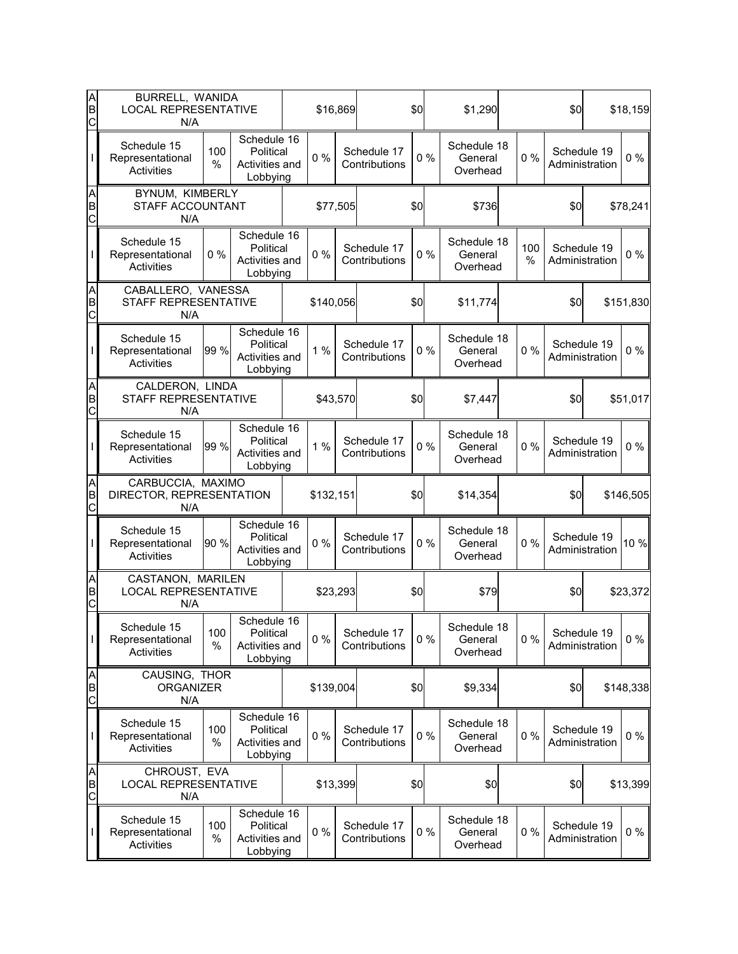| A<br>B<br>С                     | BURRELL, WANIDA<br><b>LOCAL REPRESENTATIVE</b><br>N/A   |             |                                                        |          |           | \$16,869 |                              | \$0   |                 | \$1,290                            |          | \$0 |                               | \$18,159  |
|---------------------------------|---------------------------------------------------------|-------------|--------------------------------------------------------|----------|-----------|----------|------------------------------|-------|-----------------|------------------------------------|----------|-----|-------------------------------|-----------|
|                                 | Schedule 15<br>Representational<br>Activities           | 100<br>%    | Schedule 16<br>Political<br>Activities and<br>Lobbying |          | 0%        |          | Schedule 17<br>Contributions | 0%    |                 | Schedule 18<br>General<br>Overhead | 0%       |     | Schedule 19<br>Administration | $0\%$     |
| A<br>B<br>C                     | BYNUM, KIMBERLY<br>STAFF ACCOUNTANT<br>N/A              |             |                                                        |          |           | \$77,505 | \$0                          |       |                 | \$736                              |          | \$0 |                               | \$78,241  |
|                                 | Schedule 15<br>Representational<br><b>Activities</b>    | $0\%$       | Schedule 16<br>Political<br>Activities and<br>Lobbying |          | $0\%$     |          | Schedule 17<br>Contributions | 0%    |                 | Schedule 18<br>General<br>Overhead | 100<br>% |     | Schedule 19<br>Administration | $0\%$     |
| A<br>B<br>C                     | CABALLERO, VANESSA<br>STAFF REPRESENTATIVE<br>N/A       |             |                                                        |          | \$140,056 |          |                              |       | \$0<br>\$11,774 |                                    |          | \$0 |                               | \$151,830 |
|                                 | Schedule 15<br>Representational<br>Activities           | 99 %        | Schedule 16<br>Political<br>Activities and<br>Lobbying |          | 1%        |          | Schedule 17<br>Contributions | 0%    |                 | Schedule 18<br>General<br>Overhead | 0%       |     | Schedule 19<br>Administration | $0\%$     |
| A<br>B<br>C                     | CALDERON, LINDA<br>STAFF REPRESENTATIVE<br>N/A          |             |                                                        |          | \$43,570  |          | \$0                          |       |                 | \$7,447                            |          | \$0 |                               | \$51,017  |
|                                 | Schedule 15<br>Representational<br>Activities           | 99 %        | Schedule 16<br>Political<br>Activities and<br>Lobbying |          | 1%        |          | Schedule 17<br>Contributions | 0%    |                 | Schedule 18<br>General<br>Overhead | 0%       |     | Schedule 19<br>Administration | $0\%$     |
| A<br>B<br>$\overline{\text{c}}$ | CARBUCCIA, MAXIMO<br>DIRECTOR, REPRESENTATION<br>N/A    |             |                                                        |          | \$132,151 |          |                              | \$0   |                 | \$14,354                           |          | \$0 |                               | \$146,505 |
|                                 | Schedule 15<br>Representational<br><b>Activities</b>    | 90 %        | Schedule 16<br>Political<br>Activities and<br>Lobbying |          | 0%        |          | Schedule 17<br>Contributions | $0\%$ |                 | Schedule 18<br>General<br>Overhead | 0%       |     | Schedule 19<br>Administration | 10 %      |
| A<br>B<br>C                     | CASTANON, MARILEN<br><b>LOCAL REPRESENTATIVE</b><br>N/A |             |                                                        |          |           | \$23,293 |                              | \$0   |                 | \$79                               |          | \$0 |                               | \$23,372  |
| T                               | Schedule 15<br>Representational<br>Activities           | 100<br>$\%$ | Schedule 16<br>Political<br>Activities and<br>Lobbying |          | $0\%$     |          | Schedule 17<br>Contributions | $0\%$ |                 | Schedule 18<br>General<br>Overhead | $0\%$    |     | Schedule 19<br>Administration | $0\%$     |
| A<br>B<br>C                     | CAUSING, THOR<br><b>ORGANIZER</b><br>N/A                |             |                                                        |          | \$139,004 |          |                              | \$0   |                 | \$9,334                            |          | \$0 |                               | \$148,338 |
|                                 | Schedule 15<br>Representational<br>Activities           | 100<br>%    | Schedule 16<br>Political<br>Activities and<br>Lobbying |          | $0\%$     |          | Schedule 17<br>Contributions | 0%    |                 | Schedule 18<br>General<br>Overhead | 0%       |     | Schedule 19<br>Administration | $0\%$     |
| A<br>B<br>$\mathsf{C}$          | CHROUST, EVA<br><b>LOCAL REPRESENTATIVE</b><br>N/A      |             |                                                        | \$13,399 |           |          | \$0                          |       | \$0             |                                    | \$0      |     | \$13,399                      |           |
|                                 | Schedule 15<br>Representational<br>Activities           | 100<br>%    | Schedule 16<br>Political<br>Activities and<br>Lobbying |          | $0\%$     |          | Schedule 17<br>Contributions | $0\%$ |                 | Schedule 18<br>General<br>Overhead | 0%       |     | Schedule 19<br>Administration | 0 %       |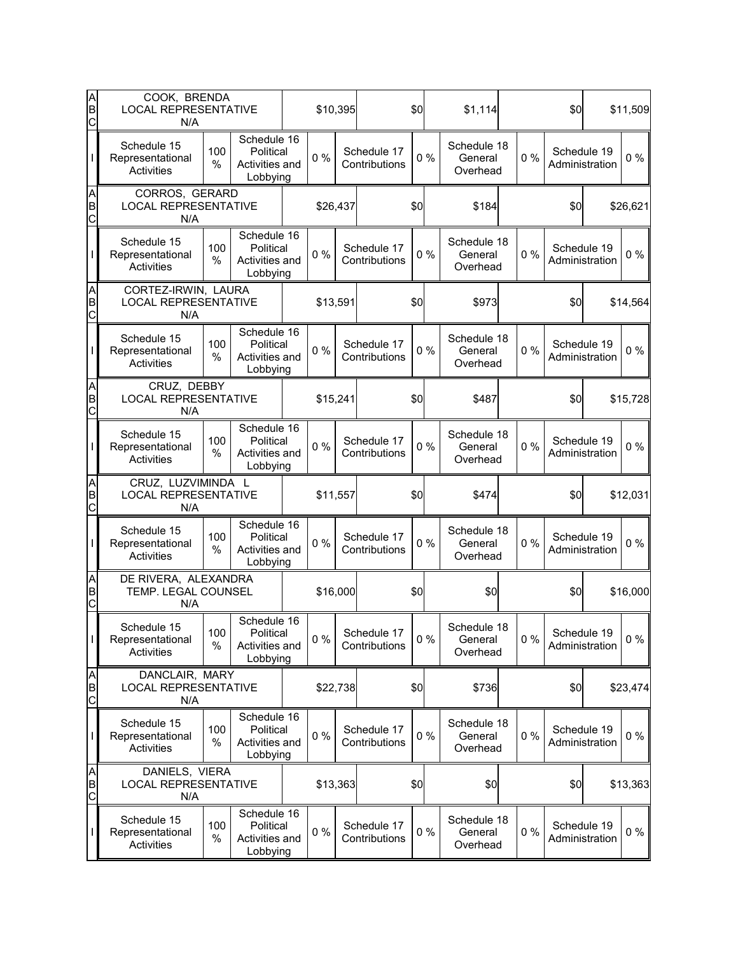| A<br>B<br>C | COOK, BRENDA<br><b>LOCAL REPRESENTATIVE</b><br>N/A        |             |                                                        |          | \$10,395 |                              | \$0   | \$1,114                            |       | \$0                           | \$11,509 |
|-------------|-----------------------------------------------------------|-------------|--------------------------------------------------------|----------|----------|------------------------------|-------|------------------------------------|-------|-------------------------------|----------|
|             | Schedule 15<br>Representational<br>Activities             | 100<br>%    | Schedule 16<br>Political<br>Activities and<br>Lobbying | $0\%$    |          | Schedule 17<br>Contributions | 0%    | Schedule 18<br>General<br>Overhead | $0\%$ | Schedule 19<br>Administration | $0\%$    |
| A<br>B<br>C | CORROS, GERARD<br><b>LOCAL REPRESENTATIVE</b><br>N/A      |             |                                                        | \$26,437 |          |                              | \$0   | \$184                              |       | \$0                           | \$26,621 |
|             | Schedule 15<br>Representational<br>Activities             | 100<br>%    | Schedule 16<br>Political<br>Activities and<br>Lobbying | $0\%$    |          | Schedule 17<br>Contributions | 0%    | Schedule 18<br>General<br>Overhead | $0\%$ | Schedule 19<br>Administration | $0\%$    |
| A<br>B<br>C | CORTEZ-IRWIN, LAURA<br><b>LOCAL REPRESENTATIVE</b><br>N/A |             |                                                        | \$13,591 |          |                              | \$0   | \$973                              |       | \$0                           | \$14,564 |
|             | Schedule 15<br>Representational<br>Activities             | 100<br>%    | Schedule 16<br>Political<br>Activities and<br>Lobbying | 0%       |          | Schedule 17<br>Contributions | 0%    | Schedule 18<br>General<br>Overhead | 0%    | Schedule 19<br>Administration | $0\%$    |
| A<br>B<br>C | CRUZ, DEBBY<br><b>LOCAL REPRESENTATIVE</b><br>N/A         |             |                                                        | \$15,241 |          |                              | \$0   | \$487                              |       | \$0                           | \$15,728 |
|             | Schedule 15<br>Representational<br>Activities             | 100<br>%    | Schedule 16<br>Political<br>Activities and<br>Lobbying | $0\%$    |          | Schedule 17<br>Contributions | 0%    | Schedule 18<br>General<br>Overhead | 0%    | Schedule 19<br>Administration | $0\%$    |
| A<br>B<br>C | CRUZ, LUZVIMINDA L<br><b>LOCAL REPRESENTATIVE</b><br>N/A  |             |                                                        | \$11,557 |          |                              | \$0   | \$474                              |       | \$0                           | \$12,031 |
|             | Schedule 15<br>Representational<br>Activities             | 100<br>%    | Schedule 16<br>Political<br>Activities and<br>Lobbying | 0%       |          | Schedule 17<br>Contributions | 0%    | Schedule 18<br>General<br>Overhead | $0\%$ | Schedule 19<br>Administration | 0%       |
| A<br>B<br>C | DE RIVERA, ALEXANDRA<br>TEMP. LEGAL COUNSEL<br>N/A        |             |                                                        |          | \$16,000 |                              | \$0   | \$0                                |       | \$0                           | \$16,000 |
| I           | Schedule 15<br>Representational<br>Activities             | 100<br>$\%$ | Schedule 16<br>Political<br>Activities and<br>Lobbying | $0\%$    |          | Schedule 17<br>Contributions | $0\%$ | Schedule 18<br>General<br>Overhead | 0%    | Schedule 19<br>Administration | $0\%$    |
| A<br>B<br>C | DANCLAIR, MARY<br><b>LOCAL REPRESENTATIVE</b><br>N/A      |             |                                                        |          | \$22,738 |                              | \$0   | \$736                              |       | \$0                           | \$23,474 |
|             | Schedule 15<br>Representational<br>Activities             | 100<br>%    | Schedule 16<br>Political<br>Activities and<br>Lobbying | $0\%$    |          | Schedule 17<br>Contributions | $0\%$ | Schedule 18<br>General<br>Overhead | 0%    | Schedule 19<br>Administration | $0\%$    |
| A<br>B<br>C | DANIELS, VIERA<br><b>LOCAL REPRESENTATIVE</b><br>N/A      |             |                                                        | \$13,363 |          |                              | \$0   | \$0                                |       | \$0                           | \$13,363 |
|             | Schedule 15<br>Representational<br>Activities             | 100<br>%    | Schedule 16<br>Political<br>Activities and<br>Lobbying | $0\%$    |          | Schedule 17<br>Contributions | $0\%$ | Schedule 18<br>General<br>Overhead | 0%    | Schedule 19<br>Administration | $0\%$    |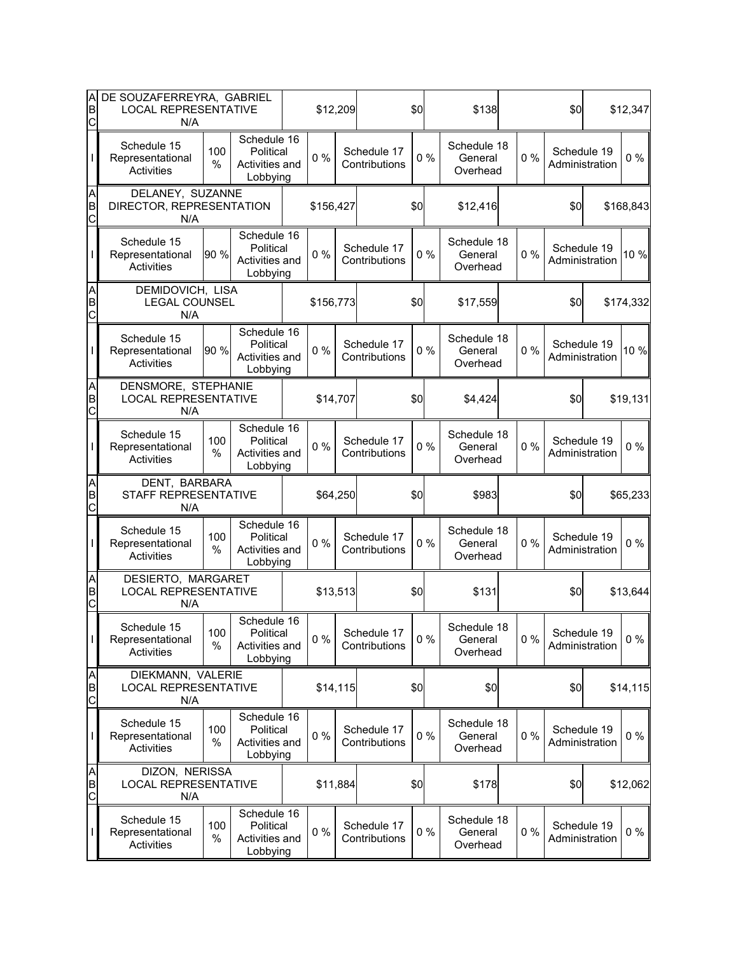| A<br>B<br>C | DE SOUZAFERREYRA, GABRIEL<br><b>LOCAL REPRESENTATIVE</b><br>N/A |             |                                                        | \$12,209  |          |                              | \$0   | \$138                              |       | \$0                           | \$12,347  |
|-------------|-----------------------------------------------------------------|-------------|--------------------------------------------------------|-----------|----------|------------------------------|-------|------------------------------------|-------|-------------------------------|-----------|
|             | Schedule 15<br>Representational<br>Activities                   | 100<br>%    | Schedule 16<br>Political<br>Activities and<br>Lobbying | $0\%$     |          | Schedule 17<br>Contributions | 0%    | Schedule 18<br>General<br>Overhead | $0\%$ | Schedule 19<br>Administration | $0\%$     |
| A<br>B<br>C | DELANEY, SUZANNE<br>DIRECTOR, REPRESENTATION<br>N/A             |             |                                                        | \$156,427 |          |                              | \$0   | \$12,416                           |       | \$0                           | \$168,843 |
|             | Schedule 15<br>Representational<br>Activities                   | 90 %        | Schedule 16<br>Political<br>Activities and<br>Lobbying | $0\%$     |          | Schedule 17<br>Contributions | 0%    | Schedule 18<br>General<br>Overhead | $0\%$ | Schedule 19<br>Administration | 10 %      |
| A<br>B<br>C | DEMIDOVICH, LISA<br><b>LEGAL COUNSEL</b><br>N/A                 |             |                                                        | \$156,773 |          |                              | \$0   | \$17,559                           |       | \$0                           | \$174,332 |
|             | Schedule 15<br>Representational<br>Activities                   | 90 %        | Schedule 16<br>Political<br>Activities and<br>Lobbying | 0%        |          | Schedule 17<br>Contributions | 0%    | Schedule 18<br>General<br>Overhead | 0%    | Schedule 19<br>Administration | 10 %      |
| A<br>B<br>C | DENSMORE, STEPHANIE<br><b>LOCAL REPRESENTATIVE</b><br>N/A       |             |                                                        | \$14,707  |          |                              | \$0   | \$4,424                            |       | \$0                           | \$19,131  |
|             | Schedule 15<br>Representational<br>Activities                   | 100<br>%    | Schedule 16<br>Political<br>Activities and<br>Lobbying | $0\%$     |          | Schedule 17<br>Contributions | 0%    | Schedule 18<br>General<br>Overhead | 0%    | Schedule 19<br>Administration | $0\%$     |
| A<br>B<br>C | DENT, BARBARA<br>STAFF REPRESENTATIVE<br>N/A                    |             |                                                        | \$64,250  |          |                              | \$0   | \$983                              |       | \$0                           | \$65,233  |
|             | Schedule 15<br>Representational<br>Activities                   | 100<br>%    | Schedule 16<br>Political<br>Activities and<br>Lobbying | 0%        |          | Schedule 17<br>Contributions | 0%    | Schedule 18<br>General<br>Overhead | $0\%$ | Schedule 19<br>Administration | 0%        |
| A<br>B<br>C | DESIERTO, MARGARET<br><b>LOCAL REPRESENTATIVE</b><br>N/A        |             |                                                        | \$13,513  |          |                              | \$0   | \$131                              |       | \$0                           | \$13,644  |
| I           | Schedule 15<br>Representational<br>Activities                   | 100<br>$\%$ | Schedule 16<br>Political<br>Activities and<br>Lobbying | $0\%$     |          | Schedule 17<br>Contributions | $0\%$ | Schedule 18<br>General<br>Overhead | 0%    | Schedule 19<br>Administration | $0\%$     |
| A<br>B<br>C | DIEKMANN, VALERIE<br><b>LOCAL REPRESENTATIVE</b><br>N/A         |             |                                                        |           | \$14,115 |                              | \$0   | \$0                                |       | \$0                           | \$14,115  |
|             | Schedule 15<br>Representational<br>Activities                   | 100<br>%    | Schedule 16<br>Political<br>Activities and<br>Lobbying | $0\%$     |          | Schedule 17<br>Contributions | $0\%$ | Schedule 18<br>General<br>Overhead | 0%    | Schedule 19<br>Administration | $0\%$     |
| A<br>B<br>C | DIZON, NERISSA<br><b>LOCAL REPRESENTATIVE</b><br>N/A            |             |                                                        | \$11,884  |          |                              | \$0   | \$178                              |       | \$0                           | \$12,062  |
|             | Schedule 15<br>Representational<br>Activities                   | 100<br>%    | Schedule 16<br>Political<br>Activities and<br>Lobbying | $0\%$     |          | Schedule 17<br>Contributions | $0\%$ | Schedule 18<br>General<br>Overhead | 0%    | Schedule 19<br>Administration | $0\%$     |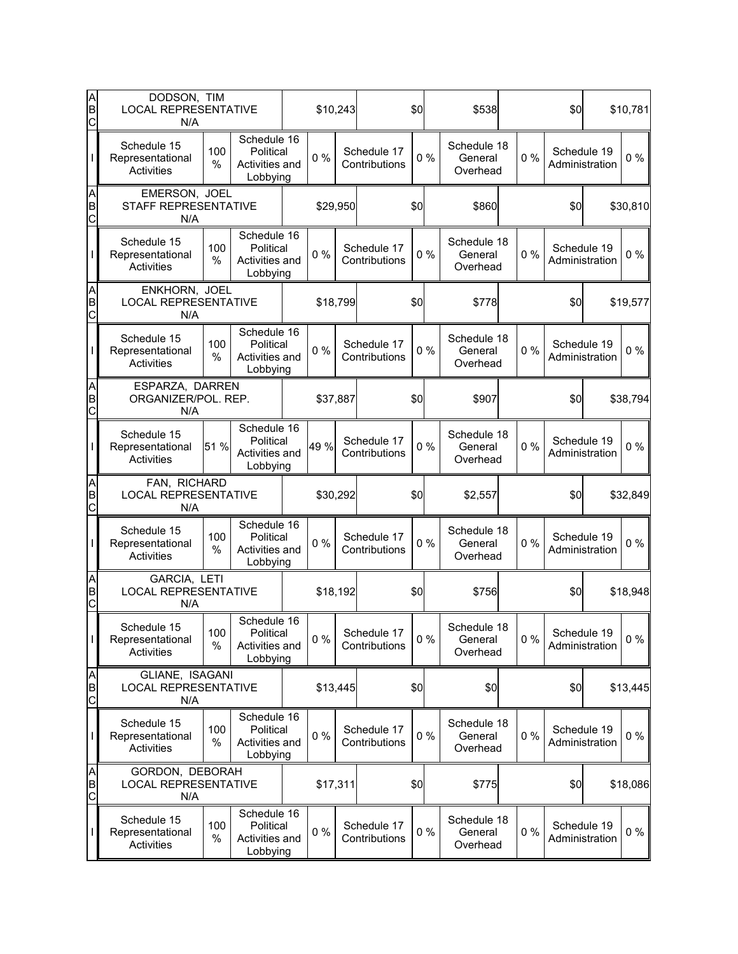| A<br>B<br>C              | DODSON, TIM<br><b>LOCAL REPRESENTATIVE</b><br>N/A     |             |                                                        | \$10,243 |                              | \$0   | \$538                              |       | \$0                           |                | \$10,781 |
|--------------------------|-------------------------------------------------------|-------------|--------------------------------------------------------|----------|------------------------------|-------|------------------------------------|-------|-------------------------------|----------------|----------|
|                          | Schedule 15<br>Representational<br>Activities         | 100<br>%    | Schedule 16<br>Political<br>Activities and<br>Lobbying | $0\%$    | Schedule 17<br>Contributions | 0%    | Schedule 18<br>General<br>Overhead | $0\%$ | Schedule 19<br>Administration |                | $0\%$    |
| A<br>B<br>C              | EMERSON, JOEL<br>STAFF REPRESENTATIVE<br>N/A          |             |                                                        | \$29,950 |                              | \$0   | \$860                              |       | \$0                           |                | \$30,810 |
|                          | Schedule 15<br>Representational<br>Activities         | 100<br>%    | Schedule 16<br>Political<br>Activities and<br>Lobbying | $0\%$    | Schedule 17<br>Contributions | 0%    | Schedule 18<br>General<br>Overhead | 0%    | Schedule 19<br>Administration |                | $0\%$    |
| A<br>B<br>C              | ENKHORN, JOEL<br><b>LOCAL REPRESENTATIVE</b><br>N/A   |             |                                                        | \$18,799 |                              | \$0   | \$778                              |       | \$0                           |                | \$19,577 |
|                          | Schedule 15<br>Representational<br><b>Activities</b>  | 100<br>%    | Schedule 16<br>Political<br>Activities and<br>Lobbying | 0%       | Schedule 17<br>Contributions | 0%    | Schedule 18<br>General<br>Overhead | 0%    | Schedule 19                   | Administration | $0\%$    |
| A<br>B<br>C              | ESPARZA, DARREN<br>ORGANIZER/POL. REP.<br>N/A         |             |                                                        | \$37,887 |                              | \$0   | \$907                              |       | \$0                           |                | \$38,794 |
|                          | Schedule 15<br>Representational<br>Activities         | 51 %        | Schedule 16<br>Political<br>Activities and<br>Lobbying | 49 %     | Schedule 17<br>Contributions | 0%    | Schedule 18<br>General<br>Overhead | 0%    | Schedule 19<br>Administration |                | $0\%$    |
| A<br>B<br>$\overline{C}$ | FAN, RICHARD<br><b>LOCAL REPRESENTATIVE</b><br>N/A    |             |                                                        | \$30,292 |                              | \$0   | \$2,557                            |       | \$0                           |                | \$32,849 |
|                          | Schedule 15<br>Representational<br><b>Activities</b>  | 100<br>%    | Schedule 16<br>Political<br>Activities and<br>Lobbying | $0\%$    | Schedule 17<br>Contributions | 0%    | Schedule 18<br>General<br>Overhead | 0%    | Schedule 19<br>Administration |                | $0\%$    |
| AB<br>C                  | GARCIA, LETI<br><b>LOCAL REPRESENTATIVE</b><br>N/A    |             |                                                        | \$18,192 |                              | \$0   | \$756                              |       | \$0                           |                | \$18,948 |
| L                        | Schedule 15<br>Representational<br><b>Activities</b>  | 100<br>$\%$ | Schedule 16<br>Political<br>Activities and<br>Lobbying | $0\%$    | Schedule 17<br>Contributions | $0\%$ | Schedule 18<br>General<br>Overhead | 0%    | Schedule 19<br>Administration |                | $0\%$    |
| A<br>B<br>C              | GLIANE, ISAGANI<br><b>LOCAL REPRESENTATIVE</b><br>N/A |             |                                                        | \$13,445 |                              | \$0   | \$0                                |       | \$0                           |                | \$13,445 |
|                          | Schedule 15<br>Representational<br><b>Activities</b>  | 100<br>$\%$ | Schedule 16<br>Political<br>Activities and<br>Lobbying | $0\%$    | Schedule 17<br>Contributions | $0\%$ | Schedule 18<br>General<br>Overhead | 0%    | Schedule 19<br>Administration |                | $0\%$    |
| A<br>B<br>C              | GORDON, DEBORAH<br><b>LOCAL REPRESENTATIVE</b><br>N/A |             |                                                        | \$17,311 |                              | \$0   | \$775                              |       | \$0                           |                | \$18,086 |
|                          | Schedule 15<br>Representational<br>Activities         | 100<br>%    | Schedule 16<br>Political<br>Activities and<br>Lobbying | $0\%$    | Schedule 17<br>Contributions | $0\%$ | Schedule 18<br>General<br>Overhead | 0%    | Schedule 19<br>Administration |                | $0\%$    |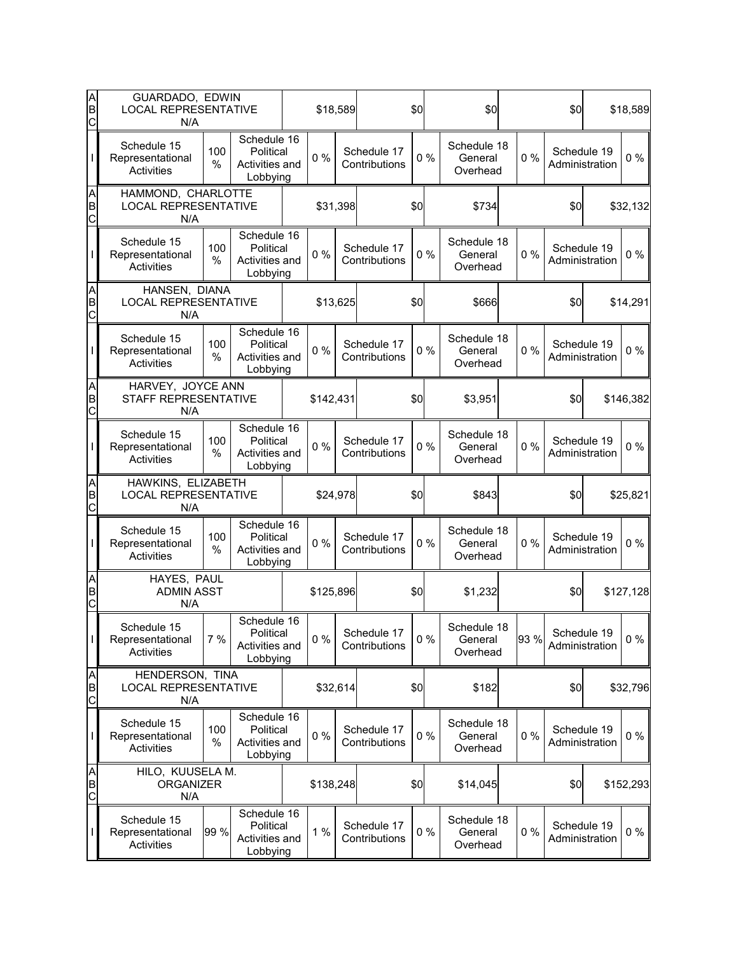| A<br>B<br>C              | GUARDADO, EDWIN<br><b>LOCAL REPRESENTATIVE</b><br>N/A    |          |                                                        | \$18,589  |                              | \$0   | \$0                                |                | \$0            |                               | \$18,589  |
|--------------------------|----------------------------------------------------------|----------|--------------------------------------------------------|-----------|------------------------------|-------|------------------------------------|----------------|----------------|-------------------------------|-----------|
|                          | Schedule 15<br>Representational<br>Activities            | 100<br>% | Schedule 16<br>Political<br>Activities and<br>Lobbying | 0%        | Schedule 17<br>Contributions | 0%    | Schedule 18<br>General<br>Overhead | 0%             |                | Schedule 19<br>Administration | $0\%$     |
| A<br>B<br>C              | HAMMOND, CHARLOTTE<br><b>LOCAL REPRESENTATIVE</b><br>N/A |          |                                                        | \$31,398  |                              | \$0   | \$734                              |                | \$0            |                               | \$32,132  |
|                          | Schedule 15<br>Representational<br>Activities            | 100<br>% | Schedule 16<br>Political<br>Activities and<br>Lobbying | $0\%$     | Schedule 17<br>Contributions | 0%    | Schedule 18<br>General<br>Overhead | 0%             |                | Schedule 19<br>Administration | $0\%$     |
| A<br>B<br>C              | HANSEN, DIANA<br><b>LOCAL REPRESENTATIVE</b><br>N/A      |          |                                                        | \$13,625  |                              | \$0   | \$666                              |                | \$0            |                               | \$14,291  |
|                          | Schedule 15<br>Representational<br>Activities            | 100<br>% | Schedule 16<br>Political<br>Activities and<br>Lobbying | 0%        | Schedule 17<br>Contributions | 0%    | Schedule 18<br>General<br>Overhead | 0%             |                | Schedule 19<br>Administration | $0\%$     |
| A<br>B<br>C              | HARVEY, JOYCE ANN<br>STAFF REPRESENTATIVE<br>N/A         |          |                                                        | \$142,431 |                              | \$0   | \$3,951                            |                | \$0            |                               | \$146,382 |
|                          | Schedule 15<br>Representational<br>Activities            | 100<br>% | Schedule 16<br>Political<br>Activities and<br>Lobbying | $0\%$     | Schedule 17<br>Contributions | 0%    | Schedule 18<br>General<br>Overhead | 0%             |                | Schedule 19<br>Administration | $0\%$     |
| A<br>B<br>$\overline{C}$ | HAWKINS, ELIZABETH<br><b>LOCAL REPRESENTATIVE</b><br>N/A |          |                                                        | \$24,978  |                              | \$0   | \$843                              |                | \$0            |                               | \$25,821  |
|                          | Schedule 15<br>Representational<br><b>Activities</b>     | 100<br>% | Schedule 16<br>Political<br>Activities and<br>Lobbying | $0\%$     | Schedule 17<br>Contributions | $0\%$ | Schedule 18<br>General<br>Overhead | 0%             |                | Schedule 19<br>Administration | $0\%$     |
| A<br>B<br>C              | HAYES, PAUL<br><b>ADMIN ASST</b><br>N/A                  |          |                                                        | \$125,896 |                              | \$0   | \$1,232                            |                | \$0            |                               | \$127,128 |
| T                        | Schedule 15<br>Representational<br>Activities            | 7 %      | Schedule 16<br>Political<br>Activities and<br>Lobbying | $0\%$     | Schedule 17<br>Contributions | $0\%$ | Schedule 18<br>General<br>Overhead | 93 %           |                | Schedule 19<br>Administration | $0\%$     |
| A<br>B<br>C              | HENDERSON, TINA<br><b>LOCAL REPRESENTATIVE</b><br>N/A    |          |                                                        | \$32,614  |                              | \$0   | \$182                              |                | \$0            |                               | \$32,796  |
|                          | Schedule 15<br>Representational<br>Activities            | 100<br>% | Schedule 16<br>Political<br>Activities and<br>Lobbying | $0\%$     | Schedule 17<br>Contributions | 0%    | Schedule 18<br>General<br>Overhead | 0%             |                | Schedule 19<br>Administration | $0\%$     |
| A<br>B<br>C              | HILO, KUUSELA M.<br><b>ORGANIZER</b><br>N/A              |          |                                                        | \$138,248 |                              | \$0   | \$14,045                           |                | \$0            |                               | \$152,293 |
|                          | Schedule 15<br>Representational                          | 99 %     | Schedule 16<br>Political<br>Activities and             | 1%        | Schedule 17<br>Contributions | $0\%$ | Schedule 18<br>General             | 0%<br>Overhead | Administration | Schedule 19                   | $0\%$     |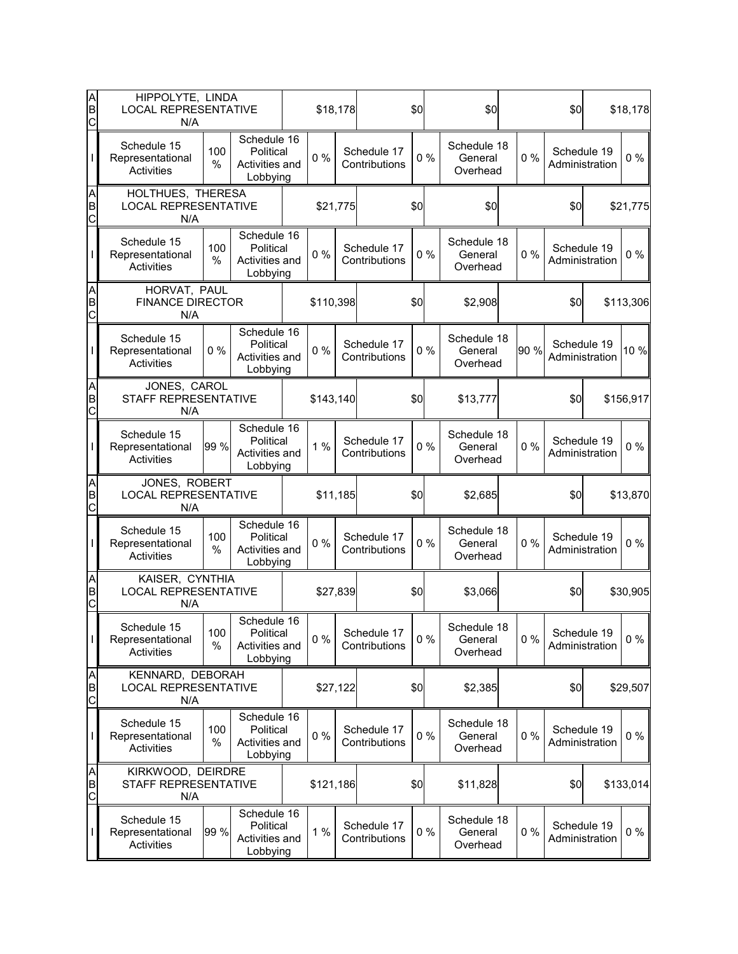| A<br>B<br>C | HIPPOLYTE, LINDA<br><b>LOCAL REPRESENTATIVE</b><br>N/A  |             |                                                        |           | \$18,178 |                              | \$0   | \$0                                |      | \$0                           | \$18,178  |
|-------------|---------------------------------------------------------|-------------|--------------------------------------------------------|-----------|----------|------------------------------|-------|------------------------------------|------|-------------------------------|-----------|
|             | Schedule 15<br>Representational<br>Activities           | 100<br>%    | Schedule 16<br>Political<br>Activities and<br>Lobbying | $0\%$     |          | Schedule 17<br>Contributions | 0%    | Schedule 18<br>General<br>Overhead | 0%   | Schedule 19<br>Administration | $0\%$     |
| A<br>B<br>C | HOLTHUES, THERESA<br><b>LOCAL REPRESENTATIVE</b><br>N/A |             |                                                        | \$21,775  |          |                              | \$0   | \$0                                |      | \$0                           | \$21,775  |
|             | Schedule 15<br>Representational<br>Activities           | 100<br>%    | Schedule 16<br>Political<br>Activities and<br>Lobbying | $0\%$     |          | Schedule 17<br>Contributions | 0%    | Schedule 18<br>General<br>Overhead | 0%   | Schedule 19<br>Administration | $0\%$     |
| A<br>B<br>C | HORVAT, PAUL<br><b>FINANCE DIRECTOR</b><br>N/A          |             |                                                        | \$110,398 |          |                              | \$0   | \$2,908                            |      | \$0                           | \$113,306 |
|             | Schedule 15<br>Representational<br>Activities           | 0%          | Schedule 16<br>Political<br>Activities and<br>Lobbying | 0%        |          | Schedule 17<br>Contributions | 0%    | Schedule 18<br>General<br>Overhead | 90 % | Schedule 19<br>Administration | 10 %      |
| A<br>B<br>C | JONES, CAROL<br>STAFF REPRESENTATIVE<br>N/A             |             |                                                        | \$143,140 |          |                              | \$0   | \$13,777                           |      | \$0                           | \$156,917 |
|             | Schedule 15<br>Representational<br>Activities           | 99 %        | Schedule 16<br>Political<br>Activities and<br>Lobbying | 1%        |          | Schedule 17<br>Contributions | 0%    | Schedule 18<br>General<br>Overhead | 0%   | Schedule 19<br>Administration | $0\%$     |
| A<br>B<br>C | JONES, ROBERT<br><b>LOCAL REPRESENTATIVE</b><br>N/A     |             |                                                        | \$11,185  |          |                              | \$0   | \$2,685                            |      | \$0                           | \$13,870  |
|             | Schedule 15<br>Representational<br>Activities           | 100<br>%    | Schedule 16<br>Political<br>Activities and<br>Lobbying | 0%        |          | Schedule 17<br>Contributions | 0%    | Schedule 18<br>General<br>Overhead | 0%   | Schedule 19<br>Administration | 0%        |
| A<br>B<br>C | KAISER, CYNTHIA<br><b>LOCAL REPRESENTATIVE</b><br>N/A   |             |                                                        | \$27,839  |          |                              | \$0   | \$3,066                            |      | \$0                           | \$30,905  |
| I           | Schedule 15<br>Representational<br>Activities           | 100<br>$\%$ | Schedule 16<br>Political<br>Activities and<br>Lobbying | $0\%$     |          | Schedule 17<br>Contributions | $0\%$ | Schedule 18<br>General<br>Overhead | 0%   | Schedule 19<br>Administration | $0\%$     |
| A<br>B<br>C | KENNARD, DEBORAH<br><b>LOCAL REPRESENTATIVE</b><br>N/A  |             |                                                        | \$27,122  |          |                              | \$0   | \$2,385                            |      | \$0                           | \$29,507  |
|             | Schedule 15<br>Representational<br>Activities           | 100<br>%    | Schedule 16<br>Political<br>Activities and<br>Lobbying | $0\%$     |          | Schedule 17<br>Contributions | $0\%$ | Schedule 18<br>General<br>Overhead | 0%   | Schedule 19<br>Administration | $0\%$     |
| A<br>B<br>C | KIRKWOOD, DEIRDRE<br>STAFF REPRESENTATIVE<br>N/A        |             |                                                        | \$121,186 |          |                              | \$0   | \$11,828                           |      | \$0                           | \$133,014 |
|             | Schedule 15<br>Representational<br>Activities           | 99 %        | Schedule 16<br>Political<br>Activities and<br>Lobbying | 1%        |          | Schedule 17<br>Contributions | $0\%$ | Schedule 18<br>General<br>Overhead | 0%   | Schedule 19<br>Administration | $0\%$     |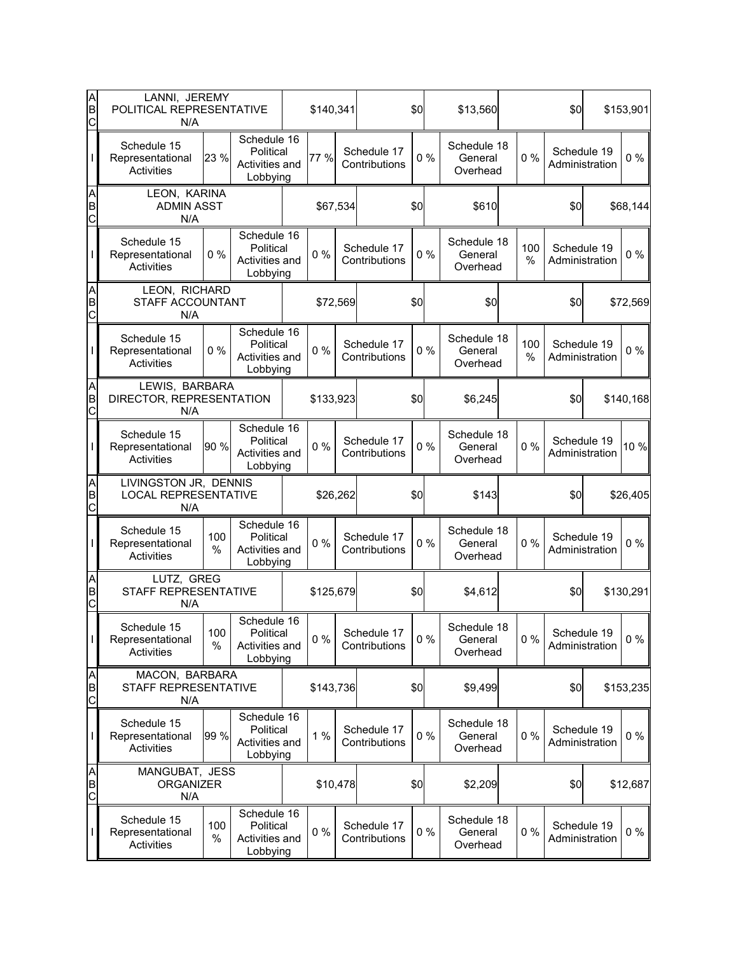| A<br>B<br>C              | LANNI, JEREMY<br>POLITICAL REPRESENTATIVE<br>N/A            |             |                                                        | \$140,341 |                              | \$0   | \$13,560                           |             | \$0                           |                | \$153,901 |
|--------------------------|-------------------------------------------------------------|-------------|--------------------------------------------------------|-----------|------------------------------|-------|------------------------------------|-------------|-------------------------------|----------------|-----------|
|                          | Schedule 15<br>Representational<br>Activities               | 23 %        | Schedule 16<br>Political<br>Activities and<br>Lobbying | 77 %      | Schedule 17<br>Contributions | 0%    | Schedule 18<br>General<br>Overhead | 0%          | Schedule 19<br>Administration |                | $0\%$     |
| A<br>B<br>C              | LEON, KARINA<br><b>ADMIN ASST</b><br>N/A                    |             |                                                        | \$67,534  |                              | \$0   | \$610                              |             | \$0                           |                | \$68,144  |
|                          | Schedule 15<br>Representational<br><b>Activities</b>        | 0%          | Schedule 16<br>Political<br>Activities and<br>Lobbying | $0\%$     | Schedule 17<br>Contributions | 0%    | Schedule 18<br>General<br>Overhead | 100<br>%    | Schedule 19                   | Administration | $0\%$     |
| AB<br>C                  | LEON, RICHARD<br>STAFF ACCOUNTANT<br>N/A                    |             |                                                        | \$72,569  |                              | \$0   | \$0                                |             | \$0                           |                | \$72,569  |
|                          | Schedule 15<br>Representational<br>Activities               | 0%          | Schedule 16<br>Political<br>Activities and<br>Lobbying | $0\%$     | Schedule 17<br>Contributions | 0%    | Schedule 18<br>General<br>Overhead | 100<br>$\%$ | Schedule 19                   | Administration | $0\%$     |
| A<br>B<br>C              | LEWIS, BARBARA<br>DIRECTOR, REPRESENTATION<br>N/A           |             |                                                        | \$133,923 |                              | \$0   | \$6,245                            |             | \$0                           |                | \$140,168 |
|                          | Schedule 15<br>Representational<br>Activities               | 90 %        | Schedule 16<br>Political<br>Activities and<br>Lobbying | $0\%$     | Schedule 17<br>Contributions | 0%    | Schedule 18<br>General<br>Overhead | 0%          | Schedule 19<br>Administration |                | 10 %      |
| A<br>B<br>$\overline{C}$ | LIVINGSTON JR, DENNIS<br><b>LOCAL REPRESENTATIVE</b><br>N/A |             |                                                        | \$26,262  |                              | \$0   | \$143                              |             | \$0                           |                | \$26,405  |
|                          | Schedule 15<br>Representational<br><b>Activities</b>        | 100<br>%    | Schedule 16<br>Political<br>Activities and<br>Lobbying | $0\%$     | Schedule 17<br>Contributions | 0%    | Schedule 18<br>General<br>Overhead | 0%          | Schedule 19                   | Administration | $0\%$     |
| AB<br>C                  | LUTZ, GREG<br>STAFF REPRESENTATIVE<br>N/A                   |             |                                                        | \$125,679 |                              | \$0   | \$4,612                            |             | \$0                           |                | \$130,291 |
| L                        | Schedule 15<br>Representational<br><b>Activities</b>        | 100<br>$\%$ | Schedule 16<br>Political<br>Activities and<br>Lobbying | $0\%$     | Schedule 17<br>Contributions | $0\%$ | Schedule 18<br>General<br>Overhead | 0%          | Schedule 19                   | Administration | $0\%$     |
| A<br>B<br>C              | MACON, BARBARA<br>STAFF REPRESENTATIVE<br>N/A               |             |                                                        | \$143,736 |                              | \$0   | \$9,499                            |             | \$0                           |                | \$153,235 |
|                          | Schedule 15<br>Representational<br><b>Activities</b>        | 99 %        | Schedule 16<br>Political<br>Activities and<br>Lobbying | 1%        | Schedule 17<br>Contributions | 0%    | Schedule 18<br>General<br>Overhead | 0%          | Schedule 19                   | Administration | $0\%$     |
| A<br>B<br>C              | MANGUBAT, JESS<br><b>ORGANIZER</b><br>N/A                   |             |                                                        | \$10,478  |                              | \$0   | \$2,209                            |             | \$0                           |                | \$12,687  |
|                          | Schedule 15<br>Representational<br>Activities               | 100<br>%    | Schedule 16<br>Political<br>Activities and<br>Lobbying | $0\%$     | Schedule 17<br>Contributions | $0\%$ | Schedule 18<br>General<br>Overhead | 0%          | Schedule 19                   | Administration | $0\%$     |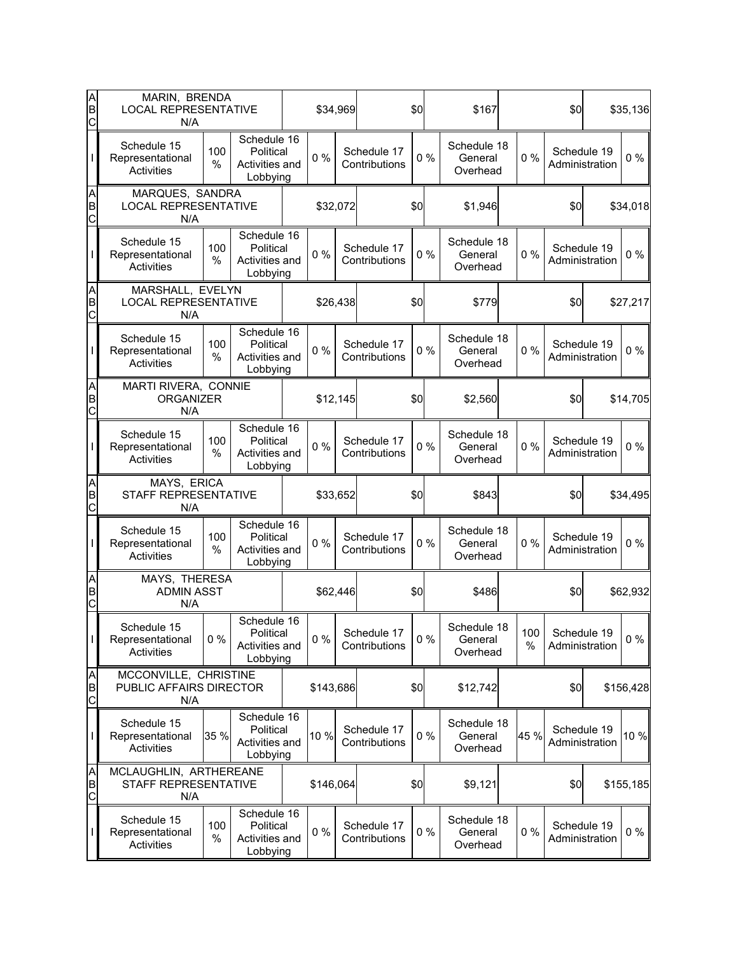| A<br>B<br>C              | MARIN, BRENDA<br><b>LOCAL REPRESENTATIVE</b><br>N/A     |          |                                                        |           | \$34,969 |                              | \$0   | \$167                              |             | \$0                           | \$35,136  |
|--------------------------|---------------------------------------------------------|----------|--------------------------------------------------------|-----------|----------|------------------------------|-------|------------------------------------|-------------|-------------------------------|-----------|
|                          | Schedule 15<br>Representational<br>Activities           | 100<br>% | Schedule 16<br>Political<br>Activities and<br>Lobbying | 0%        |          | Schedule 17<br>Contributions | 0%    | Schedule 18<br>General<br>Overhead | 0%          | Schedule 19<br>Administration | $0\%$     |
| A<br>B<br>$\overline{C}$ | MARQUES, SANDRA<br><b>LOCAL REPRESENTATIVE</b><br>N/A   |          |                                                        | \$32,072  |          |                              | \$0   | \$1,946                            |             | \$0                           | \$34,018  |
|                          | Schedule 15<br>Representational<br>Activities           | 100<br>% | Schedule 16<br>Political<br>Activities and<br>Lobbying | $0\%$     |          | Schedule 17<br>Contributions | 0%    | Schedule 18<br>General<br>Overhead | 0%          | Schedule 19<br>Administration | $0\%$     |
| A<br>B<br>C              | MARSHALL, EVELYN<br><b>LOCAL REPRESENTATIVE</b><br>N/A  |          |                                                        |           | \$26,438 |                              | \$0   | \$779                              |             | \$0                           | \$27,217  |
|                          | Schedule 15<br>Representational<br><b>Activities</b>    | 100<br>% | Schedule 16<br>Political<br>Activities and<br>Lobbying | 0%        |          | Schedule 17<br>Contributions | 0%    | Schedule 18<br>General<br>Overhead | 0%          | Schedule 19<br>Administration | $0\%$     |
| A<br>B<br>$\overline{C}$ | MARTI RIVERA, CONNIE<br><b>ORGANIZER</b><br>N/A         |          |                                                        | \$12,145  |          |                              | \$0   | \$2,560                            |             | \$0                           | \$14,705  |
|                          | Schedule 15<br>Representational<br>Activities           | 100<br>% | Schedule 16<br>Political<br>Activities and<br>Lobbying | $0\%$     |          | Schedule 17<br>Contributions | 0%    | Schedule 18<br>General<br>Overhead | 0%          | Schedule 19<br>Administration | $0\%$     |
| A<br>B<br>$\overline{C}$ | MAYS, ERICA<br>STAFF REPRESENTATIVE<br>N/A              |          |                                                        | \$33,652  |          |                              | \$0   | \$843                              |             | \$0                           | \$34,495  |
|                          | Schedule 15<br>Representational<br>Activities           | 100<br>% | Schedule 16<br>Political<br>Activities and<br>Lobbying | 0%        |          | Schedule 17<br>Contributions | $0\%$ | Schedule 18<br>General<br>Overhead | 0%          | Schedule 19<br>Administration | $0\%$     |
| A<br>B<br>C              | MAYS, THERESA<br><b>ADMIN ASST</b><br>N/A               |          |                                                        | \$62,446  |          |                              | \$0   | \$486                              |             | \$0                           | \$62,932  |
| T                        | Schedule 15<br>Representational<br>Activities           | $0\%$    | Schedule 16<br>Political<br>Activities and<br>Lobbying | $0\%$     |          | Schedule 17<br>Contributions | $0\%$ | Schedule 18<br>General<br>Overhead | 100<br>$\%$ | Schedule 19<br>Administration | $0\%$     |
| A<br>B<br>$\overline{C}$ | MCCONVILLE, CHRISTINE<br>PUBLIC AFFAIRS DIRECTOR<br>N/A |          |                                                        | \$143,686 |          |                              | \$0   | \$12,742                           |             | \$0                           | \$156,428 |
|                          | Schedule 15<br>Representational<br>Activities           | 35 %     | Schedule 16<br>Political<br>Activities and<br>Lobbying | 10 %      |          | Schedule 17<br>Contributions | 0%    | Schedule 18<br>General<br>Overhead | 45 %        | Schedule 19<br>Administration | 10 %      |
| A<br>B<br>$\mathsf{C}$   | MCLAUGHLIN, ARTHEREANE<br>STAFF REPRESENTATIVE          |          |                                                        | \$146,064 |          |                              | \$0   | \$9,121                            |             | \$0                           | \$155,185 |
|                          | N/A                                                     |          |                                                        |           |          |                              |       |                                    |             |                               |           |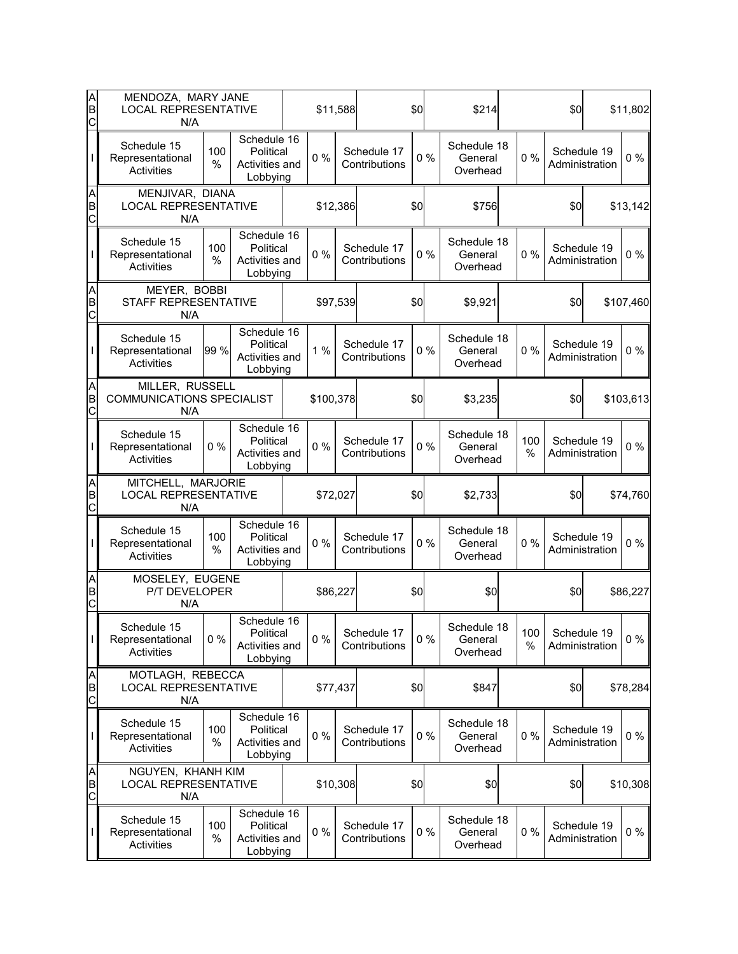| A<br>B<br>C              | MENDOZA, MARY JANE<br><b>LOCAL REPRESENTATIVE</b><br>N/A   |          |                                                        |           | \$11,588 |                              | \$0   | \$214                              |             | \$0 |                               | \$11,802  |
|--------------------------|------------------------------------------------------------|----------|--------------------------------------------------------|-----------|----------|------------------------------|-------|------------------------------------|-------------|-----|-------------------------------|-----------|
|                          | Schedule 15<br>Representational<br>Activities              | 100<br>% | Schedule 16<br>Political<br>Activities and<br>Lobbying | $0\%$     |          | Schedule 17<br>Contributions | 0%    | Schedule 18<br>General<br>Overhead | $0\%$       |     | Schedule 19<br>Administration | $0\%$     |
| A<br>B<br>$\overline{C}$ | MENJIVAR, DIANA<br><b>LOCAL REPRESENTATIVE</b><br>N/A      |          |                                                        | \$12,386  |          |                              | \$0   | \$756                              |             | \$0 |                               | \$13,142  |
|                          | Schedule 15<br>Representational<br>Activities              | 100<br>% | Schedule 16<br>Political<br>Activities and<br>Lobbying | $0\%$     |          | Schedule 17<br>Contributions | 0%    | Schedule 18<br>General<br>Overhead | 0%          |     | Schedule 19<br>Administration | $0\%$     |
| A<br>B<br>C              | MEYER, BOBBI<br>STAFF REPRESENTATIVE<br>N/A                |          |                                                        | \$97,539  |          |                              | \$0   | \$9,921                            |             | \$0 |                               | \$107,460 |
|                          | Schedule 15<br>Representational<br>Activities              | 99 %     | Schedule 16<br>Political<br>Activities and<br>Lobbying | 1%        |          | Schedule 17<br>Contributions | 0%    | Schedule 18<br>General<br>Overhead | 0%          |     | Schedule 19<br>Administration | $0\%$     |
| A<br>B<br>$\mathsf{C}$   | MILLER, RUSSELL<br><b>COMMUNICATIONS SPECIALIST</b><br>N/A |          |                                                        | \$100,378 |          |                              | \$0   | \$3,235                            |             | \$0 |                               | \$103,613 |
|                          | Schedule 15<br>Representational<br>Activities              | 0%       | Schedule 16<br>Political<br>Activities and<br>Lobbying | $0\%$     |          | Schedule 17<br>Contributions | 0%    | Schedule 18<br>General<br>Overhead | 100<br>%    |     | Schedule 19<br>Administration | $0\%$     |
| A<br>B<br>$\overline{C}$ | MITCHELL, MARJORIE<br><b>LOCAL REPRESENTATIVE</b><br>N/A   |          |                                                        | \$72,027  |          |                              | \$0   | \$2,733                            |             | \$0 |                               | \$74,760  |
|                          | Schedule 15<br>Representational<br>Activities              | 100<br>% | Schedule 16<br>Political<br>Activities and<br>Lobbying | $0\%$     |          | Schedule 17<br>Contributions | 0%    | Schedule 18<br>General<br>Overhead | $0\%$       |     | Schedule 19<br>Administration | $0\%$     |
| A<br>B<br>C              | MOSELEY, EUGENE<br>P/T DEVELOPER<br>N/A                    |          |                                                        | \$86,227  |          |                              | \$0   | \$0                                |             | \$0 |                               | \$86,227  |
| I                        | Schedule 15<br>Representational<br><b>Activities</b>       | $0\%$    | Schedule 16<br>Political<br>Activities and<br>Lobbying | $0\%$     |          | Schedule 17<br>Contributions | $0\%$ | Schedule 18<br>General<br>Overhead | 100<br>$\%$ |     | Schedule 19<br>Administration | $0\%$     |
| A<br>B<br>$\mathsf{C}$   | MOTLAGH, REBECCA<br><b>LOCAL REPRESENTATIVE</b><br>N/A     |          |                                                        | \$77,437  |          |                              | \$0   | \$847                              |             | \$0 |                               | \$78,284  |
|                          | Schedule 15<br>Representational<br>Activities              | 100<br>% | Schedule 16<br>Political<br>Activities and<br>Lobbying | 0%        |          | Schedule 17<br>Contributions | 0%    | Schedule 18<br>General<br>Overhead | 0%          |     | Schedule 19<br>Administration | $0\%$     |
| A<br>B<br>C              | NGUYEN, KHANH KIM<br><b>LOCAL REPRESENTATIVE</b><br>N/A    |          |                                                        | \$10,308  |          |                              | \$0   | \$0                                |             | \$0 |                               | \$10,308  |
|                          | Schedule 15<br>Representational<br>Activities              | 100<br>% | Schedule 16<br>Political<br>Activities and<br>Lobbying | $0\%$     |          | Schedule 17<br>Contributions | $0\%$ | Schedule 18<br>General<br>Overhead | 0%          |     | Schedule 19<br>Administration | 0 %       |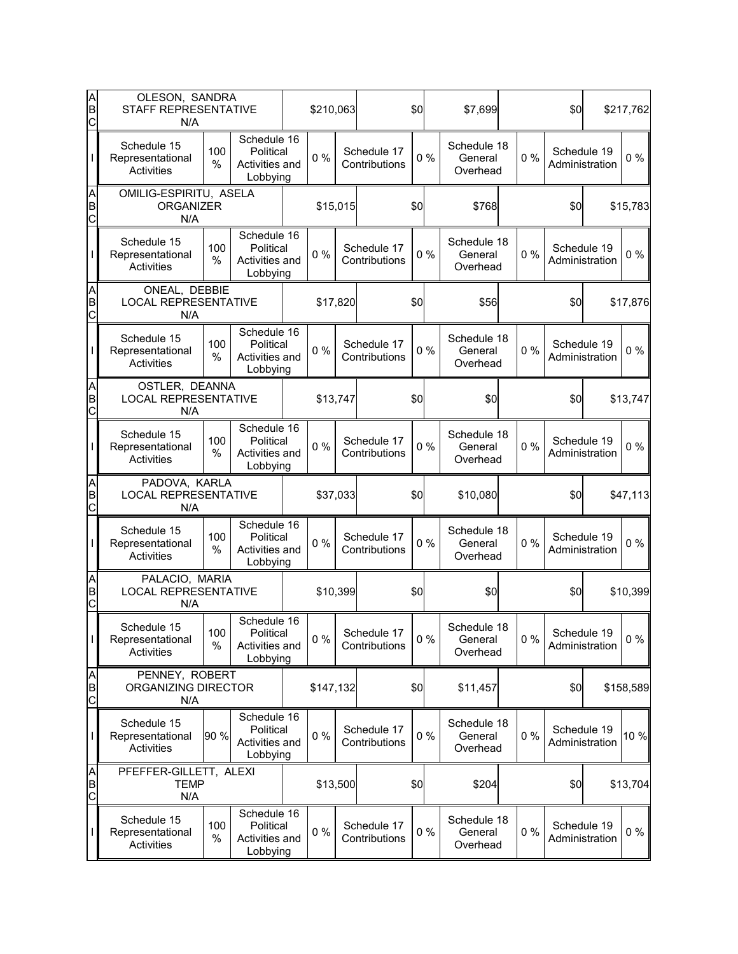| A<br>B<br>C            | OLESON, SANDRA<br>STAFF REPRESENTATIVE<br>N/A        |             |                                                        | \$210,063 |                              | \$0   | \$7,699                            |       | \$0                           | \$217,762 |
|------------------------|------------------------------------------------------|-------------|--------------------------------------------------------|-----------|------------------------------|-------|------------------------------------|-------|-------------------------------|-----------|
|                        | Schedule 15<br>Representational<br>Activities        | 100<br>%    | Schedule 16<br>Political<br>Activities and<br>Lobbying | $0\%$     | Schedule 17<br>Contributions | 0%    | Schedule 18<br>General<br>Overhead | $0\%$ | Schedule 19<br>Administration | 0%        |
| A<br>B<br>C            | OMILIG-ESPIRITU, ASELA<br><b>ORGANIZER</b><br>N/A    |             |                                                        | \$15,015  |                              | \$0   | \$768                              |       | \$0                           | \$15,783  |
|                        | Schedule 15<br>Representational<br>Activities        | 100<br>%    | Schedule 16<br>Political<br>Activities and<br>Lobbying | $0\%$     | Schedule 17<br>Contributions | 0%    | Schedule 18<br>General<br>Overhead | 0%    | Schedule 19<br>Administration | $0\%$     |
| AB<br>C                | ONEAL, DEBBIE<br><b>LOCAL REPRESENTATIVE</b><br>N/A  |             |                                                        | \$17,820  |                              | \$0   | \$56                               |       | \$0                           | \$17,876  |
|                        | Schedule 15<br>Representational<br>Activities        | 100<br>%    | Schedule 16<br>Political<br>Activities and<br>Lobbying | 0%        | Schedule 17<br>Contributions | $0\%$ | Schedule 18<br>General<br>Overhead | 0%    | Schedule 19<br>Administration | $0\%$     |
| A<br>B<br>C            | OSTLER, DEANNA<br><b>LOCAL REPRESENTATIVE</b><br>N/A |             |                                                        | \$13,747  |                              | \$0   | \$0                                |       | \$0                           | \$13,747  |
|                        | Schedule 15<br>Representational<br>Activities        | 100<br>%    | Schedule 16<br>Political<br>Activities and<br>Lobbying | 0%        | Schedule 17<br>Contributions | 0%    | Schedule 18<br>General<br>Overhead | 0%    | Schedule 19<br>Administration | $0\%$     |
| A<br>B<br>$\mathsf{C}$ | PADOVA, KARLA<br><b>LOCAL REPRESENTATIVE</b><br>N/A  |             |                                                        | \$37,033  |                              | \$0   | \$10,080                           |       | \$0                           | \$47,113  |
|                        | Schedule 15<br>Representational<br>Activities        | 100<br>%    | Schedule 16<br>Political<br>Activities and<br>Lobbying | $0\%$     | Schedule 17<br>Contributions | 0%    | Schedule 18<br>General<br>Overhead | 0%    | Schedule 19<br>Administration | $0\%$     |
| AB<br>C                | PALACIO, MARIA<br><b>LOCAL REPRESENTATIVE</b><br>N/A |             |                                                        | \$10,399  |                              | \$0   | \$0                                |       | \$0                           | \$10,399  |
| L                      | Schedule 15<br>Representational<br><b>Activities</b> | 100<br>$\%$ | Schedule 16<br>Political<br>Activities and<br>Lobbying | $0\%$     | Schedule 17<br>Contributions | $0\%$ | Schedule 18<br>General<br>Overhead | 0%    | Schedule 19<br>Administration | $0\%$     |
| A<br>B<br>C            | PENNEY, ROBERT<br>ORGANIZING DIRECTOR<br>N/A         |             |                                                        | \$147,132 |                              | \$0   | \$11,457                           |       | \$0                           | \$158,589 |
|                        | Schedule 15<br>Representational<br>Activities        | 90 %        | Schedule 16<br>Political<br>Activities and<br>Lobbying | $0\%$     | Schedule 17<br>Contributions | $0\%$ | Schedule 18<br>General<br>Overhead | 0%    | Schedule 19<br>Administration | 10 %      |
| A<br>B<br>C            | PFEFFER-GILLETT, ALEXI<br><b>TEMP</b><br>N/A         |             |                                                        | \$13,500  |                              | \$0   | \$204                              |       | \$0                           | \$13,704  |
|                        | Schedule 15<br>Representational<br>Activities        | 100<br>%    | Schedule 16<br>Political<br>Activities and<br>Lobbying | $0\%$     | Schedule 17<br>Contributions | $0\%$ | Schedule 18<br>General<br>Overhead | 0%    | Schedule 19<br>Administration | $0\%$     |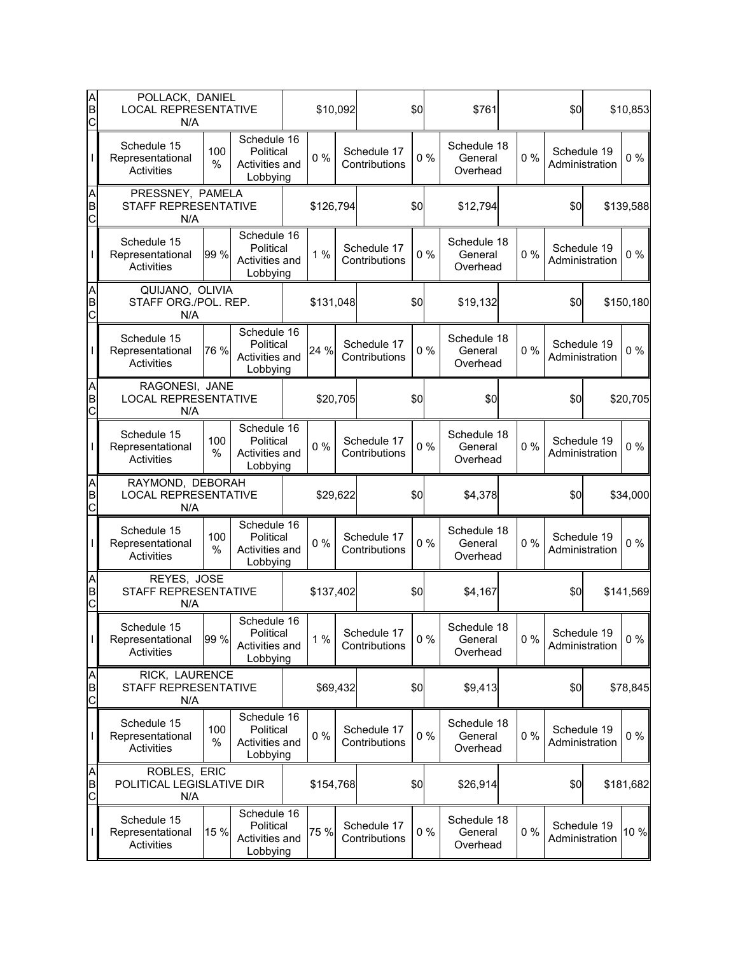| A<br>B<br>C | POLLACK, DANIEL<br><b>LOCAL REPRESENTATIVE</b><br>N/A   |          |                                                        | \$10,092  |                              | \$0   | \$761                              |       | \$0                           | \$10,853  |
|-------------|---------------------------------------------------------|----------|--------------------------------------------------------|-----------|------------------------------|-------|------------------------------------|-------|-------------------------------|-----------|
|             | Schedule 15<br>Representational<br>Activities           | 100<br>% | Schedule 16<br>Political<br>Activities and<br>Lobbying | $0\%$     | Schedule 17<br>Contributions | 0%    | Schedule 18<br>General<br>Overhead | 0%    | Schedule 19<br>Administration | $0\%$     |
| A<br>B<br>C | PRESSNEY, PAMELA<br>STAFF REPRESENTATIVE<br>N/A         |          |                                                        | \$126,794 |                              | \$0   | \$12,794                           |       | \$0                           | \$139,588 |
|             | Schedule 15<br>Representational<br>Activities           | 99 %     | Schedule 16<br>Political<br>Activities and<br>Lobbying | 1%        | Schedule 17<br>Contributions | 0%    | Schedule 18<br>General<br>Overhead | 0%    | Schedule 19<br>Administration | $0\%$     |
| A<br>B<br>C | QUIJANO, OLIVIA<br>STAFF ORG./POL. REP.<br>N/A          |          |                                                        | \$131,048 |                              | \$0   | \$19,132                           |       | \$0                           | \$150,180 |
|             | Schedule 15<br>Representational<br>Activities           | 76 %     | Schedule 16<br>Political<br>Activities and<br>Lobbying | 24 %      | Schedule 17<br>Contributions | 0%    | Schedule 18<br>General<br>Overhead | 0%    | Schedule 19<br>Administration | $0\%$     |
| A<br>B<br>C | RAGONESI, JANE<br><b>LOCAL REPRESENTATIVE</b><br>N/A    |          |                                                        | \$20,705  |                              | \$0   | \$0                                |       | \$0                           | \$20,705  |
|             | Schedule 15<br>Representational<br>Activities           | 100<br>% | Schedule 16<br>Political<br>Activities and<br>Lobbying | $0\%$     | Schedule 17<br>Contributions | 0%    | Schedule 18<br>General<br>Overhead | 0%    | Schedule 19<br>Administration | $0\%$     |
| A<br>B<br>C | RAYMOND, DEBORAH<br><b>LOCAL REPRESENTATIVE</b><br>N/A  |          |                                                        | \$29,622  |                              | \$0   | \$4,378                            |       | \$0                           | \$34,000  |
|             | Schedule 15<br>Representational<br>Activities           | 100<br>% | Schedule 16<br>Political<br>Activities and<br>Lobbying | $0\%$     | Schedule 17<br>Contributions | 0%    | Schedule 18<br>General<br>Overhead | 0%    | Schedule 19<br>Administration | $0\%$     |
| A<br>B<br>C | REYES, JOSE<br>STAFF REPRESENTATIVE<br>N/A              |          |                                                        | \$137,402 |                              | \$0   | \$4,167                            |       | \$0                           | \$141,569 |
| L           | Schedule 15<br>Representational<br>Activities           | 99 %     | Schedule 16<br>Political<br>Activities and<br>Lobbying | 1%        | Schedule 17<br>Contributions | $0\%$ | Schedule 18<br>General<br>Overhead | 0%    | Schedule 19<br>Administration | $0\%$     |
| A<br>B<br>C | RICK, LAURENCE<br>STAFF REPRESENTATIVE<br>N/A           |          |                                                        | \$69,432  |                              | \$0   | \$9,413                            |       | \$0                           | \$78,845  |
| I           | Schedule 15<br>Representational<br>Activities           | 100<br>% | Schedule 16<br>Political<br>Activities and<br>Lobbying | $0\%$     | Schedule 17<br>Contributions | 0%    | Schedule 18<br>General<br>Overhead | 0%    | Schedule 19<br>Administration | $0\%$     |
| A<br>B<br>C | <b>ROBLES, ERIC</b><br>POLITICAL LEGISLATIVE DIR<br>N/A |          |                                                        | \$154,768 |                              | \$0   | \$26,914                           |       | \$0                           | \$181,682 |
|             | Schedule 15<br>Representational<br>Activities           | 15 %     | Schedule 16<br>Political<br>Activities and<br>Lobbying | 75 %      | Schedule 17<br>Contributions | $0\%$ | Schedule 18<br>General<br>Overhead | $0\%$ | Schedule 19<br>Administration | 10 %      |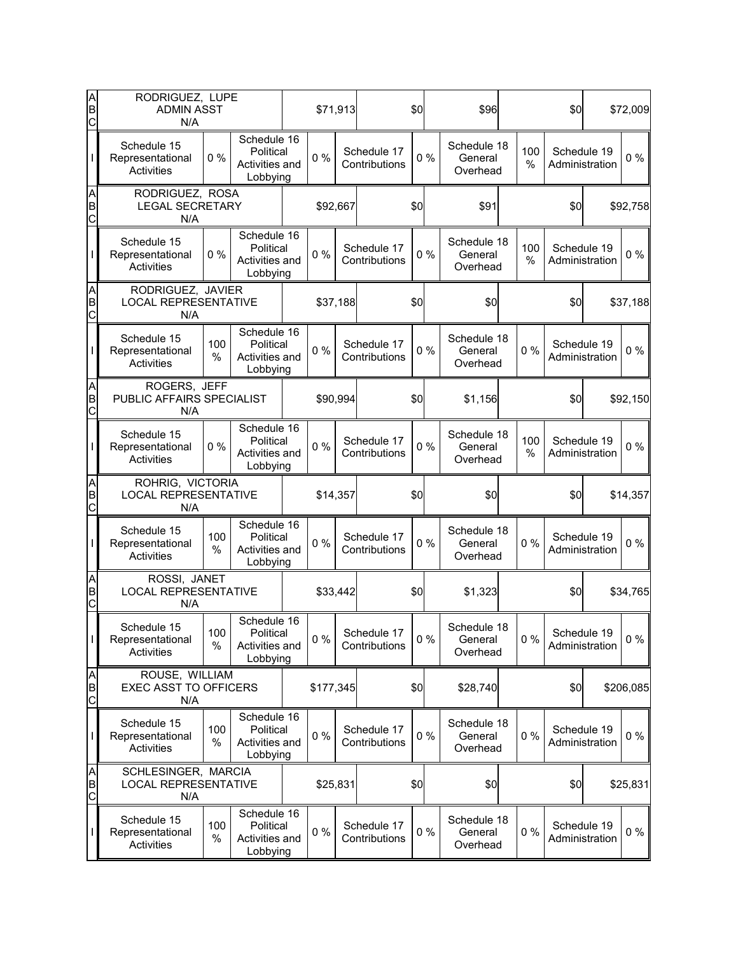| A<br>B<br>$\overline{C}$        | RODRIGUEZ, LUPE<br><b>ADMIN ASST</b><br>N/A               |             |                                                        |           | \$71,913 |                              | \$0   | \$96                               |          | \$0                           | \$72,009  |
|---------------------------------|-----------------------------------------------------------|-------------|--------------------------------------------------------|-----------|----------|------------------------------|-------|------------------------------------|----------|-------------------------------|-----------|
|                                 | Schedule 15<br>Representational<br>Activities             | 0%          | Schedule 16<br>Political<br>Activities and<br>Lobbying | 0%        |          | Schedule 17<br>Contributions | 0%    | Schedule 18<br>General<br>Overhead | 100<br>% | Schedule 19<br>Administration | $0\%$     |
| A<br>B<br>C                     | RODRIGUEZ, ROSA<br><b>LEGAL SECRETARY</b><br>N/A          |             |                                                        | \$92,667  |          |                              | \$0   | \$91                               |          | \$0                           | \$92,758  |
|                                 | Schedule 15<br>Representational<br><b>Activities</b>      | 0%          | Schedule 16<br>Political<br>Activities and<br>Lobbying | $0\%$     |          | Schedule 17<br>Contributions | 0%    | Schedule 18<br>General<br>Overhead | 100<br>% | Schedule 19<br>Administration | $0\%$     |
| A<br>B<br>C                     | RODRIGUEZ, JAVIER<br><b>LOCAL REPRESENTATIVE</b><br>N/A   |             |                                                        |           | \$37,188 |                              | \$0   | \$0                                |          | \$0                           | \$37,188  |
|                                 | Schedule 15<br>Representational<br>Activities             | 100<br>%    | Schedule 16<br>Political<br>Activities and<br>Lobbying | 0%        |          | Schedule 17<br>Contributions | 0%    | Schedule 18<br>General<br>Overhead | 0%       | Schedule 19<br>Administration | $0\%$     |
| A<br>B<br>$\overline{C}$        | ROGERS, JEFF<br>PUBLIC AFFAIRS SPECIALIST<br>N/A          |             |                                                        |           | \$90,994 |                              | \$0   | \$1,156                            |          | \$0                           | \$92,150  |
|                                 | Schedule 15<br>Representational<br>Activities             | 0%          | Schedule 16<br>Political<br>Activities and<br>Lobbying | $0\%$     |          | Schedule 17<br>Contributions | 0%    | Schedule 18<br>General<br>Overhead | 100<br>% | Schedule 19<br>Administration | $0\%$     |
| A<br>B<br>$\overline{C}$        | ROHRIG, VICTORIA<br><b>LOCAL REPRESENTATIVE</b><br>N/A    |             |                                                        | \$14,357  |          |                              | \$0   | \$0                                |          | \$0                           | \$14,357  |
|                                 | Schedule 15<br>Representational<br>Activities             | 100<br>%    | Schedule 16<br>Political<br>Activities and<br>Lobbying | 0%        |          | Schedule 17<br>Contributions | $0\%$ | Schedule 18<br>General<br>Overhead | 0%       | Schedule 19<br>Administration | $0\%$     |
| A<br>B<br>C                     | ROSSI, JANET<br><b>LOCAL REPRESENTATIVE</b><br>N/A        |             |                                                        |           | \$33,442 |                              | \$0   | \$1,323                            |          | \$0                           | \$34,765  |
| T                               | Schedule 15<br>Representational<br>Activities             | 100<br>$\%$ | Schedule 16<br>Political<br>Activities and<br>Lobbying | $0\%$     |          | Schedule 17<br>Contributions | $0\%$ | Schedule 18<br>General<br>Overhead | 0%       | Schedule 19<br>Administration | $0\%$     |
| A<br>B<br>C                     | ROUSE, WILLIAM<br><b>EXEC ASST TO OFFICERS</b><br>N/A     |             |                                                        | \$177,345 |          |                              | \$0   | \$28,740                           |          | \$0                           | \$206,085 |
|                                 | Schedule 15<br>Representational<br>Activities             | 100<br>%    | Schedule 16<br>Political<br>Activities and<br>Lobbying | $0\%$     |          | Schedule 17<br>Contributions | $0\%$ | Schedule 18<br>General<br>Overhead | 0%       | Schedule 19<br>Administration | $0\%$     |
| A<br>B<br>$\overline{\text{c}}$ | SCHLESINGER, MARCIA<br><b>LOCAL REPRESENTATIVE</b><br>N/A |             |                                                        | \$25,831  |          |                              | \$0   | \$0                                |          | \$0                           | \$25,831  |
|                                 | Schedule 15<br>Representational<br>Activities             | 100<br>%    | Schedule 16<br>Political<br>Activities and<br>Lobbying | $0\%$     |          | Schedule 17<br>Contributions | $0\%$ | Schedule 18<br>General<br>Overhead | 0%       | Schedule 19<br>Administration | $0\%$     |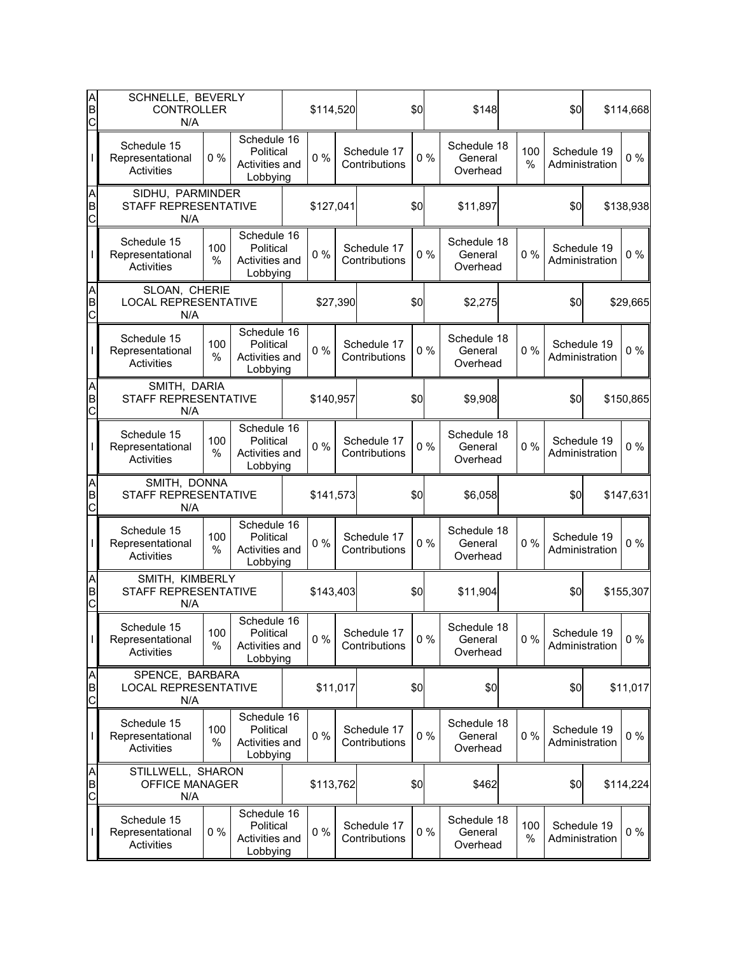| A<br>B<br>C              | SCHNELLE, BEVERLY<br><b>CONTROLLER</b><br>N/A         |             |                                                        | \$114,520 |          |                              | \$0   | \$148                              |          | \$0         |                               | \$114,668 |
|--------------------------|-------------------------------------------------------|-------------|--------------------------------------------------------|-----------|----------|------------------------------|-------|------------------------------------|----------|-------------|-------------------------------|-----------|
|                          | Schedule 15<br>Representational<br>Activities         | 0%          | Schedule 16<br>Political<br>Activities and<br>Lobbying | 0%        |          | Schedule 17<br>Contributions | 0%    | Schedule 18<br>General<br>Overhead | 100<br>% |             | Schedule 19<br>Administration | $0\%$     |
| A<br>B<br>$\overline{C}$ | SIDHU, PARMINDER<br>STAFF REPRESENTATIVE<br>N/A       |             |                                                        | \$127,041 |          |                              | \$0   | \$11,897                           |          | \$0         |                               | \$138,938 |
|                          | Schedule 15<br>Representational<br>Activities         | 100<br>%    | Schedule 16<br>Political<br>Activities and<br>Lobbying | $0\%$     |          | Schedule 17<br>Contributions | 0%    | Schedule 18<br>General<br>Overhead | 0%       | Schedule 19 | Administration                | $0\%$     |
| A<br>B<br>C              | SLOAN, CHERIE<br><b>LOCAL REPRESENTATIVE</b><br>N/A   |             |                                                        |           | \$27,390 |                              | \$0   | \$2,275                            |          | \$0         |                               | \$29,665  |
|                          | Schedule 15<br>Representational<br>Activities         | 100<br>%    | Schedule 16<br>Political<br>Activities and<br>Lobbying | 0%        |          | Schedule 17<br>Contributions | 0%    | Schedule 18<br>General<br>Overhead | 0%       | Schedule 19 | Administration                | $0\%$     |
| A<br>B<br>C              | SMITH, DARIA<br>STAFF REPRESENTATIVE<br>N/A           |             |                                                        | \$140,957 |          |                              | \$0   | \$9,908                            |          | \$0         |                               | \$150,865 |
|                          | Schedule 15<br>Representational<br>Activities         | 100<br>%    | Schedule 16<br>Political<br>Activities and<br>Lobbying | $0\%$     |          | Schedule 17<br>Contributions | 0%    | Schedule 18<br>General<br>Overhead | 0%       | Schedule 19 | Administration                | $0\%$     |
| A<br>B<br>$\overline{C}$ | SMITH, DONNA<br>STAFF REPRESENTATIVE<br>N/A           |             |                                                        | \$141,573 |          |                              | \$0   | \$6,058                            |          | \$0         |                               | \$147,631 |
|                          | Schedule 15<br>Representational<br>Activities         | 100<br>%    | Schedule 16<br>Political<br>Activities and<br>Lobbying | $0\%$     |          | Schedule 17<br>Contributions | $0\%$ | Schedule 18<br>General<br>Overhead | 0%       | Schedule 19 | Administration                | $0\%$     |
| A<br>B<br>C              | SMITH, KIMBERLY<br>STAFF REPRESENTATIVE<br>N/A        |             |                                                        | \$143,403 |          |                              | \$0   | \$11,904                           |          | \$0         |                               | \$155,307 |
| T                        | Schedule 15<br>Representational<br><b>Activities</b>  | 100<br>$\%$ | Schedule 16<br>Political<br>Activities and<br>Lobbying | $0\%$     |          | Schedule 17<br>Contributions | $0\%$ | Schedule 18<br>General<br>Overhead | $0\%$    | Schedule 19 | Administration                | $0\%$     |
| A<br>B<br>C              | SPENCE, BARBARA<br><b>LOCAL REPRESENTATIVE</b><br>N/A |             |                                                        | \$11,017  |          |                              | \$0   | \$0                                |          | \$0         |                               | \$11,017  |
|                          | Schedule 15<br>Representational<br>Activities         | 100<br>%    | Schedule 16<br>Political<br>Activities and<br>Lobbying | $0\%$     |          | Schedule 17<br>Contributions | 0%    | Schedule 18<br>General<br>Overhead | 0%       |             | Schedule 19<br>Administration | $0\%$     |
| A<br>B<br>$\mathsf{C}$   | STILLWELL, SHARON<br><b>OFFICE MANAGER</b><br>N/A     |             |                                                        | \$113,762 |          |                              | \$0   | \$462                              |          | \$0         |                               | \$114,224 |
|                          | Schedule 15<br>Representational<br>Activities         | $0\%$       | Schedule 16<br>Political<br>Activities and<br>Lobbying | $0\%$     |          | Schedule 17<br>Contributions | $0\%$ | Schedule 18<br>General<br>Overhead | 100<br>% |             | Schedule 19<br>Administration | $0\%$     |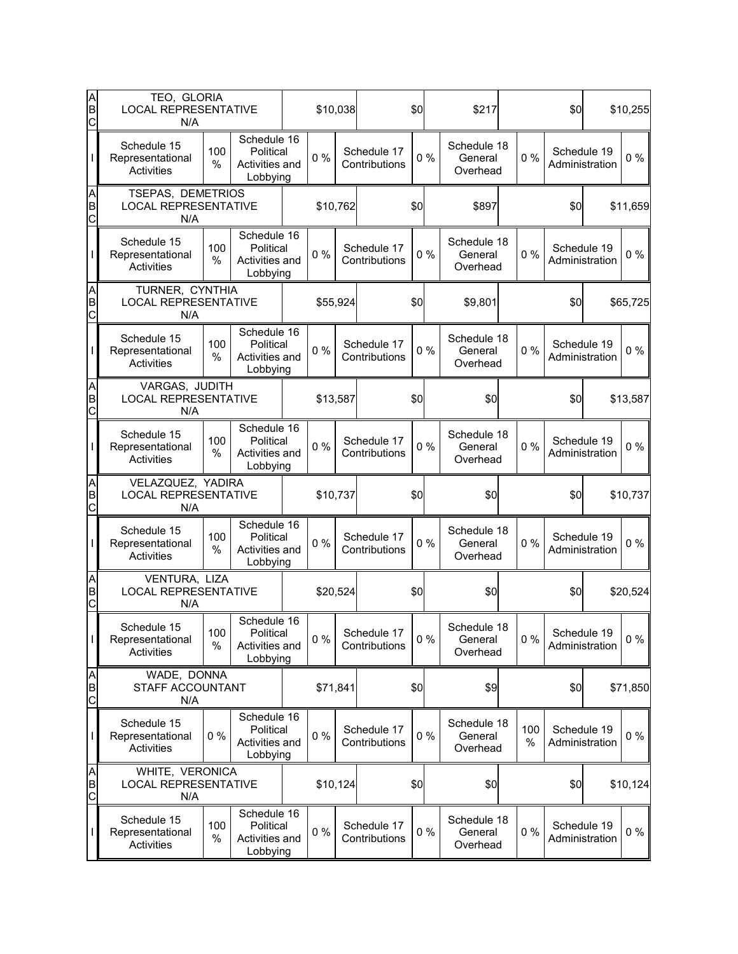| A<br>B<br>C | TEO, GLORIA<br><b>LOCAL REPRESENTATIVE</b><br>N/A       |                                                | \$10,038                                               |  | \$0      |  | \$217                        |       | \$0                                |  | \$10,255                            |                               |          |          |     |  |  |     |  |          |
|-------------|---------------------------------------------------------|------------------------------------------------|--------------------------------------------------------|--|----------|--|------------------------------|-------|------------------------------------|--|-------------------------------------|-------------------------------|----------|----------|-----|--|--|-----|--|----------|
|             | Schedule 15<br>Representational<br>Activities           | 100<br>%                                       | Schedule 16<br>Political<br>Activities and<br>Lobbying |  | $0\%$    |  | Schedule 17<br>Contributions | 0%    | Schedule 18<br>General<br>Overhead |  | 0%                                  | Schedule 19<br>Administration |          | $0\%$    |     |  |  |     |  |          |
| A<br>B<br>C | TSEPAS, DEMETRIOS<br>N/A                                | <b>LOCAL REPRESENTATIVE</b>                    |                                                        |  | \$10,762 |  | \$0                          |       | \$897                              |  | \$0                                 |                               | \$11,659 |          |     |  |  |     |  |          |
|             | Schedule 15<br>Representational<br>Activities           | 100<br>%                                       | Schedule 16<br>Political<br>Activities and<br>Lobbying |  | $0\%$    |  | Schedule 17<br>Contributions | 0%    | Schedule 18<br>General<br>Overhead |  | Schedule 19<br>0%<br>Administration |                               |          | $0\%$    |     |  |  |     |  |          |
| A<br>B<br>C | N/A                                                     | TURNER, CYNTHIA<br><b>LOCAL REPRESENTATIVE</b> |                                                        |  | \$55,924 |  | \$0                          |       | \$9,801                            |  | \$0                                 | \$65,725                      |          |          |     |  |  |     |  |          |
|             | Schedule 15<br>Representational<br>Activities           | 100<br>%                                       | Schedule 16<br>Political<br>Activities and<br>Lobbying |  | 0%       |  | Schedule 17<br>Contributions | 0%    | Schedule 18<br>General<br>Overhead |  | 0%                                  | Schedule 19<br>Administration |          | $0\%$    |     |  |  |     |  |          |
| A<br>B<br>C | VARGAS, JUDITH<br><b>LOCAL REPRESENTATIVE</b><br>N/A    |                                                |                                                        |  | \$13,587 |  |                              | \$0   | \$0                                |  |                                     | \$0                           |          | \$13,587 |     |  |  |     |  |          |
|             | Schedule 15<br>Representational<br>Activities           | 100<br>%                                       | Schedule 16<br>Political<br>Activities and<br>Lobbying |  | $0\%$    |  | Schedule 17<br>Contributions | 0%    | Schedule 18<br>General<br>Overhead |  | 0%                                  | Schedule 19<br>Administration |          | $0\%$    |     |  |  |     |  |          |
| A<br>B<br>C | VELAZQUEZ, YADIRA<br><b>LOCAL REPRESENTATIVE</b><br>N/A |                                                |                                                        |  | \$10,737 |  |                              | \$0   | \$0                                |  |                                     | \$0                           |          | \$10,737 |     |  |  |     |  |          |
|             | Schedule 15<br>Representational<br>Activities           | 100<br>%                                       | Schedule 16<br>Political<br>Activities and<br>Lobbying |  | $0\%$    |  | Schedule 17<br>Contributions | 0%    | Schedule 18<br>General<br>Overhead |  | 0%                                  | Schedule 19<br>Administration |          | $0\%$    |     |  |  |     |  |          |
| A<br>B<br>C | VENTURA, LIZA<br><b>LOCAL REPRESENTATIVE</b><br>N/A     |                                                |                                                        |  | \$20,524 |  |                              | \$0   | \$0                                |  |                                     | \$0                           |          | \$20,524 |     |  |  |     |  |          |
| L           | Schedule 15<br>Representational<br>Activities           | 100<br>$\%$                                    | Schedule 16<br>Political<br>Activities and<br>Lobbying |  | $0\%$    |  | Schedule 17<br>Contributions | $0\%$ | Schedule 18<br>General<br>Overhead |  | 0%                                  | Schedule 19<br>Administration |          | $0\%$    |     |  |  |     |  |          |
| A<br>B<br>C | WADE, DONNA<br>STAFF ACCOUNTANT<br>N/A                  |                                                |                                                        |  |          |  |                              |       | \$71,841                           |  |                                     |                               |          | \$0      | \$9 |  |  | \$0 |  | \$71,850 |
| I           | Schedule 15<br>Representational<br>Activities           | $0\%$                                          | Schedule 16<br>Political<br>Activities and<br>Lobbying |  | $0\%$    |  | Schedule 17<br>Contributions | 0%    | Schedule 18<br>General<br>Overhead |  | 100<br>%                            | Schedule 19<br>Administration |          | $0\%$    |     |  |  |     |  |          |
| A<br>B<br>C | WHITE, VERONICA<br><b>LOCAL REPRESENTATIVE</b><br>N/A   |                                                |                                                        |  | \$10,124 |  |                              | \$0   | \$0                                |  |                                     | \$0                           |          | \$10,124 |     |  |  |     |  |          |
|             | Schedule 15<br>Representational<br>Activities           | 100<br>%                                       | Schedule 16<br>Political<br>Activities and<br>Lobbying |  | $0\%$    |  | Schedule 17<br>Contributions | 0%    | Schedule 18<br>General<br>Overhead |  | 0%                                  | Schedule 19<br>Administration |          | $0\%$    |     |  |  |     |  |          |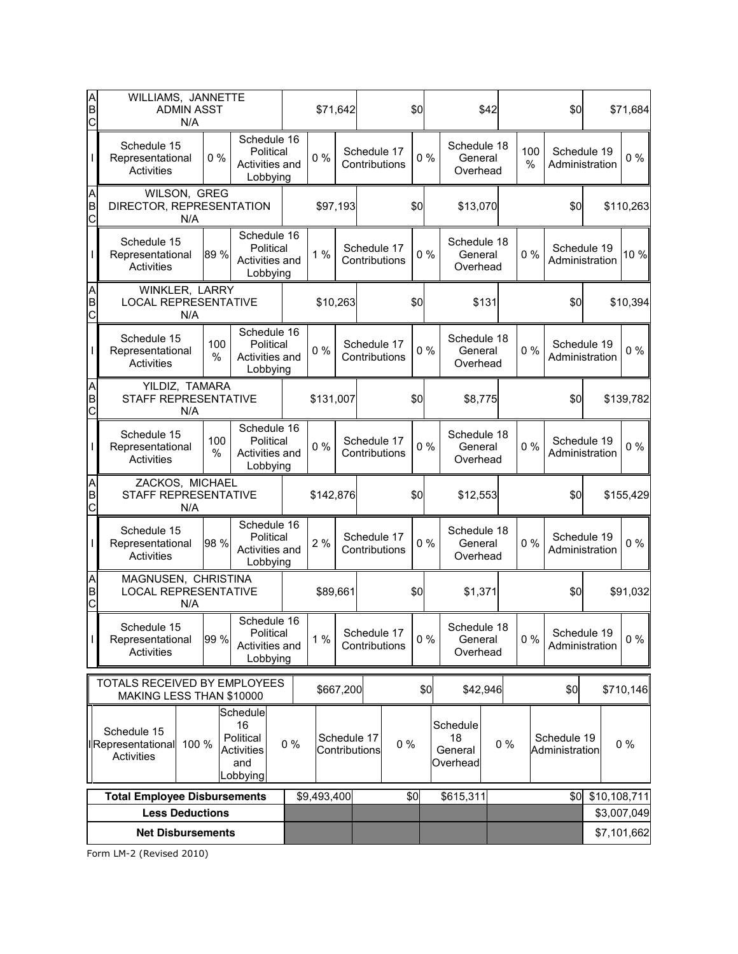| Α<br>B<br>C                     | WILLIAMS, JANNETTE<br><b>ADMIN ASST</b><br>N/A                |          | \$71,642                                                     |          |             | \$0                          |                              |          | \$42                                  |       | \$0      |                               | \$71,684       |                            |
|---------------------------------|---------------------------------------------------------------|----------|--------------------------------------------------------------|----------|-------------|------------------------------|------------------------------|----------|---------------------------------------|-------|----------|-------------------------------|----------------|----------------------------|
|                                 | Schedule 15<br>Representational<br>Activities                 | $0\%$    | Schedule 16<br>Political<br>Activities and<br>Lobbying       |          | 0%          |                              | Schedule 17<br>Contributions | 0%       | Schedule 18<br>General<br>Overhead    |       | 100<br>% | Schedule 19<br>Administration |                | $0\%$                      |
| A<br>B<br>$\overline{\text{c}}$ | WILSON, GREG<br>DIRECTOR, REPRESENTATION<br>N/A               |          |                                                              | \$97,193 |             |                              | \$0                          | \$13,070 |                                       |       | \$0      |                               | \$110,263      |                            |
|                                 | Schedule 15<br>Representational<br>Activities                 | 89 %     | Schedule 16<br>Political<br>Activities and<br>Lobbying       |          | 1%          |                              | Schedule 17<br>Contributions | 0%       | Schedule 18<br>General<br>Overhead    |       | 0%       | Schedule 19<br>Administration |                | 10 %                       |
| A<br>B<br>C                     | WINKLER, LARRY<br><b>LOCAL REPRESENTATIVE</b>                 | N/A      |                                                              |          | \$10,263    |                              |                              | \$0      |                                       | \$131 |          | \$0                           |                | \$10,394                   |
|                                 | Schedule 15<br>Representational<br>Activities                 | 100<br>% | Schedule 16<br>Political<br>Activities and<br>Lobbying       |          | 0%          |                              | Schedule 17<br>Contributions | 0%       | Schedule 18<br>General<br>Overhead    |       | 0%       | Schedule 19<br>Administration |                | $0\%$                      |
| A<br>B<br>C                     | YILDIZ, TAMARA<br>STAFF REPRESENTATIVE                        | N/A      |                                                              |          | \$131,007   |                              |                              | \$0      | \$8,775                               |       |          | \$0                           |                | \$139,782                  |
|                                 | Schedule 15<br>Representational<br>Activities                 | 100<br>% | Schedule 16<br>Political<br>Activities and<br>Lobbying       |          | $0\%$       |                              | Schedule 17<br>Contributions | 0%       | Schedule 18<br>General<br>Overhead    |       | 0%       | Schedule 19<br>Administration |                | $0\%$                      |
| A<br>B<br>$\overline{C}$        | ZACKOS, MICHAEL<br>STAFF REPRESENTATIVE                       | N/A      |                                                              |          | \$142,876   |                              |                              | \$0      | \$12,553                              |       |          | \$0                           |                | \$155,429                  |
|                                 | Schedule 15<br>Representational<br>Activities                 | 98 %     | Schedule 16<br>Political<br>Activities and<br>Lobbying       |          | 2%          |                              | Schedule 17<br>Contributions | 0%       | Schedule 18<br>General<br>Overhead    |       | 0%       | Schedule 19<br>Administration |                | $0\%$                      |
| A<br>B<br>C                     | MAGNUSEN, CHRISTINA<br><b>LOCAL REPRESENTATIVE</b>            | N/A      |                                                              |          | \$89,661    |                              |                              | \$0      | \$1,371                               |       |          | \$0                           |                | \$91,032                   |
| T                               | Schedule 15<br>Representational<br><b>Activities</b>          | 99 %     | Schedule 16<br>Political<br>Activities and<br>Lobbying       |          | 1%          |                              | Schedule 17<br>Contributions | $0\%$    | Schedule 18<br>General<br>Overhead    |       | $0\%$    | Schedule 19                   | Administration | $0\%$                      |
|                                 | TOTALS RECEIVED BY EMPLOYEES<br>MAKING LESS THAN \$10000      |          |                                                              |          |             | \$667,200                    |                              | \$0      | \$42,946                              |       |          | \$0                           |                | \$710,146                  |
|                                 | Schedule 15<br><b>I</b> Representational<br><b>Activities</b> | 100 %    | Schedule<br>16<br>Political<br>Activities<br>and<br>Lobbying | $0\%$    |             | Schedule 17<br>Contributions | $0\%$                        |          | Schedule<br>18<br>General<br>Overhead | $0\%$ |          | Schedule 19<br>Administration |                | $0\%$                      |
|                                 | <b>Total Employee Disbursements</b>                           |          |                                                              |          | \$9,493,400 |                              |                              | \$0      | \$615,311                             |       |          | \$0                           | \$10,108,711   |                            |
|                                 | <b>Less Deductions</b>                                        |          |                                                              |          |             |                              |                              |          |                                       |       |          |                               |                | \$3,007,049<br>\$7,101,662 |
|                                 | <b>Net Disbursements</b>                                      |          |                                                              |          |             |                              |                              |          |                                       |       |          |                               |                |                            |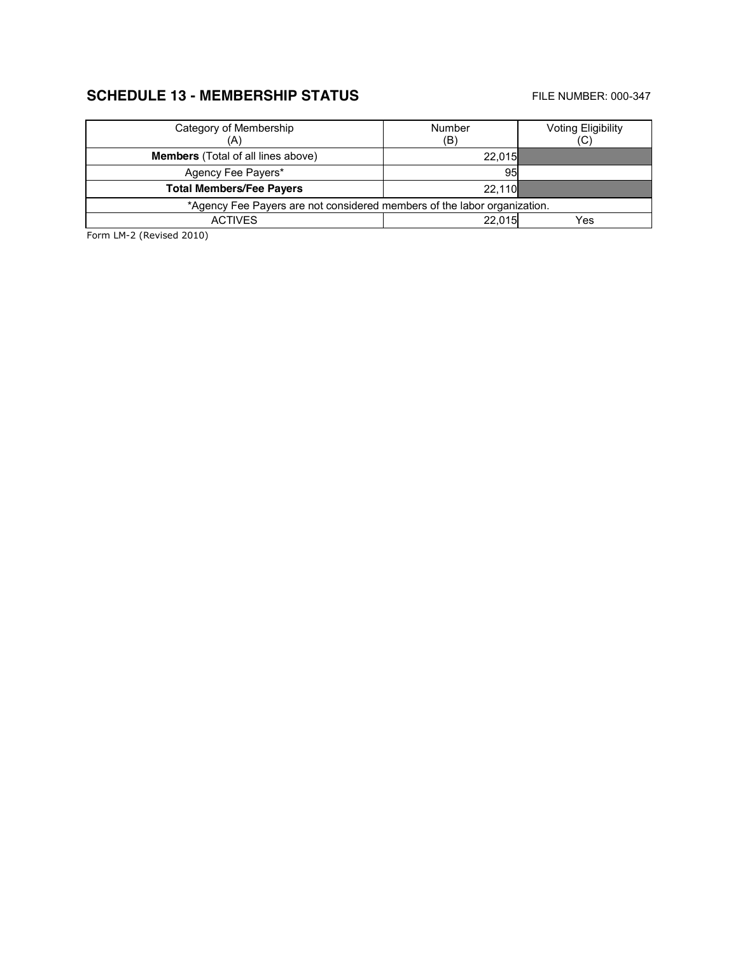## **SCHEDULE 13 - MEMBERSHIP STATUS** FILE NUMBER: 000-347

| Category of Membership<br>(A)                                            | Number<br>(B) | <b>Voting Eligibility</b><br>(C) |  |  |
|--------------------------------------------------------------------------|---------------|----------------------------------|--|--|
| <b>Members</b> (Total of all lines above)                                | 22.015        |                                  |  |  |
| Agency Fee Payers*                                                       | 95            |                                  |  |  |
| <b>Total Members/Fee Payers</b>                                          | 22.110        |                                  |  |  |
| *Agency Fee Payers are not considered members of the labor organization. |               |                                  |  |  |
| <b>ACTIVES</b>                                                           | 22.015        | Yes                              |  |  |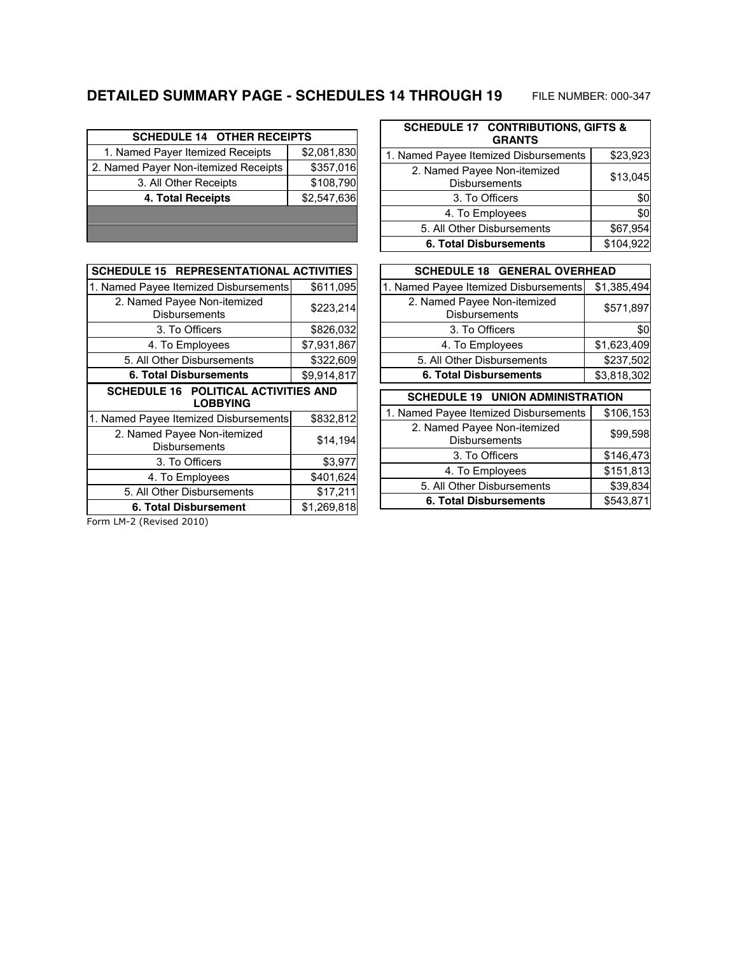# **DETAILED SUMMARY PAGE - SCHEDULES 14 THROUGH 19** FILE NUMBER: 000-347

| <b>SCHEDULE 14 OTHER RECEIPTS</b>    |             |
|--------------------------------------|-------------|
| 1. Named Payer Itemized Receipts     | \$2,081,830 |
| 2. Named Payer Non-itemized Receipts | \$357,016   |
| 3. All Other Receipts                | \$108,790   |
| 4. Total Receipts                    | \$2,547,636 |
|                                      |             |
|                                      |             |

| <b>SCHEDULE 15 REPRESENTATIONAL ACTIVITIES</b>          |             |  |  |  |  |
|---------------------------------------------------------|-------------|--|--|--|--|
| 1. Named Payee Itemized Disbursements                   | \$611,095   |  |  |  |  |
| 2. Named Payee Non-itemized<br>Disbursements            | \$223,214   |  |  |  |  |
| 3. To Officers                                          | \$826,032   |  |  |  |  |
| 4. To Employees                                         | \$7,931,867 |  |  |  |  |
| 5. All Other Disbursements                              | \$322,609   |  |  |  |  |
| 6. Total Disbursements                                  | \$9,914,817 |  |  |  |  |
| SCHEDULE 16 POLITICAL ACTIVITIES AND<br><b>LOBBYING</b> |             |  |  |  |  |
| 1. Named Payee Itemized Disbursements                   | \$832,812   |  |  |  |  |
| 2. Named Payee Non-itemized<br><b>Disbursements</b>     | \$14,194    |  |  |  |  |
| 3. To Officers                                          | \$3,977     |  |  |  |  |
| 4. To Employees                                         | \$401,624   |  |  |  |  |
| 5. All Other Disbursements                              | \$17,211    |  |  |  |  |
| 6. Total Disbursement                                   | \$1,269,818 |  |  |  |  |
|                                                         |             |  |  |  |  |

| <b>SCHEDULE 17 CONTRIBUTIONS, GIFTS &amp;</b><br><b>GRANTS</b> |           |  |  |  |  |
|----------------------------------------------------------------|-----------|--|--|--|--|
| \$23,923<br>1. Named Payee Itemized Disbursements              |           |  |  |  |  |
| 2. Named Payee Non-itemized<br><b>Disbursements</b>            | \$13,045  |  |  |  |  |
| 3. To Officers                                                 |           |  |  |  |  |
| 4. To Employees                                                | \$0       |  |  |  |  |
| 5. All Other Disbursements                                     | \$67,954  |  |  |  |  |
| <b>6. Total Disbursements</b>                                  | \$104,922 |  |  |  |  |

| <b>SCHEDULE 18 GENERAL OVERHEAD</b>                 |             |  |  |  |  |
|-----------------------------------------------------|-------------|--|--|--|--|
| 1. Named Payee Itemized Disbursements               | \$1,385,494 |  |  |  |  |
| 2. Named Payee Non-itemized<br><b>Disbursements</b> | \$571,897   |  |  |  |  |
| 3. To Officers                                      | \$0         |  |  |  |  |
| 4. To Employees                                     | \$1,623,409 |  |  |  |  |
| 5. All Other Disbursements                          | \$237,502   |  |  |  |  |
| 6. Total Disbursements                              | \$3,818,302 |  |  |  |  |
| SCHEDULE 19 UNION ADMINISTRATION                    |             |  |  |  |  |
| 1. Named Payee Itemized Disbursements               | \$106,153   |  |  |  |  |
| 2. Named Payee Non-itemized<br><b>Disbursements</b> | \$99,598    |  |  |  |  |
| 3. To Officers                                      | \$146,473   |  |  |  |  |
| 4. To Employees                                     | \$151,813   |  |  |  |  |
| 5. All Other Disbursements                          | \$39,834    |  |  |  |  |
|                                                     |             |  |  |  |  |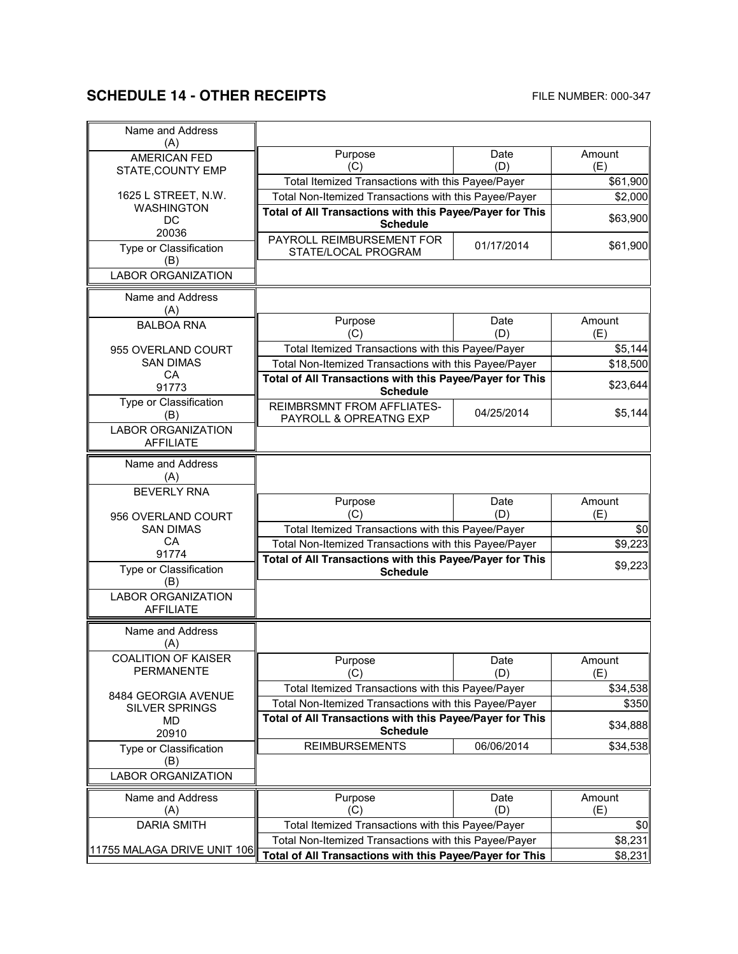# **SCHEDULE 14 - OTHER RECEIPTS** FILE NUMBER: 000-347

 $\mathbf{r}$ 

| Name and Address                              |                                                                                                                   |            |          |
|-----------------------------------------------|-------------------------------------------------------------------------------------------------------------------|------------|----------|
| (A)                                           | Purpose                                                                                                           | Date       | Amount   |
| <b>AMERICAN FED</b>                           | (C)                                                                                                               | (D)        | (E)      |
| STATE, COUNTY EMP                             | Total Itemized Transactions with this Payee/Payer                                                                 |            | \$61,900 |
| 1625 L STREET, N.W.                           | Total Non-Itemized Transactions with this Payee/Payer                                                             |            | \$2,000  |
| <b>WASHINGTON</b>                             | Total of All Transactions with this Payee/Payer for This                                                          |            |          |
| DC<br>20036                                   | <b>Schedule</b>                                                                                                   |            | \$63,900 |
| Type or Classification                        | PAYROLL REIMBURSEMENT FOR                                                                                         | 01/17/2014 | \$61,900 |
| (B)                                           | STATE/LOCAL PROGRAM                                                                                               |            |          |
| <b>LABOR ORGANIZATION</b>                     |                                                                                                                   |            |          |
| Name and Address                              |                                                                                                                   |            |          |
| (A)                                           |                                                                                                                   |            |          |
| <b>BALBOA RNA</b>                             | Purpose                                                                                                           | Date       | Amount   |
|                                               | (C)                                                                                                               | (D)        | (E)      |
| 955 OVERLAND COURT<br><b>SAN DIMAS</b>        | Total Itemized Transactions with this Payee/Payer                                                                 |            | \$5,144  |
| CA                                            | Total Non-Itemized Transactions with this Payee/Payer<br>Total of All Transactions with this Payee/Payer for This |            | \$18,500 |
| 91773                                         | <b>Schedule</b>                                                                                                   |            | \$23,644 |
| Type or Classification                        | <b>REIMBRSMNT FROM AFFLIATES-</b>                                                                                 | 04/25/2014 | \$5,144  |
| (B)<br><b>LABOR ORGANIZATION</b>              | PAYROLL & OPREATNG EXP                                                                                            |            |          |
| <b>AFFILIATF</b>                              |                                                                                                                   |            |          |
|                                               |                                                                                                                   |            |          |
| Name and Address<br>(A)                       |                                                                                                                   |            |          |
| <b>BEVERLY RNA</b>                            |                                                                                                                   |            |          |
|                                               | Purpose                                                                                                           | Date       | Amount   |
| 956 OVERLAND COURT                            | (C)                                                                                                               | (D)        | (E)      |
| <b>SAN DIMAS</b>                              | Total Itemized Transactions with this Payee/Payer                                                                 |            | \$0      |
| СA<br>91774                                   | Total Non-Itemized Transactions with this Payee/Payer                                                             |            | \$9,223  |
| Type or Classification                        | Total of All Transactions with this Payee/Payer for This<br><b>Schedule</b>                                       |            | \$9,223  |
| (B)                                           |                                                                                                                   |            |          |
| <b>LABOR ORGANIZATION</b><br><b>AFFILIATE</b> |                                                                                                                   |            |          |
| Name and Address                              |                                                                                                                   |            |          |
| (A)                                           |                                                                                                                   |            |          |
| <b>COALITION OF KAISER</b>                    | Purpose                                                                                                           | Date       | Amount   |
| <b>PERMANENTE</b>                             | (C)                                                                                                               | (D)        | (E)      |
| 8484 GEORGIA AVENUE                           | Total Itemized Transactions with this Payee/Payer                                                                 |            | \$34,538 |
| <b>SILVER SPRINGS</b>                         | Total Non-Itemized Transactions with this Payee/Payer                                                             |            | \$350    |
| MD.                                           | Total of All Transactions with this Payee/Payer for This                                                          |            | \$34,888 |
| 20910                                         | <b>Schedule</b>                                                                                                   |            |          |
| Type or Classification                        | <b>REIMBURSEMENTS</b>                                                                                             | 06/06/2014 | \$34,538 |
| (B)<br><b>LABOR ORGANIZATION</b>              |                                                                                                                   |            |          |
|                                               |                                                                                                                   |            |          |
| Name and Address                              | Purpose                                                                                                           | Date       | Amount   |
| (A)                                           | (C)                                                                                                               | (D)        | (E)      |
| <b>DARIA SMITH</b>                            | Total Itemized Transactions with this Payee/Payer                                                                 |            | \$0      |
| 11755 MALAGA DRIVE UNIT 106                   | Total Non-Itemized Transactions with this Payee/Payer                                                             |            | \$8,231  |
|                                               | Total of All Transactions with this Payee/Payer for This                                                          |            | \$8,231  |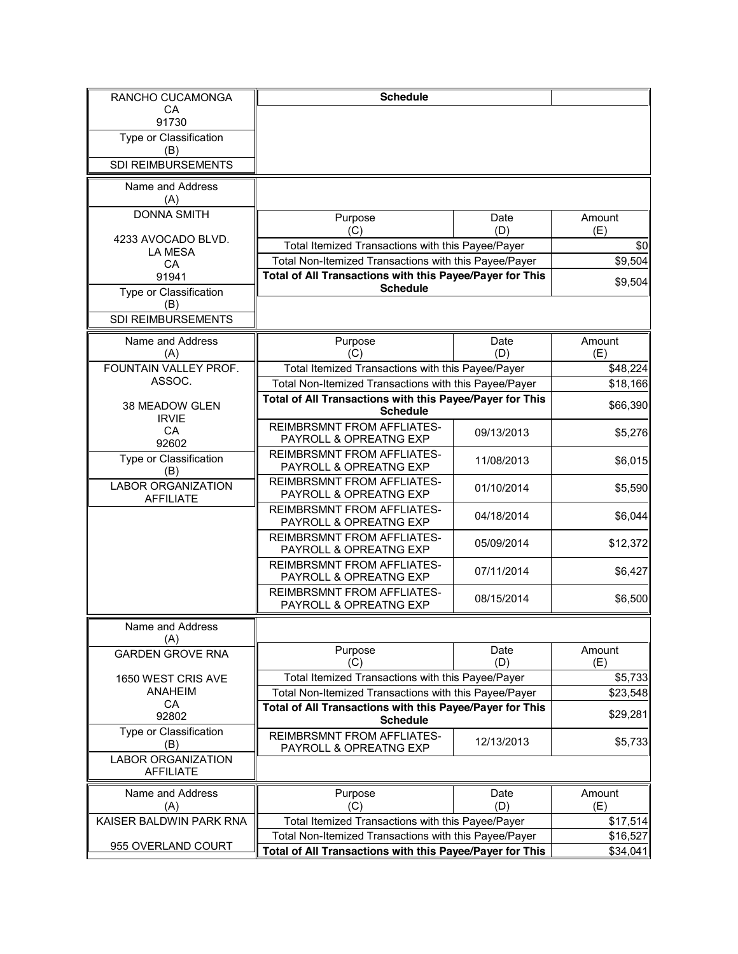| RANCHO CUCAMONGA                              | <b>Schedule</b>                                             |             |                 |
|-----------------------------------------------|-------------------------------------------------------------|-------------|-----------------|
| CA                                            |                                                             |             |                 |
| 91730<br>Type or Classification               |                                                             |             |                 |
| (B)                                           |                                                             |             |                 |
| SDI REIMBURSEMENTS                            |                                                             |             |                 |
| Name and Address<br>(A)                       |                                                             |             |                 |
| <b>DONNA SMITH</b>                            | Purpose                                                     | Date        | Amount          |
|                                               | (C)                                                         | (D)         | (E)             |
| 4233 AVOCADO BLVD.<br><b>LA MESA</b>          | Total Itemized Transactions with this Payee/Payer           |             | \$0             |
| CA                                            | Total Non-Itemized Transactions with this Payee/Payer       |             | \$9,504         |
| 91941                                         | Total of All Transactions with this Payee/Payer for This    |             | \$9,504         |
| Type or Classification                        | <b>Schedule</b>                                             |             |                 |
| (B)<br>SDI REIMBURSEMENTS                     |                                                             |             |                 |
|                                               |                                                             |             |                 |
| Name and Address                              | Purpose<br>(C)                                              | Date<br>(D) | Amount          |
| (A)<br>FOUNTAIN VALLEY PROF.                  | Total Itemized Transactions with this Payee/Payer           |             | (E)<br>\$48,224 |
| ASSOC.                                        | Total Non-Itemized Transactions with this Payee/Payer       |             | \$18,166        |
|                                               | Total of All Transactions with this Payee/Payer for This    |             |                 |
| 38 MEADOW GLEN<br><b>IRVIE</b>                | <b>Schedule</b>                                             |             | \$66,390        |
| CA                                            | <b>REIMBRSMNT FROM AFFLIATES-</b>                           | 09/13/2013  | \$5,276         |
| 92602                                         | PAYROLL & OPREATNG EXP                                      |             |                 |
| Type or Classification<br>(B)                 | <b>REIMBRSMNT FROM AFFLIATES-</b><br>PAYROLL & OPREATNG EXP | 11/08/2013  | \$6,015         |
| <b>LABOR ORGANIZATION</b><br><b>AFFILIATE</b> | <b>REIMBRSMNT FROM AFFLIATES-</b><br>PAYROLL & OPREATNG EXP | 01/10/2014  | \$5,590         |
|                                               | <b>REIMBRSMNT FROM AFFLIATES-</b><br>PAYROLL & OPREATNG EXP | 04/18/2014  | \$6,044         |
|                                               | <b>REIMBRSMNT FROM AFFLIATES-</b><br>PAYROLL & OPREATNG EXP | 05/09/2014  | \$12,372        |
|                                               | <b>REIMBRSMNT FROM AFFLIATES-</b><br>PAYROLL & OPREATNG EXP | 07/11/2014  | \$6,427         |
|                                               | <b>REIMBRSMNT FROM AFFLIATES-</b><br>PAYROLL & OPREATNG EXP | 08/15/2014  | \$6,500         |
| Name and Address                              |                                                             |             |                 |
| (A)<br><b>GARDEN GROVE RNA</b>                | Purpose                                                     | Date        | Amount          |
|                                               | (C)                                                         | (D)         | (E)             |
| 1650 WEST CRIS AVE                            | Total Itemized Transactions with this Payee/Payer           |             | \$5,733         |
| ANAHEIM                                       | Total Non-Itemized Transactions with this Payee/Payer       |             | \$23,548        |
| CA<br>92802                                   | Total of All Transactions with this Payee/Payer for This    |             | \$29,281        |
| Type or Classification                        | <b>Schedule</b><br><b>REIMBRSMNT FROM AFFLIATES-</b>        |             |                 |
| (B)                                           | PAYROLL & OPREATNG EXP                                      | 12/13/2013  | \$5,733         |
| <b>LABOR ORGANIZATION</b><br><b>AFFILIATE</b> |                                                             |             |                 |
| Name and Address                              | Purpose                                                     | Date        | Amount          |
| (A)                                           | (C)                                                         | (D)         | (E)             |
| KAISER BALDWIN PARK RNA                       | Total Itemized Transactions with this Payee/Payer           |             | \$17,514        |
|                                               | Total Non-Itemized Transactions with this Payee/Payer       |             | \$16,527        |
| 955 OVERLAND COURT                            | Total of All Transactions with this Payee/Payer for This    |             | \$34,041        |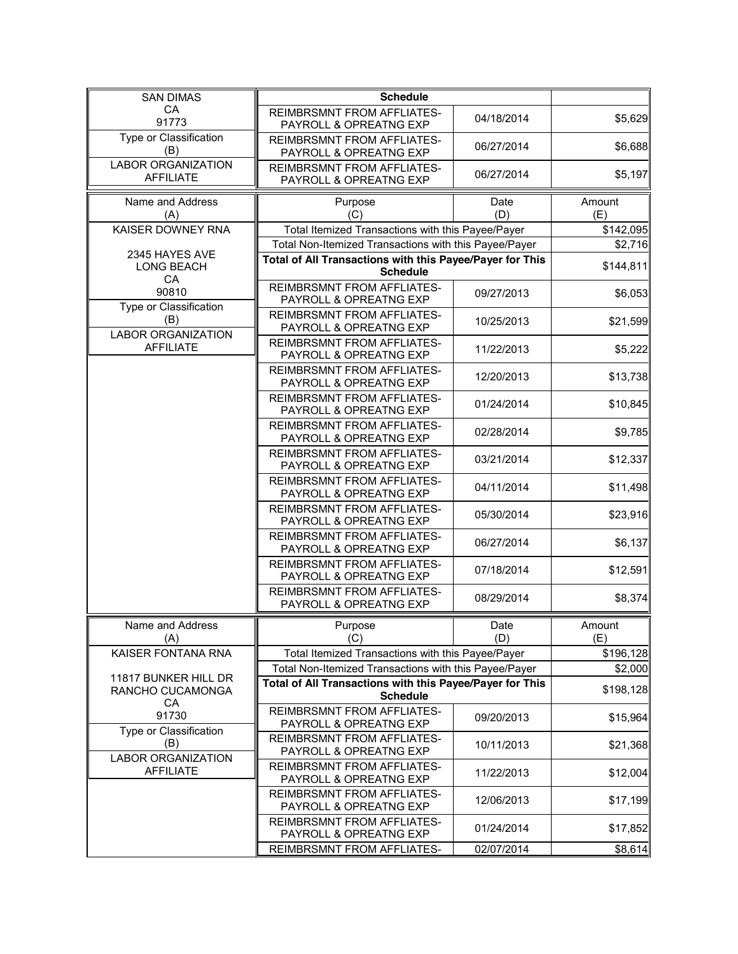| <b>SAN DIMAS</b>                              | <b>Schedule</b>                                                             |             |               |
|-----------------------------------------------|-----------------------------------------------------------------------------|-------------|---------------|
| CA<br>91773                                   | <b>REIMBRSMNT FROM AFFLIATES-</b><br>PAYROLL & OPREATNG EXP                 | 04/18/2014  | \$5,629       |
| Type or Classification<br>(B)                 | <b>REIMBRSMNT FROM AFFLIATES-</b><br>PAYROLL & OPREATNG EXP                 | 06/27/2014  | \$6,688       |
| <b>LABOR ORGANIZATION</b><br><b>AFFILIATE</b> | <b>REIMBRSMNT FROM AFFLIATES-</b><br>PAYROLL & OPREATNG EXP                 | 06/27/2014  | \$5,197       |
| Name and Address<br>(A)                       | Purpose<br>(C)                                                              | Date<br>(D) | Amount<br>(E) |
| KAISER DOWNEY RNA                             | Total Itemized Transactions with this Payee/Payer                           |             | \$142,095     |
|                                               | Total Non-Itemized Transactions with this Payee/Payer                       |             | \$2,716       |
| 2345 HAYES AVE<br>LONG BEACH<br>CA            | Total of All Transactions with this Payee/Payer for This<br><b>Schedule</b> |             | \$144,811     |
| 90810<br>Type or Classification               | <b>REIMBRSMNT FROM AFFLIATES-</b><br>PAYROLL & OPREATNG EXP                 | 09/27/2013  | \$6,053       |
| (B)<br><b>LABOR ORGANIZATION</b>              | <b>REIMBRSMNT FROM AFFLIATES-</b><br>PAYROLL & OPREATNG EXP                 | 10/25/2013  | \$21,599      |
| <b>AFFILIATE</b>                              | <b>REIMBRSMNT FROM AFFLIATES-</b><br>PAYROLL & OPREATNG EXP                 | 11/22/2013  | \$5,222       |
|                                               | <b>REIMBRSMNT FROM AFFLIATES-</b><br>PAYROLL & OPREATNG EXP                 | 12/20/2013  | \$13,738      |
|                                               | <b>REIMBRSMNT FROM AFFLIATES-</b><br>PAYROLL & OPREATNG EXP                 | 01/24/2014  | \$10,845      |
|                                               | <b>REIMBRSMNT FROM AFFLIATES-</b><br>PAYROLL & OPREATNG EXP                 | 02/28/2014  | \$9,785       |
|                                               | <b>REIMBRSMNT FROM AFFLIATES-</b><br>PAYROLL & OPREATNG EXP                 | 03/21/2014  | \$12,337      |
|                                               | <b>REIMBRSMNT FROM AFFLIATES-</b><br>PAYROLL & OPREATNG EXP                 | 04/11/2014  | \$11,498      |
|                                               | <b>REIMBRSMNT FROM AFFLIATES-</b><br>PAYROLL & OPREATNG EXP                 | 05/30/2014  | \$23,916      |
|                                               | <b>REIMBRSMNT FROM AFFLIATES-</b><br>PAYROLL & OPREATNG EXP                 | 06/27/2014  | \$6,137       |
|                                               | <b>REIMBRSMNT FROM AFFLIATES-</b><br>PAYROLL & OPREATNG EXP                 | 07/18/2014  | \$12,591      |
|                                               | <b>REIMBRSMNT FROM AFFLIATES-</b><br>PAYROLL & OPREATNG EXP                 | 08/29/2014  | \$8,374       |
| Name and Address<br>(A)                       | Purpose<br>(C)                                                              | Date<br>(D) | Amount<br>(E) |
| KAISER FONTANA RNA                            | Total Itemized Transactions with this Payee/Payer                           |             | \$196,128     |
|                                               | Total Non-Itemized Transactions with this Payee/Payer                       |             | \$2,000       |
| 11817 BUNKER HILL DR<br>RANCHO CUCAMONGA      | Total of All Transactions with this Payee/Payer for This<br><b>Schedule</b> |             | \$198,128     |
| CA<br>91730                                   | <b>REIMBRSMNT FROM AFFLIATES-</b><br>PAYROLL & OPREATNG EXP                 | 09/20/2013  | \$15,964      |
| Type or Classification<br>(B)                 | REIMBRSMNT FROM AFFLIATES-<br>PAYROLL & OPREATNG EXP                        | 10/11/2013  | \$21,368      |
| <b>LABOR ORGANIZATION</b><br><b>AFFILIATE</b> | <b>REIMBRSMNT FROM AFFLIATES-</b><br>PAYROLL & OPREATNG EXP                 | 11/22/2013  | \$12,004      |
|                                               | REIMBRSMNT FROM AFFLIATES-<br>PAYROLL & OPREATNG EXP                        | 12/06/2013  | \$17,199      |
|                                               | <b>REIMBRSMNT FROM AFFLIATES-</b><br>PAYROLL & OPREATNG EXP                 | 01/24/2014  | \$17,852      |
|                                               | REIMBRSMNT FROM AFFLIATES-                                                  | 02/07/2014  | \$8,614       |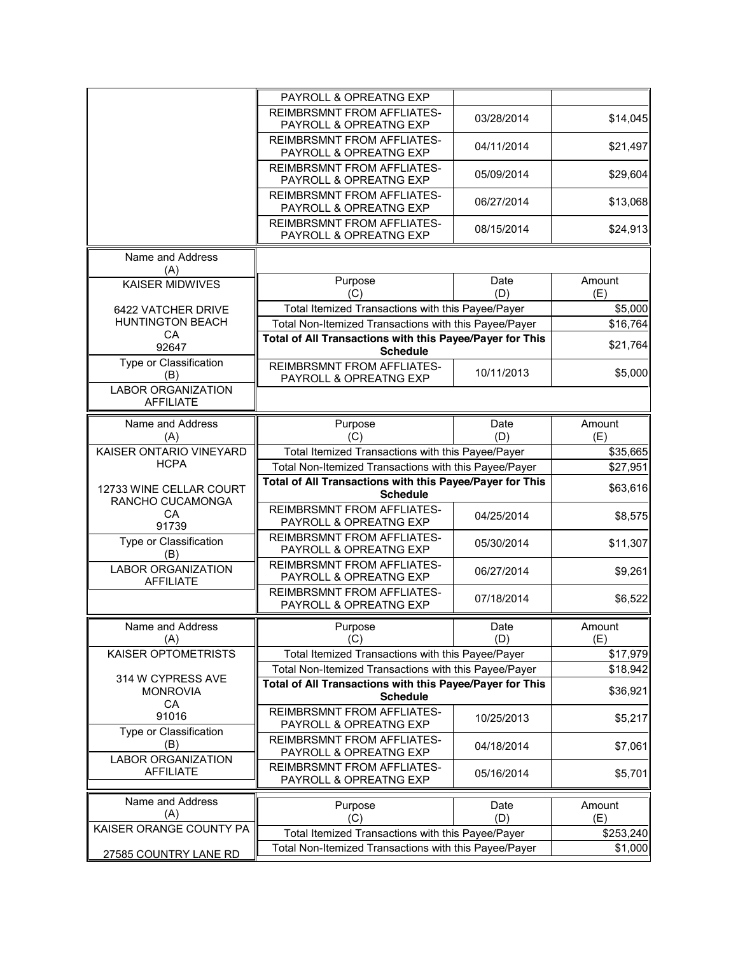|                                               | PAYROLL & OPREATNG EXP                                                                                     |             |                      |
|-----------------------------------------------|------------------------------------------------------------------------------------------------------------|-------------|----------------------|
|                                               | <b>REIMBRSMNT FROM AFFLIATES-</b><br>PAYROLL & OPREATNG EXP                                                | 03/28/2014  | \$14,045             |
|                                               | <b>REIMBRSMNT FROM AFFLIATES-</b><br>PAYROLL & OPREATNG EXP                                                | 04/11/2014  | \$21,497             |
|                                               | <b>REIMBRSMNT FROM AFFLIATES-</b><br>PAYROLL & OPREATNG EXP                                                | 05/09/2014  | \$29,604             |
|                                               | <b>REIMBRSMNT FROM AFFLIATES-</b><br>PAYROLL & OPREATNG EXP                                                | 06/27/2014  | \$13,068             |
|                                               | <b>REIMBRSMNT FROM AFFLIATES-</b><br>PAYROLL & OPREATNG EXP                                                | 08/15/2014  | \$24,913             |
| Name and Address<br>(A)                       |                                                                                                            |             |                      |
| <b>KAISER MIDWIVES</b>                        | Purpose<br>(C)                                                                                             | Date<br>(D) | Amount<br>(E)        |
| 6422 VATCHER DRIVE                            | Total Itemized Transactions with this Payee/Payer                                                          |             | \$5,000              |
| <b>HUNTINGTON BEACH</b>                       | Total Non-Itemized Transactions with this Payee/Payer                                                      |             | \$16,764             |
| CA<br>92647                                   | Total of All Transactions with this Payee/Payer for This                                                   |             | \$21,764             |
| Type or Classification                        | <b>Schedule</b>                                                                                            |             |                      |
| (B)<br><b>LABOR ORGANIZATION</b>              | REIMBRSMNT FROM AFFLIATES-<br>PAYROLL & OPREATNG EXP                                                       | 10/11/2013  | \$5,000              |
| <b>AFFILIATE</b>                              |                                                                                                            |             |                      |
| Name and Address                              | Purpose                                                                                                    | Date        | Amount               |
| (A)                                           | (C)                                                                                                        | (D)         | (E)                  |
| KAISER ONTARIO VINEYARD<br><b>HCPA</b>        | Total Itemized Transactions with this Payee/Payer                                                          |             | \$35,665             |
|                                               | Total Non-Itemized Transactions with this Payee/Payer                                                      |             | \$27,951             |
|                                               |                                                                                                            |             |                      |
| 12733 WINE CELLAR COURT                       | Total of All Transactions with this Payee/Payer for This<br><b>Schedule</b>                                |             | \$63,616             |
| RANCHO CUCAMONGA<br>CA<br>91739               | <b>REIMBRSMNT FROM AFFLIATES-</b><br>PAYROLL & OPREATNG EXP                                                | 04/25/2014  |                      |
| Type or Classification                        | <b>REIMBRSMNT FROM AFFLIATES-</b><br>PAYROLL & OPREATNG EXP                                                | 05/30/2014  | \$8,575<br>\$11,307  |
| (B)<br><b>LABOR ORGANIZATION</b>              | <b>REIMBRSMNT FROM AFFLIATES-</b><br>PAYROLL & OPREATNG EXP                                                | 06/27/2014  |                      |
| <b>AFFILIATE</b>                              | <b>REIMBRSMNT FROM AFFLIATES-</b><br>PAYROLL & OPREATNG EXP                                                | 07/18/2014  | \$9,261<br>\$6,522   |
| Name and Address<br>(A)                       | Purpose<br>(C)                                                                                             | Date<br>(D) | Amount<br>(E)        |
| KAISER OPTOMETRISTS                           | Total Itemized Transactions with this Payee/Payer                                                          |             | \$17,979             |
|                                               | Total Non-Itemized Transactions with this Payee/Payer                                                      |             | \$18,942             |
| 314 W CYPRESS AVE<br><b>MONROVIA</b>          | Total of All Transactions with this Payee/Payer for This<br><b>Schedule</b>                                |             |                      |
| <b>CA</b><br>91016                            | <b>REIMBRSMNT FROM AFFLIATES-</b><br>PAYROLL & OPREATNG EXP                                                | 10/25/2013  | \$36,921<br>\$5,217  |
| Type or Classification<br>(B)                 | <b>REIMBRSMNT FROM AFFLIATES-</b><br>PAYROLL & OPREATNG EXP                                                | 04/18/2014  | \$7,061              |
| <b>LABOR ORGANIZATION</b><br><b>AFFILIATE</b> | REIMBRSMNT FROM AFFLIATES-<br>PAYROLL & OPREATNG EXP                                                       | 05/16/2014  | \$5,701              |
|                                               |                                                                                                            |             |                      |
| Name and Address                              | Purpose                                                                                                    | Date        | Amount               |
| (A)<br>KAISER ORANGE COUNTY PA                | (C)                                                                                                        | (D)         | (E)                  |
| 27585 COUNTRY LANE RD                         | Total Itemized Transactions with this Payee/Payer<br>Total Non-Itemized Transactions with this Payee/Payer |             | \$253,240<br>\$1,000 |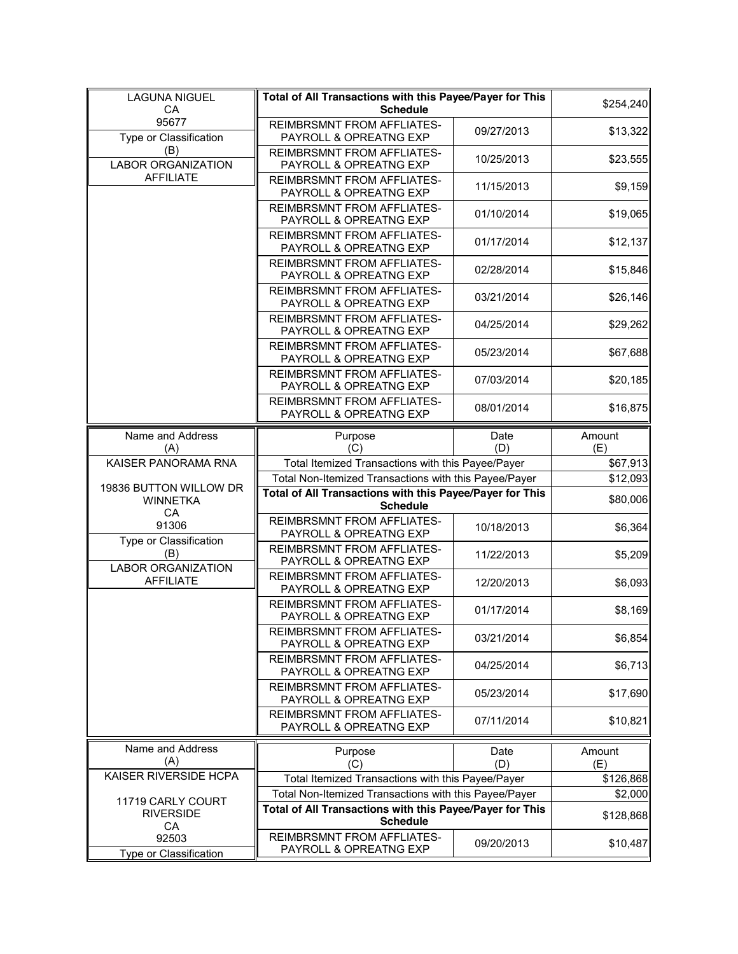| <b>LAGUNA NIGUEL</b><br>CA                      | Total of All Transactions with this Payee/Payer for This<br><b>Schedule</b> |             | \$254,240             |
|-------------------------------------------------|-----------------------------------------------------------------------------|-------------|-----------------------|
| 95677<br>Type or Classification                 | <b>REIMBRSMNT FROM AFFLIATES-</b><br>PAYROLL & OPREATNG EXP                 | 09/27/2013  | \$13,322              |
| (B)<br><b>LABOR ORGANIZATION</b>                | <b>REIMBRSMNT FROM AFFLIATES-</b><br>PAYROLL & OPREATNG EXP                 | 10/25/2013  | \$23,555              |
| <b>AFFILIATE</b>                                | REIMBRSMNT FROM AFFLIATES-<br>PAYROLL & OPREATNG EXP                        | 11/15/2013  | \$9,159               |
|                                                 | <b>REIMBRSMNT FROM AFFLIATES-</b><br>PAYROLL & OPREATNG EXP                 | 01/10/2014  | \$19,065              |
|                                                 | <b>REIMBRSMNT FROM AFFLIATES-</b><br>PAYROLL & OPREATNG EXP                 | 01/17/2014  | \$12,137              |
|                                                 | <b>REIMBRSMNT FROM AFFLIATES-</b><br>PAYROLL & OPREATNG EXP                 | 02/28/2014  | \$15,846              |
|                                                 | REIMBRSMNT FROM AFFLIATES-<br>PAYROLL & OPREATNG EXP                        | 03/21/2014  | \$26,146              |
|                                                 | <b>REIMBRSMNT FROM AFFLIATES-</b><br>PAYROLL & OPREATNG EXP                 | 04/25/2014  | \$29,262              |
|                                                 | <b>REIMBRSMNT FROM AFFLIATES-</b><br>PAYROLL & OPREATNG EXP                 | 05/23/2014  | \$67,688              |
|                                                 | REIMBRSMNT FROM AFFLIATES-<br>PAYROLL & OPREATNG EXP                        | 07/03/2014  | \$20,185              |
|                                                 | <b>REIMBRSMNT FROM AFFLIATES-</b><br>PAYROLL & OPREATNG EXP                 | 08/01/2014  | \$16,875              |
| Name and Address<br>(A)                         | Purpose<br>(C)                                                              | Date<br>(D) | Amount<br>(E)         |
| KAISER PANORAMA RNA                             | Total Itemized Transactions with this Payee/Payer                           |             | \$67,913              |
|                                                 | Total Non-Itemized Transactions with this Payee/Payer                       |             | \$12,093              |
| 19836 BUTTON WILLOW DR<br><b>WINNETKA</b><br>CA | Total of All Transactions with this Payee/Payer for This<br><b>Schedule</b> |             | \$80,006              |
| 91306                                           | <b>REIMBRSMNT FROM AFFLIATES-</b><br>PAYROLL & OPREATNG EXP                 | 10/18/2013  | \$6,364               |
| Type or Classification<br>(B)                   | <b>REIMBRSMNT FROM AFFLIATES-</b>                                           |             |                       |
|                                                 | PAYROLL & OPREATNG EXP                                                      | 11/22/2013  |                       |
| <b>LABOR ORGANIZATION</b><br><b>AFFILIATE</b>   | REIMBRSMNT FROM AFFLIATES-<br>PAYROLL & OPREATNG EXP                        | 12/20/2013  | \$5,209<br>\$6,093    |
|                                                 | <b>REIMBRSMNT FROM AFFLIATES-</b><br>PAYROLL & OPREATNG EXP                 | 01/17/2014  |                       |
|                                                 | REIMBRSMNT FROM AFFLIATES-<br>PAYROLL & OPREATNG EXP                        | 03/21/2014  | \$8,169<br>\$6,854    |
|                                                 | <b>REIMBRSMNT FROM AFFLIATES-</b><br>PAYROLL & OPREATNG EXP                 | 04/25/2014  | \$6,713               |
|                                                 | <b>REIMBRSMNT FROM AFFLIATES-</b><br>PAYROLL & OPREATNG EXP                 | 05/23/2014  |                       |
|                                                 | <b>REIMBRSMNT FROM AFFLIATES-</b><br>PAYROLL & OPREATNG EXP                 | 07/11/2014  | \$17,690<br>\$10,821  |
| Name and Address<br>(A)                         | Purpose                                                                     | Date        | Amount                |
| KAISER RIVERSIDE HCPA                           | (C)<br>Total Itemized Transactions with this Payee/Payer                    | (D)         | (E)<br>\$126,868      |
|                                                 | Total Non-Itemized Transactions with this Payee/Payer                       |             | \$2,000               |
| 11719 CARLY COURT<br><b>RIVERSIDE</b>           | Total of All Transactions with this Payee/Payer for This<br><b>Schedule</b> |             |                       |
| CA<br>92503<br><b>Type or Classification</b>    | REIMBRSMNT FROM AFFLIATES-<br>PAYROLL & OPREATNG EXP                        | 09/20/2013  | \$128,868<br>\$10,487 |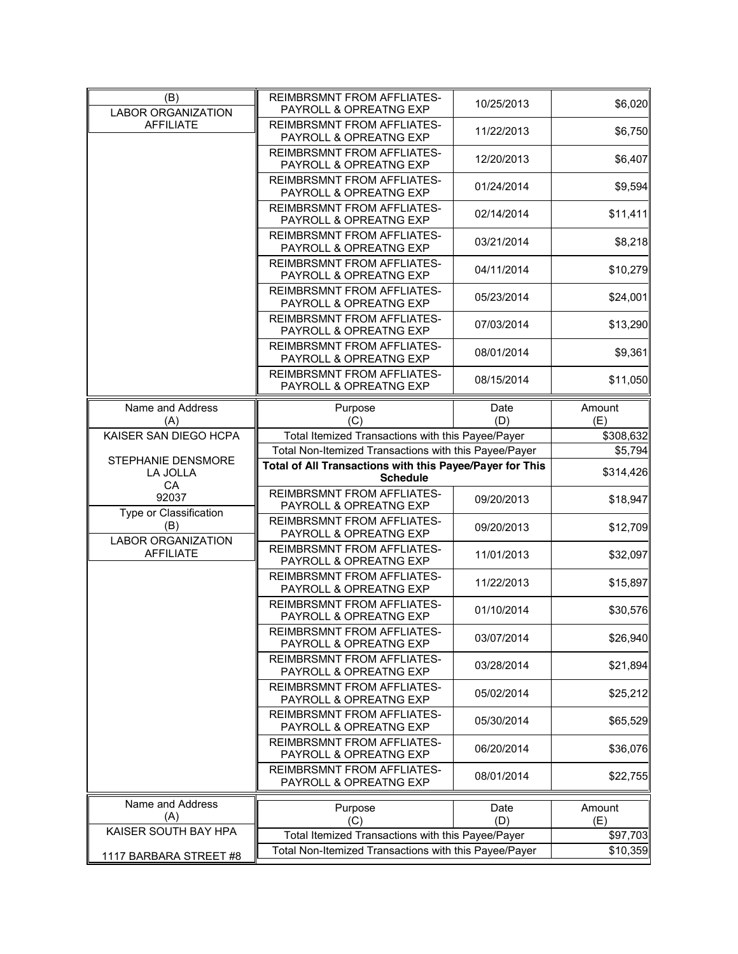| (B)<br><b>LABOR ORGANIZATION</b>              | <b>REIMBRSMNT FROM AFFLIATES-</b><br>PAYROLL & OPREATNG EXP                                                | 10/25/2013 | \$6,020              |
|-----------------------------------------------|------------------------------------------------------------------------------------------------------------|------------|----------------------|
| <b>AFFILIATE</b>                              | REIMBRSMNT FROM AFFLIATES-<br>PAYROLL & OPREATNG EXP                                                       | 11/22/2013 | \$6,750              |
|                                               | REIMBRSMNT FROM AFFLIATES-<br>PAYROLL & OPREATNG EXP                                                       | 12/20/2013 | \$6,407              |
|                                               | <b>REIMBRSMNT FROM AFFLIATES-</b><br>PAYROLL & OPREATNG EXP                                                | 01/24/2014 | \$9,594              |
|                                               | <b>REIMBRSMNT FROM AFFLIATES-</b><br>PAYROLL & OPREATNG EXP                                                | 02/14/2014 | \$11,411             |
|                                               | <b>REIMBRSMNT FROM AFFLIATES-</b><br>PAYROLL & OPREATNG EXP                                                | 03/21/2014 | \$8,218              |
|                                               | <b>REIMBRSMNT FROM AFFLIATES-</b><br>PAYROLL & OPREATNG EXP                                                | 04/11/2014 | \$10,279             |
|                                               | <b>REIMBRSMNT FROM AFFLIATES-</b><br>PAYROLL & OPREATNG EXP                                                | 05/23/2014 | \$24,001             |
|                                               | <b>REIMBRSMNT FROM AFFLIATES-</b><br>PAYROLL & OPREATNG EXP                                                | 07/03/2014 | \$13,290             |
|                                               | <b>REIMBRSMNT FROM AFFLIATES-</b><br>PAYROLL & OPREATNG EXP                                                | 08/01/2014 | \$9,361              |
|                                               | <b>REIMBRSMNT FROM AFFLIATES-</b><br>PAYROLL & OPREATNG EXP                                                | 08/15/2014 | \$11,050             |
| Name and Address                              | Purpose                                                                                                    | Date       | Amount               |
| (A)                                           | (C)                                                                                                        | (D)        | (E)                  |
| KAISER SAN DIEGO HCPA                         | Total Itemized Transactions with this Payee/Payer                                                          |            | \$308,632            |
|                                               | Total Non-Itemized Transactions with this Payee/Payer                                                      |            | \$5,794              |
| STEPHANIE DENSMORE<br>LA JOLLA                | Total of All Transactions with this Payee/Payer for This<br><b>Schedule</b>                                |            | \$314,426            |
| CA<br>92037                                   | <b>REIMBRSMNT FROM AFFLIATES-</b>                                                                          |            |                      |
| Type or Classification                        | PAYROLL & OPREATNG EXP                                                                                     | 09/20/2013 | \$18,947             |
| (B)                                           | <b>REIMBRSMNT FROM AFFLIATES-</b><br>PAYROLL & OPREATNG EXP                                                | 09/20/2013 | \$12,709             |
| <b>LABOR ORGANIZATION</b><br><b>AFFILIATE</b> | <b>REIMBRSMNT FROM AFFLIATES-</b><br>PAYROLL & OPREATNG EXP                                                | 11/01/2013 | \$32,097             |
|                                               | <b>REIMBRSMNT FROM AFFLIATES-</b><br>PAYROLL & OPREATNG EXP                                                | 11/22/2013 | \$15,897             |
|                                               | <b>REIMBRSMNT FROM AFFLIATES-</b><br>PAYROLL & OPREATNG EXP                                                | 01/10/2014 | \$30,576             |
|                                               | REIMBRSMNT FROM AFFLIATES-<br>PAYROLL & OPREATNG EXP                                                       | 03/07/2014 | \$26,940             |
|                                               | <b>REIMBRSMNT FROM AFFLIATES-</b><br>PAYROLL & OPREATNG EXP                                                | 03/28/2014 | \$21,894             |
|                                               | <b>REIMBRSMNT FROM AFFLIATES-</b><br>PAYROLL & OPREATNG EXP                                                | 05/02/2014 | \$25,212             |
|                                               | <b>REIMBRSMNT FROM AFFLIATES-</b><br>PAYROLL & OPREATNG EXP                                                | 05/30/2014 | \$65,529             |
|                                               | <b>REIMBRSMNT FROM AFFLIATES-</b><br>PAYROLL & OPREATNG EXP                                                | 06/20/2014 | \$36,076             |
|                                               | <b>REIMBRSMNT FROM AFFLIATES-</b><br>PAYROLL & OPREATNG EXP                                                | 08/01/2014 | \$22,755             |
| Name and Address                              |                                                                                                            |            |                      |
| (A)                                           | Purpose<br>(C)                                                                                             | Date       | Amount               |
|                                               |                                                                                                            | (D)        | (E)                  |
|                                               |                                                                                                            |            |                      |
| KAISER SOUTH BAY HPA                          | Total Itemized Transactions with this Payee/Payer<br>Total Non-Itemized Transactions with this Payee/Payer |            | \$97,703<br>\$10,359 |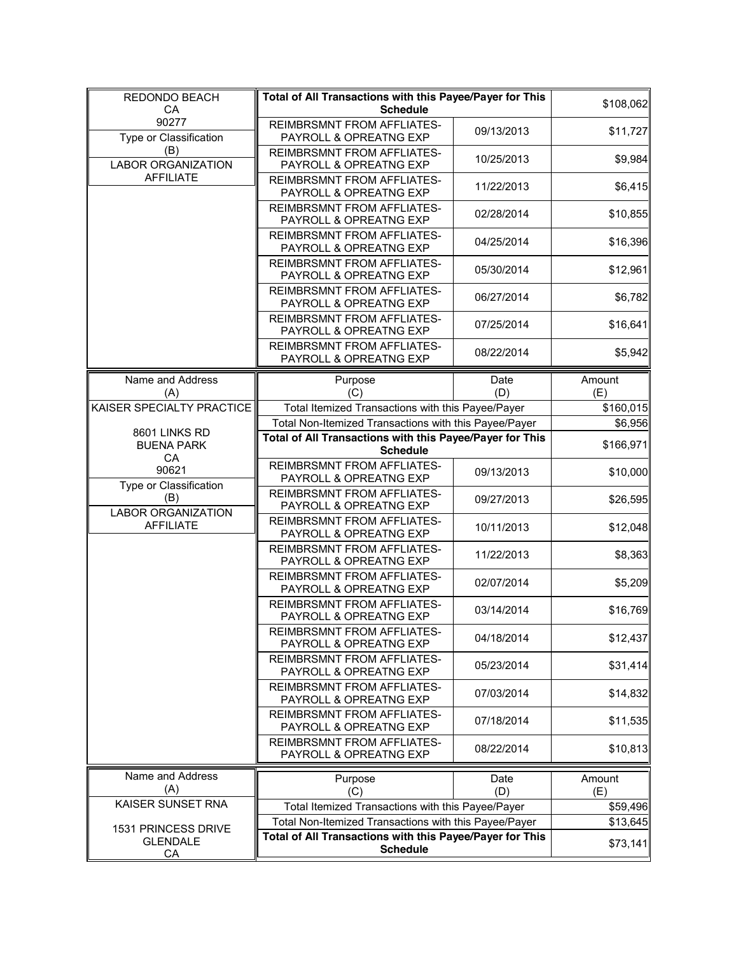| REDONDO BEACH<br>CA                                        | Total of All Transactions with this Payee/Payer for This<br><b>Schedule</b> |             | \$108,062     |
|------------------------------------------------------------|-----------------------------------------------------------------------------|-------------|---------------|
| 90277<br>Type or Classification                            | <b>REIMBRSMNT FROM AFFLIATES-</b><br>PAYROLL & OPREATNG EXP                 | 09/13/2013  | \$11,727      |
| (B)<br><b>LABOR ORGANIZATION</b>                           | <b>REIMBRSMNT FROM AFFLIATES-</b><br>PAYROLL & OPREATNG EXP                 | 10/25/2013  | \$9,984       |
| <b>AFFILIATE</b>                                           | REIMBRSMNT FROM AFFLIATES-<br>PAYROLL & OPREATNG EXP                        | 11/22/2013  | \$6,415       |
|                                                            | <b>REIMBRSMNT FROM AFFLIATES-</b><br>PAYROLL & OPREATNG EXP                 | 02/28/2014  | \$10,855      |
|                                                            | <b>REIMBRSMNT FROM AFFLIATES-</b><br>PAYROLL & OPREATNG EXP                 | 04/25/2014  | \$16,396      |
|                                                            | <b>REIMBRSMNT FROM AFFLIATES-</b><br>PAYROLL & OPREATNG EXP                 | 05/30/2014  | \$12,961      |
|                                                            | <b>REIMBRSMNT FROM AFFLIATES-</b><br>PAYROLL & OPREATNG EXP                 | 06/27/2014  | \$6,782       |
|                                                            | <b>REIMBRSMNT FROM AFFLIATES-</b><br>PAYROLL & OPREATNG EXP                 | 07/25/2014  | \$16,641      |
|                                                            | <b>REIMBRSMNT FROM AFFLIATES-</b><br>PAYROLL & OPREATNG EXP                 | 08/22/2014  | \$5,942       |
| Name and Address<br>(A)                                    | Purpose<br>(C)                                                              | Date<br>(D) | Amount<br>(E) |
| KAISER SPECIALTY PRACTICE                                  | Total Itemized Transactions with this Payee/Payer                           |             | \$160,015     |
| 8601 LINKS RD                                              | Total Non-Itemized Transactions with this Payee/Payer                       |             | \$6,956       |
| <b>BUENA PARK</b>                                          | Total of All Transactions with this Payee/Payer for This                    |             | \$166,971     |
| CA                                                         | <b>Schedule</b><br><b>REIMBRSMNT FROM AFFLIATES-</b>                        |             |               |
| 90621                                                      | PAYROLL & OPREATNG EXP                                                      | 09/13/2013  | \$10,000      |
| Type or Classification<br>(B)<br><b>LABOR ORGANIZATION</b> | REIMBRSMNT FROM AFFLIATES-<br>PAYROLL & OPREATNG EXP                        | 09/27/2013  | \$26,595      |
| <b>AFFILIATE</b>                                           | <b>REIMBRSMNT FROM AFFLIATES-</b><br>PAYROLL & OPREATNG EXP                 | 10/11/2013  | \$12,048      |
|                                                            | <b>REIMBRSMNT FROM AFFLIATES-</b><br>PAYROLL & OPREATNG EXP                 | 11/22/2013  | \$8,363       |
|                                                            | <b>REIMBRSMNT FROM AFFLIATES-</b><br>PAYROLL & OPREATNG EXP                 | 02/07/2014  | \$5,209       |
|                                                            | <b>REIMBRSMNT FROM AFFLIATES-</b><br>PAYROLL & OPREATNG EXP                 | 03/14/2014  | \$16,769      |
|                                                            | REIMBRSMNT FROM AFFLIATES-<br>PAYROLL & OPREATNG EXP                        | 04/18/2014  | \$12,437      |
|                                                            | <b>REIMBRSMNT FROM AFFLIATES-</b><br>PAYROLL & OPREATNG EXP                 | 05/23/2014  | \$31,414      |
|                                                            | <b>REIMBRSMNT FROM AFFLIATES-</b><br>PAYROLL & OPREATNG EXP                 | 07/03/2014  | \$14,832      |
|                                                            | <b>REIMBRSMNT FROM AFFLIATES-</b><br>PAYROLL & OPREATNG EXP                 | 07/18/2014  | \$11,535      |
|                                                            | <b>REIMBRSMNT FROM AFFLIATES-</b><br>PAYROLL & OPREATNG EXP                 | 08/22/2014  | \$10,813      |
| Name and Address<br>(A)                                    | Purpose<br>(C)                                                              | Date<br>(D) | Amount<br>(E) |
| KAISER SUNSET RNA                                          | Total Itemized Transactions with this Payee/Payer                           |             | \$59,496      |
|                                                            | Total Non-Itemized Transactions with this Payee/Payer                       |             | \$13,645      |
| 1531 PRINCESS DRIVE<br><b>GLENDALE</b><br>CA               | Total of All Transactions with this Payee/Payer for This<br><b>Schedule</b> |             | \$73,141      |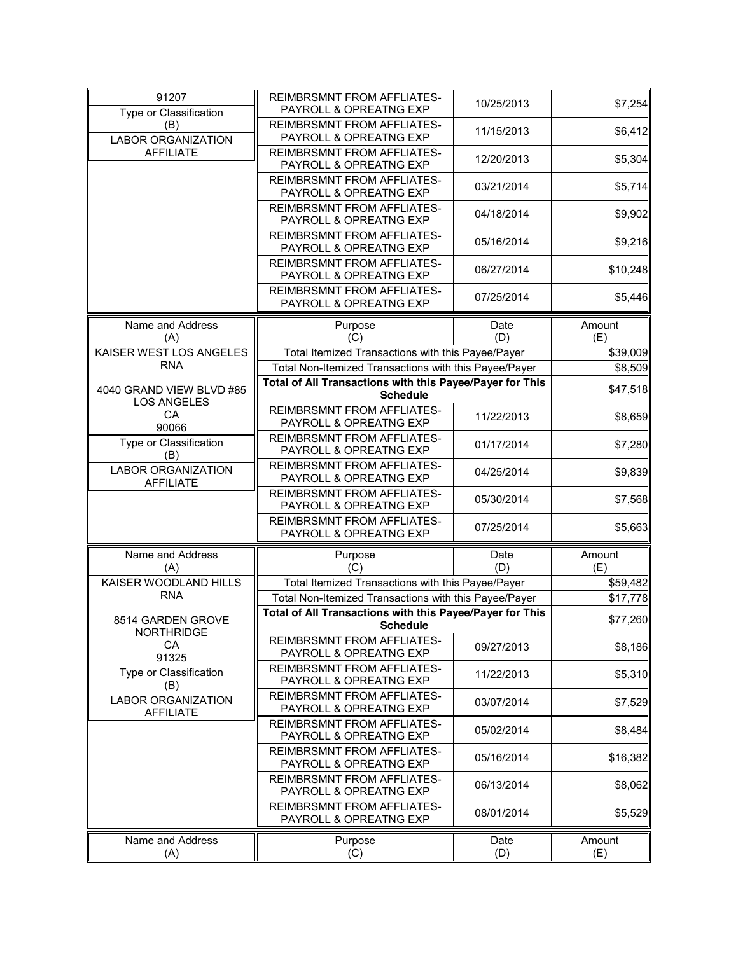| 91207<br>Type or Classification                      | <b>REIMBRSMNT FROM AFFLIATES-</b><br>PAYROLL & OPREATNG EXP                 | 10/25/2013  | \$7,254       |
|------------------------------------------------------|-----------------------------------------------------------------------------|-------------|---------------|
| (B)<br><b>LABOR ORGANIZATION</b>                     | REIMBRSMNT FROM AFFLIATES-<br>PAYROLL & OPREATNG EXP                        | 11/15/2013  | \$6,412       |
| <b>AFFILIATE</b>                                     | REIMBRSMNT FROM AFFLIATES-<br>PAYROLL & OPREATNG EXP                        | 12/20/2013  | \$5,304       |
|                                                      | <b>REIMBRSMNT FROM AFFLIATES-</b><br>PAYROLL & OPREATNG EXP                 | 03/21/2014  | \$5,714       |
|                                                      | <b>REIMBRSMNT FROM AFFLIATES-</b><br>PAYROLL & OPREATNG EXP                 | 04/18/2014  | \$9,902       |
|                                                      | <b>REIMBRSMNT FROM AFFLIATES-</b><br>PAYROLL & OPREATNG EXP                 | 05/16/2014  | \$9,216       |
|                                                      | <b>REIMBRSMNT FROM AFFLIATES-</b><br>PAYROLL & OPREATNG EXP                 | 06/27/2014  | \$10,248      |
|                                                      | <b>REIMBRSMNT FROM AFFLIATES-</b><br>PAYROLL & OPREATNG EXP                 | 07/25/2014  | \$5,446       |
|                                                      |                                                                             |             |               |
| Name and Address                                     | Purpose                                                                     | Date        | Amount        |
| (A)                                                  | (C)                                                                         | (D)         | (E)           |
| KAISER WEST LOS ANGELES                              | Total Itemized Transactions with this Payee/Payer                           |             | \$39,009      |
| <b>RNA</b>                                           | Total Non-Itemized Transactions with this Payee/Payer                       |             | \$8,509       |
|                                                      |                                                                             |             |               |
| 4040 GRAND VIEW BLVD #85                             | Total of All Transactions with this Payee/Payer for This<br><b>Schedule</b> |             | \$47,518      |
| <b>LOS ANGELES</b>                                   |                                                                             |             |               |
| CA<br>90066                                          | <b>REIMBRSMNT FROM AFFLIATES-</b><br>PAYROLL & OPREATNG EXP                 | 11/22/2013  | \$8,659       |
| Type or Classification<br>(B)                        | <b>REIMBRSMNT FROM AFFLIATES-</b><br>PAYROLL & OPREATNG EXP                 | 01/17/2014  | \$7,280       |
| <b>LABOR ORGANIZATION</b><br><b>AFFILIATE</b>        | <b>REIMBRSMNT FROM AFFLIATES-</b><br>PAYROLL & OPREATNG EXP                 | 04/25/2014  | \$9,839       |
|                                                      | <b>REIMBRSMNT FROM AFFLIATES-</b><br>PAYROLL & OPREATNG EXP                 | 05/30/2014  | \$7,568       |
|                                                      | <b>REIMBRSMNT FROM AFFLIATES-</b><br>PAYROLL & OPREATNG EXP                 | 07/25/2014  | \$5,663       |
|                                                      |                                                                             |             |               |
| Name and Address<br>(A)                              | Purpose<br>(C)                                                              | Date<br>(D) | Amount<br>(E) |
| KAISER WOODLAND HILLS                                | Total Itemized Transactions with this Payee/Payer                           |             | \$59,482      |
| <b>RNA</b>                                           | Total Non-Itemized Transactions with this Payee/Payer                       |             | \$17,778      |
|                                                      | Total of All Transactions with this Payee/Payer for This                    |             |               |
| 8514 GARDEN GROVE                                    | Schedule                                                                    |             | \$77,260      |
| <b>NORTHRIDGE</b><br>CA<br>91325                     | REIMBRSMNT FROM AFFLIATES-<br>PAYROLL & OPREATNG EXP                        | 09/27/2013  | \$8,186       |
| Type or Classification                               | <b>REIMBRSMNT FROM AFFLIATES-</b><br>PAYROLL & OPREATNG EXP                 | 11/22/2013  | \$5,310       |
| (B)<br><b>LABOR ORGANIZATION</b><br><b>AFFILIATE</b> | <b>REIMBRSMNT FROM AFFLIATES-</b><br>PAYROLL & OPREATNG EXP                 | 03/07/2014  | \$7,529       |
|                                                      | <b>REIMBRSMNT FROM AFFLIATES-</b><br>PAYROLL & OPREATNG EXP                 | 05/02/2014  | \$8,484       |
|                                                      | <b>REIMBRSMNT FROM AFFLIATES-</b><br>PAYROLL & OPREATNG EXP                 | 05/16/2014  | \$16,382      |
|                                                      | <b>REIMBRSMNT FROM AFFLIATES-</b><br>PAYROLL & OPREATNG EXP                 | 06/13/2014  | \$8,062       |
|                                                      | <b>REIMBRSMNT FROM AFFLIATES-</b><br>PAYROLL & OPREATNG EXP                 | 08/01/2014  | \$5,529       |
| Name and Address<br>(A)                              | Purpose<br>(C)                                                              | Date<br>(D) | Amount<br>(E) |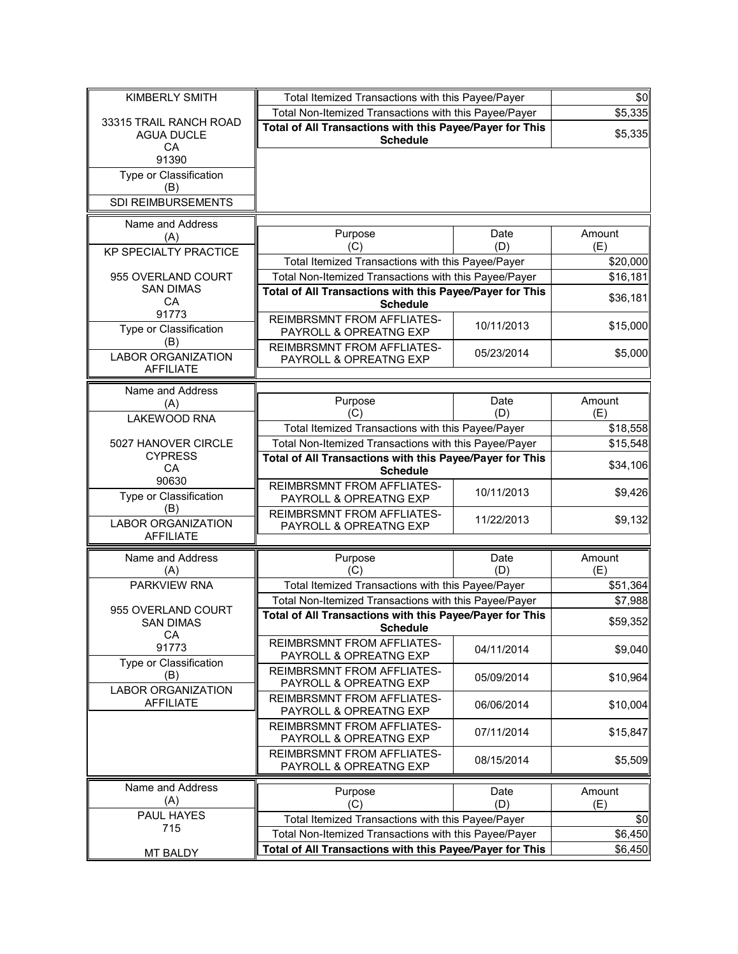| KIMBERLY SMITH                                    | Total Itemized Transactions with this Payee/Payer                           |             | \$0           |
|---------------------------------------------------|-----------------------------------------------------------------------------|-------------|---------------|
|                                                   | Total Non-Itemized Transactions with this Payee/Payer                       |             | \$5,335       |
| 33315 TRAIL RANCH ROAD<br><b>AGUA DUCLE</b><br>CA | Total of All Transactions with this Payee/Payer for This<br><b>Schedule</b> |             | \$5,335       |
| 91390                                             |                                                                             |             |               |
| Type or Classification                            |                                                                             |             |               |
| (B)                                               |                                                                             |             |               |
| SDI REIMBURSEMENTS                                |                                                                             |             |               |
|                                                   |                                                                             |             |               |
| Name and Address<br>(A)                           | Purpose                                                                     | Date        | Amount        |
| <b>KP SPECIALTY PRACTICE</b>                      | (C)                                                                         | (D)         | (E)           |
|                                                   | Total Itemized Transactions with this Payee/Payer                           |             | \$20,000      |
| 955 OVERLAND COURT                                | Total Non-Itemized Transactions with this Payee/Payer                       |             | \$16,181      |
| <b>SAN DIMAS</b>                                  | Total of All Transactions with this Payee/Payer for This                    |             |               |
| CA                                                | <b>Schedule</b>                                                             |             | \$36,181      |
| 91773<br>Type or Classification                   | <b>REIMBRSMNT FROM AFFLIATES-</b><br>PAYROLL & OPREATNG EXP                 | 10/11/2013  | \$15,000      |
| (B)                                               | REIMBRSMNT FROM AFFLIATES-                                                  |             |               |
| <b>LABOR ORGANIZATION</b>                         | PAYROLL & OPREATNG EXP                                                      | 05/23/2014  | \$5,000       |
| <b>AFFILIATE</b>                                  |                                                                             |             |               |
| Name and Address                                  |                                                                             |             |               |
| (A)                                               | Purpose                                                                     | Date        | Amount        |
| LAKEWOOD RNA                                      | (C)                                                                         | (D)         | (E)           |
|                                                   | Total Itemized Transactions with this Payee/Payer                           |             | \$18,558      |
| 5027 HANOVER CIRCLE<br><b>CYPRESS</b>             | Total Non-Itemized Transactions with this Payee/Payer                       |             | \$15,548      |
| CA                                                | Total of All Transactions with this Payee/Payer for This<br><b>Schedule</b> |             | \$34,106      |
| 90630                                             | <b>REIMBRSMNT FROM AFFLIATES-</b>                                           |             |               |
| Type or Classification<br>(B)                     | PAYROLL & OPREATNG EXP                                                      | 10/11/2013  | \$9,426       |
| <b>LABOR ORGANIZATION</b>                         | <b>REIMBRSMNT FROM AFFLIATES-</b><br>PAYROLL & OPREATNG EXP                 | 11/22/2013  | \$9,132       |
| <b>AFFILIATE</b>                                  |                                                                             |             |               |
| Name and Address                                  | Purpose                                                                     | Date        | Amount        |
| (A)                                               | (C)                                                                         | (D)         | (E)           |
| PARKVIEW RNA                                      | Total Itemized Transactions with this Payee/Payer                           |             | \$51,364      |
| 955 OVERLAND COURT                                | Total Non-Itemized Transactions with this Payee/Payer                       |             | \$7,988       |
| <b>SAN DIMAS</b><br>CA                            | Total of All Transactions with this Payee/Payer for This<br><b>Schedule</b> |             | \$59,352      |
| 91773                                             | REIMBRSMNT FROM AFFLIATES-<br>PAYROLL & OPREATNG EXP                        | 04/11/2014  | \$9,040       |
| Type or Classification<br>(B)                     | <b>REIMBRSMNT FROM AFFLIATES-</b><br>PAYROLL & OPREATNG EXP                 | 05/09/2014  | \$10,964      |
| <b>LABOR ORGANIZATION</b>                         | <b>REIMBRSMNT FROM AFFLIATES-</b>                                           |             |               |
| <b>AFFILIATE</b>                                  | PAYROLL & OPREATNG EXP                                                      | 06/06/2014  | \$10,004      |
|                                                   | <b>REIMBRSMNT FROM AFFLIATES-</b>                                           | 07/11/2014  | \$15,847      |
|                                                   | PAYROLL & OPREATNG EXP                                                      |             |               |
|                                                   | <b>REIMBRSMNT FROM AFFLIATES-</b><br>PAYROLL & OPREATNG EXP                 | 08/15/2014  | \$5,509       |
| Name and Address                                  |                                                                             |             |               |
| (A)                                               | Purpose<br>(C)                                                              | Date<br>(D) | Amount<br>(E) |
| PAUL HAYES                                        | Total Itemized Transactions with this Payee/Payer                           |             | \$0           |
| 715                                               | Total Non-Itemized Transactions with this Payee/Payer                       |             | \$6,450       |
|                                                   | Total of All Transactions with this Payee/Payer for This                    |             | \$6,450       |
| <b>MT BALDY</b>                                   |                                                                             |             |               |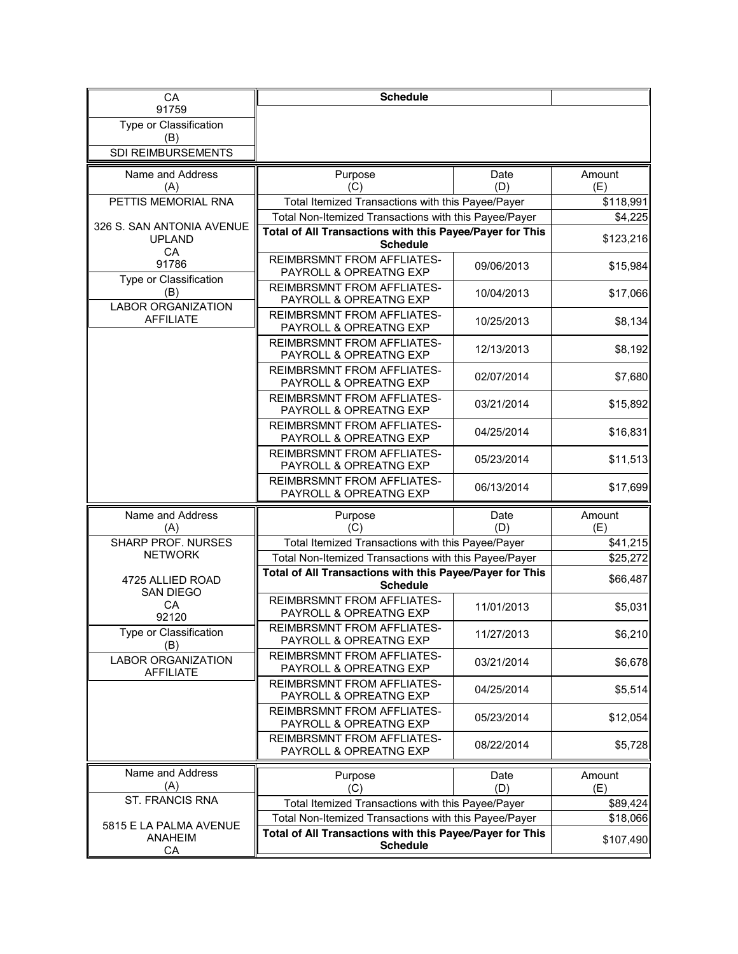| CA                                             | <b>Schedule</b>                                                                                                   |             |               |
|------------------------------------------------|-------------------------------------------------------------------------------------------------------------------|-------------|---------------|
| 91759                                          |                                                                                                                   |             |               |
| Type or Classification<br>(B)                  |                                                                                                                   |             |               |
| SDI REIMBURSEMENTS                             |                                                                                                                   |             |               |
| Name and Address                               | Purpose                                                                                                           | Date        | Amount        |
| (A)                                            | (C)                                                                                                               | (D)         | (E)           |
| PETTIS MEMORIAL RNA                            | Total Itemized Transactions with this Payee/Payer                                                                 |             | \$118,991     |
| 326 S. SAN ANTONIA AVENUE                      | Total Non-Itemized Transactions with this Payee/Payer<br>Total of All Transactions with this Payee/Payer for This |             | \$4,225       |
| <b>UPLAND</b><br>CA                            | <b>Schedule</b>                                                                                                   |             | \$123,216     |
| 91786                                          | <b>REIMBRSMNT FROM AFFLIATES-</b><br>PAYROLL & OPREATNG EXP                                                       | 09/06/2013  | \$15,984      |
| Type or Classification<br>(B)                  | <b>REIMBRSMNT FROM AFFLIATES-</b><br>PAYROLL & OPREATNG EXP                                                       | 10/04/2013  | \$17,066      |
| <b>LABOR ORGANIZATION</b><br><b>AFFILIATE</b>  | <b>REIMBRSMNT FROM AFFLIATES-</b><br>PAYROLL & OPREATNG EXP                                                       | 10/25/2013  | \$8,134       |
|                                                | REIMBRSMNT FROM AFFLIATES-<br>PAYROLL & OPREATNG EXP                                                              | 12/13/2013  | \$8,192       |
|                                                | <b>REIMBRSMNT FROM AFFLIATES-</b><br>PAYROLL & OPREATNG EXP                                                       | 02/07/2014  | \$7,680       |
|                                                | <b>REIMBRSMNT FROM AFFLIATES-</b><br>PAYROLL & OPREATNG EXP                                                       | 03/21/2014  | \$15,892      |
|                                                | <b>REIMBRSMNT FROM AFFLIATES-</b><br>PAYROLL & OPREATNG EXP                                                       | 04/25/2014  | \$16,831      |
|                                                | <b>REIMBRSMNT FROM AFFLIATES-</b><br>PAYROLL & OPREATNG EXP                                                       | 05/23/2014  | \$11,513      |
|                                                | <b>REIMBRSMNT FROM AFFLIATES-</b><br>PAYROLL & OPREATNG EXP                                                       | 06/13/2014  | \$17,699      |
| Name and Address<br>(A)                        | Purpose<br>(C)                                                                                                    | Date<br>(D) | Amount<br>(E) |
| <b>SHARP PROF. NURSES</b>                      | Total Itemized Transactions with this Payee/Payer                                                                 |             | \$41,215      |
| <b>NETWORK</b>                                 | Total Non-Itemized Transactions with this Payee/Payer                                                             |             | \$25,272      |
| 4725 ALLIED ROAD<br><b>SAN DIEGO</b>           | Total of All Transactions with this Payee/Payer for This<br><b>Schedule</b>                                       |             | \$66,487      |
| CA<br>92120                                    | <b>REIMBRSMNT FROM AFFLIATES-</b><br>PAYROLL & OPREATNG EXP                                                       | 11/01/2013  | \$5,031       |
| Type or Classification<br>(B)                  | REIMBRSMNT FROM AFFLIATES-<br>PAYROLL & OPREATNG EXP                                                              | 11/27/2013  | \$6,210       |
| <b>LABOR ORGANIZATION</b><br><b>AFFILIATE</b>  | <b>REIMBRSMNT FROM AFFLIATES-</b><br>PAYROLL & OPREATNG EXP                                                       | 03/21/2014  | \$6,678       |
|                                                | <b>REIMBRSMNT FROM AFFLIATES-</b><br>PAYROLL & OPREATNG EXP                                                       | 04/25/2014  | \$5,514       |
|                                                | REIMBRSMNT FROM AFFLIATES-<br>PAYROLL & OPREATNG EXP                                                              | 05/23/2014  | \$12,054      |
|                                                | <b>REIMBRSMNT FROM AFFLIATES-</b><br>PAYROLL & OPREATNG EXP                                                       | 08/22/2014  | \$5,728       |
| Name and Address<br>(A)                        | Purpose<br>(C)                                                                                                    | Date<br>(D) | Amount<br>(E) |
| ST. FRANCIS RNA                                | Total Itemized Transactions with this Payee/Payer                                                                 |             | \$89,424      |
|                                                | Total Non-Itemized Transactions with this Payee/Payer                                                             |             | \$18,066      |
| 5815 E LA PALMA AVENUE<br><b>ANAHEIM</b><br>СA | Total of All Transactions with this Payee/Payer for This<br><b>Schedule</b>                                       |             | \$107,490     |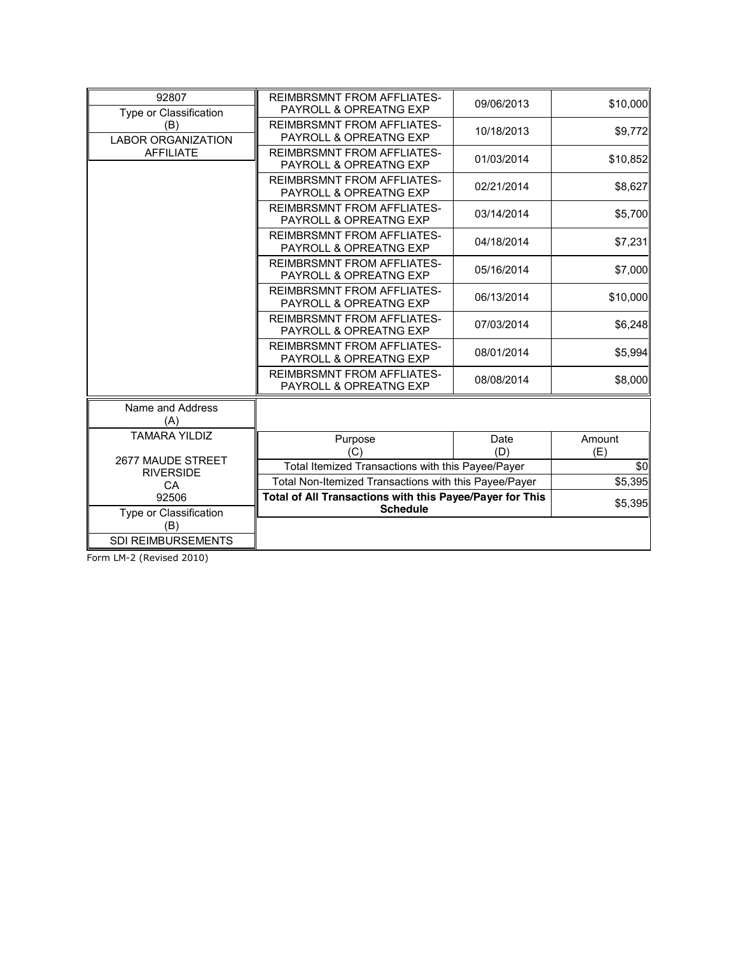| 92807                            | <b>REIMBRSMNT FROM AFFLIATES-</b>                           | 09/06/2013  | \$10,000      |
|----------------------------------|-------------------------------------------------------------|-------------|---------------|
| Type or Classification           | PAYROLL & OPREATNG EXP                                      |             |               |
| (B)<br><b>LABOR ORGANIZATION</b> | <b>REIMBRSMNT FROM AFFLIATES-</b><br>PAYROLL & OPREATNG EXP | 10/18/2013  | \$9,772       |
| <b>AFFILIATE</b>                 | <b>REIMBRSMNT FROM AFFLIATES-</b><br>PAYROLL & OPREATNG EXP | 01/03/2014  | \$10,852      |
|                                  | <b>REIMBRSMNT FROM AFFLIATES-</b><br>PAYROLL & OPREATNG EXP | 02/21/2014  | \$8,627       |
|                                  | <b>REIMBRSMNT FROM AFFLIATES-</b><br>PAYROLL & OPREATNG EXP | 03/14/2014  | \$5,700       |
|                                  | <b>REIMBRSMNT FROM AFFLIATES-</b><br>PAYROLL & OPREATNG EXP | 04/18/2014  | \$7,231       |
|                                  | <b>REIMBRSMNT FROM AFFLIATES-</b><br>PAYROLL & OPREATNG EXP | 05/16/2014  | \$7,000       |
|                                  | <b>REIMBRSMNT FROM AFFLIATES-</b><br>PAYROLL & OPREATNG EXP | 06/13/2014  | \$10,000      |
|                                  | <b>REIMBRSMNT FROM AFFLIATES-</b><br>PAYROLL & OPREATNG EXP | 07/03/2014  | \$6,248       |
|                                  | <b>REIMBRSMNT FROM AFFLIATES-</b><br>PAYROLL & OPREATNG EXP | 08/01/2014  | \$5,994       |
|                                  | <b>REIMBRSMNT FROM AFFLIATES-</b><br>PAYROLL & OPREATNG EXP | 08/08/2014  | \$8,000       |
| Name and Address<br>(A)          |                                                             |             |               |
| <b>TAMARA YILDIZ</b>             | Purpose<br>(C)                                              | Date<br>(D) | Amount<br>(E) |
| 2677 MAUDE STREET                | Total Itemized Transactions with this Payee/Payer           |             | \$0           |
| <b>RIVERSIDE</b><br><b>CA</b>    | Total Non-Itemized Transactions with this Payee/Payer       |             | \$5,395       |
| 92506                            | Total of All Transactions with this Payee/Payer for This    |             | \$5,395       |
| Type or Classification<br>(B)    | <b>Schedule</b>                                             |             |               |
| <b>SDI REIMBURSEMENTS</b>        |                                                             |             |               |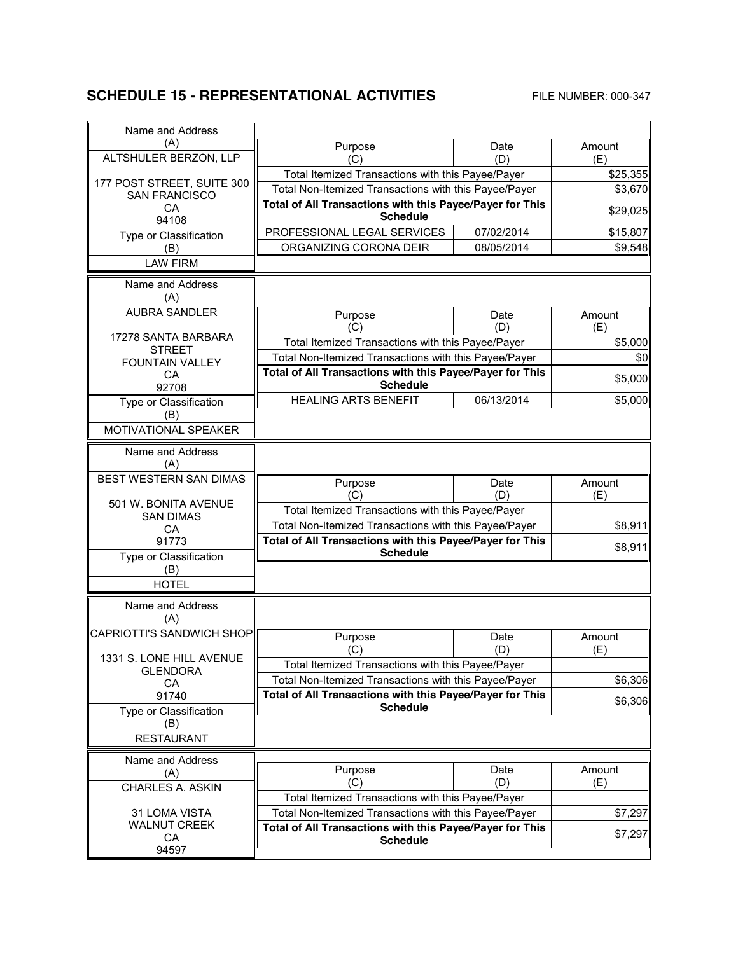### **SCHEDULE 15 - REPRESENTATIONAL ACTIVITIES** FILE NUMBER: 000-347

| Name and Address                        |                                                                                                            |             |                     |
|-----------------------------------------|------------------------------------------------------------------------------------------------------------|-------------|---------------------|
| (A)                                     | Purpose                                                                                                    | Date        | Amount              |
| ALTSHULER BERZON, LLP                   | (C)                                                                                                        | (D)         | (E)                 |
| 177 POST STREET, SUITE 300              | Total Itemized Transactions with this Payee/Payer<br>Total Non-Itemized Transactions with this Payee/Payer |             | \$25,355<br>\$3,670 |
| <b>SAN FRANCISCO</b>                    | Total of All Transactions with this Payee/Payer for This                                                   |             |                     |
| <b>CA</b><br>94108                      | <b>Schedule</b>                                                                                            |             | \$29,025            |
| Type or Classification                  | PROFESSIONAL LEGAL SERVICES                                                                                | 07/02/2014  | \$15,807            |
| (B)                                     | ORGANIZING CORONA DEIR                                                                                     | 08/05/2014  | \$9,548             |
| <b>LAW FIRM</b>                         |                                                                                                            |             |                     |
| Name and Address<br>(A)                 |                                                                                                            |             |                     |
| <b>AUBRA SANDLER</b>                    | Purpose<br>(C)                                                                                             | Date<br>(D) | Amount<br>(E)       |
| 17278 SANTA BARBARA                     | Total Itemized Transactions with this Payee/Payer                                                          |             | \$5,000             |
| <b>STREET</b><br><b>FOUNTAIN VALLEY</b> | Total Non-Itemized Transactions with this Payee/Payer                                                      |             | \$0                 |
| CA                                      | Total of All Transactions with this Payee/Payer for This                                                   |             | \$5,000             |
| 92708                                   | <b>Schedule</b>                                                                                            |             |                     |
| Type or Classification                  | <b>HEALING ARTS BENEFIT</b>                                                                                | 06/13/2014  | \$5,000             |
| (B)<br>MOTIVATIONAL SPEAKER             |                                                                                                            |             |                     |
| Name and Address                        |                                                                                                            |             |                     |
| (A)<br>BEST WESTERN SAN DIMAS           |                                                                                                            |             |                     |
|                                         | Purpose                                                                                                    | Date        | Amount              |
| 501 W. BONITA AVENUE                    | (C)<br>Total Itemized Transactions with this Payee/Payer                                                   | (D)         | (E)                 |
| <b>SAN DIMAS</b><br><b>CA</b>           | Total Non-Itemized Transactions with this Payee/Payer                                                      |             | \$8,911             |
| 91773                                   | Total of All Transactions with this Payee/Payer for This                                                   |             |                     |
| Type or Classification                  | <b>Schedule</b>                                                                                            |             | \$8,911             |
| (B)                                     |                                                                                                            |             |                     |
| <b>HOTEL</b>                            |                                                                                                            |             |                     |
| Name and Address                        |                                                                                                            |             |                     |
| (A)                                     |                                                                                                            |             |                     |
| CAPRIOTTI'S SANDWICH SHOP               | Purpose                                                                                                    | Date        | Amount              |
| 1331 S. LONE HILL AVENUE                | (C)                                                                                                        | (D)         | (E)                 |
| <b>GLENDORA</b>                         | Total Itemized Transactions with this Payee/Payer                                                          |             |                     |
| CA                                      | Total Non-Itemized Transactions with this Payee/Payer                                                      |             | \$6,306             |
| 91740                                   | Total of All Transactions with this Payee/Payer for This<br><b>Schedule</b>                                |             | \$6,306             |
| Type or Classification<br>(B)           |                                                                                                            |             |                     |
| <b>RESTAURANT</b>                       |                                                                                                            |             |                     |
| Name and Address                        |                                                                                                            |             |                     |
| (A)                                     | Purpose                                                                                                    | Date        | Amount              |
| <b>CHARLES A. ASKIN</b>                 | (C)                                                                                                        | (D)         | (E)                 |
|                                         | Total Itemized Transactions with this Payee/Payer                                                          |             |                     |
| 31 LOMA VISTA<br><b>WALNUT CREEK</b>    | Total Non-Itemized Transactions with this Payee/Payer                                                      |             | \$7,297             |
| CA                                      | Total of All Transactions with this Payee/Payer for This<br><b>Schedule</b>                                |             | \$7,297             |
| 94597                                   |                                                                                                            |             |                     |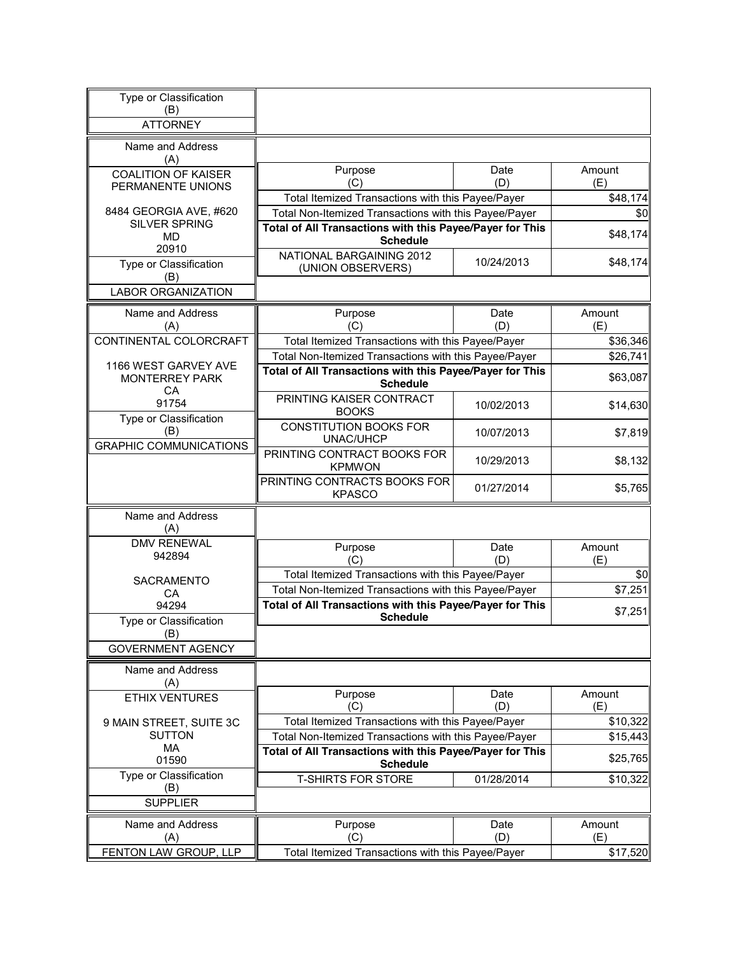| Type or Classification<br>(B)                   |                                                                             |             |               |
|-------------------------------------------------|-----------------------------------------------------------------------------|-------------|---------------|
| <b>ATTORNEY</b>                                 |                                                                             |             |               |
| Name and Address<br>(A)                         |                                                                             |             |               |
| <b>COALITION OF KAISER</b><br>PERMANENTE UNIONS | Purpose<br>(C)                                                              | Date<br>(D) | Amount<br>(E) |
|                                                 | Total Itemized Transactions with this Payee/Payer                           |             | \$48,174      |
| 8484 GEORGIA AVE, #620                          | Total Non-Itemized Transactions with this Payee/Payer                       |             | \$0           |
| <b>SILVER SPRING</b><br>MD.                     | Total of All Transactions with this Payee/Payer for This<br><b>Schedule</b> |             | \$48,174      |
| 20910<br>Type or Classification<br>(B)          | NATIONAL BARGAINING 2012<br>(UNION OBSERVERS)                               | 10/24/2013  | \$48,174      |
| <b>LABOR ORGANIZATION</b>                       |                                                                             |             |               |
| Name and Address<br>(A)                         | Purpose<br>(C)                                                              | Date<br>(D) | Amount<br>(E) |
| CONTINENTAL COLORCRAFT                          | Total Itemized Transactions with this Payee/Payer                           |             | \$36,346      |
|                                                 | Total Non-Itemized Transactions with this Payee/Payer                       |             | \$26,741      |
| 1166 WEST GARVEY AVE<br><b>MONTERREY PARK</b>   | Total of All Transactions with this Payee/Payer for This                    |             | \$63,087      |
| СA                                              | <b>Schedule</b><br>PRINTING KAISER CONTRACT                                 |             |               |
| 91754<br>Type or Classification                 | <b>BOOKS</b>                                                                | 10/02/2013  | \$14,630      |
| (B)<br><b>GRAPHIC COMMUNICATIONS</b>            | <b>CONSTITUTION BOOKS FOR</b><br>UNAC/UHCP                                  | 10/07/2013  | \$7,819       |
|                                                 | PRINTING CONTRACT BOOKS FOR<br><b>KPMWON</b>                                | 10/29/2013  | \$8,132       |
|                                                 | PRINTING CONTRACTS BOOKS FOR<br><b>KPASCO</b>                               | 01/27/2014  | \$5,765       |
| Name and Address<br>(A)                         |                                                                             |             |               |
| <b>DMV RENEWAL</b><br>942894                    | Purpose<br>(C)                                                              | Date<br>(D) | Amount<br>(E) |
| <b>SACRAMENTO</b>                               | Total Itemized Transactions with this Payee/Payer                           |             | \$0           |
| СA                                              | Total Non-Itemized Transactions with this Payee/Payer                       |             | \$7,251       |
| 94294                                           | Total of All Transactions with this Payee/Payer for This<br><b>Schedule</b> |             | \$7,251       |
| Type or Classification<br>(B)                   |                                                                             |             |               |
| <b>GOVERNMENT AGENCY</b>                        |                                                                             |             |               |
| Name and Address<br>(A)                         |                                                                             |             |               |
| <b>ETHIX VENTURES</b>                           | Purpose<br>(C)                                                              | Date<br>(D) | Amount<br>(E) |
| 9 MAIN STREET, SUITE 3C                         | Total Itemized Transactions with this Payee/Payer                           |             | \$10,322      |
| <b>SUTTON</b><br>MA                             | Total Non-Itemized Transactions with this Payee/Payer                       |             | \$15,443      |
| 01590                                           | Total of All Transactions with this Payee/Payer for This<br><b>Schedule</b> |             | \$25,765      |
| Type or Classification<br>(B)                   | <b>T-SHIRTS FOR STORE</b>                                                   | 01/28/2014  | \$10,322      |
| <b>SUPPLIER</b>                                 |                                                                             |             |               |
| Name and Address                                | Purpose                                                                     | Date        | Amount        |
| (A)                                             | (C)                                                                         | (D)         | (E)           |
| FENTON LAW GROUP, LLP                           | Total Itemized Transactions with this Payee/Payer                           |             | \$17,520      |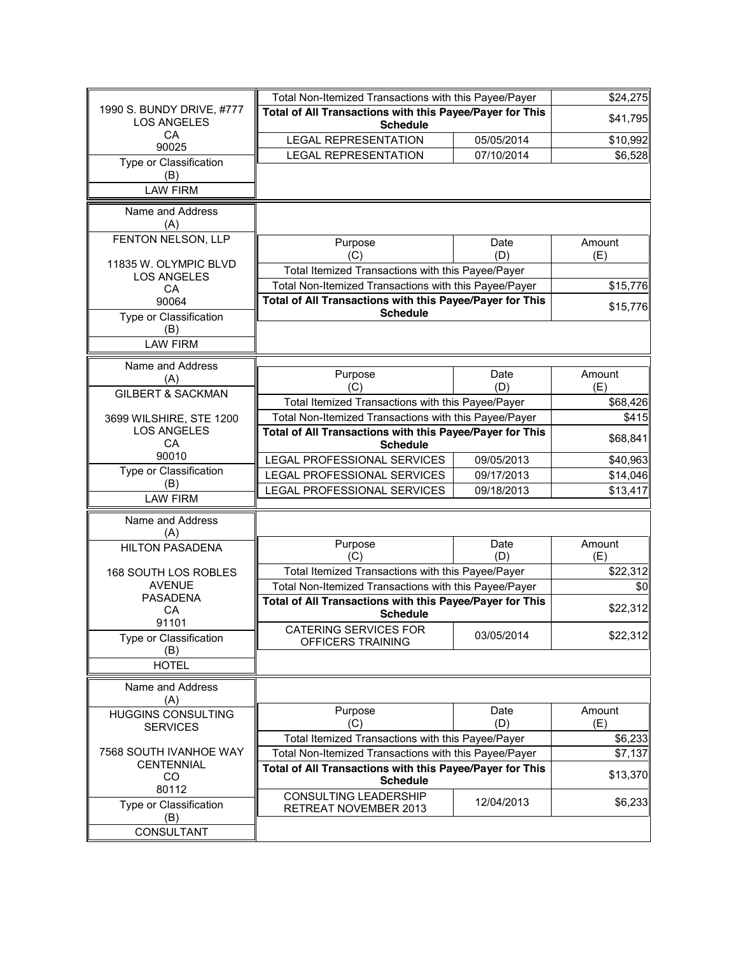|                                                 | Total Non-Itemized Transactions with this Payee/Payer                                                      |            | \$24,275 |
|-------------------------------------------------|------------------------------------------------------------------------------------------------------------|------------|----------|
| 1990 S. BUNDY DRIVE, #777<br><b>LOS ANGELES</b> | Total of All Transactions with this Payee/Payer for This                                                   |            | \$41,795 |
| СA                                              | <b>Schedule</b>                                                                                            |            |          |
| 90025                                           | <b>LEGAL REPRESENTATION</b>                                                                                | 05/05/2014 | \$10,992 |
| Type or Classification                          | <b>LEGAL REPRESENTATION</b>                                                                                | 07/10/2014 | \$6,528  |
| (B)                                             |                                                                                                            |            |          |
| <b>LAW FIRM</b>                                 |                                                                                                            |            |          |
| Name and Address                                |                                                                                                            |            |          |
| (A)                                             |                                                                                                            |            |          |
| FENTON NELSON, LLP                              |                                                                                                            | Date       | Amount   |
|                                                 | Purpose<br>(C)                                                                                             | (D)        | (E)      |
| 11835 W. OLYMPIC BLVD                           | Total Itemized Transactions with this Payee/Payer                                                          |            |          |
| <b>LOS ANGELES</b>                              | Total Non-Itemized Transactions with this Payee/Payer                                                      |            |          |
| CA                                              |                                                                                                            |            | \$15,776 |
| 90064                                           | Total of All Transactions with this Payee/Payer for This<br><b>Schedule</b>                                |            | \$15,776 |
| Type or Classification                          |                                                                                                            |            |          |
| (B)<br><b>LAW FIRM</b>                          |                                                                                                            |            |          |
|                                                 |                                                                                                            |            |          |
| Name and Address                                | Purpose                                                                                                    | Date       | Amount   |
| (A)                                             | (C)                                                                                                        | (D)        | (E)      |
| <b>GILBERT &amp; SACKMAN</b>                    |                                                                                                            |            | \$68,426 |
| 3699 WILSHIRE, STE 1200                         | Total Itemized Transactions with this Payee/Payer<br>Total Non-Itemized Transactions with this Payee/Payer |            | \$415    |
| <b>LOS ANGELES</b>                              | Total of All Transactions with this Payee/Payer for This                                                   |            |          |
| CA                                              | <b>Schedule</b>                                                                                            |            | \$68,841 |
| 90010                                           | LEGAL PROFESSIONAL SERVICES                                                                                | 09/05/2013 | \$40,963 |
| Type or Classification                          | LEGAL PROFESSIONAL SERVICES                                                                                | 09/17/2013 | \$14,046 |
| (B)                                             | LEGAL PROFESSIONAL SERVICES                                                                                | 09/18/2013 | \$13,417 |
| <b>LAW FIRM</b>                                 |                                                                                                            |            |          |
| Name and Address                                |                                                                                                            |            |          |
| (A)                                             |                                                                                                            |            |          |
| <b>HILTON PASADENA</b>                          | Purpose                                                                                                    | Date       | Amount   |
|                                                 | (C)                                                                                                        | (D)        | (E)      |
| 168 SOUTH LOS ROBLES                            | Total Itemized Transactions with this Payee/Payer                                                          |            | \$22,312 |
| <b>AVENUE</b><br><b>PASADENA</b>                | Total Non-Itemized Transactions with this Payee/Payer                                                      |            | \$0      |
| CA                                              | Total of All Transactions with this Payee/Payer for This                                                   |            | \$22,312 |
| 91101                                           | <b>Schedule</b>                                                                                            |            |          |
| Type or Classification                          | CATERING SERVICES FOR<br>OFFICERS TRAINING                                                                 | 03/05/2014 | \$22,312 |
| (B)                                             |                                                                                                            |            |          |
| <b>HOTEL</b>                                    |                                                                                                            |            |          |
| Name and Address                                |                                                                                                            |            |          |
| (A)                                             |                                                                                                            |            |          |
| <b>HUGGINS CONSULTING</b>                       | Purpose                                                                                                    | Date       | Amount   |
| <b>SERVICES</b>                                 | (C)                                                                                                        | (D)        | (E)      |
|                                                 | Total Itemized Transactions with this Payee/Payer                                                          |            | \$6,233  |
| 7568 SOUTH IVANHOE WAY                          | Total Non-Itemized Transactions with this Payee/Payer                                                      |            | \$7,137  |
| <b>CENTENNIAL</b><br>CO                         | Total of All Transactions with this Payee/Payer for This                                                   |            | \$13,370 |
| 80112                                           | <b>Schedule</b>                                                                                            |            |          |
| Type or Classification                          | <b>CONSULTING LEADERSHIP</b>                                                                               | 12/04/2013 | \$6,233  |
| (B)                                             | RETREAT NOVEMBER 2013                                                                                      |            |          |
| CONSULTANT                                      |                                                                                                            |            |          |
|                                                 |                                                                                                            |            |          |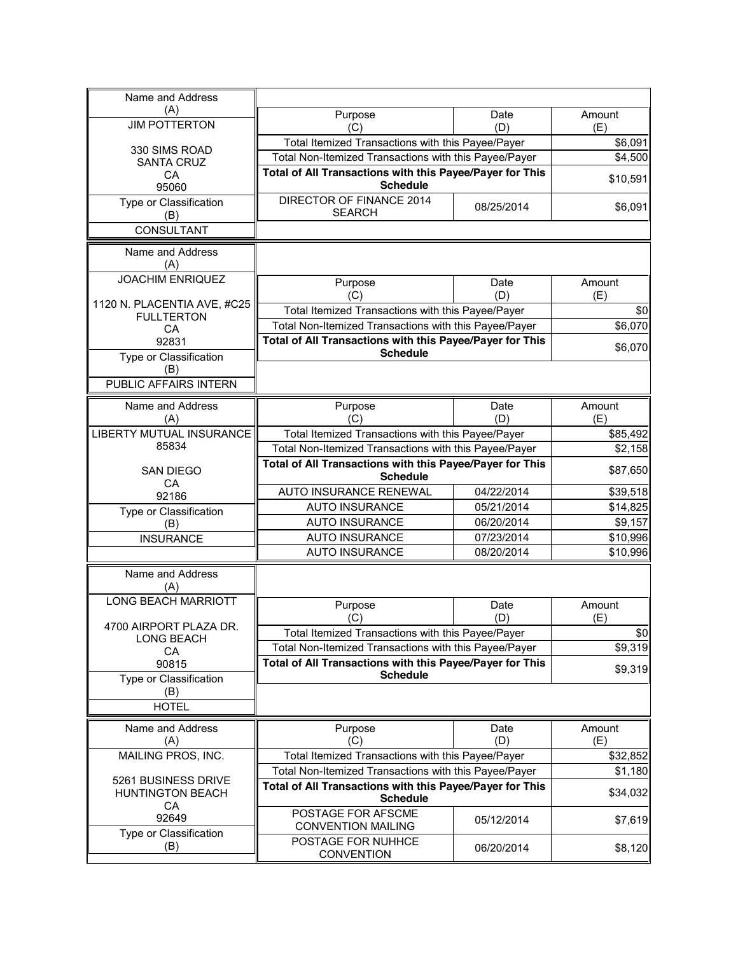| Name and Address                                 |                                                                                                                   |                                                       |                     |
|--------------------------------------------------|-------------------------------------------------------------------------------------------------------------------|-------------------------------------------------------|---------------------|
| (A)                                              | Purpose                                                                                                           | Date                                                  | Amount              |
| <b>JIM POTTERTON</b>                             | (C)                                                                                                               | (D)                                                   | (E)                 |
| 330 SIMS ROAD                                    | Total Itemized Transactions with this Payee/Payer                                                                 |                                                       | \$6,091             |
| <b>SANTA CRUZ</b>                                | Total Non-Itemized Transactions with this Payee/Payer<br>Total of All Transactions with this Payee/Payer for This |                                                       | \$4,500             |
| CA<br>95060                                      | <b>Schedule</b>                                                                                                   |                                                       | \$10,591            |
| Type or Classification                           | DIRECTOR OF FINANCE 2014<br><b>SEARCH</b>                                                                         | 08/25/2014                                            | \$6,091             |
| (B)<br><b>CONSULTANT</b>                         |                                                                                                                   |                                                       |                     |
| Name and Address                                 |                                                                                                                   |                                                       |                     |
| (A)                                              |                                                                                                                   |                                                       |                     |
| <b>JOACHIM ENRIQUEZ</b>                          | Purpose                                                                                                           | Date                                                  | Amount              |
|                                                  | (C)                                                                                                               | (D)                                                   | (E)                 |
| 1120 N. PLACENTIA AVE, #C25<br><b>FULLTERTON</b> | Total Itemized Transactions with this Payee/Payer                                                                 |                                                       | \$0                 |
| CA                                               | Total Non-Itemized Transactions with this Payee/Payer                                                             |                                                       | \$6,070             |
| 92831                                            | Total of All Transactions with this Payee/Payer for This                                                          |                                                       | \$6,070             |
| Type or Classification                           | <b>Schedule</b>                                                                                                   |                                                       |                     |
| (B)                                              |                                                                                                                   |                                                       |                     |
| <b>PUBLIC AFFAIRS INTERN</b>                     |                                                                                                                   |                                                       |                     |
| Name and Address                                 | Purpose                                                                                                           | Date                                                  | Amount              |
| (A)                                              | (C)                                                                                                               | (D)                                                   | (E)                 |
| <b>LIBERTY MUTUAL INSURANCE</b>                  | Total Itemized Transactions with this Payee/Payer                                                                 |                                                       | \$85,492<br>\$2,158 |
| 85834                                            |                                                                                                                   | Total Non-Itemized Transactions with this Payee/Payer |                     |
| <b>SAN DIEGO</b>                                 | Total of All Transactions with this Payee/Payer for This<br><b>Schedule</b>                                       |                                                       | \$87,650            |
| CA<br>92186                                      | AUTO INSURANCE RENEWAL                                                                                            | 04/22/2014                                            | \$39,518            |
| Type or Classification                           | <b>AUTO INSURANCE</b>                                                                                             | 05/21/2014                                            | \$14,825            |
| (B)                                              | <b>AUTO INSURANCE</b>                                                                                             | 06/20/2014                                            | \$9,157             |
| <b>INSURANCE</b>                                 | <b>AUTO INSURANCE</b>                                                                                             | 07/23/2014                                            | \$10,996            |
|                                                  | <b>AUTO INSURANCE</b>                                                                                             | 08/20/2014                                            | \$10,996            |
| Name and Address                                 |                                                                                                                   |                                                       |                     |
| (A)                                              |                                                                                                                   |                                                       |                     |
| <b>LONG BEACH MARRIOTT</b>                       | Purpose                                                                                                           | Date                                                  | Amount              |
| 4700 AIRPORT PLAZA DR.                           | (C)                                                                                                               | (D)                                                   | (E)                 |
| LONG BEACH                                       | Total Itemized Transactions with this Payee/Payer                                                                 |                                                       | \$0                 |
| CA                                               | Total Non-Itemized Transactions with this Payee/Payer                                                             |                                                       | \$9,319             |
| 90815                                            | Total of All Transactions with this Payee/Payer for This<br><b>Schedule</b>                                       |                                                       | \$9,319             |
| Type or Classification                           |                                                                                                                   |                                                       |                     |
| (B)<br><b>HOTEL</b>                              |                                                                                                                   |                                                       |                     |
|                                                  |                                                                                                                   |                                                       |                     |
| Name and Address                                 | Purpose                                                                                                           | Date                                                  | Amount              |
| (A)<br>MAILING PROS, INC.                        | (C)<br>Total Itemized Transactions with this Payee/Payer                                                          | (D)                                                   | (E)                 |
|                                                  | Total Non-Itemized Transactions with this Payee/Payer                                                             |                                                       | \$32,852            |
| 5261 BUSINESS DRIVE                              |                                                                                                                   |                                                       | \$1,180             |
| <b>HUNTINGTON BEACH</b><br>CA                    | Total of All Transactions with this Payee/Payer for This<br><b>Schedule</b>                                       |                                                       | \$34,032            |
| 92649                                            | POSTAGE FOR AFSCME<br><b>CONVENTION MAILING</b>                                                                   | 05/12/2014                                            | \$7,619             |
| Type or Classification<br>(B)                    | POSTAGE FOR NUHHCE<br><b>CONVENTION</b>                                                                           | 06/20/2014                                            | \$8,120             |
|                                                  |                                                                                                                   |                                                       |                     |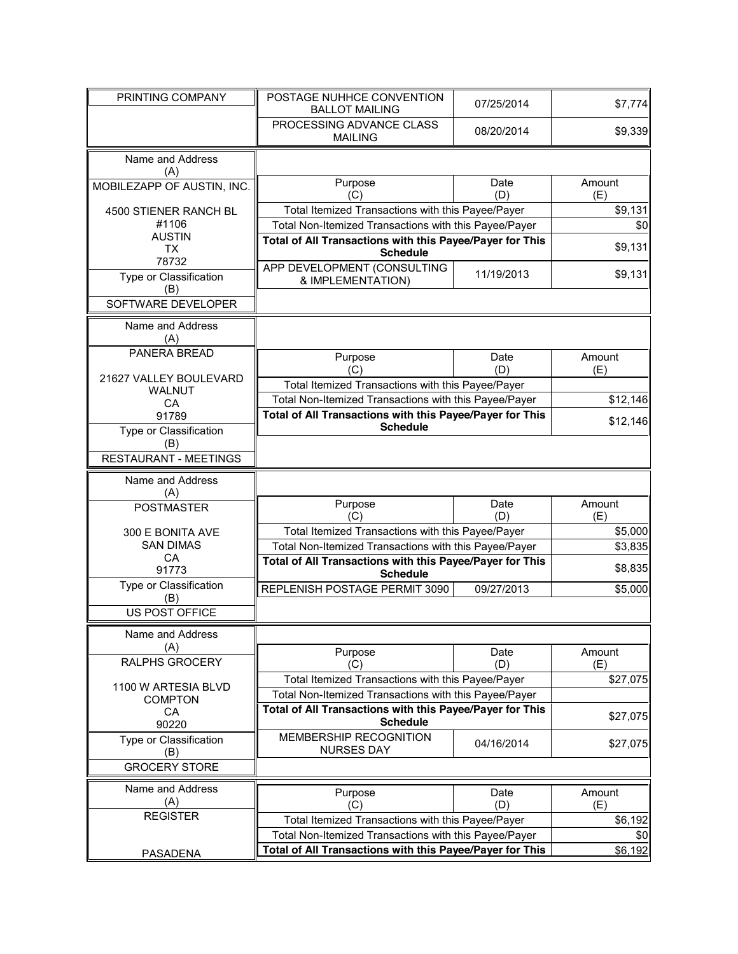| PRINTING COMPANY                      | POSTAGE NUHHCE CONVENTION<br><b>BALLOT MAILING</b>                                                         | 07/25/2014  | \$7,774       |
|---------------------------------------|------------------------------------------------------------------------------------------------------------|-------------|---------------|
|                                       | PROCESSING ADVANCE CLASS<br><b>MAILING</b>                                                                 | 08/20/2014  | \$9,339       |
| Name and Address<br>(A)               |                                                                                                            |             |               |
| MOBILEZAPP OF AUSTIN, INC.            | Purpose<br>(C)                                                                                             | Date<br>(D) | Amount<br>(E) |
| 4500 STIENER RANCH BL                 | Total Itemized Transactions with this Payee/Payer                                                          |             | \$9,131       |
| #1106                                 | Total Non-Itemized Transactions with this Payee/Payer                                                      |             | \$0           |
| <b>AUSTIN</b><br><b>TX</b><br>78732   | Total of All Transactions with this Payee/Payer for This<br><b>Schedule</b>                                |             | \$9,131       |
| Type or Classification                | APP DEVELOPMENT (CONSULTING                                                                                | 11/19/2013  | \$9,131       |
| (B)<br>SOFTWARE DEVELOPER             | & IMPLEMENTATION)                                                                                          |             |               |
|                                       |                                                                                                            |             |               |
| Name and Address<br>(A)               |                                                                                                            |             |               |
| <b>PANERA BREAD</b>                   | Purpose                                                                                                    | Date        | Amount        |
| 21627 VALLEY BOULEVARD                | (C)                                                                                                        | (D)         | (E)           |
| <b>WALNUT</b>                         | Total Itemized Transactions with this Payee/Payer<br>Total Non-Itemized Transactions with this Payee/Payer |             | \$12,146      |
| CA<br>91789                           | Total of All Transactions with this Payee/Payer for This                                                   |             |               |
| Type or Classification                | <b>Schedule</b>                                                                                            |             | \$12,146      |
| (B)                                   |                                                                                                            |             |               |
| <b>RESTAURANT - MEETINGS</b>          |                                                                                                            |             |               |
| Name and Address<br>(A)               |                                                                                                            |             |               |
| <b>POSTMASTER</b>                     | Purpose<br>(C)                                                                                             | Date<br>(D) | Amount<br>(E) |
| 300 E BONITA AVE                      | Total Itemized Transactions with this Payee/Payer                                                          |             | \$5,000       |
| <b>SAN DIMAS</b>                      | Total Non-Itemized Transactions with this Payee/Payer                                                      |             | \$3,835       |
| CA<br>91773                           | Total of All Transactions with this Payee/Payer for This<br><b>Schedule</b>                                |             | \$8,835       |
| Type or Classification                | REPLENISH POSTAGE PERMIT 3090                                                                              | 09/27/2013  | \$5,000       |
| (B)<br>US POST OFFICE                 |                                                                                                            |             |               |
|                                       |                                                                                                            |             |               |
| Name and Address<br>(A)               |                                                                                                            |             |               |
| RALPHS GROCERY                        | Purpose<br>(C)                                                                                             | Date<br>(D) | Amount<br>(E) |
|                                       | Total Itemized Transactions with this Payee/Payer                                                          |             | \$27,075      |
| 1100 W ARTESIA BLVD<br><b>COMPTON</b> | Total Non-Itemized Transactions with this Payee/Payer                                                      |             |               |
| CA                                    | Total of All Transactions with this Payee/Payer for This                                                   |             | \$27,075      |
| 90220                                 | <b>Schedule</b>                                                                                            |             |               |
| Type or Classification<br>(B)         | MEMBERSHIP RECOGNITION<br><b>NURSES DAY</b>                                                                | 04/16/2014  | \$27,075      |
| <b>GROCERY STORE</b>                  |                                                                                                            |             |               |
| Name and Address                      | Purpose                                                                                                    | Date        | Amount        |
| (A)                                   | (C)                                                                                                        | (D)         | (E)           |
| <b>REGISTER</b>                       | Total Itemized Transactions with this Payee/Payer                                                          |             | \$6,192       |
|                                       | Total Non-Itemized Transactions with this Payee/Payer                                                      |             | \$0           |
| <b>PASADENA</b>                       | Total of All Transactions with this Payee/Payer for This                                                   |             | \$6,192       |
|                                       |                                                                                                            |             |               |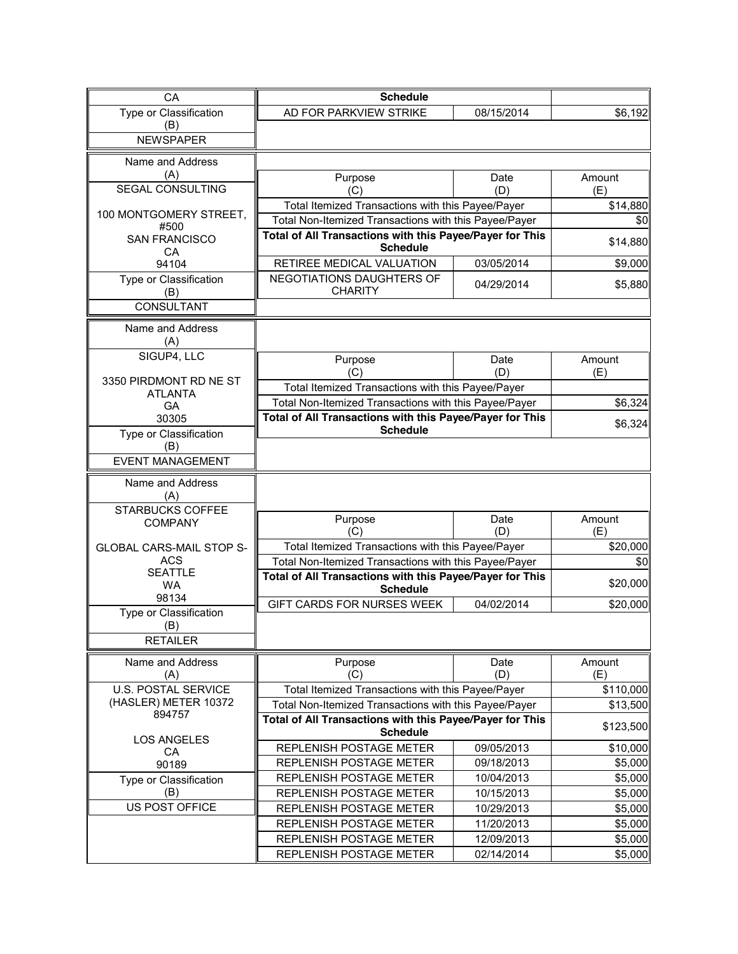| CA                                               | <b>Schedule</b>                                                             |                          |                    |
|--------------------------------------------------|-----------------------------------------------------------------------------|--------------------------|--------------------|
| Type or Classification                           | AD FOR PARKVIEW STRIKE                                                      | 08/15/2014               | \$6,192            |
| (B)                                              |                                                                             |                          |                    |
| <b>NEWSPAPER</b>                                 |                                                                             |                          |                    |
| Name and Address                                 |                                                                             |                          |                    |
| (A)                                              | Purpose                                                                     | Date                     | Amount             |
| <b>SEGAL CONSULTING</b>                          | (C)                                                                         | (D)                      | (E)                |
| 100 MONTGOMERY STREET,                           | Total Itemized Transactions with this Payee/Payer                           |                          | \$14,880           |
| #500                                             | Total Non-Itemized Transactions with this Payee/Payer                       |                          | \$0                |
| <b>SAN FRANCISCO</b><br>CA                       | Total of All Transactions with this Payee/Payer for This<br><b>Schedule</b> |                          | \$14,880           |
| 94104                                            | RETIREE MEDICAL VALUATION                                                   | 03/05/2014               | \$9,000            |
| Type or Classification<br>(B)                    | NEGOTIATIONS DAUGHTERS OF<br><b>CHARITY</b>                                 | 04/29/2014               | \$5,880            |
| <b>CONSULTANT</b>                                |                                                                             |                          |                    |
| Name and Address<br>(A)                          |                                                                             |                          |                    |
| SIGUP4, LLC                                      | Purpose                                                                     | Date                     | Amount             |
| 3350 PIRDMONT RD NE ST                           | (C)                                                                         | (D)                      | (E)                |
| <b>ATLANTA</b>                                   | Total Itemized Transactions with this Payee/Payer                           |                          |                    |
| <b>GA</b>                                        | Total Non-Itemized Transactions with this Payee/Payer                       |                          | \$6,324            |
| 30305                                            | Total of All Transactions with this Payee/Payer for This<br><b>Schedule</b> |                          | \$6,324            |
| Type or Classification<br>(B)                    |                                                                             |                          |                    |
| <b>EVENT MANAGEMENT</b>                          |                                                                             |                          |                    |
| Name and Address<br>(A)<br>STARBUCKS COFFEE      |                                                                             |                          |                    |
| <b>COMPANY</b>                                   | Purpose<br>(C)                                                              | Date<br>(D)              | Amount<br>(E)      |
| <b>GLOBAL CARS-MAIL STOP S-</b>                  | Total Itemized Transactions with this Payee/Payer                           |                          | \$20,000           |
| <b>ACS</b>                                       | Total Non-Itemized Transactions with this Payee/Payer                       |                          | \$0                |
| <b>SEATTLE</b><br><b>WA</b>                      | Total of All Transactions with this Payee/Payer for This<br><b>Schedule</b> |                          | \$20,000           |
| 98134                                            | GIFT CARDS FOR NURSES WEEK                                                  | 04/02/2014               | \$20,000           |
| Type or Classification<br>(B)<br><b>RETAILER</b> |                                                                             |                          |                    |
| Name and Address                                 | Purpose                                                                     | Date                     | Amount             |
| (A)                                              | (C)                                                                         | (D)                      | (E)                |
| <b>U.S. POSTAL SERVICE</b>                       | Total Itemized Transactions with this Payee/Payer                           |                          | \$110,000          |
| (HASLER) METER 10372<br>894757                   | Total Non-Itemized Transactions with this Payee/Payer                       |                          |                    |
|                                                  |                                                                             |                          | \$13,500           |
|                                                  | Total of All Transactions with this Payee/Payer for This<br><b>Schedule</b> |                          | \$123,500          |
| <b>LOS ANGELES</b>                               | REPLENISH POSTAGE METER                                                     | 09/05/2013               | \$10,000           |
| CA<br>90189                                      | REPLENISH POSTAGE METER                                                     | 09/18/2013               | \$5,000            |
| Type or Classification                           | REPLENISH POSTAGE METER                                                     | 10/04/2013               | \$5,000            |
| (B)                                              | REPLENISH POSTAGE METER                                                     | 10/15/2013               | \$5,000            |
| US POST OFFICE                                   | REPLENISH POSTAGE METER                                                     | 10/29/2013               | \$5,000            |
|                                                  | REPLENISH POSTAGE METER                                                     | 11/20/2013               | \$5,000            |
|                                                  | REPLENISH POSTAGE METER<br>REPLENISH POSTAGE METER                          | 12/09/2013<br>02/14/2014 | \$5,000<br>\$5,000 |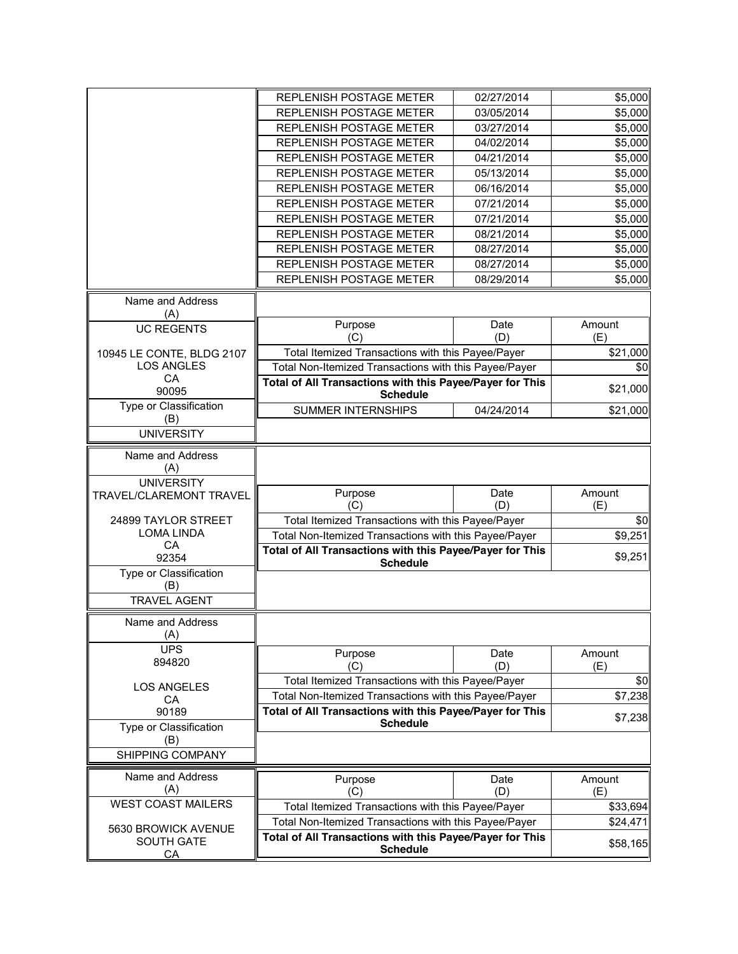|                                              | REPLENISH POSTAGE METER                                                     | 02/27/2014  | \$5,000       |
|----------------------------------------------|-----------------------------------------------------------------------------|-------------|---------------|
|                                              | REPLENISH POSTAGE METER                                                     | 03/05/2014  | \$5,000       |
|                                              | REPLENISH POSTAGE METER                                                     | 03/27/2014  | \$5,000       |
|                                              | REPLENISH POSTAGE METER                                                     | 04/02/2014  | \$5,000       |
|                                              | REPLENISH POSTAGE METER                                                     | 04/21/2014  | \$5,000       |
|                                              | REPLENISH POSTAGE METER                                                     | 05/13/2014  | \$5,000       |
|                                              | REPLENISH POSTAGE METER                                                     | 06/16/2014  | \$5,000       |
|                                              | REPLENISH POSTAGE METER                                                     | 07/21/2014  | \$5,000       |
|                                              | REPLENISH POSTAGE METER                                                     | 07/21/2014  | \$5,000       |
|                                              | REPLENISH POSTAGE METER                                                     | 08/21/2014  | \$5,000       |
|                                              | REPLENISH POSTAGE METER                                                     | 08/27/2014  | \$5,000       |
|                                              | REPLENISH POSTAGE METER                                                     | 08/27/2014  | \$5,000       |
|                                              | REPLENISH POSTAGE METER                                                     | 08/29/2014  | \$5,000       |
|                                              |                                                                             |             |               |
| Name and Address<br>(A)                      |                                                                             |             |               |
| <b>UC REGENTS</b>                            | Purpose                                                                     | Date        | Amount        |
|                                              | (C)                                                                         | (D)         | (E)           |
| 10945 LE CONTE, BLDG 2107                    | Total Itemized Transactions with this Payee/Payer                           |             | \$21,000      |
| <b>LOS ANGLES</b>                            | Total Non-Itemized Transactions with this Payee/Payer                       |             | \$0           |
| CA<br>90095                                  | Total of All Transactions with this Payee/Payer for This<br><b>Schedule</b> |             | \$21,000      |
| Type or Classification                       | <b>SUMMER INTERNSHIPS</b>                                                   | 04/24/2014  | \$21,000      |
| (B)                                          |                                                                             |             |               |
| <b>UNIVERSITY</b>                            |                                                                             |             |               |
| Name and Address<br>(A)<br><b>UNIVERSITY</b> |                                                                             |             |               |
| TRAVEL/CLAREMONT TRAVEL                      | Purpose<br>(C)                                                              | Date<br>(D) | Amount<br>(E) |
| 24899 TAYLOR STREET                          | Total Itemized Transactions with this Payee/Payer                           |             | \$0           |
| <b>LOMA LINDA</b>                            | Total Non-Itemized Transactions with this Payee/Payer                       |             | \$9,251       |
| CA                                           | Total of All Transactions with this Payee/Payer for This                    |             |               |
| 92354                                        | <b>Schedule</b>                                                             |             | \$9,251       |
| Type or Classification                       |                                                                             |             |               |
| (B)                                          |                                                                             |             |               |
| <b>TRAVEL AGENT</b>                          |                                                                             |             |               |
| Name and Address<br>(A)                      |                                                                             |             |               |
| <b>UPS</b>                                   | Purpose                                                                     | Date        | Amount        |
| 894820                                       | (C)                                                                         | (D)         | (E)           |
|                                              | Total Itemized Transactions with this Payee/Payer                           |             | \$0           |
| <b>LOS ANGELES</b>                           | Total Non-Itemized Transactions with this Payee/Payer                       |             | \$7,238       |
| СA<br>90189                                  | Total of All Transactions with this Payee/Payer for This                    |             |               |
| Type or Classification                       | <b>Schedule</b>                                                             |             | \$7,238       |
| (B)                                          |                                                                             |             |               |
| SHIPPING COMPANY                             |                                                                             |             |               |
| Name and Address                             | Purpose                                                                     | Date        | Amount        |
| (A)                                          | (C)                                                                         | (D)         | (E)           |
| <b>WEST COAST MAILERS</b>                    | Total Itemized Transactions with this Payee/Payer                           |             | \$33,694      |
|                                              | Total Non-Itemized Transactions with this Payee/Payer                       |             | \$24,471      |
| 5630 BROWICK AVENUE<br><b>SOUTH GATE</b>     | Total of All Transactions with this Payee/Payer for This                    |             |               |
| CA                                           | <b>Schedule</b>                                                             |             | \$58,165      |
|                                              |                                                                             |             |               |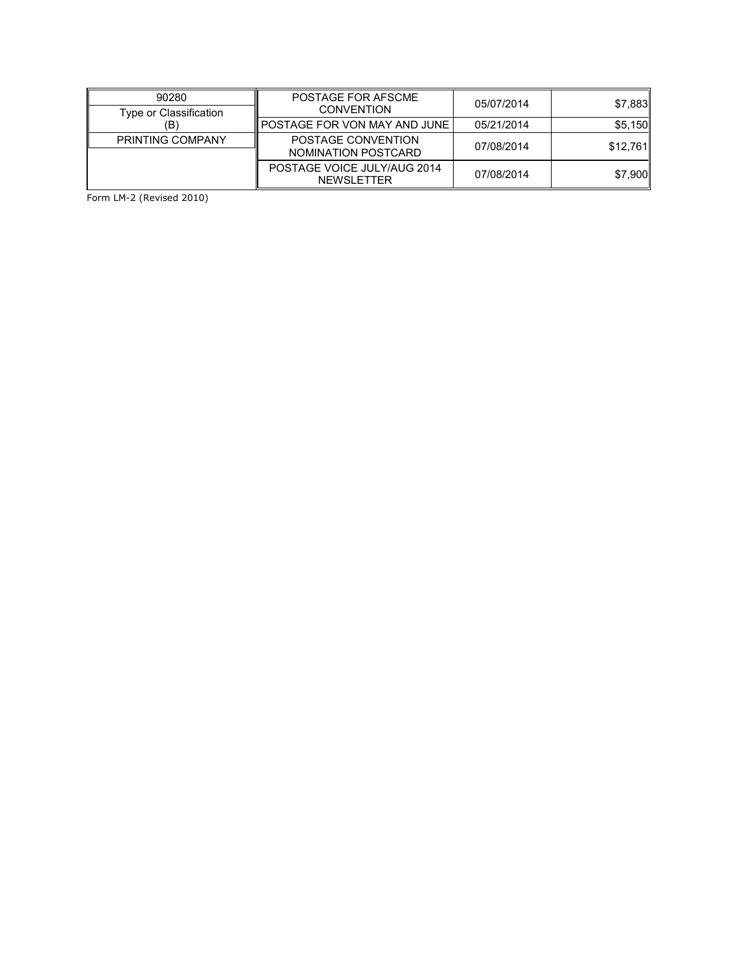| 90280                   | POSTAGE FOR AFSCME                               | 05/07/2014 | \$7,883  |
|-------------------------|--------------------------------------------------|------------|----------|
| Type or Classification  | <b>CONVENTION</b>                                |            |          |
| (B)                     | <b>POSTAGE FOR VON MAY AND JUNE</b>              | 05/21/2014 | \$5,150  |
| <b>PRINTING COMPANY</b> | POSTAGE CONVENTION<br>NOMINATION POSTCARD        | 07/08/2014 | \$12,761 |
|                         | POSTAGE VOICE JULY/AUG 2014<br><b>NEWSLETTER</b> | 07/08/2014 | \$7,900  |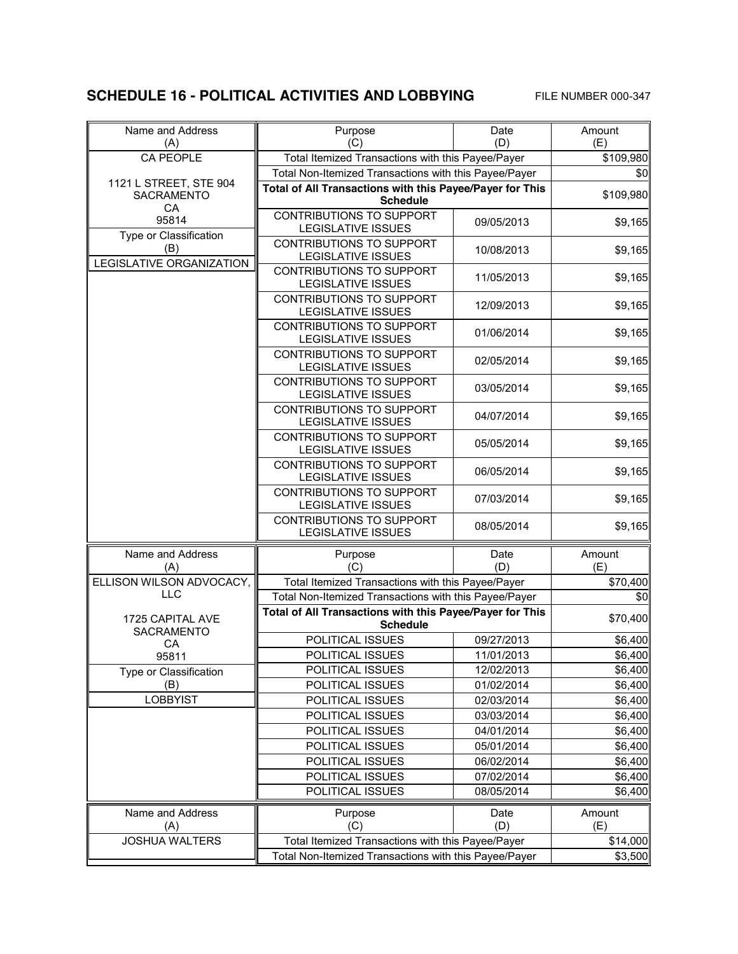### **SCHEDULE 16 - POLITICAL ACTIVITIES AND LOBBYING** FILE NUMBER 000-347

| Name and Address<br>(A)                     | Purpose<br>(C)                                                              | Date<br>(D)              | Amount<br>(E)      |
|---------------------------------------------|-----------------------------------------------------------------------------|--------------------------|--------------------|
| <b>CA PEOPLE</b>                            | Total Itemized Transactions with this Payee/Payer                           |                          | \$109,980          |
|                                             | Total Non-Itemized Transactions with this Payee/Payer                       |                          | \$0                |
| 1121 L STREET, STE 904<br><b>SACRAMENTO</b> | Total of All Transactions with this Payee/Payer for This<br><b>Schedule</b> |                          | \$109,980          |
| CA<br>95814                                 | <b>CONTRIBUTIONS TO SUPPORT</b><br><b>LEGISLATIVE ISSUES</b>                | 09/05/2013               | \$9,165            |
| Type or Classification<br>(B)               | CONTRIBUTIONS TO SUPPORT<br><b>LEGISLATIVE ISSUES</b>                       | 10/08/2013               | \$9,165            |
| <b>LEGISLATIVE ORGANIZATION</b>             | <b>CONTRIBUTIONS TO SUPPORT</b><br><b>LEGISLATIVE ISSUES</b>                | 11/05/2013               | \$9,165            |
|                                             | <b>CONTRIBUTIONS TO SUPPORT</b><br><b>LEGISLATIVE ISSUES</b>                | 12/09/2013               | \$9,165            |
|                                             | CONTRIBUTIONS TO SUPPORT<br><b>LEGISLATIVE ISSUES</b>                       | 01/06/2014               | \$9,165            |
|                                             | CONTRIBUTIONS TO SUPPORT<br><b>LEGISLATIVE ISSUES</b>                       | 02/05/2014               | \$9,165            |
|                                             | CONTRIBUTIONS TO SUPPORT<br><b>LEGISLATIVE ISSUES</b>                       | 03/05/2014               | \$9,165            |
|                                             | <b>CONTRIBUTIONS TO SUPPORT</b><br><b>LEGISLATIVE ISSUES</b>                | 04/07/2014               | \$9,165            |
|                                             | <b>CONTRIBUTIONS TO SUPPORT</b><br>LEGISLATIVE ISSUES                       | 05/05/2014               | \$9,165            |
|                                             | <b>CONTRIBUTIONS TO SUPPORT</b><br><b>LEGISLATIVE ISSUES</b>                | 06/05/2014               | \$9,165            |
|                                             | CONTRIBUTIONS TO SUPPORT<br><b>LEGISLATIVE ISSUES</b>                       | 07/03/2014               | \$9,165            |
|                                             | CONTRIBUTIONS TO SUPPORT<br><b>LEGISLATIVE ISSUES</b>                       | 08/05/2014               | \$9,165            |
| Name and Address                            | Purpose                                                                     | Date                     | Amount             |
| (A)                                         | (C)                                                                         | (D)                      | (E)                |
| ELLISON WILSON ADVOCACY,                    | Total Itemized Transactions with this Payee/Payer                           |                          | \$70,400           |
| <b>LLC</b>                                  | Total Non-Itemized Transactions with this Payee/Payer                       |                          | \$0                |
| 1725 CAPITAL AVE                            | Total of All Transactions with this Payee/Payer for This                    |                          | \$70,400           |
| SACRAMENTO                                  | <b>Schedule</b>                                                             |                          |                    |
| CA                                          | POLITICAL ISSUES                                                            | 09/27/2013               | \$6,400            |
| 95811                                       | POLITICAL ISSUES                                                            | 11/01/2013               | \$6,400            |
| Type or Classification<br>(B)               | POLITICAL ISSUES<br>POLITICAL ISSUES                                        | 12/02/2013<br>01/02/2014 | \$6,400<br>\$6,400 |
| <b>LOBBYIST</b>                             | POLITICAL ISSUES                                                            | 02/03/2014               | \$6,400            |
|                                             | POLITICAL ISSUES                                                            | 03/03/2014               | \$6,400            |
|                                             | POLITICAL ISSUES                                                            | 04/01/2014               | \$6,400            |
|                                             | POLITICAL ISSUES                                                            | 05/01/2014               | \$6,400            |
|                                             | POLITICAL ISSUES                                                            | 06/02/2014               | \$6,400            |
|                                             | POLITICAL ISSUES                                                            | 07/02/2014               | \$6,400            |
|                                             | POLITICAL ISSUES                                                            | 08/05/2014               | \$6,400            |
| Name and Address<br>(A)                     | Purpose<br>(C)                                                              | Date<br>(D)              | Amount<br>(E)      |
| <b>JOSHUA WALTERS</b>                       | Total Itemized Transactions with this Payee/Payer                           |                          | \$14,000           |
|                                             | Total Non-Itemized Transactions with this Payee/Payer                       |                          | \$3,500            |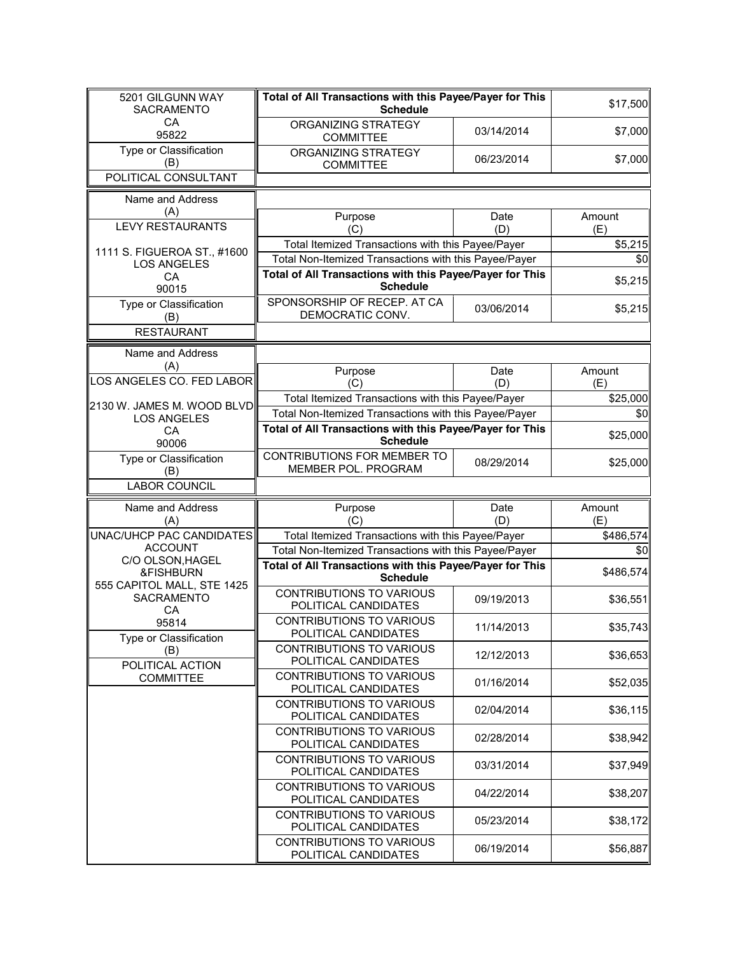| 5201 GILGUNN WAY<br><b>SACRAMENTO</b>            | Total of All Transactions with this Payee/Payer for This<br><b>Schedule</b> |             | \$17,500      |
|--------------------------------------------------|-----------------------------------------------------------------------------|-------------|---------------|
| CA<br>95822                                      | ORGANIZING STRATEGY<br><b>COMMITTEE</b>                                     | 03/14/2014  | \$7,000       |
| Type or Classification<br>(B)                    | ORGANIZING STRATEGY<br><b>COMMITTEE</b>                                     | 06/23/2014  | \$7,000       |
| POLITICAL CONSULTANT                             |                                                                             |             |               |
| Name and Address                                 |                                                                             |             |               |
| (A)<br><b>LEVY RESTAURANTS</b>                   | Purpose<br>(C)                                                              | Date<br>(D) | Amount<br>(E) |
| 1111 S. FIGUEROA ST., #1600                      | Total Itemized Transactions with this Payee/Payer                           |             | \$5,215       |
| <b>LOS ANGELES</b>                               | Total Non-Itemized Transactions with this Payee/Payer                       |             | \$0           |
| CA                                               | Total of All Transactions with this Payee/Payer for This<br><b>Schedule</b> |             | \$5,215       |
| 90015<br>Type or Classification                  | SPONSORSHIP OF RECEP. AT CA<br>DEMOCRATIC CONV.                             | 03/06/2014  | \$5,215       |
| (B)<br><b>RESTAURANT</b>                         |                                                                             |             |               |
|                                                  |                                                                             |             |               |
| Name and Address<br>(A)                          |                                                                             |             |               |
| LOS ANGELES CO. FED LABOR                        | Purpose<br>(C)                                                              | Date<br>(D) | Amount<br>(E) |
|                                                  | Total Itemized Transactions with this Payee/Payer                           |             | \$25,000      |
| 2130 W. JAMES M. WOOD BLVD<br><b>LOS ANGELES</b> | Total Non-Itemized Transactions with this Payee/Payer                       |             | \$0           |
| CA<br>90006                                      | Total of All Transactions with this Payee/Payer for This<br><b>Schedule</b> |             | \$25,000      |
| Type or Classification<br>(B)                    | CONTRIBUTIONS FOR MEMBER TO<br>MEMBER POL. PROGRAM                          | 08/29/2014  | \$25,000      |
| <b>LABOR COUNCIL</b>                             |                                                                             |             |               |
| Name and Address<br>(A)                          | Purpose<br>(C)                                                              | Date<br>(D) | Amount<br>(E) |
| UNAC/UHCP PAC CANDIDATES                         | Total Itemized Transactions with this Payee/Payer                           |             | \$486,574     |
| <b>ACCOUNT</b><br>C/O OLSON, HAGEL               | Total Non-Itemized Transactions with this Payee/Payer                       |             | \$0           |
| &FISHBURN<br>555 CAPITOL MALL, STE 1425          | Total of All Transactions with this Payee/Payer for This<br><b>Schedule</b> |             | \$486,574     |
| <b>SACRAMENTO</b><br>CA                          | <b>CONTRIBUTIONS TO VARIOUS</b><br>POLITICAL CANDIDATES                     | 09/19/2013  | \$36,551      |
| 95814<br>Type or Classification                  | <b>CONTRIBUTIONS TO VARIOUS</b><br>POLITICAL CANDIDATES                     | 11/14/2013  | \$35,743      |
| (B)<br>POLITICAL ACTION                          | <b>CONTRIBUTIONS TO VARIOUS</b><br>POLITICAL CANDIDATES                     | 12/12/2013  | \$36,653      |
| <b>COMMITTEE</b>                                 | CONTRIBUTIONS TO VARIOUS<br>POLITICAL CANDIDATES                            | 01/16/2014  | \$52,035      |
|                                                  | CONTRIBUTIONS TO VARIOUS<br>POLITICAL CANDIDATES                            | 02/04/2014  | \$36,115      |
|                                                  | <b>CONTRIBUTIONS TO VARIOUS</b><br>POLITICAL CANDIDATES                     | 02/28/2014  | \$38,942      |
|                                                  | <b>CONTRIBUTIONS TO VARIOUS</b><br>POLITICAL CANDIDATES                     | 03/31/2014  | \$37,949      |
|                                                  | <b>CONTRIBUTIONS TO VARIOUS</b><br>POLITICAL CANDIDATES                     | 04/22/2014  | \$38,207      |
|                                                  | <b>CONTRIBUTIONS TO VARIOUS</b><br>POLITICAL CANDIDATES                     | 05/23/2014  | \$38,172      |
|                                                  | <b>CONTRIBUTIONS TO VARIOUS</b><br>POLITICAL CANDIDATES                     | 06/19/2014  | \$56,887      |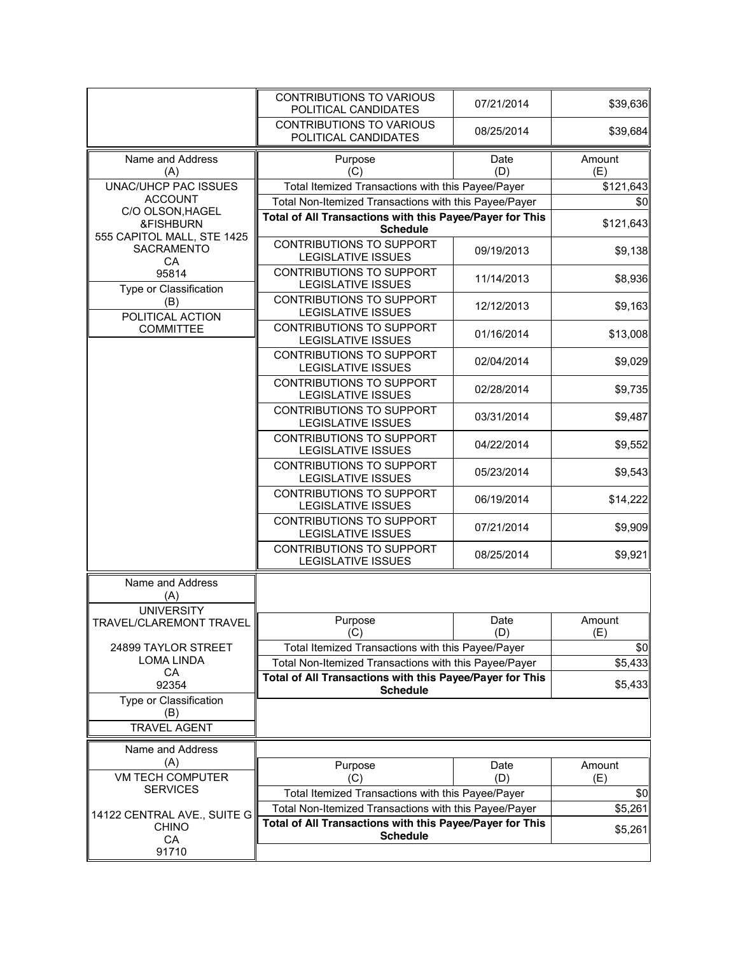|                                                             | CONTRIBUTIONS TO VARIOUS<br>POLITICAL CANDIDATES                            | 07/21/2014  | \$39,636      |
|-------------------------------------------------------------|-----------------------------------------------------------------------------|-------------|---------------|
|                                                             | <b>CONTRIBUTIONS TO VARIOUS</b><br>POLITICAL CANDIDATES                     | 08/25/2014  | \$39,684      |
| Name and Address<br>(A)                                     | Purpose<br>(C)                                                              | Date<br>(D) | Amount<br>(E) |
| UNAC/UHCP PAC ISSUES                                        | Total Itemized Transactions with this Payee/Payer                           |             | \$121,643     |
| <b>ACCOUNT</b>                                              | Total Non-Itemized Transactions with this Payee/Payer                       |             | \$0           |
| C/O OLSON, HAGEL<br>&FISHBURN<br>555 CAPITOL MALL, STE 1425 | Total of All Transactions with this Payee/Payer for This<br><b>Schedule</b> |             | \$121,643     |
| <b>SACRAMENTO</b><br>CA                                     | CONTRIBUTIONS TO SUPPORT<br><b>LEGISLATIVE ISSUES</b>                       | 09/19/2013  | \$9,138       |
| 95814<br>Type or Classification                             | <b>CONTRIBUTIONS TO SUPPORT</b><br>LEGISLATIVE ISSUES                       | 11/14/2013  | \$8,936       |
| (B)<br>POLITICAL ACTION                                     | CONTRIBUTIONS TO SUPPORT<br><b>LEGISLATIVE ISSUES</b>                       | 12/12/2013  | \$9,163       |
| <b>COMMITTEE</b>                                            | CONTRIBUTIONS TO SUPPORT<br><b>LEGISLATIVE ISSUES</b>                       | 01/16/2014  | \$13,008      |
|                                                             | CONTRIBUTIONS TO SUPPORT<br><b>LEGISLATIVE ISSUES</b>                       | 02/04/2014  | \$9,029       |
|                                                             | <b>CONTRIBUTIONS TO SUPPORT</b><br><b>LEGISLATIVE ISSUES</b>                | 02/28/2014  | \$9,735       |
|                                                             | CONTRIBUTIONS TO SUPPORT<br><b>LEGISLATIVE ISSUES</b>                       | 03/31/2014  | \$9,487       |
|                                                             | CONTRIBUTIONS TO SUPPORT<br><b>LEGISLATIVE ISSUES</b>                       | 04/22/2014  | \$9,552       |
|                                                             | CONTRIBUTIONS TO SUPPORT<br><b>LEGISLATIVE ISSUES</b>                       | 05/23/2014  | \$9,543       |
|                                                             | CONTRIBUTIONS TO SUPPORT<br><b>LEGISLATIVE ISSUES</b>                       | 06/19/2014  | \$14,222      |
|                                                             | CONTRIBUTIONS TO SUPPORT<br><b>LEGISLATIVE ISSUES</b>                       | 07/21/2014  | \$9,909       |
|                                                             | CONTRIBUTIONS TO SUPPORT<br><b>LEGISLATIVE ISSUES</b>                       | 08/25/2014  | \$9,921       |
| Name and Address<br>(A)                                     |                                                                             |             |               |
| <b>UNIVERSITY</b>                                           |                                                                             |             |               |
| TRAVEL/CLAREMONT TRAVEL                                     | Purpose<br>(C)                                                              | Date<br>(D) | Amount<br>(E) |
| 24899 TAYLOR STREET                                         | Total Itemized Transactions with this Payee/Payer                           |             | \$0           |
| LOMA LINDA                                                  | Total Non-Itemized Transactions with this Payee/Payer                       |             | \$5,433       |
| CA                                                          | Total of All Transactions with this Payee/Payer for This                    |             |               |
| 92354                                                       | <b>Schedule</b>                                                             |             | \$5,433       |
| Type or Classification<br>(B)                               |                                                                             |             |               |
| <b>TRAVEL AGENT</b>                                         |                                                                             |             |               |
| Name and Address                                            |                                                                             |             |               |
| (A)                                                         | Purpose                                                                     | Date        | Amount        |
| <b>VM TECH COMPUTER</b>                                     | (C)                                                                         | (D)         | (E)           |
| <b>SERVICES</b>                                             | Total Itemized Transactions with this Payee/Payer                           |             | \$0           |
| 14122 CENTRAL AVE., SUITE G                                 | Total Non-Itemized Transactions with this Payee/Payer                       |             | \$5,261       |
| <b>CHINO</b>                                                | Total of All Transactions with this Payee/Payer for This                    |             | \$5,261       |
| CA                                                          | <b>Schedule</b>                                                             |             |               |
| 91710                                                       |                                                                             |             |               |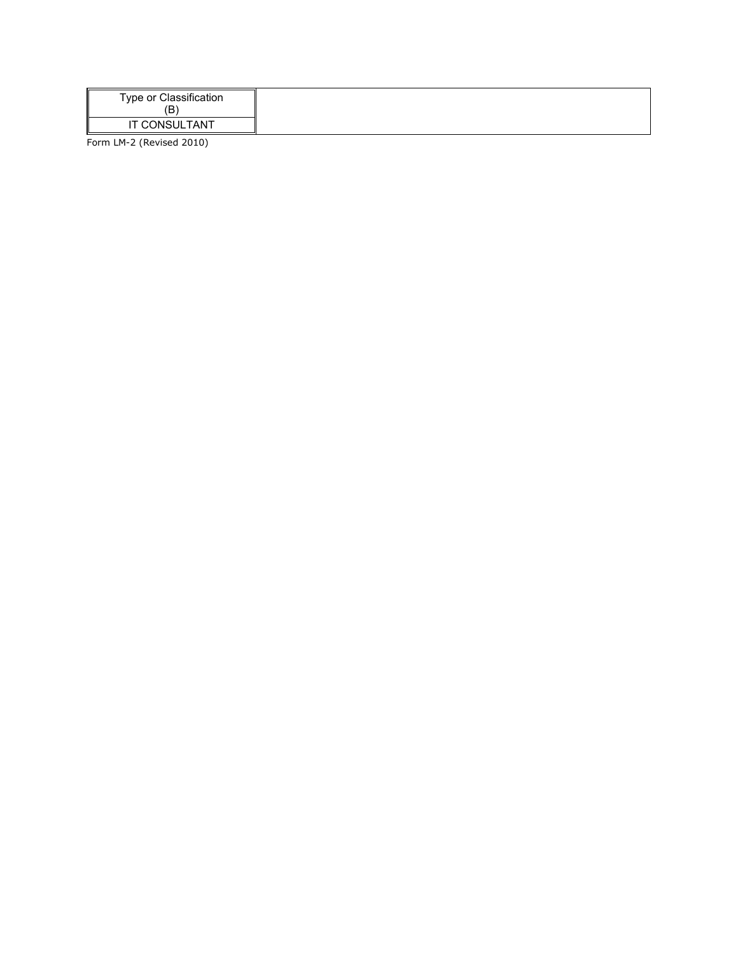| Type or Classification<br>Έ |
|-----------------------------|
| IT CONSULTANT               |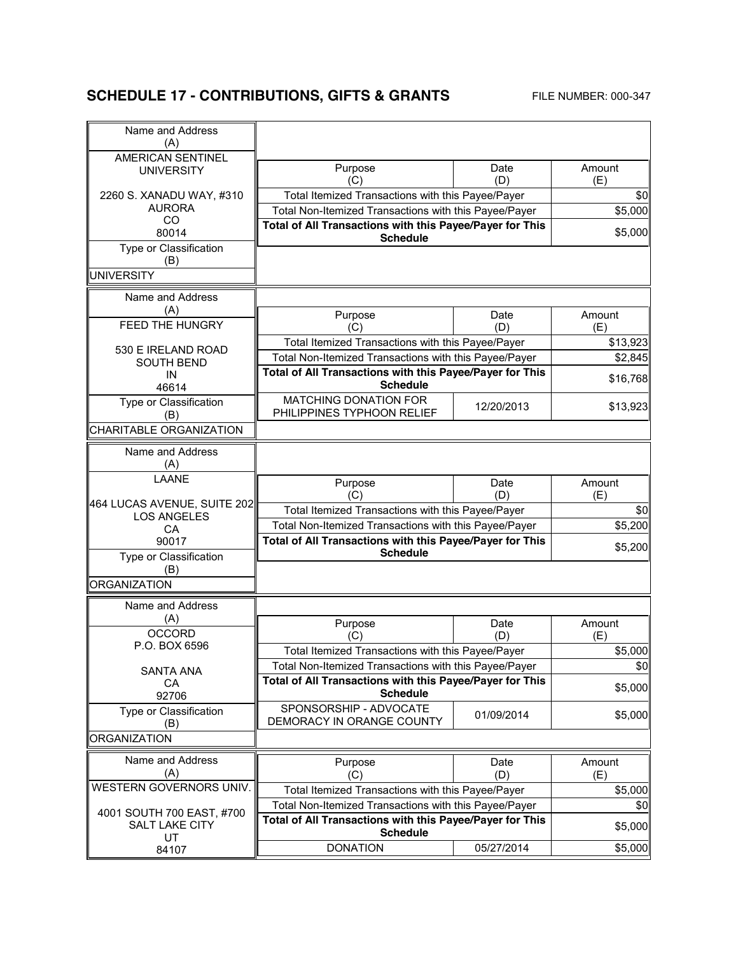# **SCHEDULE 17 - CONTRIBUTIONS, GIFTS & GRANTS** FILE NUMBER: 000-347

| Name and Address<br>(A)        |                                                          |             |               |
|--------------------------------|----------------------------------------------------------|-------------|---------------|
| <b>AMERICAN SENTINEL</b>       |                                                          |             |               |
| <b>UNIVERSITY</b>              | Purpose<br>(C)                                           | Date<br>(D) | Amount<br>(E) |
| 2260 S. XANADU WAY, #310       | Total Itemized Transactions with this Payee/Payer        |             | \$0           |
| <b>AURORA</b>                  | Total Non-Itemized Transactions with this Payee/Payer    |             | \$5,000       |
| CO<br>80014                    | Total of All Transactions with this Payee/Payer for This |             | \$5,000       |
| Type or Classification         | <b>Schedule</b>                                          |             |               |
| (B)                            |                                                          |             |               |
| <b>UNIVERSITY</b>              |                                                          |             |               |
| Name and Address               |                                                          |             |               |
| (A)                            |                                                          | Date        | Amount        |
| <b>FEED THE HUNGRY</b>         | Purpose<br>(C)                                           | (D)         | (E)           |
|                                | Total Itemized Transactions with this Payee/Payer        |             | \$13,923      |
| 530 E IRELAND ROAD             | Total Non-Itemized Transactions with this Payee/Payer    |             | \$2,845       |
| <b>SOUTH BEND</b>              | Total of All Transactions with this Payee/Payer for This |             |               |
| IN<br>46614                    | <b>Schedule</b>                                          |             | \$16,768      |
| Type or Classification         | <b>MATCHING DONATION FOR</b>                             |             |               |
| (B)                            | PHILIPPINES TYPHOON RELIEF                               | 12/20/2013  | \$13,923      |
| <b>CHARITABLE ORGANIZATION</b> |                                                          |             |               |
| Name and Address               |                                                          |             |               |
| (A)                            |                                                          |             |               |
| LAANE                          |                                                          |             |               |
|                                | Purpose<br>(C)                                           | Date<br>(D) | Amount<br>(E) |
| 464 LUCAS AVENUE, SUITE 202    | Total Itemized Transactions with this Payee/Payer        |             | \$0           |
| <b>LOS ANGELES</b>             | Total Non-Itemized Transactions with this Payee/Payer    |             | \$5,200       |
| CA<br>90017                    | Total of All Transactions with this Payee/Payer for This |             |               |
| Type or Classification         | <b>Schedule</b>                                          |             | \$5,200       |
| (B)                            |                                                          |             |               |
| <b>ORGANIZATION</b>            |                                                          |             |               |
| Name and Address               |                                                          |             |               |
| (A)                            |                                                          |             |               |
| <b>OCCORD</b>                  | Purpose<br>(C)                                           | Date<br>(D) | Amount<br>(E) |
| P.O. BOX 6596                  | Total Itemized Transactions with this Payee/Payer        |             | \$5,000       |
|                                | Total Non-Itemized Transactions with this Payee/Payer    |             | \$0           |
| <b>SANTA ANA</b>               | Total of All Transactions with this Payee/Payer for This |             |               |
| CA<br>92706                    | <b>Schedule</b>                                          |             | \$5,000       |
| Type or Classification         | SPONSORSHIP - ADVOCATE                                   |             |               |
| (B)                            | DEMORACY IN ORANGE COUNTY                                | 01/09/2014  | \$5,000       |
| <b>ORGANIZATION</b>            |                                                          |             |               |
| Name and Address               |                                                          |             |               |
| (A)                            | Purpose<br>(C)                                           | Date<br>(D) | Amount<br>(E) |
| WESTERN GOVERNORS UNIV.        | Total Itemized Transactions with this Payee/Payer        |             | \$5,000       |
|                                | Total Non-Itemized Transactions with this Payee/Payer    |             | \$0           |
| 4001 SOUTH 700 EAST, #700      | Total of All Transactions with this Payee/Payer for This |             |               |
| SALT LAKE CITY                 | <b>Schedule</b>                                          |             | \$5,000       |
| UT<br>84107                    | <b>DONATION</b>                                          | 05/27/2014  | \$5,000       |
|                                |                                                          |             |               |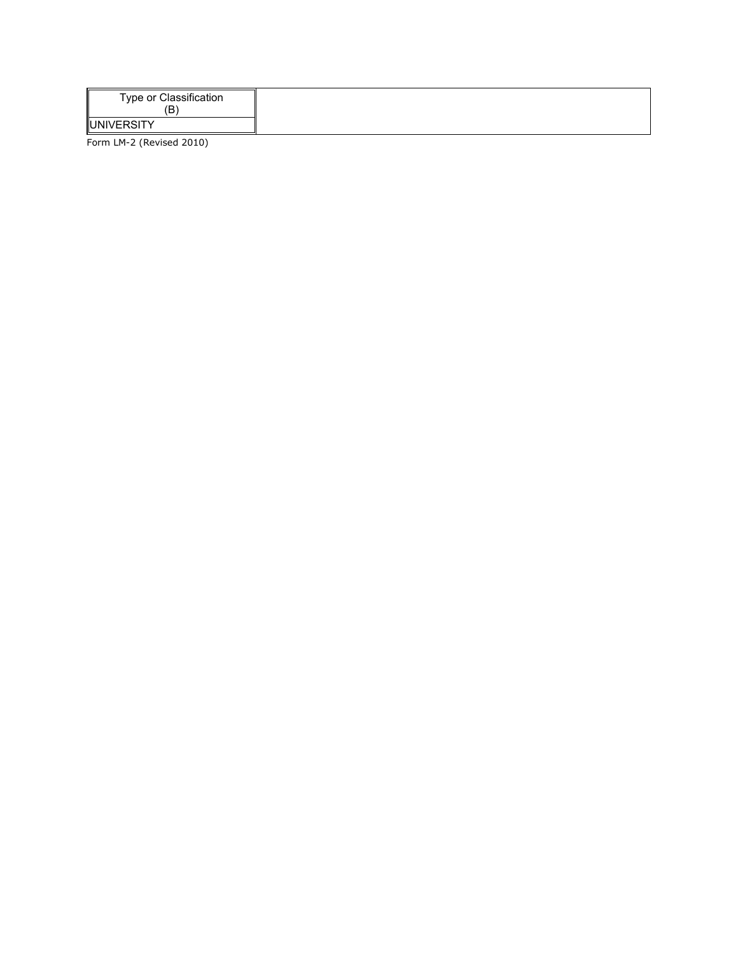| Type or Classification<br>ίB. |
|-------------------------------|
| <b>JUNIVERSITY</b>            |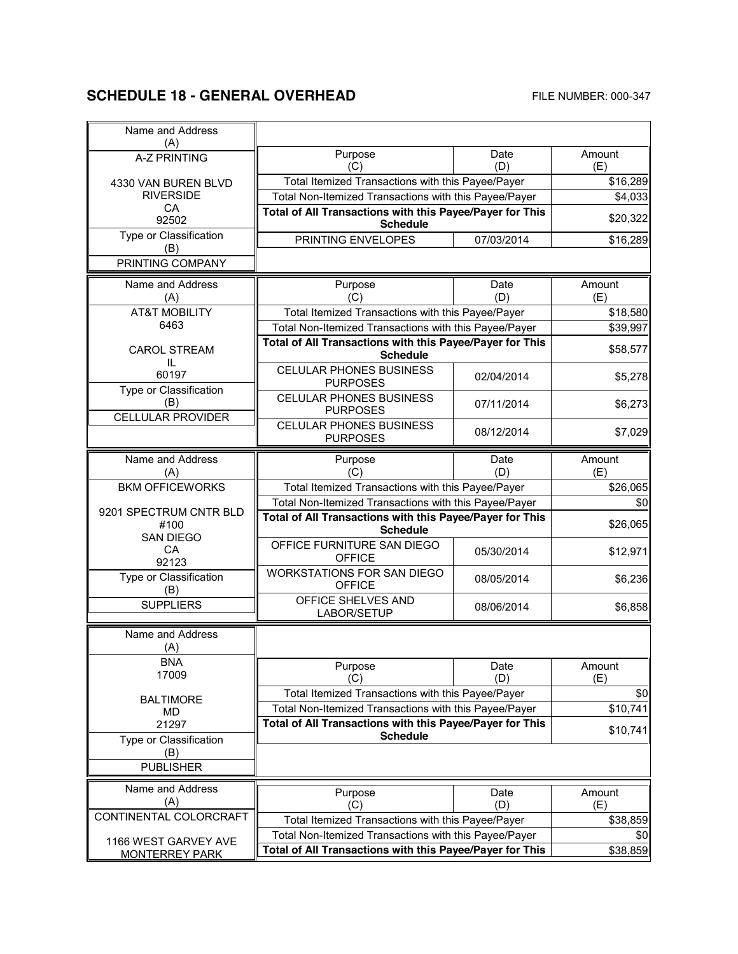# **SCHEDULE 18 - GENERAL OVERHEAD** FILE NUMBER: 000-347

| Name and Address<br>(A)         |                                                                             |             |               |
|---------------------------------|-----------------------------------------------------------------------------|-------------|---------------|
| <b>A-Z PRINTING</b>             | Purpose<br>(C)                                                              | Date<br>(D) | Amount<br>(E) |
| 4330 VAN BUREN BLVD             | Total Itemized Transactions with this Payee/Payer                           |             | \$16,289      |
| <b>RIVERSIDE</b>                | Total Non-Itemized Transactions with this Payee/Payer                       |             | \$4,033       |
| CA                              | Total of All Transactions with this Payee/Payer for This                    |             |               |
| 92502                           | <b>Schedule</b>                                                             |             | \$20,322      |
| Type or Classification<br>(B)   | PRINTING ENVELOPES                                                          | 07/03/2014  | \$16,289      |
| PRINTING COMPANY                |                                                                             |             |               |
| Name and Address                | Purpose                                                                     | Date        | Amount        |
| (A)                             | (C)                                                                         | (D)         | (E)           |
| <b>AT&amp;T MOBILITY</b>        | Total Itemized Transactions with this Payee/Payer                           |             | \$18,580      |
| 6463                            | Total Non-Itemized Transactions with this Payee/Payer                       |             | \$39,997      |
| <b>CAROL STREAM</b>             | Total of All Transactions with this Payee/Payer for This                    |             | \$58,577      |
| IL                              | <b>Schedule</b>                                                             |             |               |
| 60197<br>Type or Classification | <b>CELULAR PHONES BUSINESS</b><br><b>PURPOSES</b>                           | 02/04/2014  | \$5,278       |
| (B)                             | <b>CELULAR PHONES BUSINESS</b><br><b>PURPOSES</b>                           | 07/11/2014  | \$6,273       |
| <b>CELLULAR PROVIDER</b>        | <b>CELULAR PHONES BUSINESS</b><br><b>PURPOSES</b>                           | 08/12/2014  | \$7,029       |
| Name and Address<br>(A)         | Purpose<br>(C)                                                              | Date<br>(D) | Amount<br>(E) |
| <b>BKM OFFICEWORKS</b>          | Total Itemized Transactions with this Payee/Payer                           |             | \$26,065      |
|                                 | Total Non-Itemized Transactions with this Payee/Payer                       |             | \$0           |
| 9201 SPECTRUM CNTR BLD<br>#100  | Total of All Transactions with this Payee/Payer for This<br><b>Schedule</b> |             | \$26,065      |
| <b>SAN DIEGO</b><br>CA<br>92123 | OFFICE FURNITURE SAN DIEGO<br><b>OFFICE</b>                                 | 05/30/2014  | \$12,971      |
| Type or Classification<br>(B)   | <b>WORKSTATIONS FOR SAN DIEGO</b><br><b>OFFICE</b>                          | 08/05/2014  | \$6,236       |
| <b>SUPPLIERS</b>                | OFFICE SHELVES AND<br>LABOR/SETUP                                           | 08/06/2014  | \$6,858       |
| Name and Address                |                                                                             |             |               |
| (A)                             |                                                                             |             |               |
| <b>BNA</b>                      | Purpose                                                                     | Date        | Amount        |
| 17009                           | (C)                                                                         | (D)         | (E)           |
| <b>BALTIMORE</b>                | Total Itemized Transactions with this Payee/Payer                           |             | \$0           |
| MD                              | Total Non-Itemized Transactions with this Payee/Payer                       |             | \$10,741      |
| 21297                           | Total of All Transactions with this Payee/Payer for This<br><b>Schedule</b> |             | \$10,741      |
| Type or Classification          |                                                                             |             |               |
| (B)<br><b>PUBLISHER</b>         |                                                                             |             |               |
| Name and Address                |                                                                             |             |               |
| (A)                             | Purpose<br>(C)                                                              | Date<br>(D) | Amount<br>(E) |
| CONTINENTAL COLORCRAFT          | Total Itemized Transactions with this Payee/Payer                           |             | \$38,859      |
|                                 | Total Non-Itemized Transactions with this Payee/Payer                       |             | \$0           |
| 1166 WEST GARVEY AVE            | Total of All Transactions with this Payee/Payer for This                    |             | \$38,859      |
| <b>MONTERREY PARK</b>           |                                                                             |             |               |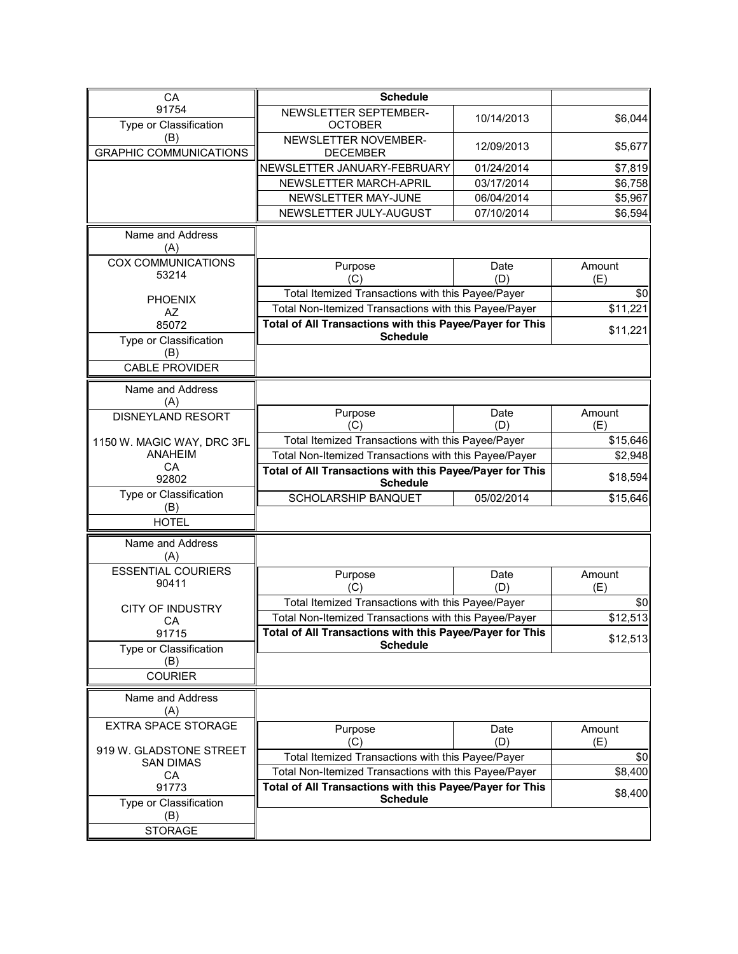| CA                               | <b>Schedule</b>                                                             |             |                                                                               |
|----------------------------------|-----------------------------------------------------------------------------|-------------|-------------------------------------------------------------------------------|
| 91754                            | NEWSLETTER SEPTEMBER-                                                       |             |                                                                               |
| Type or Classification           | <b>OCTOBER</b>                                                              | 10/14/2013  | \$6,044                                                                       |
| (B)                              | NEWSLETTER NOVEMBER-                                                        |             |                                                                               |
| <b>GRAPHIC COMMUNICATIONS</b>    | <b>DECEMBER</b>                                                             | 12/09/2013  | \$5,677                                                                       |
|                                  | NEWSLETTER JANUARY-FEBRUARY                                                 | 01/24/2014  | \$7,819                                                                       |
|                                  | NEWSLETTER MARCH-APRIL                                                      | 03/17/2014  | \$6,758                                                                       |
|                                  | NEWSLETTER MAY-JUNE                                                         | 06/04/2014  | \$5,967                                                                       |
|                                  | NEWSLETTER JULY-AUGUST                                                      | 07/10/2014  | \$6,594                                                                       |
|                                  |                                                                             |             |                                                                               |
| Name and Address                 |                                                                             |             |                                                                               |
| (A)<br><b>COX COMMUNICATIONS</b> |                                                                             |             |                                                                               |
| 53214                            | Purpose                                                                     | Date        | Amount                                                                        |
|                                  | (C)                                                                         | (D)         | (E)                                                                           |
| <b>PHOENIX</b>                   | Total Itemized Transactions with this Payee/Payer                           |             | \$0                                                                           |
| AZ                               | Total Non-Itemized Transactions with this Payee/Payer                       |             | \$11,221                                                                      |
| 85072                            | Total of All Transactions with this Payee/Payer for This                    |             | \$11,221                                                                      |
| Type or Classification           | <b>Schedule</b>                                                             |             |                                                                               |
| (B)                              |                                                                             |             |                                                                               |
| <b>CABLE PROVIDER</b>            |                                                                             |             |                                                                               |
| Name and Address                 |                                                                             |             |                                                                               |
| (A)                              |                                                                             |             |                                                                               |
| <b>DISNEYLAND RESORT</b>         | Purpose                                                                     | Date<br>(D) | Amount                                                                        |
|                                  | (C)                                                                         |             | (E)                                                                           |
| 1150 W. MAGIC WAY, DRC 3FL       | Total Itemized Transactions with this Payee/Payer                           |             | \$15,646                                                                      |
|                                  | Total Non-Itemized Transactions with this Payee/Payer                       |             |                                                                               |
| ANAHEIM                          |                                                                             |             |                                                                               |
| CA<br>92802                      | Total of All Transactions with this Payee/Payer for This                    |             |                                                                               |
|                                  | <b>Schedule</b>                                                             |             |                                                                               |
| Type or Classification<br>(B)    | SCHOLARSHIP BANQUET                                                         | 05/02/2014  |                                                                               |
| <b>HOTEL</b>                     |                                                                             |             |                                                                               |
|                                  |                                                                             |             |                                                                               |
| Name and Address<br>(A)          |                                                                             |             |                                                                               |
| <b>ESSENTIAL COURIERS</b>        |                                                                             |             |                                                                               |
| 90411                            | Purpose                                                                     | Date        | Amount                                                                        |
|                                  | (C)                                                                         | (D)         | (E)                                                                           |
| <b>CITY OF INDUSTRY</b>          | Total Itemized Transactions with this Payee/Payer                           |             | \$0                                                                           |
| CA                               | Total Non-Itemized Transactions with this Payee/Payer                       |             |                                                                               |
| 91715                            | Total of All Transactions with this Payee/Payer for This<br><b>Schedule</b> |             |                                                                               |
| Type or Classification           |                                                                             |             |                                                                               |
| (B)                              |                                                                             |             |                                                                               |
| <b>COURIER</b>                   |                                                                             |             |                                                                               |
| Name and Address                 |                                                                             |             |                                                                               |
| (A)                              |                                                                             |             |                                                                               |
| <b>EXTRA SPACE STORAGE</b>       | Purpose                                                                     | Date        | Amount                                                                        |
| 919 W. GLADSTONE STREET          | (C)                                                                         | (D)         | (E)                                                                           |
| <b>SAN DIMAS</b>                 | Total Itemized Transactions with this Payee/Payer                           |             | \$0                                                                           |
| CA                               | Total Non-Itemized Transactions with this Payee/Payer                       |             |                                                                               |
| 91773                            | Total of All Transactions with this Payee/Payer for This                    |             | \$2,948<br>\$18,594<br>\$15,646<br>\$12,513<br>\$12,513<br>\$8,400<br>\$8,400 |
| Type or Classification           | <b>Schedule</b>                                                             |             |                                                                               |
| (B)<br><b>STORAGE</b>            |                                                                             |             |                                                                               |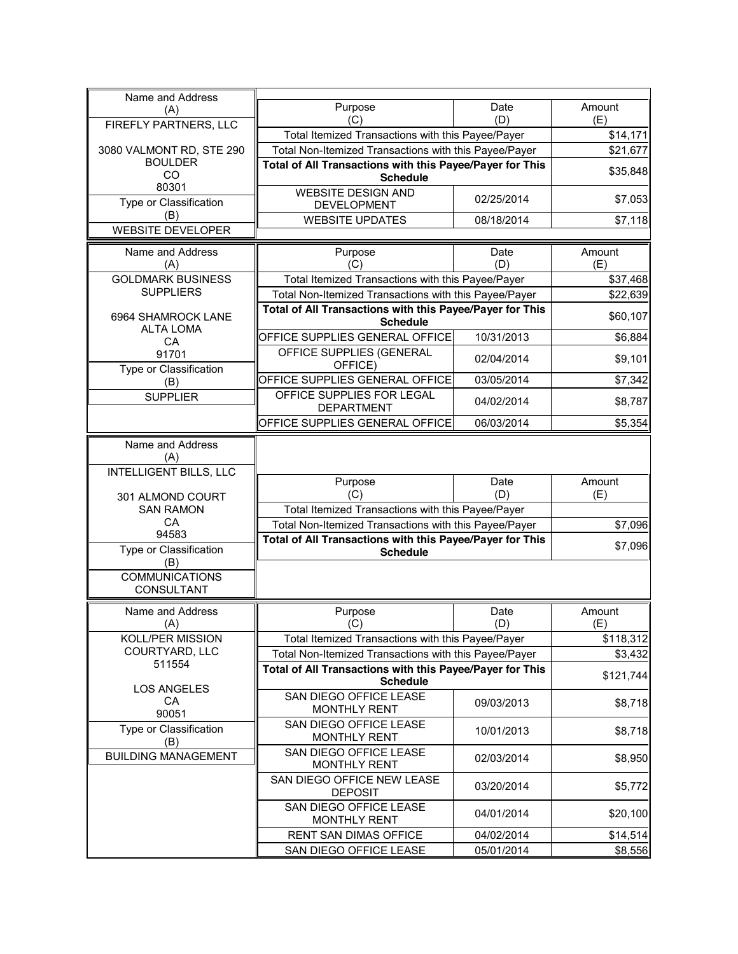| (A)                                        | Purpose<br>(C)                                                              | Date<br>(D)                                       | Amount<br>(E)        |
|--------------------------------------------|-----------------------------------------------------------------------------|---------------------------------------------------|----------------------|
| FIREFLY PARTNERS, LLC                      |                                                                             | Total Itemized Transactions with this Payee/Payer |                      |
| 3080 VALMONT RD, STE 290                   | Total Non-Itemized Transactions with this Payee/Payer                       |                                                   | \$14,171<br>\$21,677 |
| <b>BOULDER</b>                             | Total of All Transactions with this Payee/Payer for This                    |                                                   |                      |
| CO<br>80301                                | <b>Schedule</b>                                                             |                                                   | \$35,848             |
| Type or Classification                     | <b>WEBSITE DESIGN AND</b><br><b>DEVELOPMENT</b>                             | 02/25/2014                                        | \$7,053              |
| (B)                                        | <b>WEBSITE UPDATES</b>                                                      | 08/18/2014                                        | \$7,118              |
| <b>WEBSITE DEVELOPER</b>                   |                                                                             |                                                   |                      |
| Name and Address<br>(A)                    | Purpose<br>(C)                                                              | Date<br>(D)                                       | Amount<br>(E)        |
| <b>GOLDMARK BUSINESS</b>                   | Total Itemized Transactions with this Payee/Payer                           |                                                   | \$37,468             |
| <b>SUPPLIERS</b>                           | Total Non-Itemized Transactions with this Payee/Payer                       |                                                   | \$22,639             |
|                                            | Total of All Transactions with this Payee/Payer for This                    |                                                   |                      |
| 6964 SHAMROCK LANE<br><b>ALTA LOMA</b>     | <b>Schedule</b>                                                             |                                                   | \$60,107             |
| CA                                         | OFFICE SUPPLIES GENERAL OFFICE                                              | 10/31/2013                                        | \$6,884              |
| 91701<br>Type or Classification            | OFFICE SUPPLIES (GENERAL<br>OFFICE)                                         | 02/04/2014                                        | \$9,101              |
| (B)                                        | OFFICE SUPPLIES GENERAL OFFICE                                              | 03/05/2014                                        | \$7,342              |
| <b>SUPPLIER</b>                            | OFFICE SUPPLIES FOR LEGAL<br><b>DEPARTMENT</b>                              | 04/02/2014                                        | \$8,787              |
|                                            | OFFICE SUPPLIES GENERAL OFFICE                                              | 06/03/2014                                        | \$5,354              |
| Name and Address<br>(A)                    |                                                                             |                                                   |                      |
| <b>INTELLIGENT BILLS, LLC</b>              |                                                                             |                                                   | Amount               |
| 301 ALMOND COURT                           | Purpose<br>(C)                                                              | Date                                              |                      |
|                                            |                                                                             |                                                   |                      |
|                                            |                                                                             | (D)                                               | (E)                  |
| <b>SAN RAMON</b><br>CA                     | Total Itemized Transactions with this Payee/Payer                           |                                                   |                      |
| 94583                                      | Total Non-Itemized Transactions with this Payee/Payer                       |                                                   | \$7,096              |
| Type or Classification                     | Total of All Transactions with this Payee/Payer for This<br><b>Schedule</b> |                                                   | \$7,096              |
| (B)<br><b>COMMUNICATIONS</b><br>CONSULTANT |                                                                             |                                                   |                      |
|                                            |                                                                             |                                                   |                      |
| Name and Address<br>(A)                    | Purpose<br>(C)                                                              | Date<br>(D)                                       | Amount<br>(E)        |
| KOLL/PER MISSION                           | Total Itemized Transactions with this Payee/Payer                           |                                                   | \$118,312            |
| COURTYARD, LLC                             | Total Non-Itemized Transactions with this Payee/Payer                       |                                                   | \$3,432              |
| 511554                                     | Total of All Transactions with this Payee/Payer for This                    |                                                   | \$121,744            |
| <b>LOS ANGELES</b>                         | <b>Schedule</b>                                                             |                                                   |                      |
| CA                                         | SAN DIEGO OFFICE LEASE<br><b>MONTHLY RENT</b>                               | 09/03/2013                                        | \$8,718              |
| 90051<br>Type or Classification            | SAN DIEGO OFFICE LEASE<br><b>MONTHLY RENT</b>                               | 10/01/2013                                        | \$8,718              |
| (B)<br><b>BUILDING MANAGEMENT</b>          | SAN DIEGO OFFICE LEASE                                                      | 02/03/2014                                        | \$8,950              |
|                                            | <b>MONTHLY RENT</b><br>SAN DIEGO OFFICE NEW LEASE                           | 03/20/2014                                        | \$5,772              |
|                                            | <b>DEPOSIT</b><br>SAN DIEGO OFFICE LEASE                                    | 04/01/2014                                        | \$20,100             |
|                                            | <b>MONTHLY RENT</b><br>RENT SAN DIMAS OFFICE                                | 04/02/2014                                        | \$14,514             |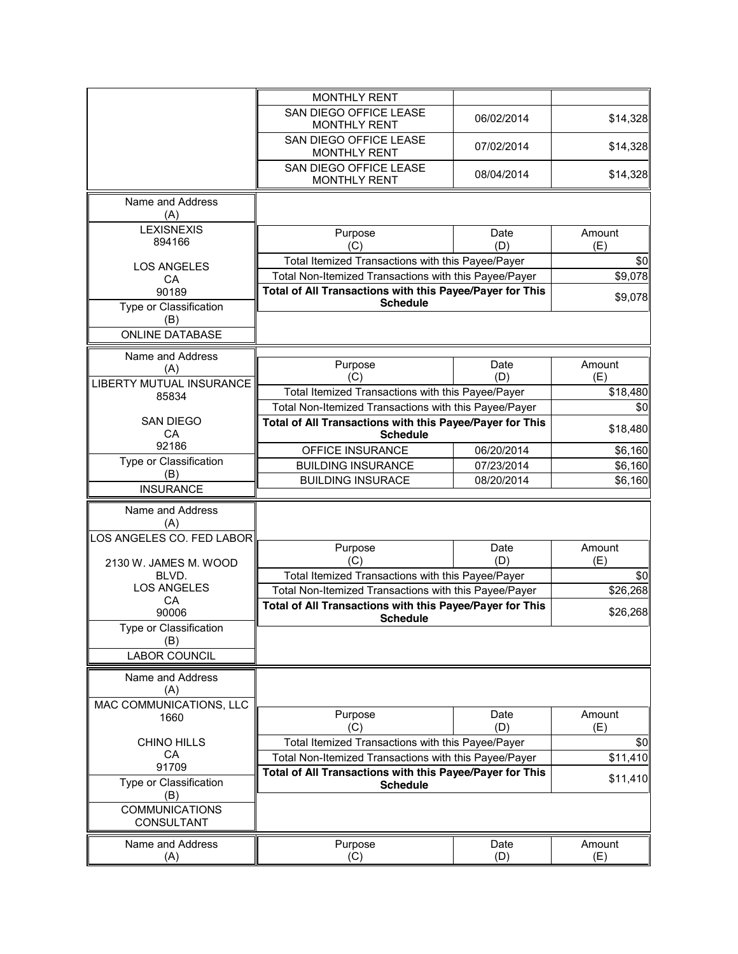|                                          | <b>MONTHLY RENT</b>                                      |             |               |
|------------------------------------------|----------------------------------------------------------|-------------|---------------|
|                                          | SAN DIEGO OFFICE LEASE<br><b>MONTHLY RENT</b>            | 06/02/2014  | \$14,328      |
|                                          | SAN DIEGO OFFICE LEASE<br><b>MONTHLY RENT</b>            | 07/02/2014  | \$14,328      |
|                                          | SAN DIEGO OFFICE LEASE<br><b>MONTHLY RENT</b>            | 08/04/2014  | \$14,328      |
| Name and Address                         |                                                          |             |               |
| (A)                                      |                                                          |             |               |
| <b>LEXISNEXIS</b><br>894166              | Purpose<br>(C)                                           | Date<br>(D) | Amount<br>(E) |
| <b>LOS ANGELES</b>                       | Total Itemized Transactions with this Payee/Payer        |             | \$0           |
| CA                                       | Total Non-Itemized Transactions with this Payee/Payer    |             | \$9,078       |
| 90189                                    | Total of All Transactions with this Payee/Payer for This |             | \$9,078       |
| Type or Classification<br>(B)            | <b>Schedule</b>                                          |             |               |
| <b>ONLINE DATABASE</b>                   |                                                          |             |               |
| Name and Address                         | Purpose                                                  | Date        | Amount        |
| (A)                                      | (C)                                                      | (D)         | (E)           |
| <b>LIBERTY MUTUAL INSURANCE</b><br>85834 | Total Itemized Transactions with this Payee/Payer        |             | \$18,480      |
|                                          | Total Non-Itemized Transactions with this Payee/Payer    |             | \$0           |
| <b>SAN DIEGO</b>                         | Total of All Transactions with this Payee/Payer for This |             | \$18,480      |
| CA                                       | <b>Schedule</b>                                          |             |               |
| 92186<br>Type or Classification          | OFFICE INSURANCE                                         | 06/20/2014  | \$6,160       |
| (B)                                      | <b>BUILDING INSURANCE</b>                                | 07/23/2014  | \$6,160       |
| <b>INSURANCE</b>                         | <b>BUILDING INSURACE</b>                                 | 08/20/2014  | \$6,160       |
| Name and Address                         |                                                          |             |               |
| (A)                                      |                                                          |             |               |
| LOS ANGELES CO. FED LABOR                | Purpose                                                  | Date        | Amount        |
| 2130 W. JAMES M. WOOD                    | (C)                                                      | (D)         | (E)           |
| BLVD.                                    | Total Itemized Transactions with this Payee/Payer        |             | \$0           |
| <b>LOS ANGELES</b>                       | Total Non-Itemized Transactions with this Payee/Payer    |             | \$26,268      |
| СA<br>90006                              | Total of All Transactions with this Payee/Payer for This |             | \$26,268      |
| Type or Classification                   | <b>Schedule</b>                                          |             |               |
| (B)                                      |                                                          |             |               |
| <b>LABOR COUNCIL</b>                     |                                                          |             |               |
| Name and Address                         |                                                          |             |               |
| (A)                                      |                                                          |             |               |
| MAC COMMUNICATIONS, LLC<br>1660          | Purpose                                                  | Date        | Amount        |
|                                          | (C)                                                      | (D)         | (E)           |
| <b>CHINO HILLS</b>                       | Total Itemized Transactions with this Payee/Payer        |             | \$0           |
| <b>CA</b><br>91709                       | Total Non-Itemized Transactions with this Payee/Payer    |             | \$11,410      |
| Type or Classification                   | Total of All Transactions with this Payee/Payer for This |             | \$11,410      |
| (B)                                      | <b>Schedule</b>                                          |             |               |
| <b>COMMUNICATIONS</b>                    |                                                          |             |               |
| <b>CONSULTANT</b>                        |                                                          |             |               |
| Name and Address                         | Purpose                                                  | Date        | Amount        |
| (A)                                      | (C)                                                      | (D)         | (E)           |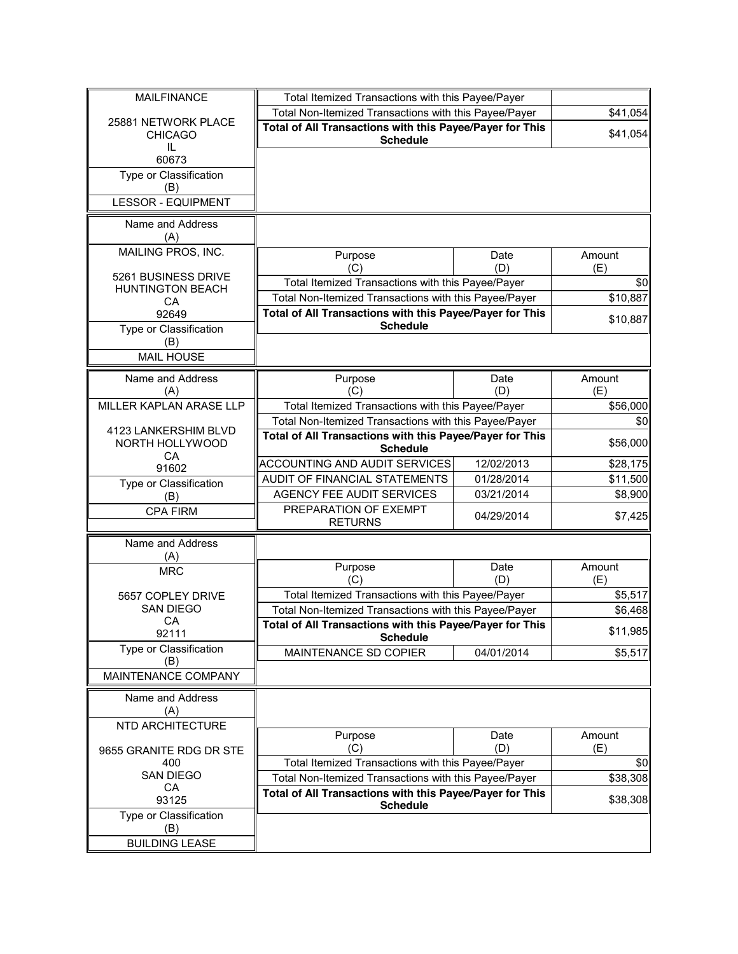| <b>MAILFINANCE</b>            | Total Itemized Transactions with this Payee/Payer                           |             |               |
|-------------------------------|-----------------------------------------------------------------------------|-------------|---------------|
| 25881 NETWORK PLACE           | Total Non-Itemized Transactions with this Payee/Payer                       |             | \$41,054      |
| <b>CHICAGO</b><br>IL          | Total of All Transactions with this Payee/Payer for This<br><b>Schedule</b> |             | \$41,054      |
| 60673                         |                                                                             |             |               |
| Type or Classification<br>(B) |                                                                             |             |               |
| <b>LESSOR - EQUIPMENT</b>     |                                                                             |             |               |
| Name and Address<br>(A)       |                                                                             |             |               |
| MAILING PROS, INC.            | Purpose                                                                     | Date<br>(D) | Amount        |
| 5261 BUSINESS DRIVE           | (C)<br>Total Itemized Transactions with this Payee/Payer                    |             | (E)<br>\$0    |
| <b>HUNTINGTON BEACH</b>       | Total Non-Itemized Transactions with this Payee/Payer                       |             | \$10,887      |
| CA<br>92649                   | Total of All Transactions with this Payee/Payer for This                    |             |               |
| Type or Classification        | <b>Schedule</b>                                                             |             | \$10,887      |
| (B)                           |                                                                             |             |               |
| <b>MAIL HOUSE</b>             |                                                                             |             |               |
| Name and Address              | Purpose                                                                     | Date        | Amount        |
| (A)                           | (C)                                                                         | (D)         | (E)           |
| MILLER KAPLAN ARASE LLP       | Total Itemized Transactions with this Payee/Payer                           |             | \$56,000      |
| 4123 LANKERSHIM BLVD          | Total Non-Itemized Transactions with this Payee/Payer                       |             | \$0           |
| NORTH HOLLYWOOD<br>CA         | Total of All Transactions with this Payee/Payer for This<br><b>Schedule</b> |             | \$56,000      |
| 91602                         | <b>ACCOUNTING AND AUDIT SERVICES</b>                                        | 12/02/2013  | \$28,175      |
| Type or Classification        | AUDIT OF FINANCIAL STATEMENTS                                               | 01/28/2014  | \$11,500      |
| (B)                           | <b>AGENCY FEE AUDIT SERVICES</b>                                            | 03/21/2014  | \$8,900       |
| <b>CPA FIRM</b>               | PREPARATION OF EXEMPT<br><b>RETURNS</b>                                     | 04/29/2014  | \$7,425       |
| Name and Address<br>(A)       |                                                                             |             |               |
| <b>MRC</b>                    | Purpose<br>(C)                                                              | Date<br>(D) | Amount<br>(E) |
| 5657 COPLEY DRIVE             | Total Itemized Transactions with this Payee/Payer                           |             | \$5,517       |
| <b>SAN DIEGO</b>              | Total Non-Itemized Transactions with this Payee/Payer                       |             | \$6,468       |
| CA<br>92111                   | Total of All Transactions with this Payee/Payer for This<br><b>Schedule</b> |             | \$11,985      |
| Type or Classification        | MAINTENANCE SD COPIER                                                       | 04/01/2014  | \$5,517       |
| (B)<br>MAINTENANCE COMPANY    |                                                                             |             |               |
| Name and Address<br>(A)       |                                                                             |             |               |
| NTD ARCHITECTURE              |                                                                             |             |               |
| 9655 GRANITE RDG DR STE       | Purpose<br>(C)                                                              | Date<br>(D) | Amount<br>(E) |
| 400                           | Total Itemized Transactions with this Payee/Payer                           |             | \$0           |
| <b>SAN DIEGO</b>              | Total Non-Itemized Transactions with this Payee/Payer                       |             | \$38,308      |
| CA<br>93125                   | Total of All Transactions with this Payee/Payer for This<br><b>Schedule</b> |             | \$38,308      |
| Type or Classification        |                                                                             |             |               |
| (B)                           |                                                                             |             |               |
| <b>BUILDING LEASE</b>         |                                                                             |             |               |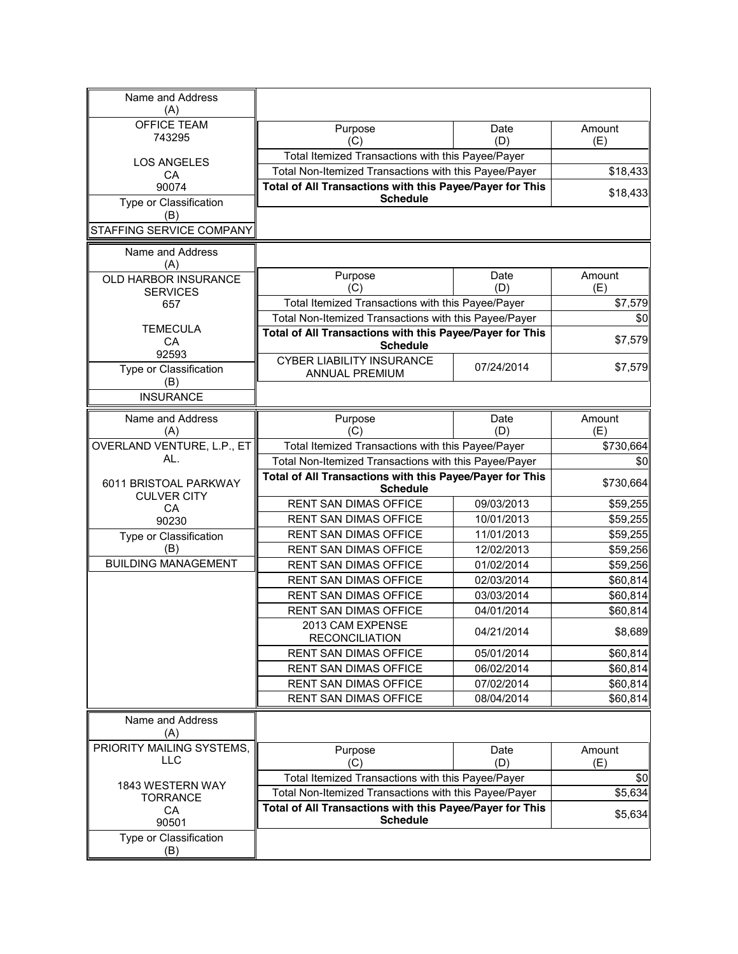| Name and Address<br>(A)                     |                                                                             |                                                          |               |
|---------------------------------------------|-----------------------------------------------------------------------------|----------------------------------------------------------|---------------|
| <b>OFFICE TEAM</b>                          | Purpose                                                                     | Date                                                     | Amount        |
| 743295                                      | (C)                                                                         | (D)                                                      | (E)           |
| <b>LOS ANGELES</b>                          | Total Itemized Transactions with this Payee/Payer                           |                                                          |               |
| СA                                          | Total Non-Itemized Transactions with this Payee/Payer                       |                                                          | \$18,433      |
| 90074                                       | Total of All Transactions with this Payee/Payer for This                    |                                                          | \$18,433      |
| Type or Classification                      | <b>Schedule</b>                                                             |                                                          |               |
| (B)                                         |                                                                             |                                                          |               |
| STAFFING SERVICE COMPANY                    |                                                                             |                                                          |               |
| Name and Address<br>(A)                     |                                                                             |                                                          |               |
| OLD HARBOR INSURANCE                        | Purpose                                                                     | Date                                                     | Amount        |
| <b>SERVICES</b>                             | (C)                                                                         | (D)                                                      | (E)           |
| 657                                         | Total Itemized Transactions with this Payee/Payer                           |                                                          | \$7,579       |
| <b>TEMECULA</b>                             | Total Non-Itemized Transactions with this Payee/Payer                       |                                                          | \$0           |
| CA                                          | Total of All Transactions with this Payee/Payer for This<br><b>Schedule</b> |                                                          | \$7,579       |
| 92593                                       | <b>CYBER LIABILITY INSURANCE</b>                                            |                                                          |               |
| Type or Classification                      | <b>ANNUAL PREMIUM</b>                                                       | 07/24/2014                                               | \$7,579       |
| (B)                                         |                                                                             |                                                          |               |
| <b>INSURANCE</b>                            |                                                                             |                                                          |               |
| Name and Address                            | Purpose                                                                     | Date                                                     | Amount        |
| (A)                                         | (C)                                                                         | (D)                                                      | (E)           |
| OVERLAND VENTURE, L.P., ET                  | Total Itemized Transactions with this Payee/Payer                           |                                                          | \$730,664     |
| AL.                                         | Total Non-Itemized Transactions with this Payee/Payer                       |                                                          | \$0           |
| 6011 BRISTOAL PARKWAY<br><b>CULVER CITY</b> | Total of All Transactions with this Payee/Payer for This<br><b>Schedule</b> |                                                          | \$730,664     |
| CA                                          | RENT SAN DIMAS OFFICE                                                       | 09/03/2013                                               | \$59,255      |
| 90230                                       | <b>RENT SAN DIMAS OFFICE</b>                                                | 10/01/2013                                               | \$59,255      |
| Type or Classification                      | RENT SAN DIMAS OFFICE                                                       | 11/01/2013                                               | \$59,255      |
| (B)                                         | RENT SAN DIMAS OFFICE                                                       | 12/02/2013                                               | \$59,256      |
| <b>BUILDING MANAGEMENT</b>                  | RENT SAN DIMAS OFFICE                                                       | 01/02/2014                                               | \$59,256      |
|                                             | <b>RENT SAN DIMAS OFFICE</b>                                                | 02/03/2014                                               | \$60,814      |
|                                             | <b>RENT SAN DIMAS OFFICE</b>                                                | 03/03/2014                                               | \$60,814      |
|                                             | RENT SAN DIMAS OFFICE                                                       | 04/01/2014                                               | \$60,814      |
|                                             | 2013 CAM EXPENSE<br><b>RECONCILIATION</b>                                   | 04/21/2014                                               | \$8,689       |
|                                             | <b>RENT SAN DIMAS OFFICE</b>                                                | 05/01/2014                                               | \$60,814      |
|                                             | RENT SAN DIMAS OFFICE                                                       | 06/02/2014                                               | \$60,814      |
|                                             | RENT SAN DIMAS OFFICE                                                       | 07/02/2014                                               | \$60,814      |
|                                             | RENT SAN DIMAS OFFICE                                                       | 08/04/2014                                               | \$60,814      |
| Name and Address<br>(A)                     |                                                                             |                                                          |               |
| PRIORITY MAILING SYSTEMS,<br><b>LLC</b>     | Purpose<br>(C)                                                              | Date<br>(D)                                              | Amount<br>(E) |
|                                             | Total Itemized Transactions with this Payee/Payer                           |                                                          | \$0           |
| 1843 WESTERN WAY<br><b>TORRANCE</b>         | Total Non-Itemized Transactions with this Payee/Payer                       |                                                          | \$5,634       |
|                                             |                                                                             | Total of All Transactions with this Payee/Payer for This |               |
| CA<br>90501                                 | <b>Schedule</b>                                                             |                                                          | \$5,634       |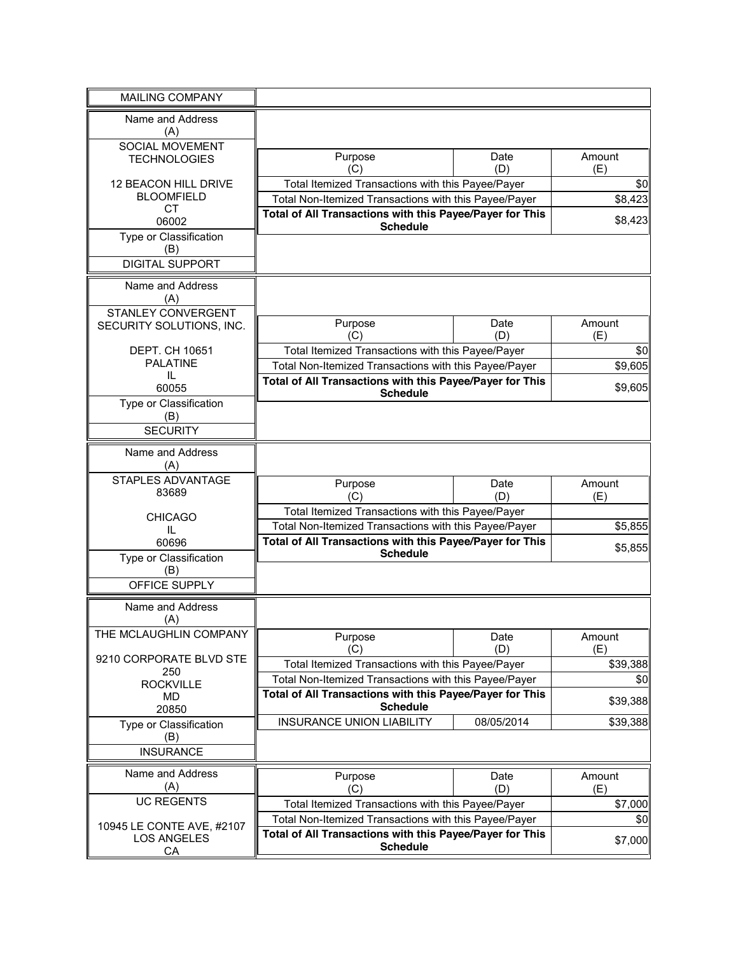| <b>MAILING COMPANY</b>          |                                                                             |             |               |
|---------------------------------|-----------------------------------------------------------------------------|-------------|---------------|
| Name and Address<br>(A)         |                                                                             |             |               |
| SOCIAL MOVEMENT                 |                                                                             |             |               |
| <b>TECHNOLOGIES</b>             | Purpose<br>(C)                                                              | Date<br>(D) | Amount<br>(E) |
| 12 BEACON HILL DRIVE            | Total Itemized Transactions with this Payee/Payer                           |             | \$0           |
| <b>BLOOMFIELD</b><br><b>CT</b>  | Total Non-Itemized Transactions with this Payee/Payer                       |             | \$8,423       |
| 06002                           | Total of All Transactions with this Payee/Payer for This<br><b>Schedule</b> |             | \$8,423       |
| Type or Classification<br>(B)   |                                                                             |             |               |
| <b>DIGITAL SUPPORT</b>          |                                                                             |             |               |
| Name and Address<br>(A)         |                                                                             |             |               |
| <b>STANLEY CONVERGENT</b>       | Purpose                                                                     | Date        | Amount        |
| SECURITY SOLUTIONS, INC.        | (C)                                                                         | (D)         | (E)           |
| DEPT. CH 10651                  | Total Itemized Transactions with this Payee/Payer                           |             | \$0           |
| <b>PALATINE</b>                 | Total Non-Itemized Transactions with this Payee/Payer                       |             | \$9,605       |
| IL<br>60055                     | Total of All Transactions with this Payee/Payer for This                    |             | \$9,605       |
| Type or Classification          | <b>Schedule</b>                                                             |             |               |
| (B)                             |                                                                             |             |               |
| <b>SECURITY</b>                 |                                                                             |             |               |
| Name and Address                |                                                                             |             |               |
| (A)                             |                                                                             |             |               |
| STAPLES ADVANTAGE               | Purpose                                                                     | Date        | Amount        |
| 83689                           | (C)                                                                         | (D)         | (E)           |
| <b>CHICAGO</b>                  | Total Itemized Transactions with this Payee/Payer                           |             |               |
| IL                              | Total Non-Itemized Transactions with this Payee/Payer                       |             | \$5,855       |
| 60696                           | Total of All Transactions with this Payee/Payer for This<br><b>Schedule</b> |             | \$5,855       |
| Type or Classification<br>(B)   |                                                                             |             |               |
| OFFICE SUPPLY                   |                                                                             |             |               |
| Name and Address                |                                                                             |             |               |
| (A)                             |                                                                             |             |               |
| THE MCLAUGHLIN COMPANY          | Purpose                                                                     | Date        | Amount        |
| 9210 CORPORATE BLVD STE         | (C)                                                                         | (D)         | (E)           |
| 250                             | Total Itemized Transactions with this Payee/Payer                           |             | \$39,388      |
| <b>ROCKVILLE</b>                | Total Non-Itemized Transactions with this Payee/Payer                       |             | \$0           |
| MD                              | Total of All Transactions with this Payee/Payer for This<br><b>Schedule</b> |             | \$39,388      |
| 20850<br>Type or Classification | <b>INSURANCE UNION LIABILITY</b>                                            | 08/05/2014  | \$39,388      |
| (B)                             |                                                                             |             |               |
| <b>INSURANCE</b>                |                                                                             |             |               |
| Name and Address                | Purpose                                                                     | Date        | Amount        |
| (A)                             | (C)                                                                         | (D)         | (E)           |
| <b>UC REGENTS</b>               | Total Itemized Transactions with this Payee/Payer                           |             | \$7,000       |
| 10945 LE CONTE AVE, #2107       | Total Non-Itemized Transactions with this Payee/Payer                       |             | \$0           |
| <b>LOS ANGELES</b>              | Total of All Transactions with this Payee/Payer for This<br><b>Schedule</b> |             | \$7,000       |
| CA                              |                                                                             |             |               |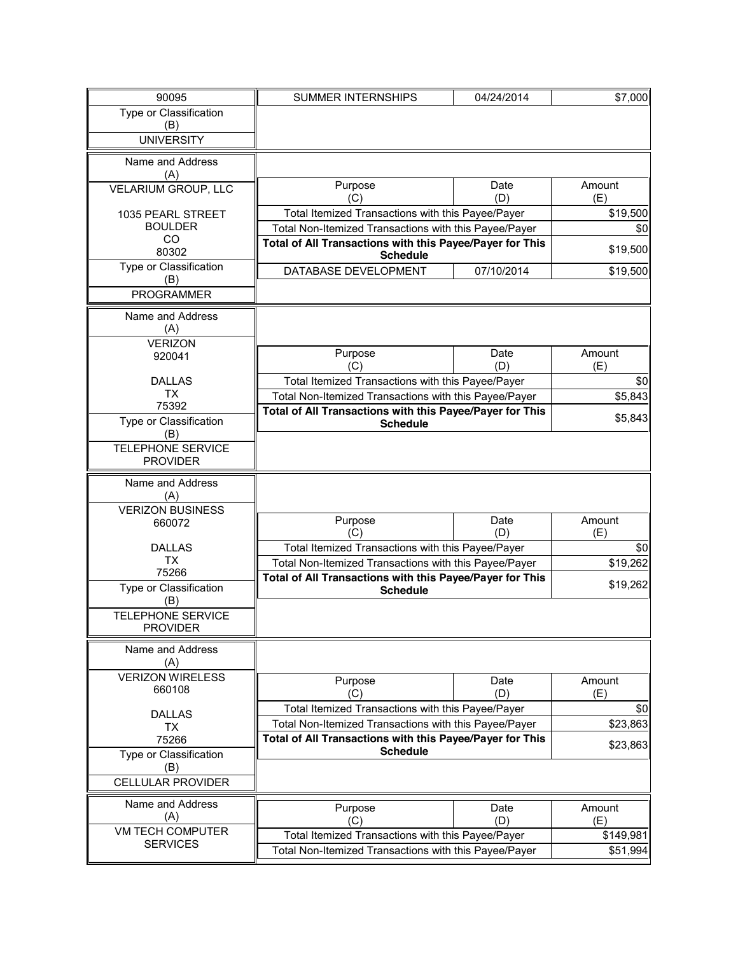| 90095                                      | <b>SUMMER INTERNSHIPS</b>                                | 04/24/2014  | \$7,000       |
|--------------------------------------------|----------------------------------------------------------|-------------|---------------|
| Type or Classification                     |                                                          |             |               |
| (B)                                        |                                                          |             |               |
| <b>UNIVERSITY</b>                          |                                                          |             |               |
| Name and Address                           |                                                          |             |               |
| (A)                                        |                                                          |             |               |
| VELARIUM GROUP, LLC                        | Purpose                                                  | Date        | Amount        |
|                                            | (C)                                                      | (D)         | (E)           |
| 1035 PEARL STREET                          | Total Itemized Transactions with this Payee/Payer        |             | \$19,500      |
| <b>BOULDER</b>                             | Total Non-Itemized Transactions with this Payee/Payer    |             | \$0           |
| CO<br>80302                                | Total of All Transactions with this Payee/Payer for This |             | \$19,500      |
| Type or Classification                     | <b>Schedule</b>                                          |             |               |
| (B)                                        | DATABASE DEVELOPMENT                                     | 07/10/2014  | \$19,500      |
| <b>PROGRAMMER</b>                          |                                                          |             |               |
|                                            |                                                          |             |               |
| Name and Address<br>(A)                    |                                                          |             |               |
| <b>VERIZON</b>                             |                                                          |             |               |
| 920041                                     | Purpose                                                  | Date        | Amount        |
|                                            | (C)                                                      | (D)         | (E)           |
| <b>DALLAS</b>                              | Total Itemized Transactions with this Payee/Payer        |             | \$0           |
| <b>TX</b>                                  | Total Non-Itemized Transactions with this Payee/Payer    |             | \$5,843       |
| 75392                                      | Total of All Transactions with this Payee/Payer for This |             | \$5,843       |
| Type or Classification<br>(B)              | <b>Schedule</b>                                          |             |               |
| <b>TELEPHONE SERVICE</b>                   |                                                          |             |               |
| <b>PROVIDER</b>                            |                                                          |             |               |
|                                            |                                                          |             |               |
| Name and Address<br>(A)                    |                                                          |             |               |
| <b>VERIZON BUSINESS</b>                    |                                                          |             |               |
| 660072                                     | Purpose                                                  | Date        | Amount        |
|                                            | (C)                                                      | (D)         | (E)           |
| <b>DALLAS</b>                              | Total Itemized Transactions with this Payee/Payer        |             | \$0           |
| ТX<br>75266                                | Total Non-Itemized Transactions with this Payee/Payer    |             | \$19,262      |
|                                            | Total of All Transactions with this Payee/Payer for This |             | \$19,262      |
| Type or Classification<br>(B)              | <b>Schedule</b>                                          |             |               |
| <b>TELEPHONE SERVICE</b>                   |                                                          |             |               |
| <b>PROVIDER</b>                            |                                                          |             |               |
| Name and Address                           |                                                          |             |               |
| (A)                                        |                                                          |             |               |
| <b>VERIZON WIRELESS</b>                    |                                                          |             |               |
| 660108                                     | Purpose<br>(C)                                           | Date<br>(D) | Amount<br>(E) |
|                                            | Total Itemized Transactions with this Payee/Payer        |             | \$0           |
| <b>DALLAS</b>                              | Total Non-Itemized Transactions with this Payee/Payer    |             | \$23,863      |
| <b>TX</b><br>75266                         | Total of All Transactions with this Payee/Payer for This |             |               |
| Type or Classification                     | <b>Schedule</b>                                          |             | \$23,863      |
| (B)                                        |                                                          |             |               |
| <b>CELLULAR PROVIDER</b>                   |                                                          |             |               |
|                                            |                                                          |             |               |
| Name and Address                           | Purpose                                                  | Date        | Amount        |
| (A)                                        | (C)                                                      | (D)         | (E)           |
| <b>VM TECH COMPUTER</b><br><b>SERVICES</b> | Total Itemized Transactions with this Payee/Payer        |             | \$149,981     |
|                                            | Total Non-Itemized Transactions with this Payee/Payer    |             | \$51,994      |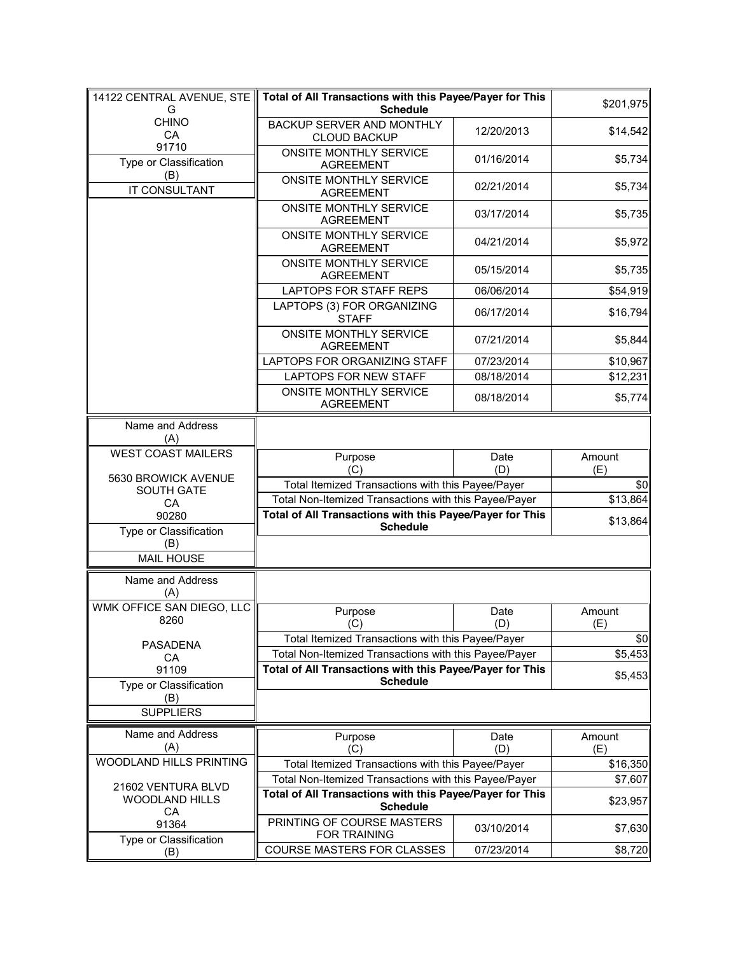| 14122 CENTRAL AVENUE, STE<br>G              | Total of All Transactions with this Payee/Payer for This<br><b>Schedule</b> |             | \$201,975     |
|---------------------------------------------|-----------------------------------------------------------------------------|-------------|---------------|
| <b>CHINO</b><br>CA                          | BACKUP SERVER AND MONTHLY<br><b>CLOUD BACKUP</b>                            | 12/20/2013  | \$14,542      |
| 91710<br>Type or Classification             | ONSITE MONTHLY SERVICE<br><b>AGREEMENT</b>                                  | 01/16/2014  | \$5,734       |
| (B)<br>IT CONSULTANT                        | ONSITE MONTHLY SERVICE<br><b>AGREEMENT</b>                                  | 02/21/2014  | \$5,734       |
|                                             | ONSITE MONTHLY SERVICE<br><b>AGREEMENT</b>                                  | 03/17/2014  | \$5,735       |
|                                             | <b>ONSITE MONTHLY SERVICE</b><br><b>AGREEMENT</b>                           | 04/21/2014  | \$5,972       |
|                                             | ONSITE MONTHLY SERVICE<br><b>AGREEMENT</b>                                  | 05/15/2014  | \$5,735       |
|                                             | <b>LAPTOPS FOR STAFF REPS</b>                                               | 06/06/2014  | \$54,919      |
|                                             | LAPTOPS (3) FOR ORGANIZING<br><b>STAFF</b>                                  | 06/17/2014  | \$16,794      |
|                                             | ONSITE MONTHLY SERVICE<br><b>AGREEMENT</b>                                  | 07/21/2014  | \$5,844       |
|                                             | LAPTOPS FOR ORGANIZING STAFF                                                | 07/23/2014  | \$10,967      |
|                                             | <b>LAPTOPS FOR NEW STAFF</b>                                                | 08/18/2014  | \$12,231      |
|                                             | ONSITE MONTHLY SERVICE<br><b>AGREEMENT</b>                                  | 08/18/2014  | \$5,774       |
| Name and Address<br>(A)                     |                                                                             |             |               |
| <b>WEST COAST MAILERS</b>                   | Purpose<br>(C)                                                              | Date<br>(D) | Amount<br>(E) |
| 5630 BROWICK AVENUE                         | Total Itemized Transactions with this Payee/Payer                           |             | \$0           |
| SOUTH GATE<br>CA                            | Total Non-Itemized Transactions with this Payee/Payer                       |             | \$13,864      |
| 90280                                       | Total of All Transactions with this Payee/Payer for This                    |             |               |
| Type or Classification                      | <b>Schedule</b>                                                             |             | \$13,864      |
| (B)                                         |                                                                             |             |               |
| <b>MAIL HOUSE</b>                           |                                                                             |             |               |
| Name and Address<br>(A)                     |                                                                             |             |               |
| WMK OFFICE SAN DIEGO, LLC                   | Purpose                                                                     | Date        | Amount        |
| 8260                                        | (C)                                                                         | (D)         | (E)           |
| <b>PASADENA</b>                             | Total Itemized Transactions with this Payee/Payer                           |             | \$0           |
| СA                                          | Total Non-Itemized Transactions with this Payee/Payer                       |             | \$5,453       |
| 91109                                       | Total of All Transactions with this Payee/Payer for This                    |             | \$5,453       |
| Type or Classification<br>(B)               | <b>Schedule</b>                                                             |             |               |
| <b>SUPPLIERS</b>                            |                                                                             |             |               |
| Name and Address<br>(A)                     | Purpose<br>(C)                                                              | Date<br>(D) | Amount<br>(E) |
| WOODLAND HILLS PRINTING                     | Total Itemized Transactions with this Payee/Payer                           |             | \$16,350      |
|                                             | Total Non-Itemized Transactions with this Payee/Payer                       |             | \$7,607       |
| 21602 VENTURA BLVD<br><b>WOODLAND HILLS</b> | Total of All Transactions with this Payee/Payer for This<br><b>Schedule</b> |             | \$23,957      |
| CA<br>91364                                 | PRINTING OF COURSE MASTERS<br>FOR TRAINING                                  | 03/10/2014  | \$7,630       |
| Type or Classification<br>(B)               | COURSE MASTERS FOR CLASSES                                                  | 07/23/2014  | \$8,720       |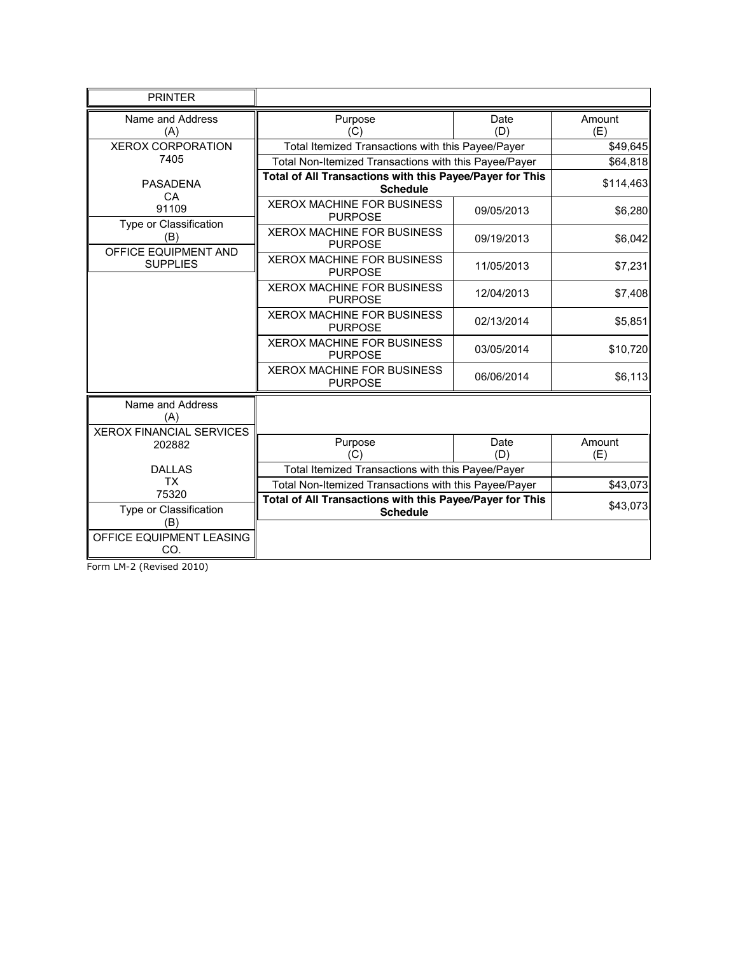| <b>PRINTER</b>                                             |                                                                             |             |               |
|------------------------------------------------------------|-----------------------------------------------------------------------------|-------------|---------------|
| Name and Address<br>(A)                                    | Purpose<br>(C)                                                              | Date<br>(D) | Amount<br>(E) |
| <b>XEROX CORPORATION</b>                                   | Total Itemized Transactions with this Payee/Payer                           |             | \$49,645      |
| 7405                                                       | Total Non-Itemized Transactions with this Payee/Payer                       |             | \$64,818      |
| <b>PASADENA</b><br>CA                                      | Total of All Transactions with this Payee/Payer for This<br><b>Schedule</b> |             | \$114,463     |
| 91109<br>Type or Classification                            | XEROX MACHINE FOR BUSINESS<br><b>PURPOSE</b>                                | 09/05/2013  | \$6,280       |
| (B)<br>OFFICE EQUIPMENT AND                                | <b>XEROX MACHINE FOR BUSINESS</b><br><b>PURPOSE</b>                         | 09/19/2013  | \$6,042       |
| <b>SUPPLIES</b>                                            | <b>XEROX MACHINE FOR BUSINESS</b><br><b>PURPOSE</b>                         | 11/05/2013  | \$7,231       |
|                                                            | <b>XEROX MACHINE FOR BUSINESS</b><br><b>PURPOSE</b>                         | 12/04/2013  | \$7,408       |
|                                                            | <b>XEROX MACHINE FOR BUSINESS</b><br><b>PURPOSE</b>                         | 02/13/2014  | \$5,851       |
|                                                            | <b>XEROX MACHINE FOR BUSINESS</b><br><b>PURPOSE</b>                         | 03/05/2014  | \$10,720      |
|                                                            | XEROX MACHINE FOR BUSINESS<br><b>PURPOSE</b>                                | 06/06/2014  | \$6,113       |
| Name and Address<br>(A)<br><b>XEROX FINANCIAL SERVICES</b> |                                                                             |             |               |
| 202882                                                     | Purpose                                                                     | Date        | Amount        |
| <b>DALLAS</b>                                              | (C)<br>Total Itemized Transactions with this Payee/Payer                    | (D)         | (E)           |
| <b>TX</b>                                                  | Total Non-Itemized Transactions with this Payee/Payer                       |             | \$43,073      |
| 75320                                                      | Total of All Transactions with this Payee/Payer for This                    |             |               |
| Type or Classification                                     | <b>Schedule</b>                                                             |             | \$43,073      |
| (B)<br>OFFICE EQUIPMENT LEASING                            |                                                                             |             |               |
| CO.                                                        |                                                                             |             |               |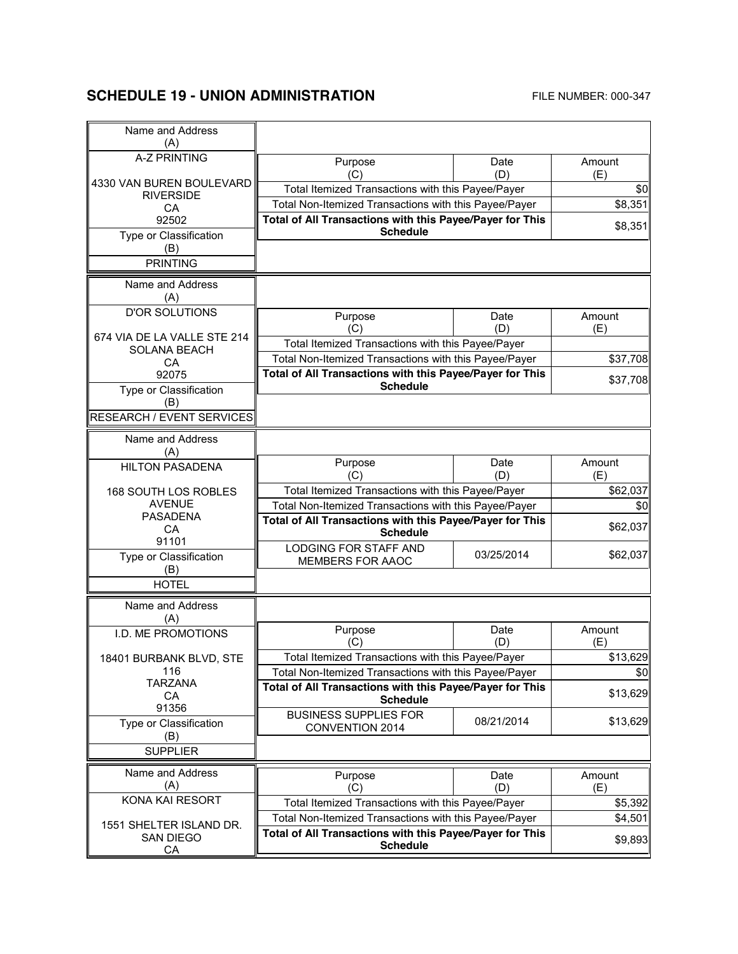# **SCHEDULE 19 - UNION ADMINISTRATION** FILE NUMBER: 000-347

| Name and Address<br>(A)         |                                                                             |             |               |
|---------------------------------|-----------------------------------------------------------------------------|-------------|---------------|
| <b>A-Z PRINTING</b>             | Purpose<br>(C)                                                              | Date<br>(D) | Amount<br>(E) |
| 4330 VAN BUREN BOULEVARD        | Total Itemized Transactions with this Payee/Payer                           |             | \$0           |
| <b>RIVERSIDE</b><br>CA          | Total Non-Itemized Transactions with this Payee/Payer                       |             | \$8,351       |
| 92502                           | Total of All Transactions with this Payee/Payer for This                    |             |               |
| Type or Classification          | <b>Schedule</b>                                                             |             | \$8,351       |
| (B)                             |                                                                             |             |               |
| <b>PRINTING</b>                 |                                                                             |             |               |
| Name and Address<br>(A)         |                                                                             |             |               |
| <b>D'OR SOLUTIONS</b>           | Purpose                                                                     | Date        | Amount        |
| 674 VIA DE LA VALLE STE 214     | (C)                                                                         | (D)         | (E)           |
| <b>SOLANA BEACH</b>             | Total Itemized Transactions with this Payee/Payer                           |             |               |
| CA                              | Total Non-Itemized Transactions with this Payee/Payer                       |             | \$37,708      |
| 92075                           | Total of All Transactions with this Payee/Payer for This                    |             | \$37,708      |
| Type or Classification<br>(B)   | <b>Schedule</b>                                                             |             |               |
| RESEARCH / EVENT SERVICES       |                                                                             |             |               |
| Name and Address<br>(A)         |                                                                             |             |               |
| <b>HILTON PASADENA</b>          | Purpose<br>(C)                                                              | Date<br>(D) | Amount<br>(E) |
| 168 SOUTH LOS ROBLES            | Total Itemized Transactions with this Payee/Payer                           |             | \$62,037      |
| <b>AVENUE</b>                   | Total Non-Itemized Transactions with this Payee/Payer                       |             | \$0           |
| <b>PASADENA</b><br>CA           | Total of All Transactions with this Payee/Payer for This<br><b>Schedule</b> |             | \$62,037      |
| 91101<br>Type or Classification | LODGING FOR STAFF AND<br>MEMBERS FOR AAOC                                   | 03/25/2014  | \$62,037      |
| (B)<br><b>HOTEL</b>             |                                                                             |             |               |
| Name and Address<br>(A)         |                                                                             |             |               |
| I.D. ME PROMOTIONS              | Purpose<br>(C)                                                              | Date<br>(D) | Amount<br>(E) |
| 18401 BURBANK BLVD, STF         | Total Itemized Transactions with this Payee/Payer                           |             | \$13,629      |
| 116                             | Total Non-Itemized Transactions with this Payee/Payer                       |             | \$0           |
| <b>TARZANA</b>                  | Total of All Transactions with this Payee/Payer for This                    |             |               |
| <b>CA</b><br>91356              | <b>Schedule</b>                                                             |             | \$13,629      |
| Type or Classification<br>(B)   | <b>BUSINESS SUPPLIES FOR</b><br>CONVENTION 2014                             | 08/21/2014  | \$13,629      |
| <b>SUPPLIER</b>                 |                                                                             |             |               |
| Name and Address                | Purpose                                                                     | Date        | Amount        |
| (A)                             | (C)                                                                         | (D)         | (E)           |
| KONA KAI RESORT                 | Total Itemized Transactions with this Payee/Payer                           |             | \$5,392       |
| 1551 SHELTER ISLAND DR.         | Total Non-Itemized Transactions with this Payee/Payer                       |             | \$4,501       |
| <b>SAN DIEGO</b><br>CA          | Total of All Transactions with this Payee/Payer for This<br><b>Schedule</b> |             | \$9,893       |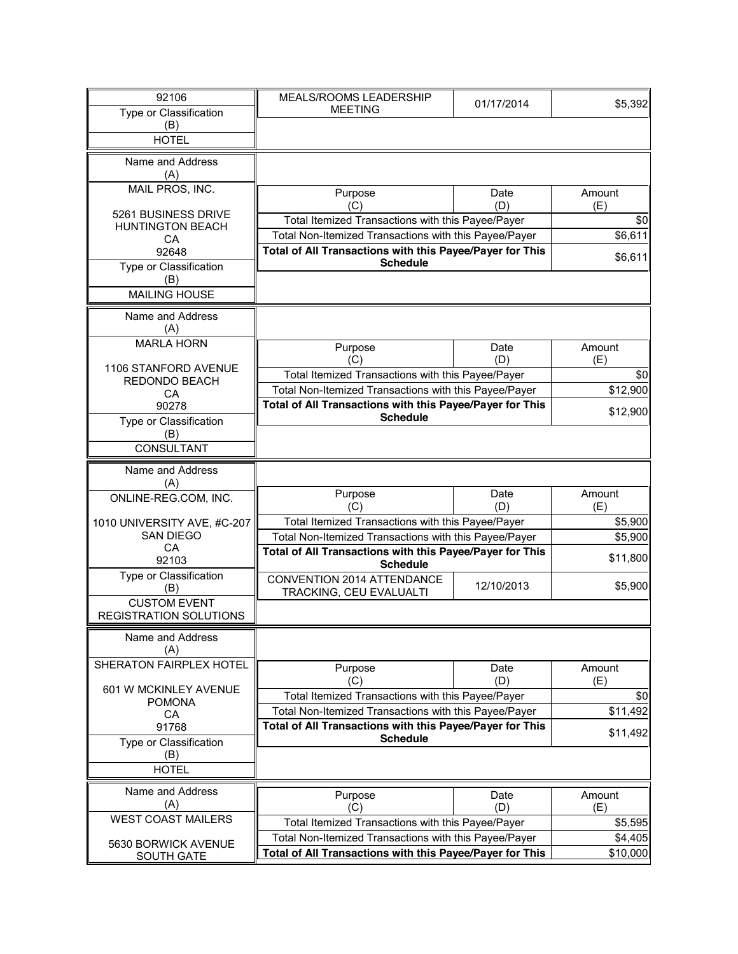| 92106                         | MEALS/ROOMS LEADERSHIP                                                      |            |          |
|-------------------------------|-----------------------------------------------------------------------------|------------|----------|
| Type or Classification        | <b>MEETING</b>                                                              | 01/17/2014 | \$5,392  |
| (B)                           |                                                                             |            |          |
| <b>HOTEL</b>                  |                                                                             |            |          |
|                               |                                                                             |            |          |
| Name and Address              |                                                                             |            |          |
| (A)                           |                                                                             |            |          |
| MAIL PROS, INC.               | Purpose                                                                     | Date       | Amount   |
| 5261 BUSINESS DRIVE           | (C)                                                                         | (D)        | (E)      |
| <b>HUNTINGTON BEACH</b>       | Total Itemized Transactions with this Payee/Payer                           | \$0        |          |
| CA                            | Total Non-Itemized Transactions with this Payee/Payer                       |            | \$6,611  |
| 92648                         | Total of All Transactions with this Payee/Payer for This<br>\$6,611         |            |          |
| Type or Classification        | <b>Schedule</b>                                                             |            |          |
| (B)                           |                                                                             |            |          |
| <b>MAILING HOUSE</b>          |                                                                             |            |          |
| Name and Address              |                                                                             |            |          |
| (A)                           |                                                                             |            |          |
| <b>MARLA HORN</b>             | Purpose                                                                     | Date       | Amount   |
|                               | (C)                                                                         | (D)        | (E)      |
| 1106 STANFORD AVENUE          | Total Itemized Transactions with this Payee/Payer                           |            | \$0      |
| REDONDO BEACH<br>CA           | Total Non-Itemized Transactions with this Payee/Payer                       |            | \$12,900 |
| 90278                         | Total of All Transactions with this Payee/Payer for This                    |            |          |
| Type or Classification        | <b>Schedule</b>                                                             |            | \$12,900 |
| (B)                           |                                                                             |            |          |
| CONSULTANT                    |                                                                             |            |          |
|                               |                                                                             |            |          |
| Name and Address<br>(A)       |                                                                             |            |          |
| ONLINE-REG.COM, INC.          | Purpose                                                                     | Date       | Amount   |
|                               | (C)                                                                         | (D)        | (E)      |
| 1010 UNIVERSITY AVE, #C-207   | Total Itemized Transactions with this Payee/Payer                           |            | \$5,900  |
| <b>SAN DIEGO</b>              | Total Non-Itemized Transactions with this Payee/Payer                       |            | \$5,900  |
| CA                            | Total of All Transactions with this Payee/Payer for This                    |            | \$11,800 |
| 92103                         | <b>Schedule</b>                                                             |            |          |
| Type or Classification<br>(B) | CONVENTION 2014 ATTENDANCE                                                  | 12/10/2013 | \$5,900  |
| <b>CUSTOM EVENT</b>           | TRACKING, CEU EVALUALTI                                                     |            |          |
| REGISTRATION SOLUTIONS        |                                                                             |            |          |
|                               |                                                                             |            |          |
| Name and Address              |                                                                             |            |          |
| (A)                           |                                                                             |            |          |
| SHERATON FAIRPLEX HOTEL       | Purpose                                                                     | Date       | Amount   |
| 601 W MCKINLEY AVENUE         | (C)                                                                         | (D)        | (E)      |
| <b>POMONA</b>                 | Total Itemized Transactions with this Payee/Payer                           |            | \$0      |
| CA                            | Total Non-Itemized Transactions with this Payee/Payer                       |            | \$11,492 |
| 91768                         | Total of All Transactions with this Payee/Payer for This<br><b>Schedule</b> |            | \$11,492 |
| Type or Classification        |                                                                             |            |          |
| (B)<br><b>HOTEL</b>           |                                                                             |            |          |
|                               |                                                                             |            |          |
| Name and Address              | Purpose                                                                     | Date       | Amount   |
| (A)                           | (C)                                                                         | (D)        | (E)      |
| <b>WEST COAST MAILERS</b>     | Total Itemized Transactions with this Payee/Payer                           |            | \$5,595  |
| 5630 BORWICK AVENUE           | Total Non-Itemized Transactions with this Payee/Payer                       |            | \$4,405  |
| <b>SOUTH GATE</b>             | <b>Total of All Transactions with this Payee/Payer for This</b>             |            | \$10,000 |
|                               |                                                                             |            |          |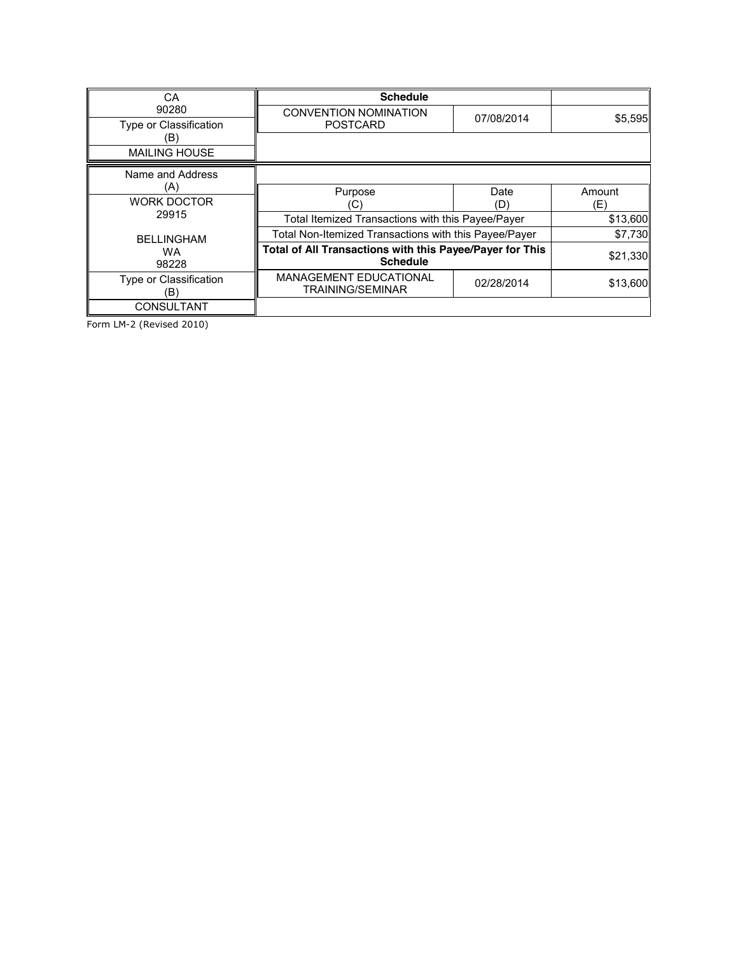| СA                              | <b>Schedule</b>                                                             |            |          |
|---------------------------------|-----------------------------------------------------------------------------|------------|----------|
| 90280<br>Type or Classification | <b>CONVENTION NOMINATION</b><br><b>POSTCARD</b>                             | 07/08/2014 | \$5,595  |
| ΈB)                             |                                                                             |            |          |
| <b>MAILING HOUSE</b>            |                                                                             |            |          |
| Name and Address                |                                                                             |            |          |
| (A)                             | Purpose                                                                     | Date       | Amount   |
| <b>WORK DOCTOR</b>              | C)                                                                          | (D)        | (E)      |
| 29915                           | Total Itemized Transactions with this Payee/Payer                           |            | \$13,600 |
| <b>BELLINGHAM</b>               | Total Non-Itemized Transactions with this Payee/Payer                       |            | \$7,730  |
| <b>WA</b><br>98228              | Total of All Transactions with this Payee/Payer for This<br><b>Schedule</b> |            | \$21,330 |
| Type or Classification<br>(B)   | <b>MANAGEMENT EDUCATIONAL</b><br><b>TRAINING/SEMINAR</b>                    | 02/28/2014 | \$13,600 |
| <b>CONSULTANT</b>               |                                                                             |            |          |

Form LM-2 (Revised 2010)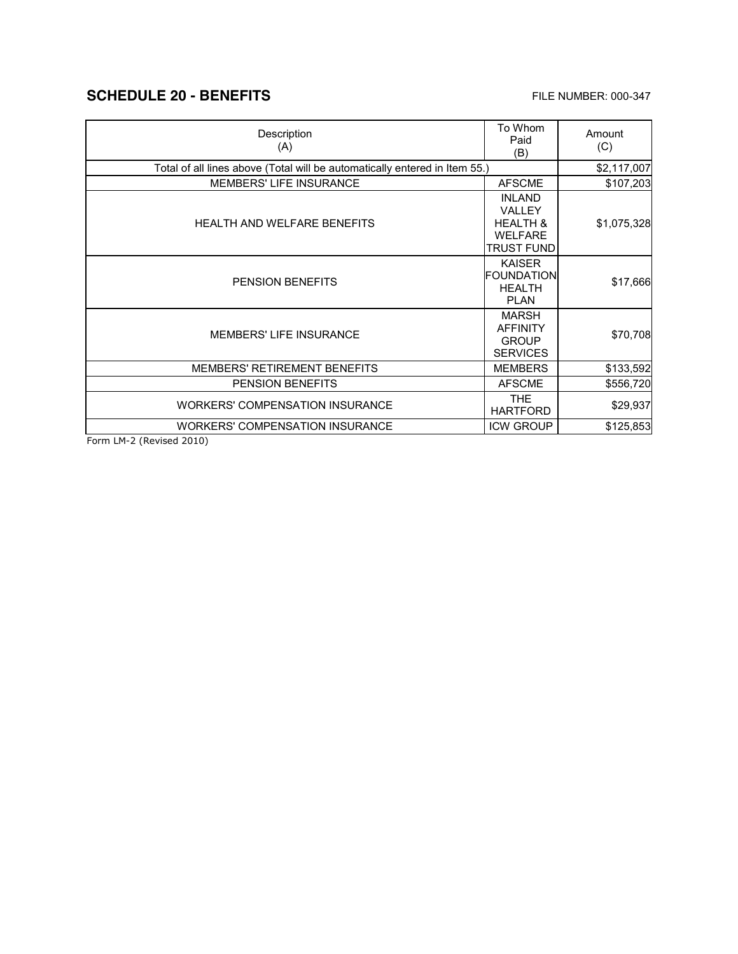## **SCHEDULE 20 - BENEFITS** FILE NUMBER: 000-347

 $\mathbf{r}$ 

| Description<br>(A)                                                         | To Whom<br>Paid<br>(B)                                                         | Amount<br>(C) |
|----------------------------------------------------------------------------|--------------------------------------------------------------------------------|---------------|
| Total of all lines above (Total will be automatically entered in Item 55.) | \$2,117,007                                                                    |               |
| <b>MEMBERS' LIFE INSURANCE</b>                                             | <b>AFSCME</b>                                                                  | \$107,203     |
| <b>HEALTH AND WELFARE BENEFITS</b>                                         | <b>INLAND</b><br>VALLEY<br><b>HEALTH &amp;</b><br><b>WELFARE</b><br>TRUST FUND | \$1,075,328   |
| <b>PENSION BENEFITS</b>                                                    | <b>KAISER</b><br><b>FOUNDATION</b><br><b>HEALTH</b><br><b>PLAN</b>             | \$17,666      |
| <b>MEMBERS' LIFE INSURANCE</b>                                             | <b>MARSH</b><br><b>AFFINITY</b><br><b>GROUP</b><br><b>SERVICES</b>             | \$70,708      |
| <b>MEMBERS' RETIREMENT BENEFITS</b>                                        | <b>MEMBERS</b>                                                                 | \$133,592     |
| <b>PENSION BENEFITS</b>                                                    | <b>AFSCME</b>                                                                  | \$556,720     |
| <b>WORKERS' COMPENSATION INSURANCE</b>                                     | <b>THE</b><br><b>HARTFORD</b>                                                  | \$29,937      |
| <b>WORKERS' COMPENSATION INSURANCE</b>                                     | <b>ICW GROUP</b>                                                               | \$125,853     |

Form LM-2 (Revised 2010)